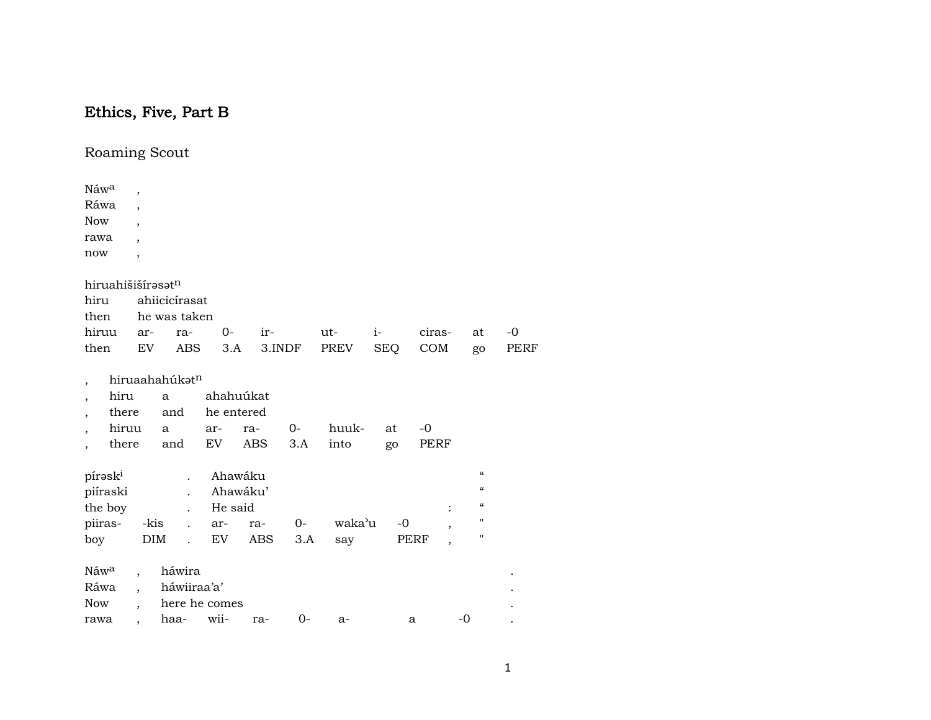## Ethics, Five, Part B

Roaming Scout

| Náwa                              | $\overline{ }$           |                |            |            |        |        |            |        |                          |      |
|-----------------------------------|--------------------------|----------------|------------|------------|--------|--------|------------|--------|--------------------------|------|
| Ráwa                              | $\overline{\phantom{a}}$ |                |            |            |        |        |            |        |                          |      |
| <b>Now</b>                        | $\overline{ }$           |                |            |            |        |        |            |        |                          |      |
| rawa                              | $\overline{ }$           |                |            |            |        |        |            |        |                          |      |
| now                               | $\overline{ }$           |                |            |            |        |        |            |        |                          |      |
| hiruahišišírasatn                 |                          |                |            |            |        |        |            |        |                          |      |
| hiru                              |                          | ahiicicírasat  |            |            |        |        |            |        |                          |      |
| then                              |                          | he was taken   |            |            |        |        |            |        |                          |      |
| hiruu                             | ar-                      | ra-            | $O -$      | ir-        |        | ut-    | $i-$       | ciras- | at                       | $-0$ |
| then                              | EV                       | <b>ABS</b>     | 3.A        |            | 3.INDF | PREV   | <b>SEQ</b> | COM    | go                       | PERF |
| $\overline{\phantom{a}}$          |                          | hiruaahahúkatn |            |            |        |        |            |        |                          |      |
| hiru<br>$\overline{\phantom{a}}$  |                          | a              | ahahuúkat  |            |        |        |            |        |                          |      |
| there<br>$\overline{\phantom{a}}$ |                          | and            | he entered |            |        |        |            |        |                          |      |
| hiruu<br>$\overline{ }$           |                          | a              | ar-        | ra-        | 0-     | huuk-  | at         | $-0$   |                          |      |
| there<br>$\overline{\phantom{a}}$ |                          | and            | EV         | <b>ABS</b> | 3.A    | into   | go         | PERF   |                          |      |
| pírask <sup>i</sup>               |                          |                | Ahawáku    |            |        |        |            |        | $\pmb{\zeta}\pmb{\zeta}$ |      |
| piíraski                          |                          |                |            | Ahawáku'   |        |        |            |        | $\pmb{\zeta}\pmb{\zeta}$ |      |
| the boy                           |                          |                | He said    |            |        |        |            |        | $\epsilon\epsilon$       |      |
| piiras-                           | -kis                     |                | ar-        | ra-        | $0-$   | waka'u | $-0$       | ,      | $\pmb{\mathsf{H}}$       |      |
| boy                               | <b>DIM</b>               | $\overline{a}$ | EV         | <b>ABS</b> | 3.A    | say    |            | PERF   | $\pmb{\mathsf{H}}$       |      |
| Náw <sup>a</sup>                  |                          | háwira         |            |            |        |        |            |        |                          |      |
| Ráwa                              |                          | háwiiraa'a'    |            |            |        |        |            |        |                          |      |
| Now                               |                          | here he comes  |            |            |        |        |            |        |                          |      |
| rawa                              |                          | haa-           | wii-       | ra-        | $0-$   | a-     |            | a      | $-0$                     |      |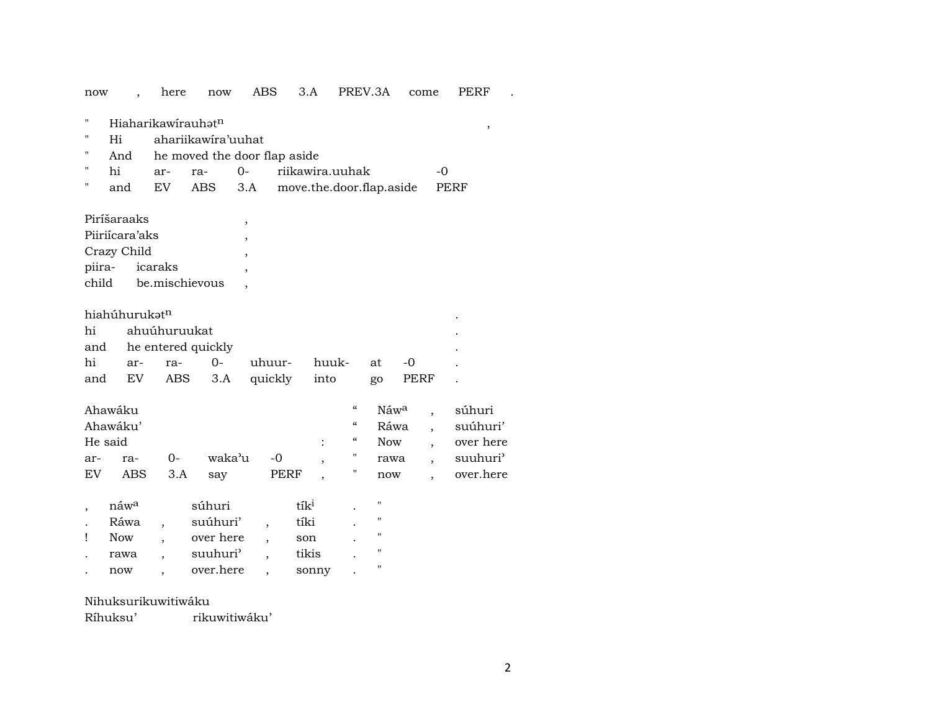| now                    |                                                       | here                                             | now                                                                     | ABS                                                  | 3.A                                               |                                                                                                              | PREV.3A                                   | come         | PERF                                                     |
|------------------------|-------------------------------------------------------|--------------------------------------------------|-------------------------------------------------------------------------|------------------------------------------------------|---------------------------------------------------|--------------------------------------------------------------------------------------------------------------|-------------------------------------------|--------------|----------------------------------------------------------|
| н<br>н<br>п<br>п<br>п  | Hi<br>And<br>hi<br>and                                | Hiaharikawirauhat <sup>n</sup><br>ar-<br>EV      | ahariikawira'uuhat<br>he moved the door flap aside<br>ra-<br><b>ABS</b> | $0-$<br>3.A                                          | riikawira.uuhak<br>move.the.door.flap.aside       |                                                                                                              |                                           | -0           | $^\mathrm{,}$<br><b>PERF</b>                             |
| piira-<br>child        | Piríšaraaks<br>Piiriícara'aks<br>Crazy Child          | icaraks<br>be.mischievous                        |                                                                         | $\,$<br>$\overline{\phantom{a}}$<br>$\cdot$          |                                                   |                                                                                                              |                                           |              |                                                          |
| hi<br>and<br>hi<br>and | hiahúhurukatn<br>ar-<br>EV                            | ahuúhuruukat<br>he entered quickly<br>ra-<br>ABS | $O -$<br>3.A                                                            | uhuur-<br>quickly                                    | into                                              | huuk-                                                                                                        | at<br>go                                  | $-0$<br>PERF |                                                          |
| ar-<br>EV              | Ahawáku<br>Ahawáku'<br>He said<br>ra-<br><b>ABS</b>   | $0-$<br>3.A                                      | waka'u<br>say                                                           | $-0$<br>PERF                                         | $\ddot{\cdot}$                                    | $\boldsymbol{\zeta}\boldsymbol{\zeta}$<br>$\boldsymbol{\zeta}\boldsymbol{\zeta}$<br>$\mathcal{C}$<br>11<br>п | Náwa<br>Ráwa<br><b>Now</b><br>rawa<br>now | $\cdot$      | súhuri<br>suúhuri'<br>over here<br>suuhuri'<br>over.here |
| Ţ                      | náw <sup>a</sup><br>Ráwa<br><b>Now</b><br>rawa<br>now | $\overline{\phantom{a}}$<br>,                    | súhuri<br>suúhuri'<br>over here<br>suuhuri <sup>3</sup><br>over.here    | $\overline{\phantom{a}}$<br>$\overline{\phantom{a}}$ | tík <sup>i</sup><br>tíki<br>son<br>tikis<br>sonny |                                                                                                              | н<br>п<br>П<br>$^{\prime}$<br>11          |              |                                                          |

## Nihuksurikuwitiwáku

Ríhuksu' rikuwitiwáku'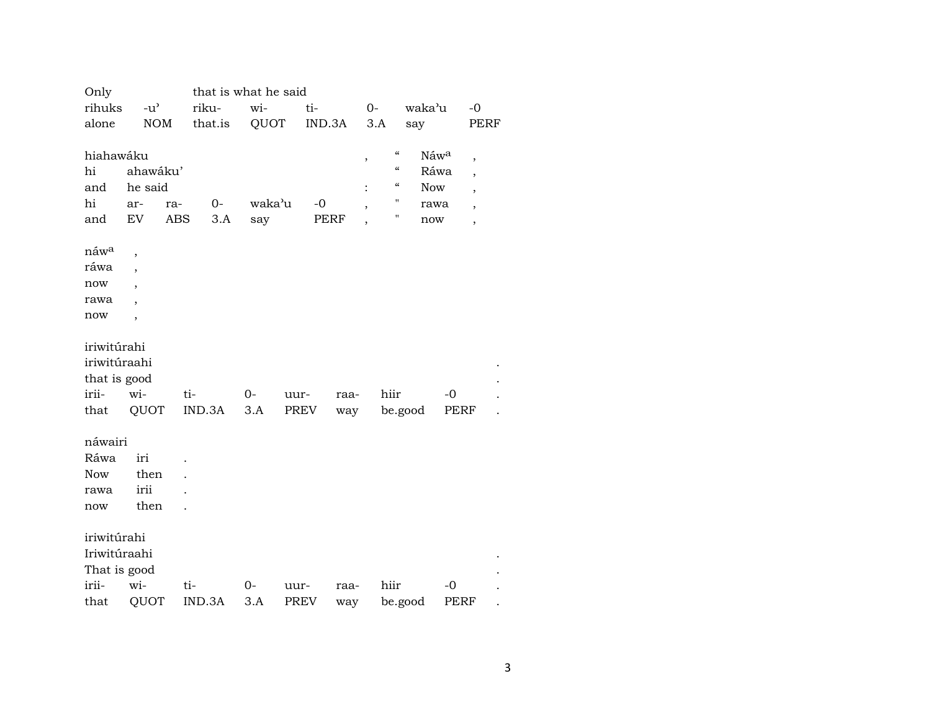| Only             |                          |     | that is what he said |        |      |             |        |      |                                        |            |      |                          |  |
|------------------|--------------------------|-----|----------------------|--------|------|-------------|--------|------|----------------------------------------|------------|------|--------------------------|--|
| rihuks           | $-u^{\prime}$            |     | riku-                | wi-    |      | ti-         |        | 0-   |                                        | waka'u     |      | $-0$                     |  |
| alone            | <b>NOM</b>               |     | that.is              | QUOT   |      |             | IND.3A | 3.A  |                                        | say        |      | PERF                     |  |
|                  |                          |     |                      |        |      |             |        |      |                                        |            |      |                          |  |
| hiahawáku        |                          |     |                      |        |      |             |        | $\,$ | $\boldsymbol{\mathcal{C}}$             | Náwa       |      | $\overline{\phantom{a}}$ |  |
| hi               | ahawáku'                 |     |                      |        |      |             |        |      | $\boldsymbol{\zeta}\boldsymbol{\zeta}$ | Ráwa       |      | $\overline{\phantom{a}}$ |  |
| and              | he said                  |     |                      |        |      |             |        |      | $\epsilon\epsilon$                     | <b>Now</b> |      | $\overline{\phantom{a}}$ |  |
| hi               | ar-                      | ra- | $O -$                | waka'u |      | $-0$        |        |      | $\mathbf{H}$                           | rawa       |      | $\overline{\phantom{a}}$ |  |
| and              | <b>EV</b>                | ABS | 3.A                  | say    |      | <b>PERF</b> |        |      | н                                      | now        |      | $\overline{\phantom{a}}$ |  |
|                  |                          |     |                      |        |      |             |        |      |                                        |            |      |                          |  |
| náw <sup>a</sup> | ,                        |     |                      |        |      |             |        |      |                                        |            |      |                          |  |
| ráwa             | ,                        |     |                      |        |      |             |        |      |                                        |            |      |                          |  |
| now              | $\overline{\phantom{a}}$ |     |                      |        |      |             |        |      |                                        |            |      |                          |  |
| rawa             | $\cdot$                  |     |                      |        |      |             |        |      |                                        |            |      |                          |  |
| now              | $\overline{\phantom{a}}$ |     |                      |        |      |             |        |      |                                        |            |      |                          |  |
|                  |                          |     |                      |        |      |             |        |      |                                        |            |      |                          |  |
| iriwitúrahi      |                          |     |                      |        |      |             |        |      |                                        |            |      |                          |  |
| iriwitúraahi     |                          |     |                      |        |      |             |        |      |                                        |            |      |                          |  |
| that is good     |                          |     |                      |        |      |             |        |      |                                        |            |      |                          |  |
| irii-            | wi-                      | ti- |                      | 0-     | uur- |             | raa-   |      | hiir                                   |            | -0   |                          |  |
| that             | QUOT                     |     | IND.3A               | 3.A    | PREV |             | way    |      | be.good                                |            | PERF |                          |  |
| náwairi          |                          |     |                      |        |      |             |        |      |                                        |            |      |                          |  |
| Ráwa             | iri                      |     |                      |        |      |             |        |      |                                        |            |      |                          |  |
| <b>Now</b>       | then                     |     |                      |        |      |             |        |      |                                        |            |      |                          |  |
| rawa             | irii                     |     |                      |        |      |             |        |      |                                        |            |      |                          |  |
| now              | then                     |     |                      |        |      |             |        |      |                                        |            |      |                          |  |
|                  |                          |     |                      |        |      |             |        |      |                                        |            |      |                          |  |
| iriwitúrahi      |                          |     |                      |        |      |             |        |      |                                        |            |      |                          |  |
| Iriwitúraahi     |                          |     |                      |        |      |             |        |      |                                        |            |      |                          |  |
| That is good     |                          |     |                      |        |      |             |        |      |                                        |            |      |                          |  |
| irii-            | wi-                      | ti- |                      | $0-$   | uur- |             | raa-   |      | hiir                                   |            | $-0$ |                          |  |
| that             | QUOT                     |     | IND.3A               | 3.A    | PREV |             | way    |      | be.good                                |            | PERF |                          |  |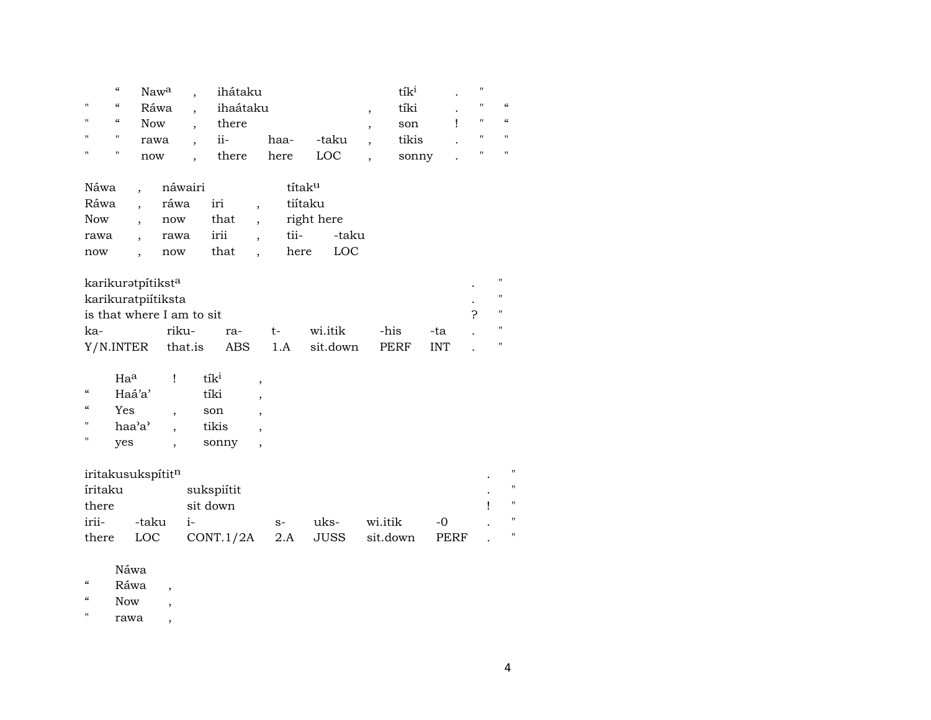|                | $\epsilon$ | Naw <sup>a</sup> , | ihátaku  |      |       | tík <sup>ı</sup> | $\bullet$ | "                 |                   |
|----------------|------------|--------------------|----------|------|-------|------------------|-----------|-------------------|-------------------|
| $\mathbf{H}$   | $\epsilon$ | Ráwa               | ihaátaku |      |       | tíki             | $\bullet$ | $\mathbf{H}$      | - 66              |
| $\blacksquare$ | "          | <b>Now</b>         | there    |      |       | son              |           | $\mathbf{H}$      | $\frac{1}{2}$     |
| $\mathbf{H}$   |            | rawa               | $11-$    | haa- | -taku | tikis            | $\bullet$ | $^{\prime\prime}$ | $^{\prime\prime}$ |
| $\mathbf{H}$   | "          | now                | there    | here | LOC.  | sonny            | $\cdot$   |                   | $^{\prime\prime}$ |

| Náwa       | náwairi |      | títak <sup>u</sup> |       |
|------------|---------|------|--------------------|-------|
| Ráwa       | ráwa    | iri  | tiítaku            |       |
| <b>Now</b> | now     | that | right here         |       |
| rawa       | rawa    | irii | tii-               | -taku |
| now        | now     | that | here               | LOC   |

| karikurətpítikst <sup>a</sup> |       |     |     |                  |      |            | " |
|-------------------------------|-------|-----|-----|------------------|------|------------|---|
| karikuratpiítiksta            |       |     |     |                  |      |            | " |
| is that where I am to sit     |       |     |     |                  |      |            | π |
| ka-                           | riku- | ra- | t – | wi.itik          | -his | -tal       |   |
| Y/N.INTER that.is             |       |     |     | ABS 1.A sit.down | PERF | <b>INT</b> |   |

|                   | $Ha^a$ | $t_1$ |  |
|-------------------|--------|-------|--|
| $\alpha$          | Haá'a' | tíki  |  |
| $\alpha$          | Yes    | son   |  |
| $^{\prime}$       | haa'a' | tikis |  |
| $^{\prime\prime}$ | yes    | sonny |  |

| iritakusukspítit <sup>n</sup> |       |                              |      |      |          |       |  |  |  |  |
|-------------------------------|-------|------------------------------|------|------|----------|-------|--|--|--|--|
| íritaku                       |       | sukspiítit                   |      |      |          |       |  |  |  |  |
| there                         |       | sit down                     |      |      |          |       |  |  |  |  |
| irii-                         | -taku |                              | $S-$ | uks- | wi.itik  | $-()$ |  |  |  |  |
| there                         |       | $LOC$ $CONT.1/2A$ $2.A$ JUSS |      |      | sit.down | PERF  |  |  |  |  |

Náwa

 $\,$   $\,$   $\,$  Ráwa $\,$  ,

 $\lq$  Now  $\qquad,$ 

" rawa ,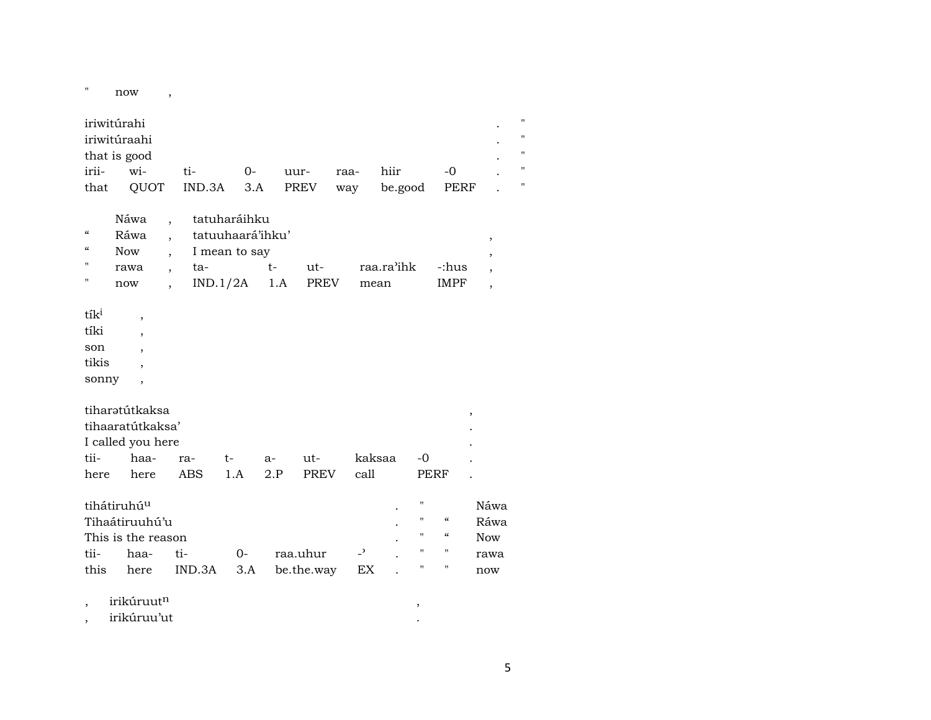$"$  now , iriwitúrahi . " iriwitúraahi that is good  $\qquad \qquad \blacksquare$ irii- wi- ti- 0- uur- raa- hiir -0 . " that QUOT IND.3A 3.A PREV way be.good PERF . " Náwa , tatuharáihku " Ráwa , tatuuhaará'ihku' , " Now , I mean to say , " rawa , ta- t- ut- raa.ra"ihk -:hus , " now , IND.1/2A 1.A PREV mean IMPF , tík<sup>i</sup>, tíki , son , tikis , sonny , tiharŸtútkaksa , tihaaratútkaksa' . I called you here tii- haa- ra- t- a- ut- kaksaa -0 . here here ABS 1.A 2.P PREV call PERF . tihátiruhúµ . " Náwa Tihaátiruuhú'u . " " "

| This is the reason |  |                                              |  |  | $\sim$ " " Now |
|--------------------|--|----------------------------------------------|--|--|----------------|
|                    |  |                                              |  |  |                |
|                    |  | this here IND.3A 3.A be.the.way EX . " " now |  |  |                |

, irikúruut¶ ,

, irikúruu'ut .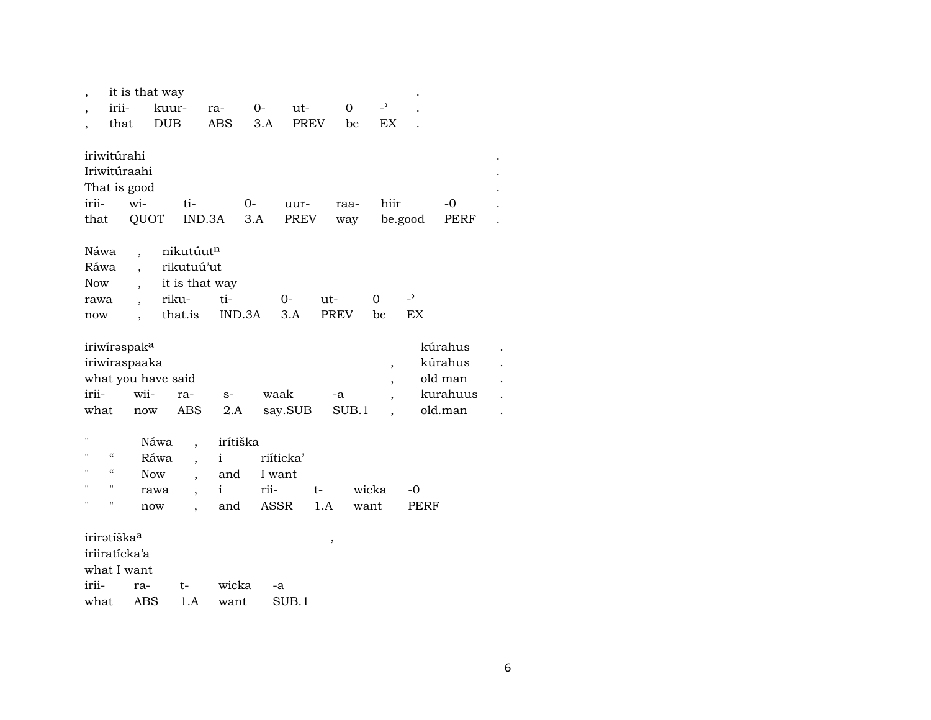|                                                                                                    | it is that way                                                  |                                                           |                        |                 |              |                                   |                          |                                           |                                                      |  |
|----------------------------------------------------------------------------------------------------|-----------------------------------------------------------------|-----------------------------------------------------------|------------------------|-----------------|--------------|-----------------------------------|--------------------------|-------------------------------------------|------------------------------------------------------|--|
| irii-<br>$\cdot$                                                                                   |                                                                 | kuur-                                                     | ra-                    | $0-$            | ut-          | $\Omega$                          | $\overline{\phantom{0}}$ |                                           |                                                      |  |
| that                                                                                               |                                                                 | <b>DUB</b>                                                | ABS                    | 3.A             | <b>PREV</b>  | be                                | EX                       |                                           |                                                      |  |
| iriwitúrahi<br>Iriwitúraahi<br>That is good<br>irii-<br>that<br>Náwa<br>Ráwa<br><b>Now</b><br>rawa | wi-<br>QUOT<br>$\ddot{\phantom{0}}$<br>$\overline{\phantom{a}}$ | ti-<br>nikutúutn<br>rikutuú'ut<br>it is that way<br>riku- | $O -$<br>IND.3A<br>ti- | 3.A<br>$0-$     | uur-<br>PREV | raa-<br>way<br>ut-<br><b>PREV</b> | hiir<br>$\Omega$<br>be   | be.good<br>$\overline{\phantom{a}}$<br>EX | -0<br>PERF                                           |  |
| now                                                                                                |                                                                 | that.is                                                   | IND.3A                 | 3.A             |              |                                   |                          |                                           |                                                      |  |
| iriwiraspak <sup>a</sup><br>irii-<br>what                                                          | iriwiraspaaka<br>what you have said<br>wii-<br>now              | ra-<br>ABS                                                | $S-$<br>2.A            | waak<br>say.SUB |              | -a<br>SUB.1                       | $\, ,$<br>$\overline{ }$ |                                           | kúrahus<br>kúrahus<br>old man<br>kurahuus<br>old.man |  |
| Ħ                                                                                                  | Náwa                                                            |                                                           | irítiška               |                 |              |                                   |                          |                                           |                                                      |  |
| $\mathcal{C}\mathcal{C}$<br>$\blacksquare$                                                         | Ráwa                                                            |                                                           | $\mathbf{i}$           | riíticka'       |              |                                   |                          |                                           |                                                      |  |
| $\epsilon$<br>Ħ                                                                                    | <b>Now</b>                                                      | $\ddot{\phantom{0}}$                                      | and                    | I want          |              |                                   |                          |                                           |                                                      |  |
| $^{\prime}$<br>$\mathbf{H}$                                                                        | rawa                                                            |                                                           | $\mathbf{i}$           | rii-            | t-           |                                   | wicka                    | -0                                        |                                                      |  |
| П<br>$\pmb{\mathsf{H}}$                                                                            | now                                                             |                                                           | and                    | ASSR            | 1.A          |                                   | want                     | PERF                                      |                                                      |  |
| iriratíška <sup>a</sup><br>iriiratícka'a<br>what I want<br>irii-                                   | ra-                                                             | t-                                                        | wicka                  | -a              |              | $\, ,$                            |                          |                                           |                                                      |  |
| what                                                                                               | ABS                                                             | 1.A                                                       | want                   | SUB.1           |              |                                   |                          |                                           |                                                      |  |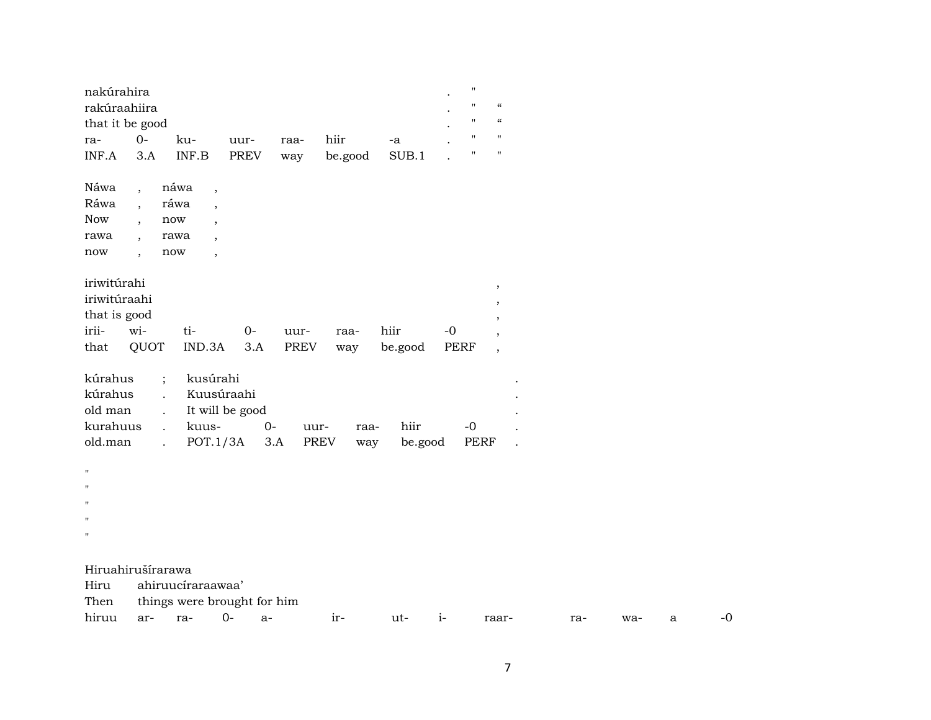| nakúrahira                                           |                                                                                                  |                                      |                                        |             |                     |                 |             | $\pmb{\mathsf{H}}$ |                          |     |     |   |      |
|------------------------------------------------------|--------------------------------------------------------------------------------------------------|--------------------------------------|----------------------------------------|-------------|---------------------|-----------------|-------------|--------------------|--------------------------|-----|-----|---|------|
| rakúraahiira                                         |                                                                                                  |                                      |                                        |             |                     |                 |             | $\pmb{\mathsf{H}}$ | $\pmb{\zeta}\pmb{\zeta}$ |     |     |   |      |
| that it be good                                      |                                                                                                  |                                      |                                        |             |                     |                 |             | $\pmb{\mathsf{H}}$ | $\epsilon\epsilon$       |     |     |   |      |
| ra-                                                  | $O-$                                                                                             | ku-                                  | uur-                                   | raa-        | hiir                | -a              |             | $\pmb{\mathsf{H}}$ | $\blacksquare$           |     |     |   |      |
| INF.A                                                | 3.A                                                                                              | $\ensuremath{\mathsf{INF.B}}\xspace$ | PREV                                   | way         | be.good             | SUB.1           |             | $^{\prime\prime}$  | $\mathbf{H}$             |     |     |   |      |
| Náwa                                                 | $\overline{\phantom{a}}$                                                                         | náwa<br>$\overline{\phantom{a}}$     |                                        |             |                     |                 |             |                    |                          |     |     |   |      |
| Ráwa                                                 | $\overline{\phantom{a}}$                                                                         | ráwa<br>$\overline{\phantom{a}}$     |                                        |             |                     |                 |             |                    |                          |     |     |   |      |
| <b>Now</b>                                           | $\overline{\phantom{a}}$                                                                         | now<br>$\overline{ }$                |                                        |             |                     |                 |             |                    |                          |     |     |   |      |
| rawa                                                 | $\overline{ }$                                                                                   | rawa<br>$\overline{\phantom{a}}$     |                                        |             |                     |                 |             |                    |                          |     |     |   |      |
| now                                                  | $\overline{\phantom{a}}$                                                                         | now<br>$\overline{ }$                |                                        |             |                     |                 |             |                    |                          |     |     |   |      |
| iriwitúrahi                                          |                                                                                                  |                                      |                                        |             |                     |                 |             |                    | $\, ,$                   |     |     |   |      |
| iriwitúraahi                                         |                                                                                                  |                                      |                                        |             |                     |                 |             |                    | $\, ,$                   |     |     |   |      |
| that is good                                         |                                                                                                  |                                      |                                        |             |                     |                 |             |                    | $\cdot$                  |     |     |   |      |
| irii-                                                | wi-                                                                                              | ti-                                  | $O -$                                  | uur-        | raa-                | hiir            | $-0$        |                    | $^\mathrm{,}$            |     |     |   |      |
| that                                                 | QUOT                                                                                             | IND.3A                               | 3.A                                    | PREV        | way                 | be.good         | <b>PERF</b> |                    | $\overline{\phantom{a}}$ |     |     |   |      |
| kúrahus<br>kúrahus<br>old man<br>kurahuus<br>old.man | $\vdots$<br>$\mathbf{r}$<br>$\ddot{\phantom{a}}$<br>$\ddot{\phantom{a}}$<br>$\ddot{\phantom{a}}$ | kusúrahi<br>kuus-<br>POT.1/3A        | Kuusúraahi<br>It will be good<br>$O -$ | uur-<br>3.A | raa-<br>PREV<br>way | hiir<br>be.good |             | $-0$<br>PERF       |                          |     |     |   |      |
| $\pmb{\mathsf{H}}$                                   |                                                                                                  |                                      |                                        |             |                     |                 |             |                    |                          |     |     |   |      |
| п                                                    |                                                                                                  |                                      |                                        |             |                     |                 |             |                    |                          |     |     |   |      |
| п                                                    |                                                                                                  |                                      |                                        |             |                     |                 |             |                    |                          |     |     |   |      |
| п                                                    |                                                                                                  |                                      |                                        |             |                     |                 |             |                    |                          |     |     |   |      |
| $\mathbf{H}$                                         |                                                                                                  |                                      |                                        |             |                     |                 |             |                    |                          |     |     |   |      |
|                                                      |                                                                                                  |                                      |                                        |             |                     |                 |             |                    |                          |     |     |   |      |
| Hiruahirušírarawa                                    |                                                                                                  |                                      |                                        |             |                     |                 |             |                    |                          |     |     |   |      |
| Hiru                                                 |                                                                                                  | ahiruucíraraawaa'                    |                                        |             |                     |                 |             |                    |                          |     |     |   |      |
| Then                                                 |                                                                                                  |                                      | things were brought for him            |             |                     |                 |             |                    |                          |     |     |   |      |
| hiruu                                                | ar-                                                                                              | ra-                                  | $0-$<br>$a-$                           |             | ir-                 | ut-             | $i-$        |                    | raar-                    | ra- | wa- | a | $-0$ |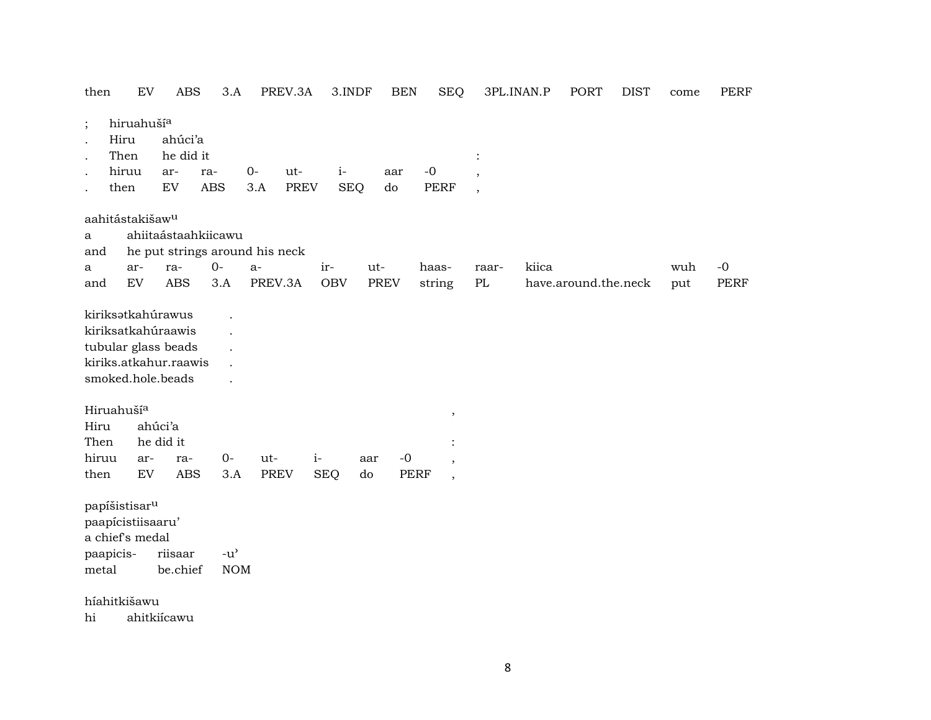| then                   | EV                                                                | <b>ABS</b>                                                                              | $3.A$                               | PREV.3A                        | 3.INDF     |             | <b>BEN</b>  | <b>SEQ</b>               |                          | 3PL.INAN.P | <b>PORT</b>          | <b>DIST</b> | come | <b>PERF</b> |
|------------------------|-------------------------------------------------------------------|-----------------------------------------------------------------------------------------|-------------------------------------|--------------------------------|------------|-------------|-------------|--------------------------|--------------------------|------------|----------------------|-------------|------|-------------|
| $\vdots$<br>$\cdot$    | hiruahuší <sup>a</sup><br>Hiru                                    | ahúci'a                                                                                 |                                     |                                |            |             |             |                          |                          |            |                      |             |      |             |
|                        | Then                                                              | he did it                                                                               |                                     |                                |            |             |             |                          |                          |            |                      |             |      |             |
| $\bullet$              | hiruu                                                             | ar-                                                                                     | ra-                                 | $O -$<br>ut-                   | $i-$       | aar         |             | $-0$                     | $\overline{\phantom{a}}$ |            |                      |             |      |             |
|                        | then                                                              | EV                                                                                      | <b>ABS</b>                          | <b>PREV</b><br>3.A             | <b>SEQ</b> | do          |             | <b>PERF</b>              | $\overline{\phantom{a}}$ |            |                      |             |      |             |
|                        | aahitástakišaw <sup>u</sup>                                       |                                                                                         |                                     |                                |            |             |             |                          |                          |            |                      |             |      |             |
| $\mathbf{a}$           |                                                                   | ahiitaástaahkiicawu                                                                     |                                     |                                |            |             |             |                          |                          |            |                      |             |      |             |
| and                    |                                                                   |                                                                                         |                                     | he put strings around his neck |            |             |             |                          |                          |            |                      |             |      |             |
| a                      | ar-                                                               | ra-                                                                                     | $0 -$                               | $a-$                           | ir-        | ut-         |             | haas-                    | raar-                    | kiica      |                      |             | wuh  | $-0$        |
| and                    | ${\rm EV}$                                                        | <b>ABS</b>                                                                              | 3.A                                 | PREV.3A                        | <b>OBV</b> | <b>PREV</b> |             | string                   | $\mathbf{P}\mathbf{L}$   |            | have.around.the.neck |             | put  | <b>PERF</b> |
|                        |                                                                   | kiriksatkahúraawis<br>tubular glass beads<br>kiriks.atkahur.raawis<br>smoked.hole.beads |                                     |                                |            |             |             |                          |                          |            |                      |             |      |             |
| Hiruahuší <sup>a</sup> |                                                                   |                                                                                         |                                     |                                |            |             |             |                          |                          |            |                      |             |      |             |
| Hiru                   |                                                                   | ahúci'a                                                                                 |                                     |                                |            |             |             | $\,$                     |                          |            |                      |             |      |             |
| Then                   |                                                                   | he did it                                                                               |                                     |                                |            |             |             |                          |                          |            |                      |             |      |             |
| hiruu                  | ar-                                                               | ra-                                                                                     | $0-$                                | ut-                            | $i-$       | aar         | $-0$        | $\overline{\phantom{a}}$ |                          |            |                      |             |      |             |
| then                   | ${\rm EV}$                                                        | <b>ABS</b>                                                                              | 3.A                                 | <b>PREV</b>                    | <b>SEQ</b> | do          | <b>PERF</b> | $\overline{\phantom{a}}$ |                          |            |                      |             |      |             |
|                        | papíšistisar <sup>u</sup><br>paapícistiisaaru'<br>a chief's medal |                                                                                         |                                     |                                |            |             |             |                          |                          |            |                      |             |      |             |
| paapicis-              |                                                                   | riisaar                                                                                 | $-u$ <sup><math>\prime</math></sup> |                                |            |             |             |                          |                          |            |                      |             |      |             |
| metal                  |                                                                   | be.chief                                                                                | <b>NOM</b>                          |                                |            |             |             |                          |                          |            |                      |             |      |             |
|                        | híahitkišawu                                                      |                                                                                         |                                     |                                |            |             |             |                          |                          |            |                      |             |      |             |
| hi                     |                                                                   | ahitkiícawu                                                                             |                                     |                                |            |             |             |                          |                          |            |                      |             |      |             |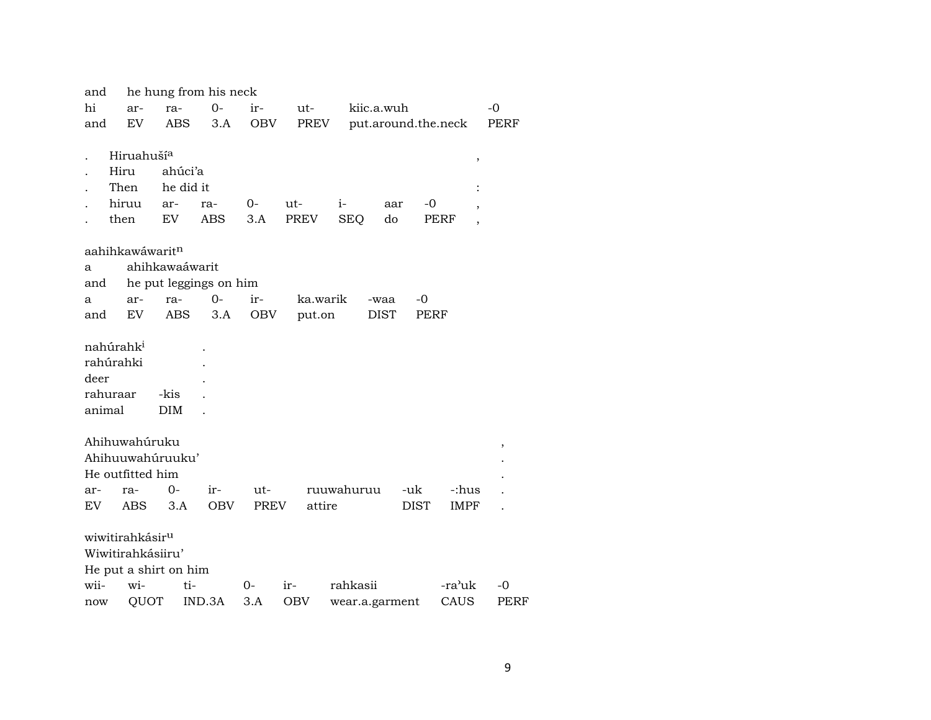| and                   |                       |                             |                       | he hung from his neck  |             |          |                |                     |                        |      |  |  |  |  |
|-----------------------|-----------------------|-----------------------------|-----------------------|------------------------|-------------|----------|----------------|---------------------|------------------------|------|--|--|--|--|
| hi                    |                       | ar-                         | ra-                   | $O -$                  | ir-         | ut-      | kiic.a.wuh     |                     |                        | $-0$ |  |  |  |  |
| and                   |                       | EV                          | ABS.                  | 3.A                    | OBV         | PREV     |                | put.around.the.neck |                        | PERF |  |  |  |  |
|                       |                       |                             |                       |                        |             |          |                |                     |                        |      |  |  |  |  |
|                       |                       | Hiruahuší <sup>a</sup>      |                       |                        |             |          |                |                     | $\, ,$                 |      |  |  |  |  |
|                       | Hiru                  |                             | ahúci'a               |                        |             |          |                |                     |                        |      |  |  |  |  |
|                       | Then                  |                             | he did it             |                        |             |          |                |                     |                        |      |  |  |  |  |
|                       | hiruu                 |                             | ar-                   | ra-                    | $O-$        | ut-      | $i-$           | -0<br>aar           | ,                      |      |  |  |  |  |
|                       | then                  |                             | EV                    | ABS                    | 3.A         | PREV     | <b>SEQ</b>     | do                  | PERF<br>$\overline{ }$ |      |  |  |  |  |
|                       |                       |                             |                       |                        |             |          |                |                     |                        |      |  |  |  |  |
|                       |                       | aahihkawáwarit <sup>n</sup> |                       |                        |             |          |                |                     |                        |      |  |  |  |  |
| a                     |                       |                             | ahihkawaáwarit        |                        |             |          |                |                     |                        |      |  |  |  |  |
| and                   |                       |                             |                       | he put leggings on him |             |          |                |                     |                        |      |  |  |  |  |
| a                     |                       | ar-                         | ra-                   | $0-$                   | ir-         | ka.warik | -waa           | -0                  |                        |      |  |  |  |  |
| and                   |                       | EV                          | <b>ABS</b>            | 3.A                    | OBV         | put.on   | <b>DIST</b>    | PERF                |                        |      |  |  |  |  |
| nahúrahk <sup>i</sup> |                       |                             |                       |                        |             |          |                |                     |                        |      |  |  |  |  |
|                       | rahúrahki             |                             |                       |                        |             |          |                |                     |                        |      |  |  |  |  |
| deer                  |                       |                             |                       |                        |             |          |                |                     |                        |      |  |  |  |  |
|                       |                       |                             |                       |                        |             |          |                |                     |                        |      |  |  |  |  |
|                       | rahuraar              |                             | -kis                  |                        |             |          |                |                     |                        |      |  |  |  |  |
| animal                |                       |                             | <b>DIM</b>            |                        |             |          |                |                     |                        |      |  |  |  |  |
|                       |                       | Ahihuwahúruku               |                       |                        |             |          |                |                     |                        |      |  |  |  |  |
|                       |                       |                             | Ahihuuwahúruuku'      |                        |             |          |                |                     |                        | ,    |  |  |  |  |
|                       |                       | He outfitted him            |                       |                        |             |          |                |                     |                        |      |  |  |  |  |
| ar-                   | ra-                   |                             | $O -$                 | ir-                    | ut-         |          | ruuwahuruu     | -uk                 | -:hus                  |      |  |  |  |  |
| EV                    |                       | ABS                         | 3.A                   | <b>OBV</b>             | <b>PREV</b> | attire   |                | <b>DIST</b>         | IMPF                   |      |  |  |  |  |
|                       |                       |                             |                       |                        |             |          |                |                     |                        |      |  |  |  |  |
|                       |                       | wiwitirahkásir <sup>u</sup> |                       |                        |             |          |                |                     |                        |      |  |  |  |  |
|                       |                       | Wiwitirahkásiiru'           |                       |                        |             |          |                |                     |                        |      |  |  |  |  |
|                       |                       |                             | He put a shirt on him |                        |             |          |                |                     |                        |      |  |  |  |  |
| wii-                  |                       | wi-                         | ti-                   |                        | 0-          | ir-      | rahkasii       |                     | -ra'uk                 | $-0$ |  |  |  |  |
|                       | QUOT<br>IND.3A<br>now |                             |                       |                        | 3.A         | OBV      | wear.a.garment |                     | CAUS                   | PERF |  |  |  |  |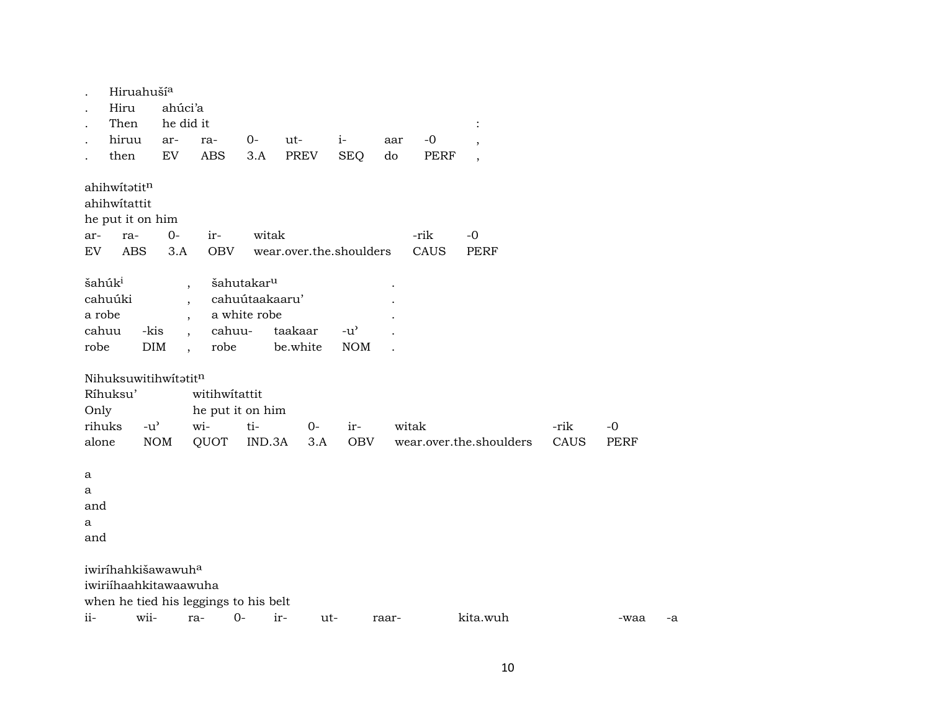|                      | Hiruahuší <sup>a</sup>         |               |                                       |                        |                         |                                     |       |             |                          |      |             |    |
|----------------------|--------------------------------|---------------|---------------------------------------|------------------------|-------------------------|-------------------------------------|-------|-------------|--------------------------|------|-------------|----|
| $\ddot{\phantom{0}}$ | Hiru                           | ahúci'a       |                                       |                        |                         |                                     |       |             |                          |      |             |    |
| $\ddot{\phantom{0}}$ | Then                           | he did it     |                                       |                        |                         |                                     |       |             |                          |      |             |    |
| $\ddot{\phantom{0}}$ | hiruu                          | ar-           | ra-                                   | 0-                     | ut-                     | $i-$                                | aar   | $-0$        | $\cdot$                  |      |             |    |
|                      | then                           | EV            | ABS                                   | 3.A                    | <b>PREV</b>             | <b>SEQ</b>                          | do    | <b>PERF</b> | $\overline{\phantom{a}}$ |      |             |    |
|                      | ahihwitatitn                   |               |                                       |                        |                         |                                     |       |             |                          |      |             |    |
|                      | ahihwitattit                   |               |                                       |                        |                         |                                     |       |             |                          |      |             |    |
|                      | he put it on him               |               |                                       |                        |                         |                                     |       |             |                          |      |             |    |
| ar-                  | ra-                            | $O -$         | ir-                                   | witak                  |                         |                                     |       | -rik        | $-0$                     |      |             |    |
| EV                   | <b>ABS</b>                     | 3.A           | <b>OBV</b>                            |                        | wear.over.the.shoulders |                                     |       | CAUS        | <b>PERF</b>              |      |             |    |
|                      | šahúk <sup>i</sup>             |               |                                       | šahutakar <sup>u</sup> |                         |                                     |       |             |                          |      |             |    |
|                      | cahuúki                        |               | $\ddot{\phantom{0}}$                  | cahuútaakaaru'         |                         |                                     |       |             |                          |      |             |    |
| a robe               |                                |               | $\cdot$                               | a white robe           |                         |                                     |       |             |                          |      |             |    |
|                      | cahuu                          | -kis          | cahuu-                                |                        | taakaar                 | $-u$ <sup><math>\prime</math></sup> |       |             |                          |      |             |    |
| robe                 |                                | <b>DIM</b>    | robe<br>$\overline{\phantom{a}}$      |                        | be.white                | <b>NOM</b>                          |       |             |                          |      |             |    |
|                      | Nihuksuwitihwitatitn           |               |                                       |                        |                         |                                     |       |             |                          |      |             |    |
|                      | Ríhuksu'                       |               | witihwitattit                         |                        |                         |                                     |       |             |                          |      |             |    |
| Only                 |                                |               | he put it on him                      |                        |                         |                                     |       |             |                          |      |             |    |
|                      | rihuks                         | $-u^{\prime}$ | wi-                                   | ti-                    | $0-$                    | ir-                                 | witak |             |                          | -rik | $-0$        |    |
| alone                |                                | <b>NOM</b>    | QUOT                                  | IND.3A                 | 3.A                     | <b>OBV</b>                          |       |             | wear.over.the.shoulders  | CAUS | <b>PERF</b> |    |
| $\mathbf{a}$         |                                |               |                                       |                        |                         |                                     |       |             |                          |      |             |    |
| a                    |                                |               |                                       |                        |                         |                                     |       |             |                          |      |             |    |
| and                  |                                |               |                                       |                        |                         |                                     |       |             |                          |      |             |    |
| a                    |                                |               |                                       |                        |                         |                                     |       |             |                          |      |             |    |
| and                  |                                |               |                                       |                        |                         |                                     |       |             |                          |      |             |    |
|                      | iwiríhahkišawawuh <sup>a</sup> |               |                                       |                        |                         |                                     |       |             |                          |      |             |    |
|                      | iwiriihaahkitawaawuha          |               |                                       |                        |                         |                                     |       |             |                          |      |             |    |
|                      |                                |               | when he tied his leggings to his belt |                        |                         |                                     |       |             |                          |      |             |    |
| ii-                  | wii-                           |               | ra-                                   | $0-$<br>ir-            | ut-                     |                                     | raar- |             | kita.wuh                 |      | -waa        | -a |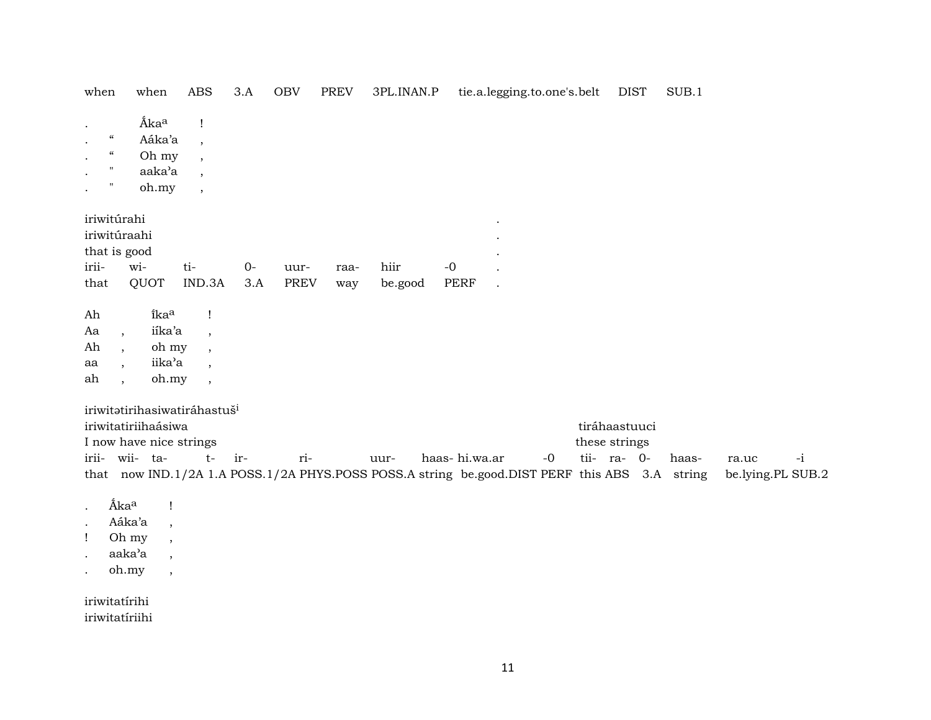| when                                                                                             | when                                                                                                              | <b>ABS</b>                                                                                 | 3.A         | OBV                 | <b>PREV</b> | 3PL.INAN.P      | tie.a.legging.to.one's.belt                                                                                    |      | <b>DIST</b>                    | SUB.1 |                                    |
|--------------------------------------------------------------------------------------------------|-------------------------------------------------------------------------------------------------------------------|--------------------------------------------------------------------------------------------|-------------|---------------------|-------------|-----------------|----------------------------------------------------------------------------------------------------------------|------|--------------------------------|-------|------------------------------------|
| $\mathcal{C}\mathcal{C}$<br>$\epsilon\epsilon$<br>$^{\prime\prime}$<br>$^{\prime\prime}$         | Áka <sup>a</sup><br>Aáka'a<br>Oh my<br>aaka'a                                                                     | Ţ<br>$\overline{\phantom{a}}$<br>$\cdot$<br>$\overline{\phantom{a}}$                       |             |                     |             |                 |                                                                                                                |      |                                |       |                                    |
|                                                                                                  | oh.my                                                                                                             | $\overline{\phantom{a}}$                                                                   |             |                     |             |                 |                                                                                                                |      |                                |       |                                    |
| iriwitúrahi<br>iriwitúraahi<br>that is good                                                      |                                                                                                                   |                                                                                            |             |                     |             |                 |                                                                                                                |      |                                |       |                                    |
| irii-<br>that                                                                                    | wi-<br>QUOT                                                                                                       | ti-<br>IND.3A                                                                              | $0-$<br>3.A | uur-<br><b>PREV</b> | raa-<br>way | hiir<br>be.good | $-0$<br><b>PERF</b>                                                                                            |      |                                |       |                                    |
| Ah<br>Aa<br>$\overline{ }$ ,<br>Ah<br>$\overline{\phantom{a}}$<br>aa<br>$\cdot$<br>ah<br>$\cdot$ | îka <sup>a</sup><br>iíka'a<br>oh my<br>iika'a<br>oh.my                                                            | $\mathbf{I}$<br>$\overline{\phantom{a}}$<br>$\cdot$<br>$\cdot$<br>$\overline{\phantom{a}}$ |             |                     |             |                 |                                                                                                                |      |                                |       |                                    |
|                                                                                                  | iriwitatirihasiwatiráhastuš <sup>i</sup><br>iriwitatiriihaásiwa<br>I now have nice strings                        |                                                                                            |             |                     |             |                 |                                                                                                                |      | tiráhaastuuci<br>these strings |       |                                    |
| irii- wii- ta-                                                                                   |                                                                                                                   | $t-$                                                                                       | ir-         | ri-                 |             | uur-            | haas-hi.wa.ar<br>that now IND.1/2A 1.A POSS.1/2A PHYS.POSS POSS.A string be.good.DIST PERF this ABS 3.A string | $-0$ | tii- ra- 0-                    | haas- | $-i$<br>ra.uc<br>be.lying.PL SUB.2 |
| Áka <sup>a</sup><br>$\bullet$<br>$\mathbf{I}$<br>$\cdot$                                         | Ţ<br>Aáka'a<br>$\overline{\phantom{a}}$<br>Oh my<br>aaka'a<br>$\overline{ }$<br>oh.my<br>$\overline{\phantom{a}}$ |                                                                                            |             |                     |             |                 |                                                                                                                |      |                                |       |                                    |
| iriwitatírihi                                                                                    |                                                                                                                   |                                                                                            |             |                     |             |                 |                                                                                                                |      |                                |       |                                    |

iriwitatíriihi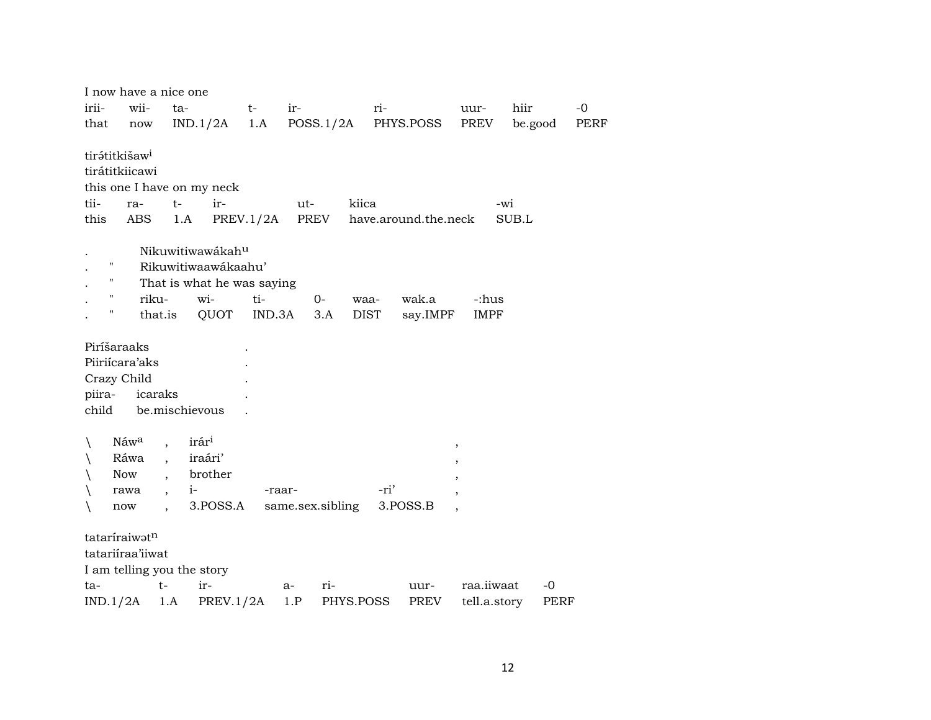|                 | I now have a nice one                                           |                           |                                   |           |     |                  |             |                      |                          |              |      |
|-----------------|-----------------------------------------------------------------|---------------------------|-----------------------------------|-----------|-----|------------------|-------------|----------------------|--------------------------|--------------|------|
| irii-           | wii-                                                            | ta-                       |                                   | $t-$      | ir- |                  | ri-         |                      | uur-                     | hiir         | $-0$ |
| that            | $\operatorname{now}$                                            |                           | IND.1/2A                          | 1.A       |     |                  |             | POSS.1/2A PHYS.POSS  | PREV                     | be.good      | PERF |
| tii-<br>this    | tirátitkišaw <sup>i</sup><br>tirátitkiicawi<br>ra-<br>ABS       | $t-$<br>1.A               | this one I have on my neck<br>ir- | PREV.1/2A | ut- | kiica<br>PREV    |             | have.around.the.neck |                          | -wi<br>SUB.L |      |
|                 |                                                                 |                           | Nikuwitiwawákahu                  |           |     |                  |             |                      |                          |              |      |
|                 | н                                                               |                           | Rikuwitiwaawákaahu'               |           |     |                  |             |                      |                          |              |      |
|                 | П                                                               |                           | That is what he was saying        |           |     |                  |             |                      |                          |              |      |
|                 | п<br>riku-                                                      |                           | wi-                               | ti-       |     | 0-               | waa-        | wak.a                | -:hus                    |              |      |
|                 |                                                                 | that.is                   | QUOT                              | IND.3A    |     | 3.A              | <b>DIST</b> | say.IMPF             | <b>IMPF</b>              |              |      |
| piira-<br>child | Piríšaraaks<br>Piiriícara'aks<br>Crazy Child                    | icaraks<br>be.mischievous |                                   |           |     |                  |             |                      |                          |              |      |
| ∖               | Náwa                                                            |                           | irár <sup>i</sup>                 |           |     |                  |             |                      | $\, ,$                   |              |      |
| ∖               | Ráwa                                                            | $\ddot{\phantom{a}}$      | iraári'                           |           |     |                  |             |                      | $\overline{\phantom{a}}$ |              |      |
|                 | Now                                                             | $\overline{\phantom{a}}$  | brother                           |           |     |                  |             |                      |                          |              |      |
|                 | rawa                                                            | $\overline{\phantom{a}}$  | $i-$                              | -raar-    |     |                  | -ri'        |                      |                          |              |      |
| ∖               | now                                                             |                           | 3.POSS.A                          |           |     | same.sex.sibling |             | 3.POSS.B             |                          |              |      |
|                 | tataríraiwatn<br>tatariíraa'iiwat<br>I am telling you the story |                           |                                   |           |     |                  |             |                      |                          |              |      |
| ta-             |                                                                 | $t-$                      | ir-                               |           | a-  | ri-              |             | uur-                 | raa.iiwaat               |              | -0   |
|                 | IND.1/2A                                                        | 1.A                       | PREV.1/2A                         |           | 1.P | PHYS.POSS        |             | <b>PREV</b>          | tell.a.story             |              | PERF |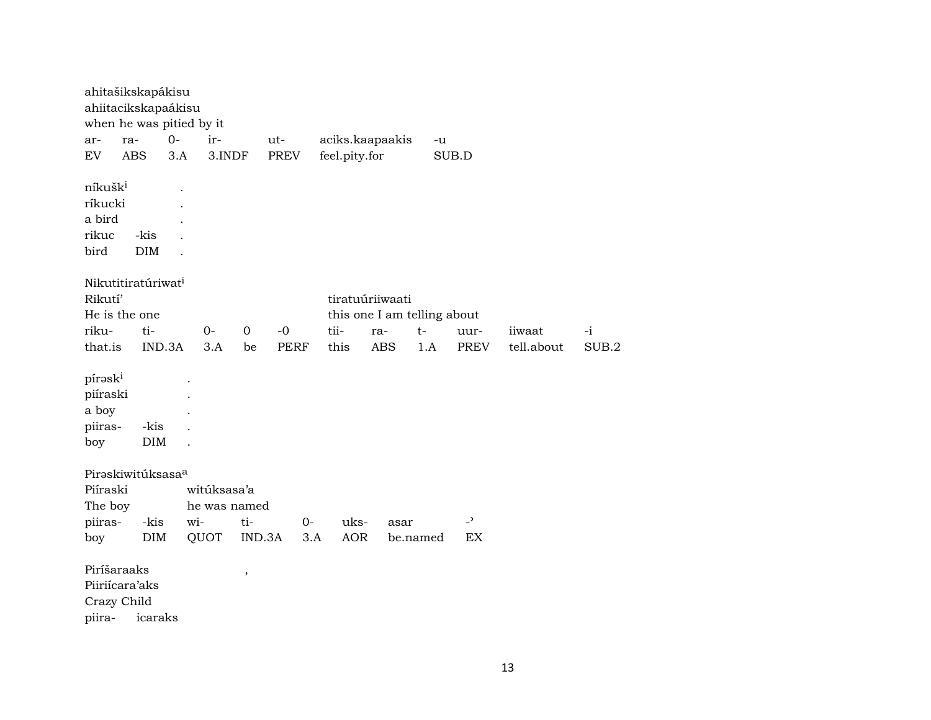| ahitašikskapákisu<br>ahiitacikskapaákisu<br>when he was pitied by it |                    |      |              |             |             |      |                             |            |          |     |                          |            |      |       |
|----------------------------------------------------------------------|--------------------|------|--------------|-------------|-------------|------|-----------------------------|------------|----------|-----|--------------------------|------------|------|-------|
| ra-<br>ar-                                                           |                    | $0-$ | ir-          |             | ut-         |      | aciks.kaapaakis             |            |          | -u  |                          |            |      |       |
| <b>EV</b><br><b>ABS</b>                                              |                    | 3.A  | 3.INDF       |             | PREV        |      | feel.pity.for               |            |          |     | SUB.D                    |            |      |       |
| níkušk <sup>i</sup><br>ríkucki<br>a bird<br>rikuc<br>bird            | -kis<br>DIM        |      |              |             |             |      |                             |            |          |     |                          |            |      |       |
| Nikutitiratúriwat <sup>i</sup><br>Rikutí'                            |                    |      |              |             |             |      | tiratuúriiwaati             |            |          |     |                          |            |      |       |
| He is the one                                                        |                    |      |              |             |             |      | this one I am telling about |            |          |     |                          |            |      |       |
| riku-                                                                | ti-                |      | $O -$        | $\mathbf 0$ | $-0$        |      | tii-                        | ra-        | $t-$     |     | uur-                     | iiwaat     | $-i$ |       |
| that.is                                                              | IND.3A             |      | 3.A          | be          | <b>PERF</b> |      | this                        | <b>ABS</b> |          | 1.A | <b>PREV</b>              | tell.about |      | SUB.2 |
|                                                                      |                    |      |              |             |             |      |                             |            |          |     |                          |            |      |       |
| píraski<br>piíraski<br>a boy<br>piiras-<br>boy                       | -kis<br>$\rm{DIM}$ |      |              |             |             |      |                             |            |          |     |                          |            |      |       |
| Piraskiwitúksasaa                                                    |                    |      |              |             |             |      |                             |            |          |     |                          |            |      |       |
| Piíraski                                                             |                    |      | witúksasa'a  |             |             |      |                             |            |          |     |                          |            |      |       |
| The boy                                                              |                    |      | he was named |             |             |      |                             |            |          |     |                          |            |      |       |
| piiras-                                                              | -kis               | wi-  |              | ti-         |             | $0-$ | uks-                        |            | asar     |     | $\overline{\phantom{a}}$ |            |      |       |
| boy                                                                  | <b>DIM</b>         |      | QUOT         | IND.3A      |             | 3.A  | <b>AOR</b>                  |            | be.named |     | EX                       |            |      |       |
| Piríšaraaks<br>Piiriícara'aks<br>Crazy Child<br>piira-               | icaraks            |      |              | $\, ,$      |             |      |                             |            |          |     |                          |            |      |       |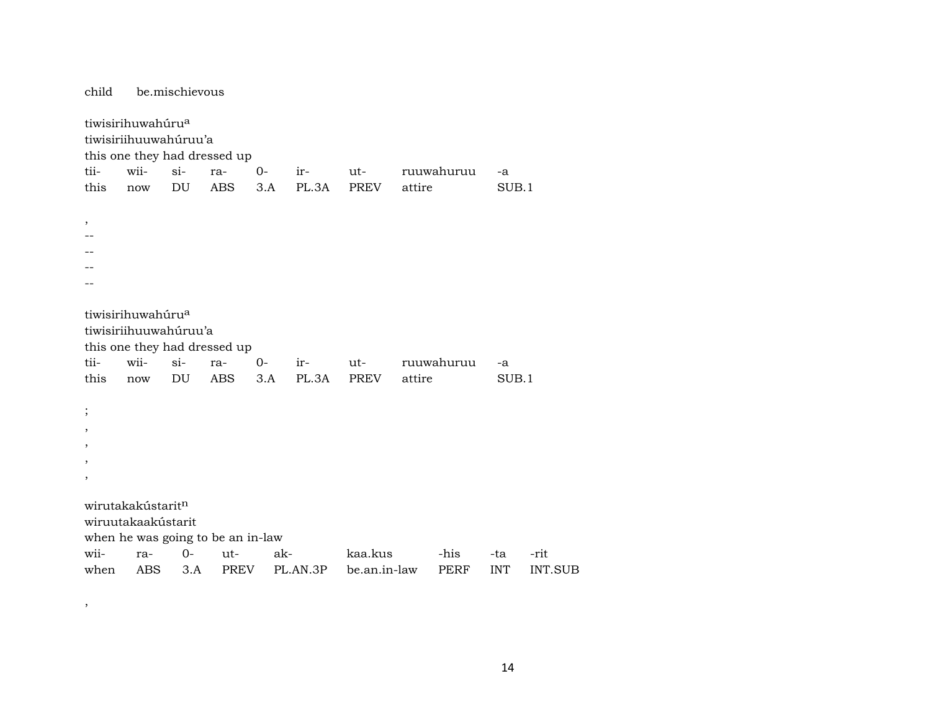child be.mischievous tiwisirihuwahúru<sup>a</sup> tiwisiriihuuwahúruu'a this one they had dressed up tii- wii- si- ra- 0- ir- ut- ruuwahuruu -a this now DU ABS 3.A PL.3A PREV attire SUB.1 , -- -- -- - tiwisirihuwahúru<sup>a</sup> tiwisiriihuuwahúruu'a this one they had dressed up tii- wii- si- ra- 0- ir- ut- ruuwahuruu -a this now DU ABS 3.A PL.3A PREV attire SUB.1 ; , , , , wirutakakústarit<sup>n</sup> wiruutakaakústarit when he was going to be an in-law wii- ra- 0- ut- ak- kaa.kus -his -ta -rit when ABS 3.A PREV PL.AN.3P be.an.in-law PERF INT INT.SUB

,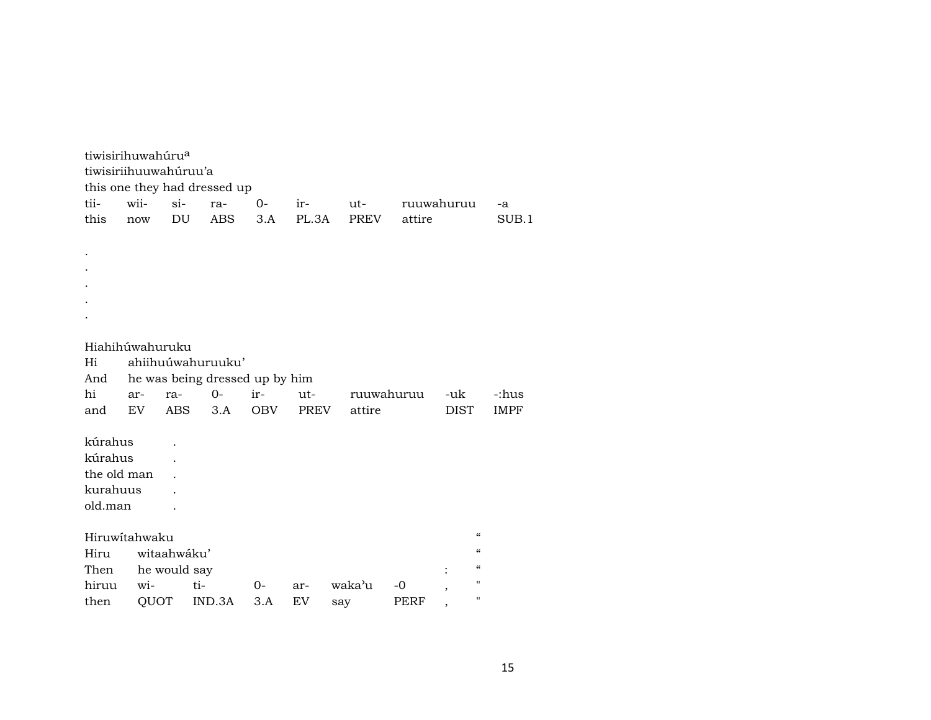| tii-            | tiwisirihuwahúru <sup>a</sup><br>tiwisiriihuuwahúruu'a<br>this one they had dressed up<br>wii-<br>$si-$<br>$O -$<br>ut-<br>ruuwahuruu<br>ra-<br>ir-<br>-a<br>this<br>DU<br><b>ABS</b><br>PL.3A<br>PREV<br>attire<br>3.A<br>SUB.1<br>now |              |                                                     |     |      |        |            |  |                |                                        |             |  |  |  |  |
|-----------------|-----------------------------------------------------------------------------------------------------------------------------------------------------------------------------------------------------------------------------------------|--------------|-----------------------------------------------------|-----|------|--------|------------|--|----------------|----------------------------------------|-------------|--|--|--|--|
|                 |                                                                                                                                                                                                                                         |              |                                                     |     |      |        |            |  |                |                                        |             |  |  |  |  |
|                 |                                                                                                                                                                                                                                         |              |                                                     |     |      |        |            |  |                |                                        |             |  |  |  |  |
|                 |                                                                                                                                                                                                                                         |              |                                                     |     |      |        |            |  |                |                                        |             |  |  |  |  |
|                 |                                                                                                                                                                                                                                         |              |                                                     |     |      |        |            |  |                |                                        |             |  |  |  |  |
|                 |                                                                                                                                                                                                                                         |              |                                                     |     |      |        |            |  |                |                                        |             |  |  |  |  |
|                 |                                                                                                                                                                                                                                         |              |                                                     |     |      |        |            |  |                |                                        |             |  |  |  |  |
| Hiahihúwahuruku |                                                                                                                                                                                                                                         |              |                                                     |     |      |        |            |  |                |                                        |             |  |  |  |  |
| Hi<br>And       |                                                                                                                                                                                                                                         |              | ahiihuúwahuruuku'<br>he was being dressed up by him |     |      |        |            |  |                |                                        |             |  |  |  |  |
| hi              | ar-                                                                                                                                                                                                                                     | ra-          | $0-$                                                | ir- | ut-  |        | ruuwahuruu |  | -uk            |                                        | -:hus       |  |  |  |  |
| and             | EV                                                                                                                                                                                                                                      | ABS          | 3.A                                                 | OBV | PREV | attire |            |  | <b>DIST</b>    |                                        | <b>IMPF</b> |  |  |  |  |
|                 |                                                                                                                                                                                                                                         |              |                                                     |     |      |        |            |  |                |                                        |             |  |  |  |  |
| kúrahus         |                                                                                                                                                                                                                                         |              |                                                     |     |      |        |            |  |                |                                        |             |  |  |  |  |
| kúrahus         |                                                                                                                                                                                                                                         |              |                                                     |     |      |        |            |  |                |                                        |             |  |  |  |  |
| the old man     |                                                                                                                                                                                                                                         |              |                                                     |     |      |        |            |  |                |                                        |             |  |  |  |  |
| kurahuus        |                                                                                                                                                                                                                                         |              |                                                     |     |      |        |            |  |                |                                        |             |  |  |  |  |
| old.man         |                                                                                                                                                                                                                                         |              |                                                     |     |      |        |            |  |                |                                        |             |  |  |  |  |
|                 | Hiruwitahwaku                                                                                                                                                                                                                           |              |                                                     |     |      |        |            |  |                | $\mathcal{C}$                          |             |  |  |  |  |
| Hiru            |                                                                                                                                                                                                                                         | witaahwáku'  |                                                     |     |      |        |            |  |                | $\boldsymbol{\zeta}\boldsymbol{\zeta}$ |             |  |  |  |  |
| Then            |                                                                                                                                                                                                                                         | he would say |                                                     |     |      |        |            |  |                | $\mathcal{C}\mathcal{C}$               |             |  |  |  |  |
| hiruu           | wi-                                                                                                                                                                                                                                     |              | ti-                                                 | 0-  | ar-  | waka'u | $-0$       |  | $\overline{ }$ | $\mathbf H$                            |             |  |  |  |  |
| then            | QUOT                                                                                                                                                                                                                                    |              | IND.3A                                              | 3.A | EV   | say    | PERF       |  |                | $\mathbf{H}$                           |             |  |  |  |  |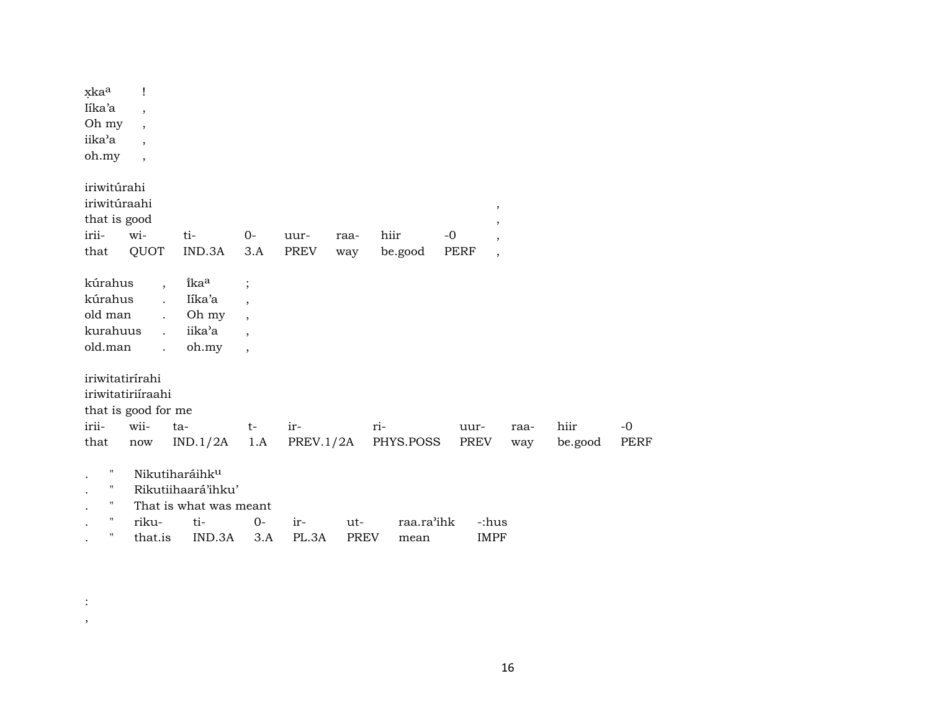| xkaa<br>Iíka'a<br>Oh my<br>iika'a<br>oh.my                    | Ţ<br>$\overline{\phantom{a}}$<br>$\overline{ }$<br>$\overline{\phantom{a}}$<br>$\overline{\phantom{a}}$          |                                                                                             |                                                                                                                |                     |                    |                    |                     |                                                                     |                 |              |
|---------------------------------------------------------------|------------------------------------------------------------------------------------------------------------------|---------------------------------------------------------------------------------------------|----------------------------------------------------------------------------------------------------------------|---------------------|--------------------|--------------------|---------------------|---------------------------------------------------------------------|-----------------|--------------|
| iriwitúrahi<br>iriwitúraahi<br>that is good<br>irii-<br>that  | wi-<br>QUOT                                                                                                      | ti-<br>IND.3A                                                                               | $0-$<br>3.A                                                                                                    | uur-<br><b>PREV</b> | raa-<br>way        | hiir<br>be.good    | $-0$<br><b>PERF</b> | $\, ,$<br>$\overline{\phantom{a}}$<br>,<br>$\overline{\phantom{a}}$ |                 |              |
| kúrahus<br>kúrahus<br>old man<br>kurahuus<br>old.man          | $\overline{ }$ ,<br>$\ddot{\phantom{0}}$<br>$\ddot{\phantom{0}}$<br>$\ddot{\phantom{a}}$<br>$\ddot{\phantom{0}}$ | ikaa<br>Iíka'a<br>Oh my<br>iika'a<br>oh.my                                                  | $\vdots$<br>$\overline{\phantom{a}}$<br>$\overline{\phantom{a}}$<br>$\overline{\phantom{a}}$<br>$\overline{ }$ |                     |                    |                    |                     |                                                                     |                 |              |
| iriwitatirírahi<br>irii-<br>that                              | iriwitatiriíraahi<br>that is good for me<br>wii-<br>now                                                          | ta-<br>IND.1/2A                                                                             | $t-$<br>1.A                                                                                                    | ir-<br>PREV.1/2A    |                    | ri-<br>PHYS.POSS   | uur-<br>PREV        | raa-<br>way                                                         | hiir<br>be.good | $-0$<br>PERF |
| $\mathbf{H}$<br>11<br>$\mathbf{H}$<br>$\pmb{\mathsf{H}}$<br>п | riku-<br>that.is                                                                                                 | Nikutiharáihk <sup>u</sup><br>Rikutiihaará'ihku'<br>That is what was meant<br>ti-<br>IND.3A | $0-$<br>3.A                                                                                                    | ir-<br>PL.3A        | ut-<br><b>PREV</b> | raa.ra'ihk<br>mean |                     | -:hus<br><b>IMPF</b>                                                |                 |              |

 $\langle \cdot \rangle$  $\rightarrow$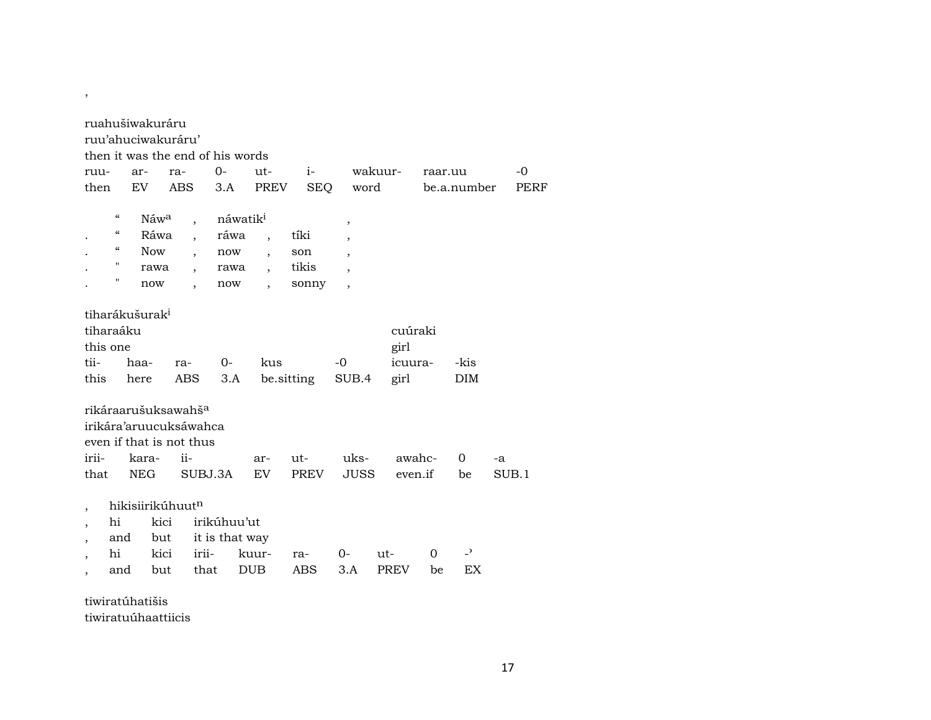| $0-$<br>$ut-$<br>$i$ - $\sim$<br>wakuur-<br>$-0$<br>ar-<br>ra-<br>ruu-<br>raar.uu<br>then<br>EV.<br>PREV<br><b>SEQ</b><br>word<br>ABS<br>3.A<br>PERF<br>be.a.number<br>$\epsilon$<br>náwatik <sup>i</sup><br>Náwa<br>$\overline{\phantom{a}}$<br>$^\mathrm{^\mathrm{o}}$<br>$\epsilon$<br>Ráwa<br>ráwa<br>tíki<br>$\overline{\phantom{a}}$<br>$\overline{\phantom{a}}$<br>"<br><b>Now</b><br>now<br>son<br>$\overline{\phantom{a}}$<br>$\overline{\phantom{a}}$<br>$\overline{ }$<br>11<br>tikis<br>rawa<br>rawa<br>$\overline{\phantom{a}}$<br>н<br>now<br>sonny<br>now<br>$\overline{\phantom{a}}$<br>tiharákušurak <sup>i</sup><br>tiharaáku<br>cuúraki<br>this one<br>girl<br>tii-<br>$0-$<br>kus<br>$-0$<br>-kis<br>haa-<br>icuura-<br>ra-<br>this<br>ABS<br>3.A<br>be sitting<br>SUB.4<br>here<br>girl<br><b>DIM</b><br>rikáraarušuksawahš <sup>a</sup><br>irikára'aruucuksáwahca<br>even if that is not thus<br>irii-<br>$ii-$<br>uks-<br>awahc-<br>kara-<br>$ut -$<br>0<br>ar-<br>-a<br>EV<br>PREV<br><b>JUSS</b><br>that<br>NEG<br>SUBJ.3A<br>even.if<br>SUB.1<br>be<br>hikisiirikúhuutn<br>irikúhuu'ut<br>hi<br>kici<br>$\overline{\phantom{a}}$<br>it is that way<br>and<br>but<br>$\overline{\phantom{a}}$<br>$\overline{\phantom{0}}$<br>kici<br>hi<br>irii-<br>kuur-<br>$0-$<br>$\Omega$<br>ut-<br>ra-<br><b>ABS</b><br><b>EX</b><br><b>DUB</b><br>3.A<br><b>PREV</b><br>that<br>be<br>and<br>but | ruahušiwakuráru<br>ruu'ahuciwakuráru'<br>then it was the end of his words |  |  |  |  |  |  |  |  |  |  |  |  |  |  |
|-----------------------------------------------------------------------------------------------------------------------------------------------------------------------------------------------------------------------------------------------------------------------------------------------------------------------------------------------------------------------------------------------------------------------------------------------------------------------------------------------------------------------------------------------------------------------------------------------------------------------------------------------------------------------------------------------------------------------------------------------------------------------------------------------------------------------------------------------------------------------------------------------------------------------------------------------------------------------------------------------------------------------------------------------------------------------------------------------------------------------------------------------------------------------------------------------------------------------------------------------------------------------------------------------------------------------------------------------------------------------------------------------------------------|---------------------------------------------------------------------------|--|--|--|--|--|--|--|--|--|--|--|--|--|--|
|                                                                                                                                                                                                                                                                                                                                                                                                                                                                                                                                                                                                                                                                                                                                                                                                                                                                                                                                                                                                                                                                                                                                                                                                                                                                                                                                                                                                                 |                                                                           |  |  |  |  |  |  |  |  |  |  |  |  |  |  |
|                                                                                                                                                                                                                                                                                                                                                                                                                                                                                                                                                                                                                                                                                                                                                                                                                                                                                                                                                                                                                                                                                                                                                                                                                                                                                                                                                                                                                 |                                                                           |  |  |  |  |  |  |  |  |  |  |  |  |  |  |
|                                                                                                                                                                                                                                                                                                                                                                                                                                                                                                                                                                                                                                                                                                                                                                                                                                                                                                                                                                                                                                                                                                                                                                                                                                                                                                                                                                                                                 |                                                                           |  |  |  |  |  |  |  |  |  |  |  |  |  |  |
|                                                                                                                                                                                                                                                                                                                                                                                                                                                                                                                                                                                                                                                                                                                                                                                                                                                                                                                                                                                                                                                                                                                                                                                                                                                                                                                                                                                                                 |                                                                           |  |  |  |  |  |  |  |  |  |  |  |  |  |  |
|                                                                                                                                                                                                                                                                                                                                                                                                                                                                                                                                                                                                                                                                                                                                                                                                                                                                                                                                                                                                                                                                                                                                                                                                                                                                                                                                                                                                                 |                                                                           |  |  |  |  |  |  |  |  |  |  |  |  |  |  |
|                                                                                                                                                                                                                                                                                                                                                                                                                                                                                                                                                                                                                                                                                                                                                                                                                                                                                                                                                                                                                                                                                                                                                                                                                                                                                                                                                                                                                 |                                                                           |  |  |  |  |  |  |  |  |  |  |  |  |  |  |
|                                                                                                                                                                                                                                                                                                                                                                                                                                                                                                                                                                                                                                                                                                                                                                                                                                                                                                                                                                                                                                                                                                                                                                                                                                                                                                                                                                                                                 |                                                                           |  |  |  |  |  |  |  |  |  |  |  |  |  |  |
|                                                                                                                                                                                                                                                                                                                                                                                                                                                                                                                                                                                                                                                                                                                                                                                                                                                                                                                                                                                                                                                                                                                                                                                                                                                                                                                                                                                                                 |                                                                           |  |  |  |  |  |  |  |  |  |  |  |  |  |  |
|                                                                                                                                                                                                                                                                                                                                                                                                                                                                                                                                                                                                                                                                                                                                                                                                                                                                                                                                                                                                                                                                                                                                                                                                                                                                                                                                                                                                                 |                                                                           |  |  |  |  |  |  |  |  |  |  |  |  |  |  |
|                                                                                                                                                                                                                                                                                                                                                                                                                                                                                                                                                                                                                                                                                                                                                                                                                                                                                                                                                                                                                                                                                                                                                                                                                                                                                                                                                                                                                 |                                                                           |  |  |  |  |  |  |  |  |  |  |  |  |  |  |
|                                                                                                                                                                                                                                                                                                                                                                                                                                                                                                                                                                                                                                                                                                                                                                                                                                                                                                                                                                                                                                                                                                                                                                                                                                                                                                                                                                                                                 |                                                                           |  |  |  |  |  |  |  |  |  |  |  |  |  |  |
|                                                                                                                                                                                                                                                                                                                                                                                                                                                                                                                                                                                                                                                                                                                                                                                                                                                                                                                                                                                                                                                                                                                                                                                                                                                                                                                                                                                                                 |                                                                           |  |  |  |  |  |  |  |  |  |  |  |  |  |  |
|                                                                                                                                                                                                                                                                                                                                                                                                                                                                                                                                                                                                                                                                                                                                                                                                                                                                                                                                                                                                                                                                                                                                                                                                                                                                                                                                                                                                                 |                                                                           |  |  |  |  |  |  |  |  |  |  |  |  |  |  |
|                                                                                                                                                                                                                                                                                                                                                                                                                                                                                                                                                                                                                                                                                                                                                                                                                                                                                                                                                                                                                                                                                                                                                                                                                                                                                                                                                                                                                 |                                                                           |  |  |  |  |  |  |  |  |  |  |  |  |  |  |
|                                                                                                                                                                                                                                                                                                                                                                                                                                                                                                                                                                                                                                                                                                                                                                                                                                                                                                                                                                                                                                                                                                                                                                                                                                                                                                                                                                                                                 |                                                                           |  |  |  |  |  |  |  |  |  |  |  |  |  |  |
|                                                                                                                                                                                                                                                                                                                                                                                                                                                                                                                                                                                                                                                                                                                                                                                                                                                                                                                                                                                                                                                                                                                                                                                                                                                                                                                                                                                                                 |                                                                           |  |  |  |  |  |  |  |  |  |  |  |  |  |  |
|                                                                                                                                                                                                                                                                                                                                                                                                                                                                                                                                                                                                                                                                                                                                                                                                                                                                                                                                                                                                                                                                                                                                                                                                                                                                                                                                                                                                                 |                                                                           |  |  |  |  |  |  |  |  |  |  |  |  |  |  |
|                                                                                                                                                                                                                                                                                                                                                                                                                                                                                                                                                                                                                                                                                                                                                                                                                                                                                                                                                                                                                                                                                                                                                                                                                                                                                                                                                                                                                 |                                                                           |  |  |  |  |  |  |  |  |  |  |  |  |  |  |
|                                                                                                                                                                                                                                                                                                                                                                                                                                                                                                                                                                                                                                                                                                                                                                                                                                                                                                                                                                                                                                                                                                                                                                                                                                                                                                                                                                                                                 |                                                                           |  |  |  |  |  |  |  |  |  |  |  |  |  |  |
|                                                                                                                                                                                                                                                                                                                                                                                                                                                                                                                                                                                                                                                                                                                                                                                                                                                                                                                                                                                                                                                                                                                                                                                                                                                                                                                                                                                                                 |                                                                           |  |  |  |  |  |  |  |  |  |  |  |  |  |  |
|                                                                                                                                                                                                                                                                                                                                                                                                                                                                                                                                                                                                                                                                                                                                                                                                                                                                                                                                                                                                                                                                                                                                                                                                                                                                                                                                                                                                                 |                                                                           |  |  |  |  |  |  |  |  |  |  |  |  |  |  |
|                                                                                                                                                                                                                                                                                                                                                                                                                                                                                                                                                                                                                                                                                                                                                                                                                                                                                                                                                                                                                                                                                                                                                                                                                                                                                                                                                                                                                 |                                                                           |  |  |  |  |  |  |  |  |  |  |  |  |  |  |
|                                                                                                                                                                                                                                                                                                                                                                                                                                                                                                                                                                                                                                                                                                                                                                                                                                                                                                                                                                                                                                                                                                                                                                                                                                                                                                                                                                                                                 |                                                                           |  |  |  |  |  |  |  |  |  |  |  |  |  |  |

tiwiratúhatišis

,

tiwiratuúhaattiicis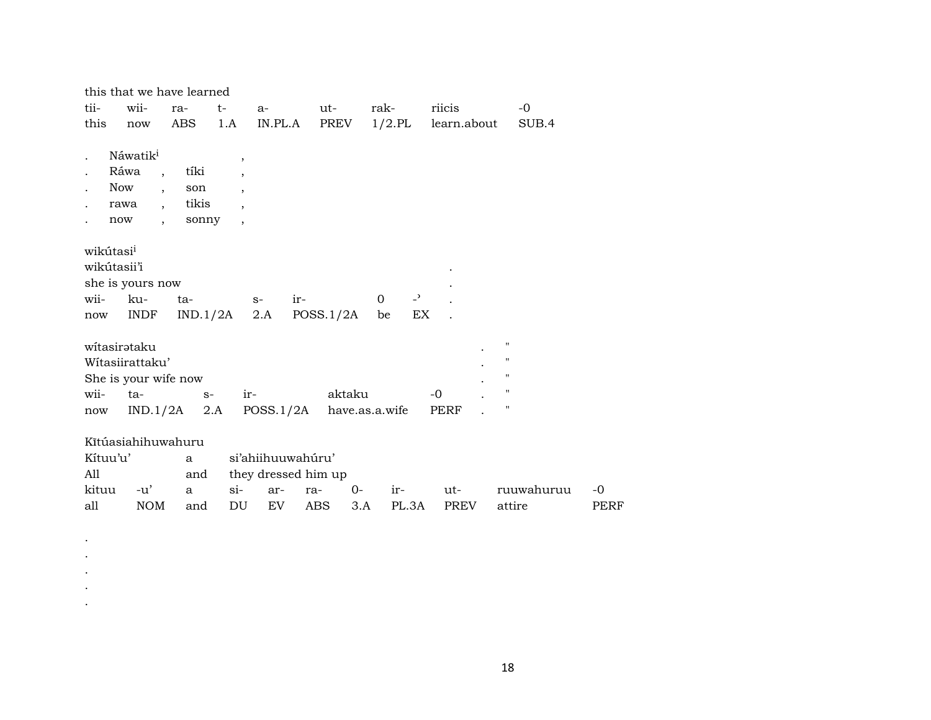|                                                     | this that we have learned                                                                                           |                               |                                                                                                            |                                          |             |                   |                                |                                          |            |      |
|-----------------------------------------------------|---------------------------------------------------------------------------------------------------------------------|-------------------------------|------------------------------------------------------------------------------------------------------------|------------------------------------------|-------------|-------------------|--------------------------------|------------------------------------------|------------|------|
| tii-                                                | wii-                                                                                                                | ra-                           | t-                                                                                                         | $a-$                                     | ut-         | rak-              | riicis                         |                                          | $-0$       |      |
| this                                                | now                                                                                                                 | ABS                           | 1.A                                                                                                        | IN.PL.A                                  | PREV        | $1/2$ .PL         | learn.about                    |                                          | SUB.4      |      |
| Ráwa<br>Now<br>rawa<br>now                          | Náwatik <sup>i</sup><br>$\overline{\phantom{a}}$<br>$\overline{\phantom{a}}$<br>$\cdot$<br>$\overline{\phantom{a}}$ | tíki<br>son<br>tikis<br>sonny | $\,$<br>$\overline{\phantom{a}}$<br>$\overline{\phantom{a}}$<br>$\overline{ }$<br>$\overline{\phantom{a}}$ |                                          |             |                   |                                |                                          |            |      |
| wikútasi <sup>i</sup><br>wikútasii'i<br>wii-<br>now | she is yours now<br>ku-<br><b>INDF</b>                                                                              | ta-<br>IND.1/2A               | $S-$                                                                                                       | ir-<br>2.A                               | POSS.1/2A   | $\mathbf 0$<br>be | $\overline{\phantom{a}}$<br>EX |                                          |            |      |
| witasirataku                                        | Wítasiirattaku'                                                                                                     |                               |                                                                                                            |                                          |             |                   |                                | $\pmb{\mathsf{H}}$<br>$\pmb{\mathsf{H}}$ |            |      |
|                                                     | She is your wife now                                                                                                |                               |                                                                                                            |                                          |             |                   |                                | $\pmb{\mathsf{H}}$                       |            |      |
| wii-                                                | ta-                                                                                                                 | $S-$                          | ir-                                                                                                        |                                          | aktaku      |                   | $-0$                           | $\pmb{\mathsf{H}}$                       |            |      |
| now                                                 | IND.1/2A                                                                                                            | 2.A                           |                                                                                                            | POSS.1/2A                                |             | have.as.a.wife    | <b>PERF</b>                    | $\pmb{\mathsf{H}}$                       |            |      |
| Kítuu'u'<br>All                                     | Kĩtúasiahihuwahuru                                                                                                  | a<br>and                      |                                                                                                            | si'ahiihuuwahúru'<br>they dressed him up |             |                   |                                |                                          |            |      |
| kituu                                               | $-u'$                                                                                                               | a                             | $\sin$                                                                                                     | ar-                                      | $0-$<br>ra- | ir-               | ut-                            |                                          | ruuwahuruu | $-0$ |
| all                                                 | <b>NOM</b>                                                                                                          | and                           | DU                                                                                                         | EV.                                      | <b>ABS</b>  | 3.A<br>PL.3A      | PREV                           |                                          | attire     | PERF |

 $\langle \cdot \rangle$  $\bullet$  $\bullet$  $\langle \cdot \rangle$  $\langle \cdot \rangle$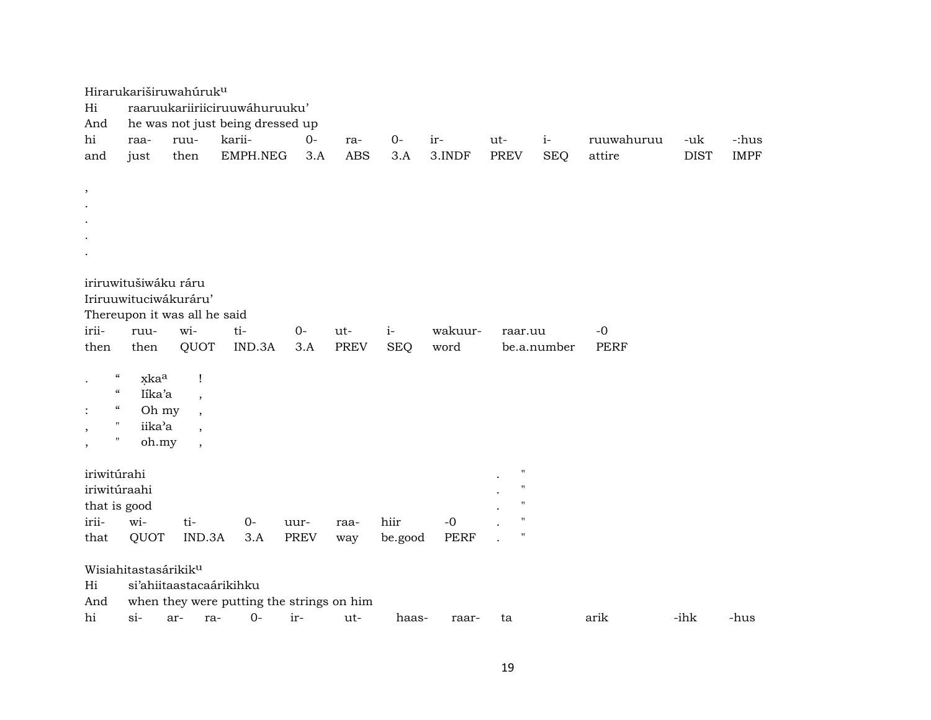|                                      | Hirarukariširuwahúruk <sup>u</sup> |                          |                                           |      |             |            |             |                                          |             |             |             |             |
|--------------------------------------|------------------------------------|--------------------------|-------------------------------------------|------|-------------|------------|-------------|------------------------------------------|-------------|-------------|-------------|-------------|
| Hi                                   |                                    |                          | raaruukariiriiciruuwáhuruuku'             |      |             |            |             |                                          |             |             |             |             |
| And                                  |                                    |                          | he was not just being dressed up          |      |             |            |             |                                          |             |             |             |             |
| hi                                   | raa-                               | ruu-                     | karii-                                    | $0-$ | ra-         | $O -$      | ir-         | ut-                                      | $i-$        | ruuwahuruu  | -uk         | -:hus       |
| and                                  | just                               | then                     | EMPH.NEG                                  | 3.A  | <b>ABS</b>  | 3.A        | 3.INDF      | <b>PREV</b>                              | <b>SEQ</b>  | attire      | <b>DIST</b> | <b>IMPF</b> |
|                                      |                                    |                          |                                           |      |             |            |             |                                          |             |             |             |             |
| $\, ,$                               |                                    |                          |                                           |      |             |            |             |                                          |             |             |             |             |
|                                      |                                    |                          |                                           |      |             |            |             |                                          |             |             |             |             |
|                                      |                                    |                          |                                           |      |             |            |             |                                          |             |             |             |             |
|                                      |                                    |                          |                                           |      |             |            |             |                                          |             |             |             |             |
|                                      |                                    |                          |                                           |      |             |            |             |                                          |             |             |             |             |
|                                      | iriruwitušiwáku ráru               |                          |                                           |      |             |            |             |                                          |             |             |             |             |
|                                      | Iriruuwituciwákuráru'              |                          |                                           |      |             |            |             |                                          |             |             |             |             |
|                                      | Thereupon it was all he said       |                          |                                           |      |             |            |             |                                          |             |             |             |             |
| irii-                                | ruu-                               | wi-                      | ti-                                       | $0-$ | ut-         | $i-$       | wakuur-     | raar.uu                                  |             | $-0$        |             |             |
| then                                 | then                               | QUOT                     | IND.3A                                    | 3.A  | <b>PREV</b> | <b>SEQ</b> | word        |                                          | be.a.number | <b>PERF</b> |             |             |
|                                      |                                    |                          |                                           |      |             |            |             |                                          |             |             |             |             |
| $\epsilon\epsilon$<br>$\cdot$        | xkaa                               | Ţ                        |                                           |      |             |            |             |                                          |             |             |             |             |
| $\pmb{\zeta}\pmb{\zeta}$             | Iíka'a                             | $\overline{\phantom{a}}$ |                                           |      |             |            |             |                                          |             |             |             |             |
| $\epsilon\epsilon$<br>$\ddot{\cdot}$ | Oh my                              | $\cdot$                  |                                           |      |             |            |             |                                          |             |             |             |             |
| $\pmb{\mathsf{H}}$<br>$\,$           | iika'a                             | $\overline{\phantom{a}}$ |                                           |      |             |            |             |                                          |             |             |             |             |
| "<br>$^\mathrm{,}$                   | oh.my                              | $\overline{\phantom{a}}$ |                                           |      |             |            |             |                                          |             |             |             |             |
|                                      |                                    |                          |                                           |      |             |            |             |                                          |             |             |             |             |
| iriwitúrahi                          |                                    |                          |                                           |      |             |            |             | $\pmb{\mathsf{H}}$<br>$\pmb{\mathsf{H}}$ |             |             |             |             |
| iriwitúraahi                         |                                    |                          |                                           |      |             |            |             | 11                                       |             |             |             |             |
| that is good                         |                                    |                          |                                           |      |             |            |             | $\pmb{\mathsf{H}}$                       |             |             |             |             |
| irii-                                | wi-                                | ti-                      | $0-$                                      | uur- | raa-        | hiir       | $-0$        | $\pmb{\mathsf{H}}$                       |             |             |             |             |
| that                                 | QUOT                               | IND.3A                   | 3.A                                       | PREV | way         | be.good    | <b>PERF</b> |                                          |             |             |             |             |
|                                      | Wisiahitastasárikik <sup>u</sup>   |                          |                                           |      |             |            |             |                                          |             |             |             |             |
| Hi                                   |                                    | si'ahiitaastacaárikihku  |                                           |      |             |            |             |                                          |             |             |             |             |
| And                                  |                                    |                          | when they were putting the strings on him |      |             |            |             |                                          |             |             |             |             |
| hi                                   | $\sin$                             | ar-<br>ra-               | $O -$                                     | ir-  | ut-         | haas-      | raar-       | ta                                       |             | arik        | -ihk        | -hus        |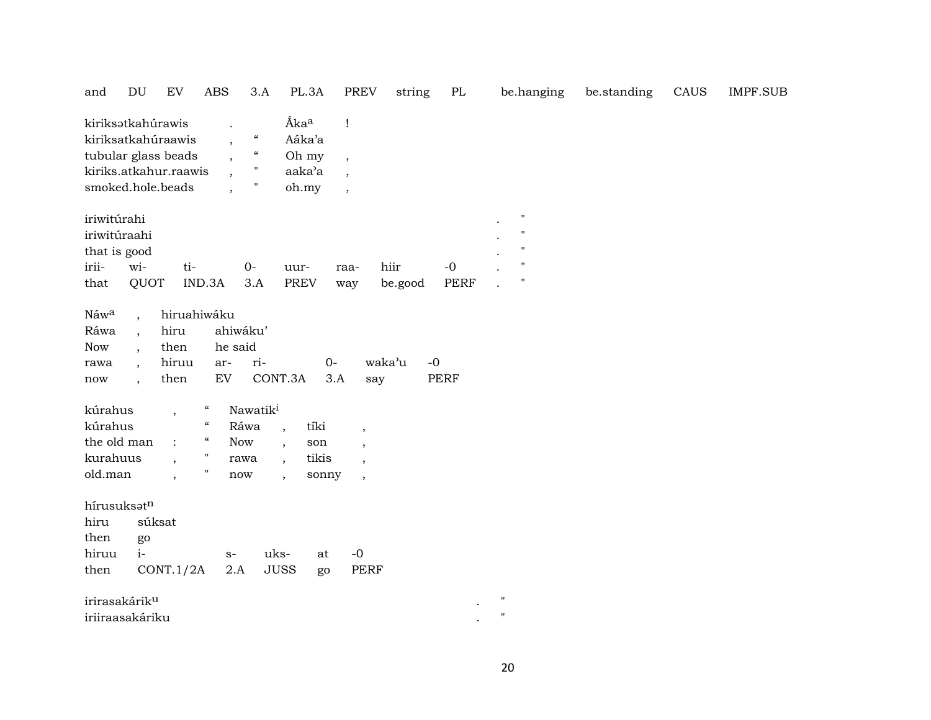| and                                                                                                          | DU                                                                                                                       | ${\rm EV}$                                   | <b>ABS</b>                 | 3.A                                                                                                                        |                          | PL.3A                              | <b>PREV</b>                                                                 | string  | $\rm PL$            | be.hanging                                                                           | be.standing | CAUS | <b>IMPF.SUB</b> |
|--------------------------------------------------------------------------------------------------------------|--------------------------------------------------------------------------------------------------------------------------|----------------------------------------------|----------------------------|----------------------------------------------------------------------------------------------------------------------------|--------------------------|------------------------------------|-----------------------------------------------------------------------------|---------|---------------------|--------------------------------------------------------------------------------------|-------------|------|-----------------|
| kiriksətkahúrawis<br>kiriksatkahúraawis<br>tubular glass beads<br>kiriks.atkahur.raawis<br>smoked.hole.beads |                                                                                                                          |                                              |                            | $\boldsymbol{\mathcal{C}}$<br>$\ddot{\phantom{0}}$<br>$\mathcal{C}\mathcal{C}$<br>$\pmb{\mathsf{H}}$<br>$\pmb{\mathsf{H}}$ | Áka <sup>a</sup>         | Aáka'a<br>Oh my<br>aaka'a<br>oh.my | Ţ<br>$\overline{\phantom{a}}$<br>$\overline{ }$<br>$\overline{\phantom{a}}$ |         |                     |                                                                                      |             |      |                 |
| iriwitúrahi<br>iriwitúraahi<br>that is good<br>irii-                                                         | wi-                                                                                                                      | ti-                                          |                            | $0 -$                                                                                                                      | uur-                     |                                    | raa-                                                                        | hiir    | $-0$                | $\pmb{\mathsf{H}}$<br>$\pmb{\mathsf{H}}$<br>$\pmb{\mathsf{H}}$<br>$\pmb{\mathsf{H}}$ |             |      |                 |
| that                                                                                                         | QUOT                                                                                                                     |                                              | IND.3A                     | 3.A                                                                                                                        | <b>PREV</b>              |                                    | way                                                                         | be.good | <b>PERF</b>         | $\pmb{\mathsf{H}}$                                                                   |             |      |                 |
| Náwa<br>Ráwa<br><b>Now</b><br>rawa<br>now                                                                    | $\ddot{\phantom{0}}$<br>$\overline{\phantom{a}}$<br>$\ddot{\phantom{0}}$<br>$\ddot{\phantom{0}}$<br>$\ddot{\phantom{0}}$ | hiruahiwáku<br>hiru<br>then<br>hiruu<br>then | ar-<br>EV                  | ahiwáku'<br>he said<br>ri-                                                                                                 | CONT.3A                  | $0-$<br>3.A                        | say                                                                         | waka'u  | $-0$<br><b>PERF</b> |                                                                                      |             |      |                 |
| kúrahus                                                                                                      |                                                                                                                          | $\overline{\phantom{a}}$                     | $\boldsymbol{\mathcal{C}}$ | Nawatik <sup>i</sup>                                                                                                       |                          |                                    |                                                                             |         |                     |                                                                                      |             |      |                 |
| kúrahus                                                                                                      |                                                                                                                          |                                              | $\mathcal{C}$              | Ráwa                                                                                                                       | $\overline{\phantom{a}}$ | tíki                               | $\cdot$                                                                     |         |                     |                                                                                      |             |      |                 |
| the old man                                                                                                  |                                                                                                                          | $\ddot{\cdot}$                               | $\boldsymbol{\mathcal{C}}$ | Now                                                                                                                        | $\overline{\phantom{a}}$ | son                                | $\cdot$                                                                     |         |                     |                                                                                      |             |      |                 |
| kurahuus                                                                                                     |                                                                                                                          |                                              | $\pmb{\mathsf{H}}$         | rawa                                                                                                                       | $\overline{\phantom{a}}$ | tikis                              | $\cdot$                                                                     |         |                     |                                                                                      |             |      |                 |
| old.man                                                                                                      |                                                                                                                          | $\ddot{\phantom{0}}$                         | Ħ                          | now                                                                                                                        | $\ddot{\phantom{0}}$     | sonny                              | $\overline{\phantom{a}}$                                                    |         |                     |                                                                                      |             |      |                 |
| hírusuksatn<br>hiru<br>then<br>hiruu<br>then                                                                 | go<br>$i-$                                                                                                               | súksat<br>CONT.1/2A                          |                            | $S-$<br>2.A                                                                                                                | uks-<br><b>JUSS</b>      | at<br>go                           | $-0$<br><b>PERF</b>                                                         |         |                     |                                                                                      |             |      |                 |
| irirasakárik <sup>u</sup>                                                                                    |                                                                                                                          |                                              |                            |                                                                                                                            |                          |                                    |                                                                             |         |                     | $\pmb{\mathsf{H}}$                                                                   |             |      |                 |
| iriiraasakáriku                                                                                              |                                                                                                                          |                                              |                            |                                                                                                                            |                          |                                    |                                                                             |         |                     | $\pmb{\mathsf{H}}$                                                                   |             |      |                 |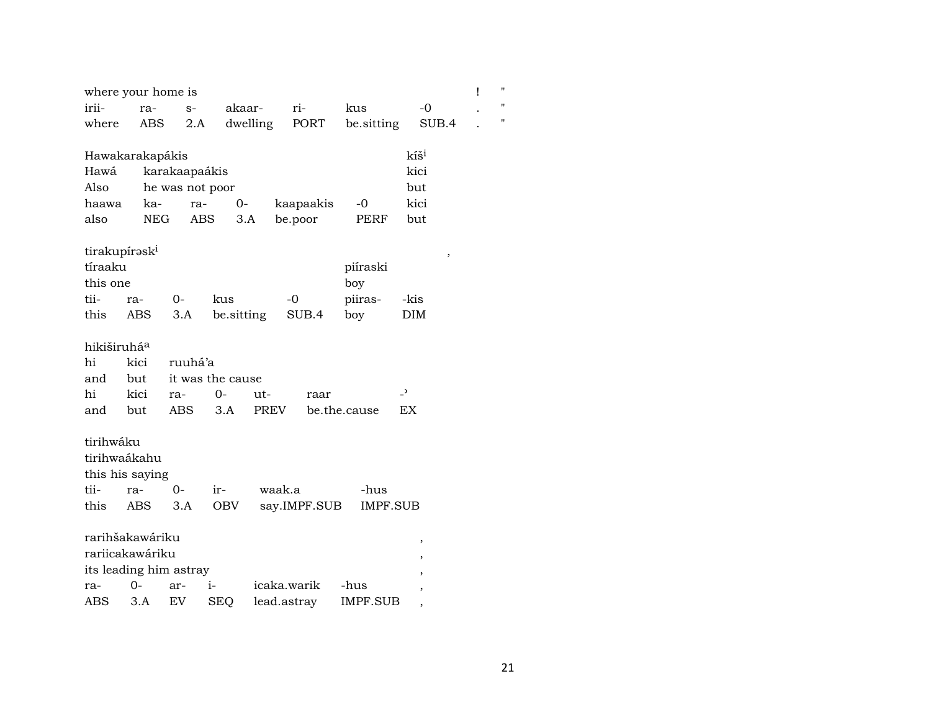|                         | where your home is        |                 |                  |          |              |                 |                          | Ţ      | $\blacksquare$ |
|-------------------------|---------------------------|-----------------|------------------|----------|--------------|-----------------|--------------------------|--------|----------------|
| irii-                   | ra-                       | $S-$            |                  | akaar-   | ri-          | kus             | $-0$                     |        | Ħ              |
| where                   | ABS                       | 2.A             |                  | dwelling | PORT         | be.sitting      | SUB.4                    |        | 11             |
|                         |                           |                 |                  |          |              |                 | kíš <sup>i</sup>         |        |                |
|                         | Hawakarakapákis           |                 |                  |          |              |                 |                          |        |                |
| Hawá                    |                           | karakaapaákis   |                  |          |              |                 | kici                     |        |                |
| Also                    |                           | he was not poor |                  |          |              |                 | but                      |        |                |
| haawa                   | ka-                       | ra-             | $0-$             |          | kaapaakis    | $-0$            | kici                     |        |                |
| also                    | NEG                       |                 | ABS              | 3.A      | be.poor      | PERF            | but                      |        |                |
|                         | tirakupírəsk <sup>i</sup> |                 |                  |          |              |                 |                          | $\, ,$ |                |
| tíraaku                 |                           |                 |                  |          |              | piíraski        |                          |        |                |
| this one                |                           |                 |                  |          |              | boy             |                          |        |                |
| tii-                    | ra-                       | 0-              | kus              |          | $-0$         | piiras-         | -kis                     |        |                |
| this                    | ABS                       | 3.A             | be.sitting       |          | SUB.4        | boy             | DIM                      |        |                |
|                         |                           |                 |                  |          |              |                 |                          |        |                |
| hikiširuhá <sup>a</sup> |                           |                 |                  |          |              |                 |                          |        |                |
| hi                      | kici                      | ruuhá'a         |                  |          |              |                 |                          |        |                |
| and                     | but                       |                 | it was the cause |          |              |                 |                          |        |                |
| hi                      | kici                      | ra-             | 0-               | ut-      | raar         |                 | $\overline{\phantom{0}}$ |        |                |
| and                     | but                       | ABS             | 3.A              | PREV     |              | be.the.cause    | EX                       |        |                |
|                         |                           |                 |                  |          |              |                 |                          |        |                |
| tirihwáku               |                           |                 |                  |          |              |                 |                          |        |                |
|                         | tirihwaákahu              |                 |                  |          |              |                 |                          |        |                |
|                         | this his saying           |                 |                  |          |              |                 |                          |        |                |
| tii-                    | ra-                       | $0 -$           | ir-              | waak.a   |              | -hus            |                          |        |                |
| this                    | ABS                       | 3.A             | <b>OBV</b>       |          | say.IMPF.SUB | <b>IMPF.SUB</b> |                          |        |                |
|                         |                           |                 |                  |          |              |                 |                          |        |                |
|                         | rarihšakawáriku           |                 |                  |          |              |                 | ,                        |        |                |
|                         | rariicakawáriku           |                 |                  |          |              |                 | ,                        |        |                |
|                         | its leading him astray    |                 |                  |          |              |                 |                          |        |                |
| ra-                     | $O -$                     | ar-             | i-               |          | icaka.warik  | -hus            |                          |        |                |
| ABS                     | 3.A                       | <b>EV</b>       | <b>SEQ</b>       |          | lead.astray  | <b>IMPF.SUB</b> | $\overline{\phantom{a}}$ |        |                |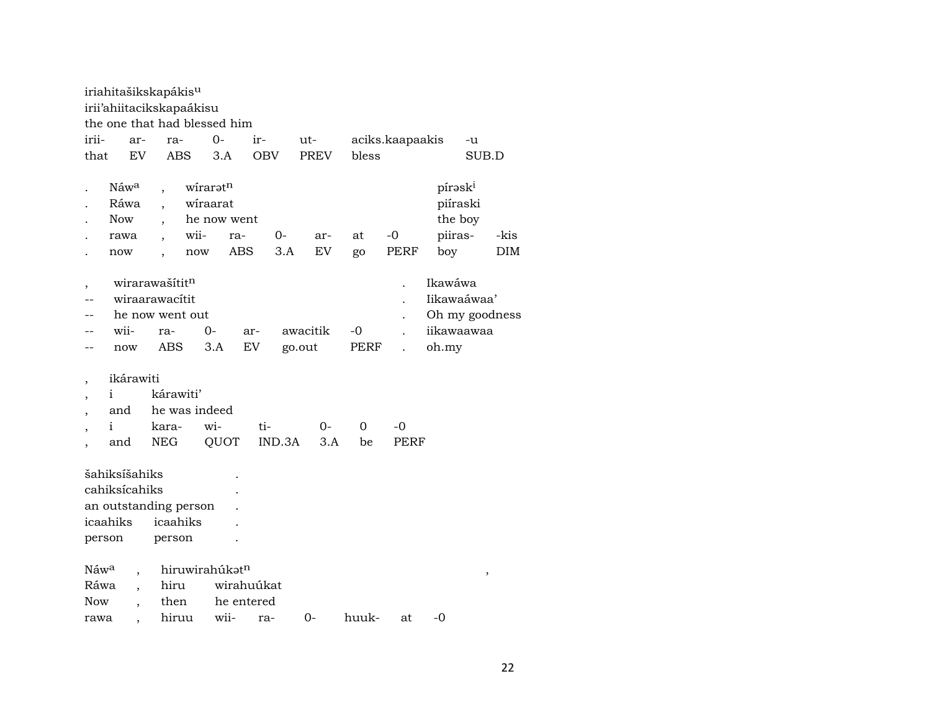|                    |                                                       |           | iriahitašikskapákis <sup>u</sup><br>irii'ahiitacikskapaákisu      |                                                               |            |                    |             |            |                 |                                                                 |       |                    |
|--------------------|-------------------------------------------------------|-----------|-------------------------------------------------------------------|---------------------------------------------------------------|------------|--------------------|-------------|------------|-----------------|-----------------------------------------------------------------|-------|--------------------|
|                    |                                                       |           | the one that had blessed him                                      |                                                               |            |                    |             |            |                 |                                                                 |       |                    |
| irii-              |                                                       | ar-       | ra-                                                               | $0-$                                                          | ir-        |                    | ut-         |            | aciks.kaapaakis |                                                                 | -u    |                    |
| that               |                                                       | EV        | <b>ABS</b>                                                        | 3.A                                                           | <b>OBV</b> |                    | <b>PREV</b> | bless      |                 |                                                                 | SUB.D |                    |
|                    | Náw <sup>a</sup><br>Ráwa<br><b>Now</b><br>rawa<br>now |           | wii-<br>$\overline{\phantom{a}}$                                  | wirarət <sup>n</sup><br>wiraarat<br>he now went<br>ra-<br>now | <b>ABS</b> | 0-<br>3.A          | ar-<br>EV   | at<br>go   | $-0$<br>PERF    | pírask <sup>i</sup><br>piíraski<br>the boy<br>piiras-<br>boy    |       | -kis<br><b>DIM</b> |
|                    | wii-<br>now                                           |           | wirarawašítitn<br>wiraarawacítit<br>he now went out<br>ra-<br>ABS | 0-<br>3.A                                                     | ar-<br>EV  | awacitik<br>go.out |             | -0<br>PERF |                 | Ikawáwa<br>Iikawaáwaa'<br>Oh my goodness<br>iikawaawaa<br>oh.my |       |                    |
|                    |                                                       | ikárawiti |                                                                   |                                                               |            |                    |             |            |                 |                                                                 |       |                    |
|                    | i                                                     |           | kárawiti'                                                         |                                                               |            |                    |             |            |                 |                                                                 |       |                    |
|                    | and                                                   |           | he was indeed                                                     |                                                               |            |                    |             |            |                 |                                                                 |       |                    |
|                    | i                                                     |           | kara-                                                             | wi-                                                           | ti-        |                    | 0-          | 0          | -0              |                                                                 |       |                    |
|                    | and                                                   |           | <b>NEG</b>                                                        | QUOT                                                          |            | IND.3A             | 3.A         | be         | PERF            |                                                                 |       |                    |
| icaahiks<br>person | šahiksíšahiks<br>cahiksícahiks                        |           | an outstanding person<br>icaahiks<br>person                       |                                                               |            |                    |             |            |                 |                                                                 |       |                    |
| Náw <sup>a</sup>   |                                                       |           |                                                                   | hiruwirahúkatn                                                |            |                    |             |            |                 |                                                                 | ,     |                    |
| Ráwa               |                                                       |           | hiru                                                              |                                                               | wirahuúkat |                    |             |            |                 |                                                                 |       |                    |
| Now                |                                                       |           | then                                                              |                                                               | he entered |                    |             |            |                 |                                                                 |       |                    |
| rawa               |                                                       |           | hiruu                                                             | wii-                                                          | ra-        |                    | $0-$        | huuk-      | at              | -0                                                              |       |                    |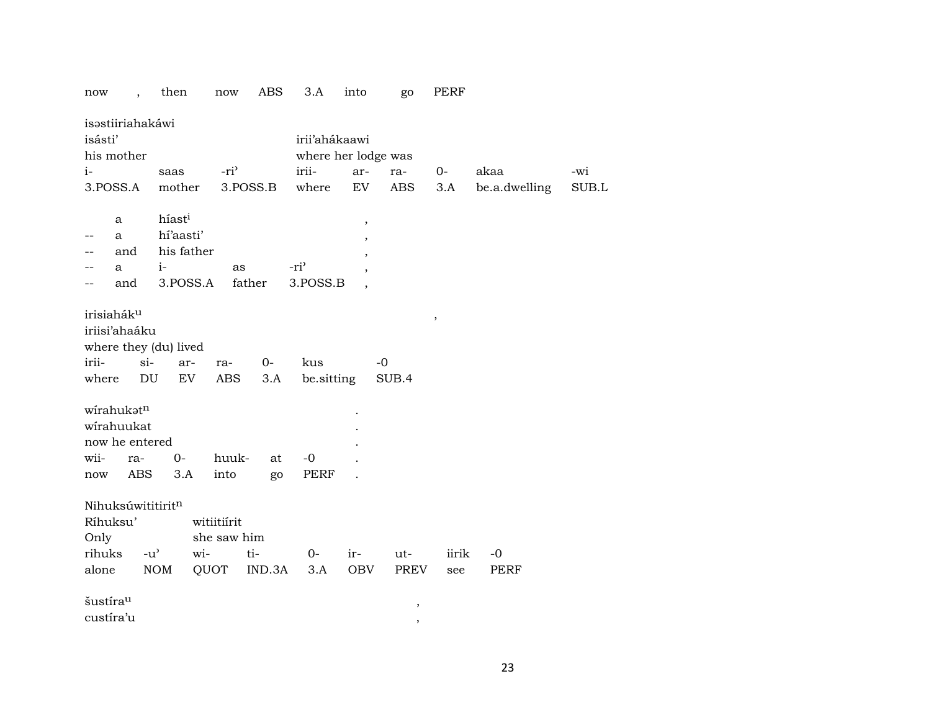| now<br>$\ddot{\phantom{0}}$ | then               | now              | ABS    | 3.A                 | into                    | go            | PERF   |               |       |
|-----------------------------|--------------------|------------------|--------|---------------------|-------------------------|---------------|--------|---------------|-------|
| isastiiriahakáwi            |                    |                  |        |                     |                         |               |        |               |       |
| isásti'                     |                    |                  |        | irii'ahákaawi       |                         |               |        |               |       |
| his mother                  |                    |                  |        | where her lodge was |                         |               |        |               |       |
| $i-$                        | saas               | -ri <sup>3</sup> |        | irii-               | ar-                     | ra-           | $0-$   | akaa          | -wi   |
| 3.POSS.A                    | mother             | 3.POSS.B         |        | where               | EV                      | <b>ABS</b>    | 3.A    | be.a.dwelling | SUB.L |
|                             |                    |                  |        |                     |                         |               |        |               |       |
| a                           | híast <sup>i</sup> |                  |        |                     | $^\mathrm{^\mathrm{o}}$ |               |        |               |       |
| a                           | hí'aasti'          |                  |        |                     |                         |               |        |               |       |
| and                         | his father         |                  |        |                     |                         |               |        |               |       |
| a                           | $i-$               | as               |        | -ri <sup>3</sup>    |                         |               |        |               |       |
| and<br>--                   | 3.POSS.A           | father           |        | 3.POSS.B            |                         |               |        |               |       |
|                             |                    |                  |        |                     |                         |               |        |               |       |
| irisiahák <sup>u</sup>      |                    |                  |        |                     |                         |               | $\, ,$ |               |       |
| iriisi'ahaáku               |                    |                  |        |                     |                         |               |        |               |       |
| where they (du) lived       |                    |                  |        |                     |                         |               |        |               |       |
| irii-<br>$si-$              | ar-                | ra-              | $0 -$  | kus                 | -0                      |               |        |               |       |
| DU<br>where                 | EV                 | <b>ABS</b>       | 3.A    | be.sitting          |                         | SUB.4         |        |               |       |
|                             |                    |                  |        |                     |                         |               |        |               |       |
| wirahukatn                  |                    |                  |        |                     |                         |               |        |               |       |
| wirahuukat                  |                    |                  |        |                     |                         |               |        |               |       |
| now he entered              |                    |                  |        |                     |                         |               |        |               |       |
| wii-<br>ra-                 | $0-$               | huuk-            | at     | $-0$                |                         |               |        |               |       |
| <b>ABS</b><br>now           | 3.A                | into             | go     | PERF                |                         |               |        |               |       |
|                             |                    |                  |        |                     |                         |               |        |               |       |
| Nihuksúwititiritn           |                    |                  |        |                     |                         |               |        |               |       |
| Ríhuksu'                    |                    | witiitiírit      |        |                     |                         |               |        |               |       |
| Only                        |                    | she saw him      |        |                     |                         |               |        |               |       |
| rihuks<br>$-u^{\prime}$     | wi-                | ti-              |        | 0-                  | ir-                     | ut-           | iirik  | $-0$          |       |
| alone                       | <b>NOM</b>         | QUOT             | IND.3A | 3.A                 | OBV                     | PREV          | see    | PERF          |       |
|                             |                    |                  |        |                     |                         |               |        |               |       |
| šustíra <sup>u</sup>        |                    |                  |        |                     |                         | $\, ,$        |        |               |       |
| custíra'u                   |                    |                  |        |                     |                         | $^\mathrm{,}$ |        |               |       |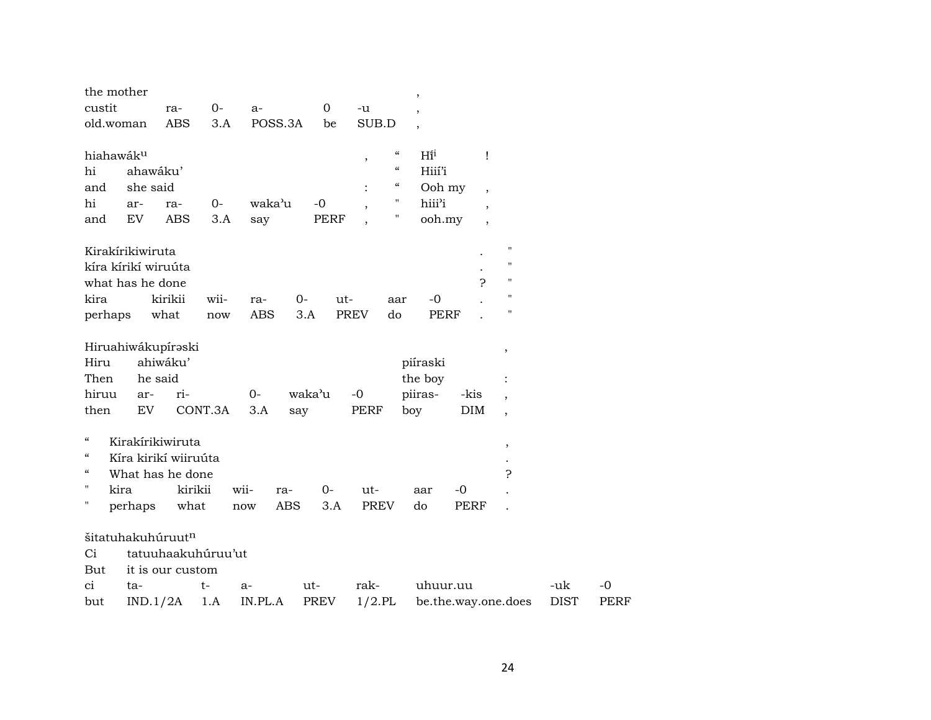| the mother<br>custit<br>old.woman                                                                                                         | 0-<br>ra-<br><b>ABS</b>                                     | $a-$<br>POSS.3A<br>3.A           | $\mathbf 0$<br>be   | $-u$<br>SUB.D                                                                                                                            | $\overline{\phantom{a}}$<br>$\overline{\phantom{a}}$   |                                                                                                            |                    |                     |
|-------------------------------------------------------------------------------------------------------------------------------------------|-------------------------------------------------------------|----------------------------------|---------------------|------------------------------------------------------------------------------------------------------------------------------------------|--------------------------------------------------------|------------------------------------------------------------------------------------------------------------|--------------------|---------------------|
| hiahawáku<br>hi<br>ahawáku'<br>she said<br>and<br>hi<br>ar-<br>EV<br>and                                                                  | 0-<br>ra-<br><b>ABS</b>                                     | waka'u<br>3.A<br>say             | $-0$<br><b>PERF</b> | $\epsilon\epsilon$<br>$\, ,$<br>$\boldsymbol{\mathcal{U}}$<br>$\epsilon\epsilon$<br>$\vdots$<br>$\pmb{\mathsf{H}}$<br>$\pmb{\mathsf{H}}$ | $H\tilde{i}^i$<br>Hiií'i<br>Ooh my<br>hiii'i<br>ooh.my | Ţ<br>$\overline{\phantom{a}}$<br>$\overline{\phantom{a}}$<br>$\overline{\phantom{a}}$                      |                    |                     |
| Kirakírikiwiruta<br>kíra kírikí wiruúta<br>what has he done<br>kira<br>perhaps                                                            | kirikii<br>wii-<br>what                                     | ra-<br><b>ABS</b><br>now         | $0-$<br>ut-<br>3.A  | aar<br><b>PREV</b><br>do                                                                                                                 | $\mathbf{P}$<br>$-0$<br><b>PERF</b>                    | $\pmb{\mathsf{H}}$<br>$\pmb{\mathsf{H}}$<br>$\pmb{\mathsf{H}}$<br>$\pmb{\mathsf{H}}$<br>$\pmb{\mathsf{H}}$ |                    |                     |
| Hiruahiwákupíraski<br>Hiru<br>he said<br>Then<br>hiruu<br>ar-<br>then<br>EV                                                               | ahiwáku'<br>ri-<br>CONT.3A                                  | $0-$<br>3.A                      | waka'u<br>say       | $-0$<br>PERF                                                                                                                             | piíraski<br>the boy<br>piiras-<br>-kis<br>boy<br>DIM   | ,<br>$\overline{\phantom{a}}$<br>$\overline{\phantom{a}}$                                                  |                    |                     |
| $\mathcal{C}\mathcal{C}$<br>Kirakírikiwiruta<br>$\boldsymbol{\zeta}\boldsymbol{\zeta}$<br>$\epsilon\epsilon$<br>П<br>kira<br>Η<br>perhaps | Kíra kirikí wiiruúta<br>What has he done<br>kirikii<br>what | wii-<br>ra-<br><b>ABS</b><br>now | $O -$<br>3.A        | ut-<br><b>PREV</b>                                                                                                                       | $-0$<br>aar<br>do<br><b>PERF</b>                       | $^\mathrm{,}$<br>5.                                                                                        |                    |                     |
| šitatuhakuhúruutn<br>Ci<br>But<br>ci<br>ta-<br>IND.1/2A<br>but                                                                            | tatuuhaakuhúruu'ut<br>it is our custom<br>$t-$<br>1.A       | a-<br>IN.PL.A                    | ut-<br>PREV         | rak-<br>$1/2$ .PL                                                                                                                        | uhuur.uu<br>be.the.way.one.does                        |                                                                                                            | -uk<br><b>DIST</b> | $-0$<br><b>PERF</b> |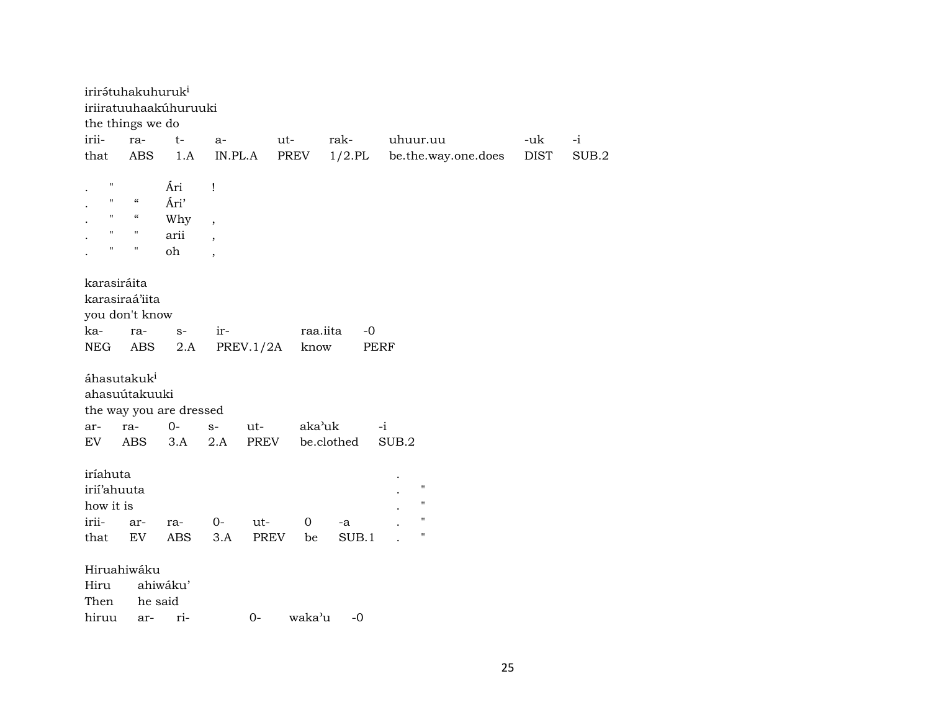|                                                       | irirátuhakuhuruk <sup>i</sup>                   |                                  |                          |             |         |                  |          |                                                                                      |             |       |
|-------------------------------------------------------|-------------------------------------------------|----------------------------------|--------------------------|-------------|---------|------------------|----------|--------------------------------------------------------------------------------------|-------------|-------|
|                                                       |                                                 | iriiratuuhaakúhuruuki            |                          |             |         |                  |          |                                                                                      |             |       |
|                                                       | the things we do                                |                                  |                          |             |         |                  |          |                                                                                      |             |       |
| irii-                                                 | ra-                                             | $t-$                             | a-                       | ut-         |         | rak-             | uhuur.uu |                                                                                      | -uk         | $-i$  |
| that                                                  | <b>ABS</b>                                      | 1.A                              | IN.PL.A                  |             | PREV    | $1/2$ .PL        |          | be.the.way.one.does                                                                  | <b>DIST</b> | SUB.2 |
| $\mathbf{H}$                                          |                                                 | Ári                              | Ţ                        |             |         |                  |          |                                                                                      |             |       |
| $\mathbf{H}$                                          | $\mathcal{C}\mathcal{C}$                        | Ári'                             |                          |             |         |                  |          |                                                                                      |             |       |
| $\mathbf H$                                           | $\mathcal{C}\mathcal{C}$                        | Why                              | $\overline{\phantom{a}}$ |             |         |                  |          |                                                                                      |             |       |
| $\mathbf{H}$                                          | $\pmb{\mathsf{H}}$                              | arii                             |                          |             |         |                  |          |                                                                                      |             |       |
| н.                                                    | $\pmb{\Pi}$                                     | oh                               | $\overline{\phantom{a}}$ |             |         |                  |          |                                                                                      |             |       |
| karasiráita                                           | karasiraá'iita<br>you don't know                |                                  |                          |             |         |                  |          |                                                                                      |             |       |
| ka-                                                   | ra-                                             | $S-$                             | ir-                      |             |         | raa.iita<br>$-0$ |          |                                                                                      |             |       |
| NEG                                                   | ABS                                             | 2.A                              |                          | PREV.1/2A   | know    |                  | PERF     |                                                                                      |             |       |
| ar-                                                   | áhasutakuk <sup>i</sup><br>ahasuútakuuki<br>ra- | the way you are dressed<br>$O -$ | $S-$                     | ut-         | aka'uk  |                  | $-i$     |                                                                                      |             |       |
| EV                                                    | ABS                                             | 3.A                              | 2.A                      | PREV        |         | be.clothed       | SUB.2    |                                                                                      |             |       |
| iríahuta<br>irii'ahuuta<br>how it is<br>irii-<br>that | ar-<br>EV<br>Hiruahiwáku                        | ra-<br>ABS                       | $0-$<br>3.A              | ut-<br>PREV | 0<br>be | -a<br>SUB.1      |          | $\pmb{\mathsf{H}}$<br>$\pmb{\mathsf{H}}$<br>$\pmb{\mathsf{H}}$<br>$\pmb{\mathsf{H}}$ |             |       |
| Hiru                                                  |                                                 | ahiwáku'                         |                          |             |         |                  |          |                                                                                      |             |       |
| Then                                                  |                                                 | he said                          |                          |             |         |                  |          |                                                                                      |             |       |
| hiruu                                                 | ar-                                             | ri-                              |                          | $0-$        | waka'u  | $-0$             |          |                                                                                      |             |       |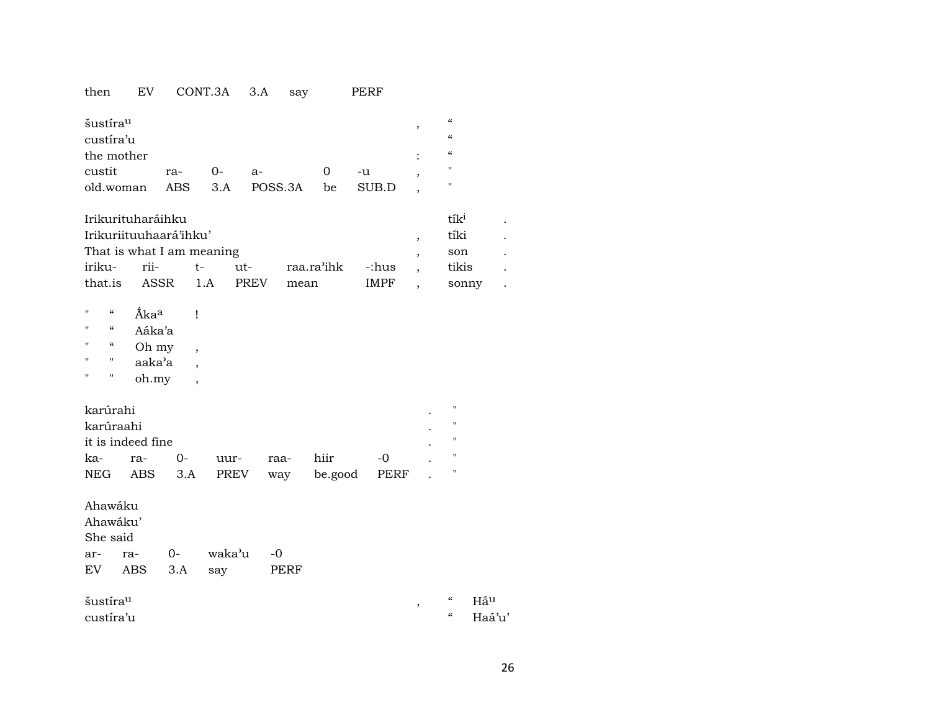## then EV CONT.3A 3.A say PERF

| šustíra <sup>u</sup>         |     |       |      |       | $\epsilon$        |
|------------------------------|-----|-------|------|-------|-------------------|
| custíra'u                    |     |       |      |       | $\epsilon$        |
| the mother                   |     |       |      |       | "                 |
| custit                       | ra- | $O -$ | $a-$ | -u    | $^{\prime\prime}$ |
| old.woman ABS 3.A POSS.3A be |     |       |      | SUB.D |                   |

| Irikurituharáihku         | $t_1$ |                    |      |       |  |
|---------------------------|-------|--------------------|------|-------|--|
| Irikuriituuhaará'ihku'    | tíki  |                    |      |       |  |
| That is what I am meaning | son   |                    |      |       |  |
| iriku- rii-  t- ut-       |       | raa.ra'ihk -:hus , |      | tikis |  |
| that.is ASSR 1.A PREV     |       | mean               | IMPF | sonny |  |

| п | $\epsilon$ | <b>Ãka</b> <sup>a</sup> |  |
|---|------------|-------------------------|--|
| п | $\epsilon$ | Aáka'a                  |  |
| п | $\epsilon$ | Oh my                   |  |
| п | "          | aaka'a                  |  |
| п | п          | oh.my                   |  |

| karúrahi          |     |        |      |      |              |       | ٠         |  |
|-------------------|-----|--------|------|------|--------------|-------|-----------|--|
| karúraahi         |     |        |      |      |              |       | ٠         |  |
| it is indeed fine |     |        |      |      |              |       | $\bullet$ |  |
| ka-               | ra- | $() -$ | uur- | raa- | hiir         | $-()$ |           |  |
| <b>NEG</b>        | ABS | 3.A    | PREV | way  | be.good PERF |       |           |  |

Ahawáku

Ahawáku'

She said

| ar- | ra-     | ∩- | waka'u | $-\Omega$ |
|-----|---------|----|--------|-----------|
| EV  | ABS 3.A |    | sav    | PERF      |

custíra'u

šustíraµ , " Hñµ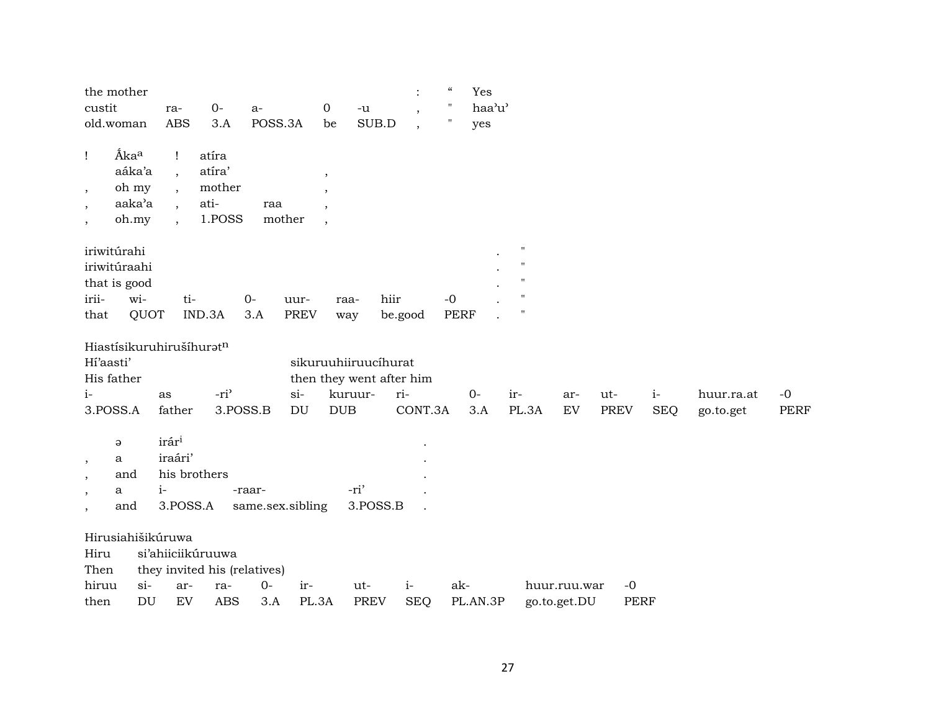| the mother                                           |                 |                   |                              |                  |                            |                            |             | $\ddot{\cdot}$ | $\zeta\zeta$       | Yes      |                    |       |              |             |            |            |      |
|------------------------------------------------------|-----------------|-------------------|------------------------------|------------------|----------------------------|----------------------------|-------------|----------------|--------------------|----------|--------------------|-------|--------------|-------------|------------|------------|------|
| custit                                               |                 | ra-               | $O -$                        | $a-$             |                            | 0<br>$\mathord{\text{-u}}$ |             | $\cdot$        | $\mathbf{H}$       | haa'u'   |                    |       |              |             |            |            |      |
| old.woman                                            |                 | <b>ABS</b>        | 3.A                          | POSS.3A          |                            | be                         | SUB.D       | $\cdot$        | $\pmb{\mathsf{H}}$ | yes      |                    |       |              |             |            |            |      |
| Åka <sup>a</sup><br>Ţ                                | aáka'a          | $\mathbf{I}$      | atíra<br>atíra'              |                  |                            |                            |             |                |                    |          |                    |       |              |             |            |            |      |
|                                                      |                 | $\cdot$           | mother                       |                  |                            | $\overline{\phantom{a}}$   |             |                |                    |          |                    |       |              |             |            |            |      |
| $\,$                                                 | oh my<br>aaka'a | $\cdot$           | ati-                         | raa              |                            |                            |             |                |                    |          |                    |       |              |             |            |            |      |
| $\overline{\phantom{a}}$<br>$\overline{\phantom{a}}$ | oh.my           | $\cdot$           | 1.POSS                       | mother           |                            |                            |             |                |                    |          |                    |       |              |             |            |            |      |
|                                                      |                 |                   |                              |                  |                            |                            |             |                |                    |          |                    |       |              |             |            |            |      |
| iriwitúrahi                                          |                 |                   |                              |                  |                            |                            |             |                |                    |          | $\pmb{\mathsf{H}}$ |       |              |             |            |            |      |
| iriwitúraahi                                         |                 |                   |                              |                  |                            |                            |             |                |                    |          | $^{\prime}$        |       |              |             |            |            |      |
| that is good                                         |                 |                   |                              |                  |                            |                            |             |                |                    |          | $^{\prime\prime}$  |       |              |             |            |            |      |
| irii-                                                | wi-             | ti-               |                              | $0-$             | uur-                       | raa-                       | hiir        |                | $-0$               |          | $\blacksquare$     |       |              |             |            |            |      |
| that                                                 | QUOT            |                   | IND.3A                       | 3.A              | <b>PREV</b>                | way                        | be.good     |                | <b>PERF</b>        |          | $\pmb{\mathsf{H}}$ |       |              |             |            |            |      |
| Hiastísikuruhirušíhuratn                             |                 |                   |                              |                  |                            |                            |             |                |                    |          |                    |       |              |             |            |            |      |
| Hi'aasti'                                            |                 |                   |                              |                  |                            | sikuruuhiiruucíhurat       |             |                |                    |          |                    |       |              |             |            |            |      |
| His father                                           |                 |                   |                              |                  |                            | then they went after him   |             |                |                    |          |                    |       |              |             |            |            |      |
| $i-$                                                 |                 | as                | -ri <sup>3</sup>             |                  | $si-$                      | kuruur-                    | ri-         |                |                    | $0-$     | ir-                |       | ar-          | ut-         | $i-$       | huur.ra.at | $-0$ |
| 3.POSS.A                                             |                 | father            | 3.POSS.B                     |                  | $\mathop{\rm DU}\nolimits$ | <b>DUB</b>                 |             | CONT.3A        |                    | 3.A      |                    | PL.3A | ${\rm EV}$   | <b>PREV</b> | <b>SEQ</b> | go.to.get  | PERF |
|                                                      |                 |                   |                              |                  |                            |                            |             |                |                    |          |                    |       |              |             |            |            |      |
| $\Theta$                                             |                 | irár <sup>i</sup> |                              |                  |                            |                            |             |                |                    |          |                    |       |              |             |            |            |      |
| a<br>$\,$                                            |                 | iraári'           |                              |                  |                            |                            |             |                |                    |          |                    |       |              |             |            |            |      |
| and<br>$\cdot$                                       |                 |                   | his brothers                 |                  |                            |                            |             |                |                    |          |                    |       |              |             |            |            |      |
| a<br>$\overline{\phantom{a}}$                        |                 | $i-$              |                              | -raar-           |                            | -ri'                       |             |                |                    |          |                    |       |              |             |            |            |      |
| and<br>$\overline{\phantom{a}}$                      |                 | 3.POSS.A          |                              | same.sex.sibling |                            |                            | 3.POSS.B    |                |                    |          |                    |       |              |             |            |            |      |
| Hirusiahišikúruwa                                    |                 |                   |                              |                  |                            |                            |             |                |                    |          |                    |       |              |             |            |            |      |
| Hiru                                                 |                 |                   | si'ahiiciikúruuwa            |                  |                            |                            |             |                |                    |          |                    |       |              |             |            |            |      |
| Then                                                 |                 |                   | they invited his (relatives) |                  |                            |                            |             |                |                    |          |                    |       |              |             |            |            |      |
| hiruu                                                | $si$ -          | ar-               | ra-                          | $0-$             | ir-                        | ut-                        |             | $i-$           | ak-                |          |                    |       | huur.ruu.war | $-0$        |            |            |      |
| then                                                 | DU              | ${\rm EV}$        | <b>ABS</b>                   | 3.A              | PL.3A                      |                            | <b>PREV</b> | <b>SEQ</b>     |                    | PL.AN.3P |                    |       | go.to.get.DU | PERF        |            |            |      |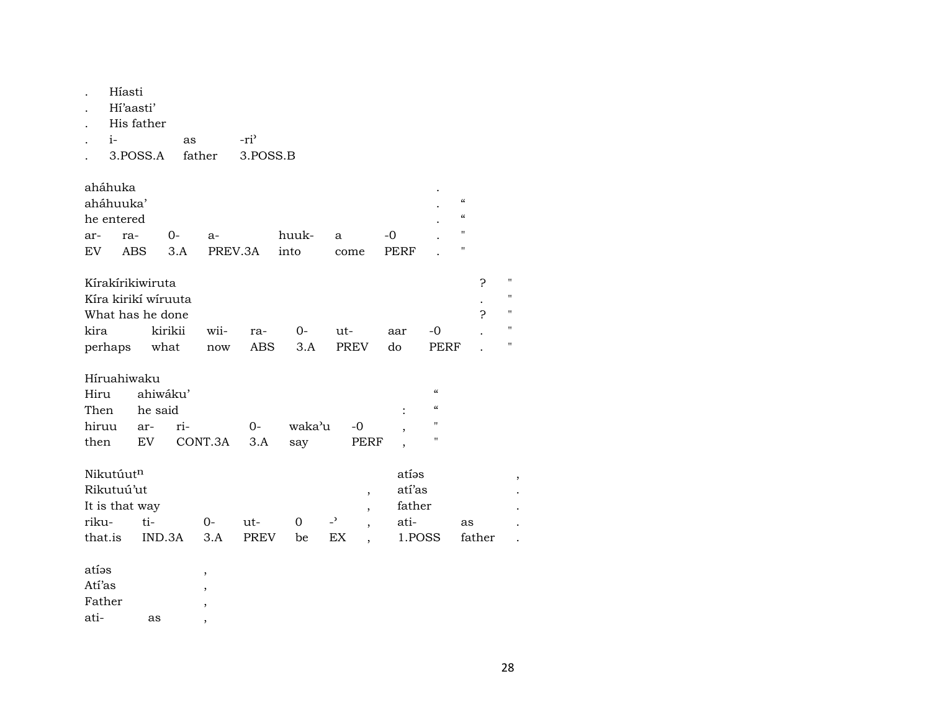| aháhuka<br>$\boldsymbol{\mathcal{C}}$<br>aháhuuka'<br>$\epsilon\epsilon$<br>he entered              |                    |
|-----------------------------------------------------------------------------------------------------|--------------------|
|                                                                                                     |                    |
|                                                                                                     |                    |
| "<br>huuk-<br>0-<br>-0<br>ra-                                                                       |                    |
| ar-<br>$a-$<br>a<br>"<br>EV<br><b>ABS</b><br>3.A<br>PREV.3A<br>into<br><b>PERF</b><br>come          |                    |
|                                                                                                     |                    |
| Kírakírikiwiruta<br>5                                                                               | $\pmb{\mathsf{H}}$ |
| Kíra kirikí wíruuta                                                                                 | $\pmb{\mathsf{H}}$ |
| ς<br>What has he done                                                                               | П                  |
| kira<br>kirikii<br>wii-<br>$0-$<br>-0<br>ut-<br>ra-<br>aar                                          | П                  |
| <b>PREV</b><br>do<br>perhaps<br>what<br><b>ABS</b><br>3.A<br><b>PERF</b><br>now                     |                    |
|                                                                                                     |                    |
| Híruahiwaku<br>$\alpha$<br>Hiru<br>ahiwáku'                                                         |                    |
| $\epsilon$<br>Then<br>he said                                                                       |                    |
| п<br>hiruu<br>waka'u<br>ri-<br>0-<br>-0<br>ar-                                                      |                    |
| п<br>EV<br>CONT.3A<br>$3.A$<br>then<br>PERF<br>say                                                  |                    |
|                                                                                                     |                    |
| Nikutúutn<br>atías                                                                                  |                    |
| Rikutuú'ut<br>atí'as<br>$\overline{\phantom{a}}$                                                    |                    |
| father<br>It is that way<br>$\overline{\phantom{a}}$                                                |                    |
| riku-<br>ti-<br>$\overline{a}$<br>$0-$<br>$\Omega$<br>ati-<br>ut-<br>as<br>$\overline{\phantom{a}}$ |                    |
| that.is<br>IND.3A<br>3.A<br><b>PREV</b><br>EX<br>1.POSS<br>father<br>be                             |                    |
| atíəs                                                                                               |                    |
| $\,$<br>Atí'as                                                                                      |                    |
| $\,$<br>Father                                                                                      |                    |
| ati-<br>as<br>,                                                                                     |                    |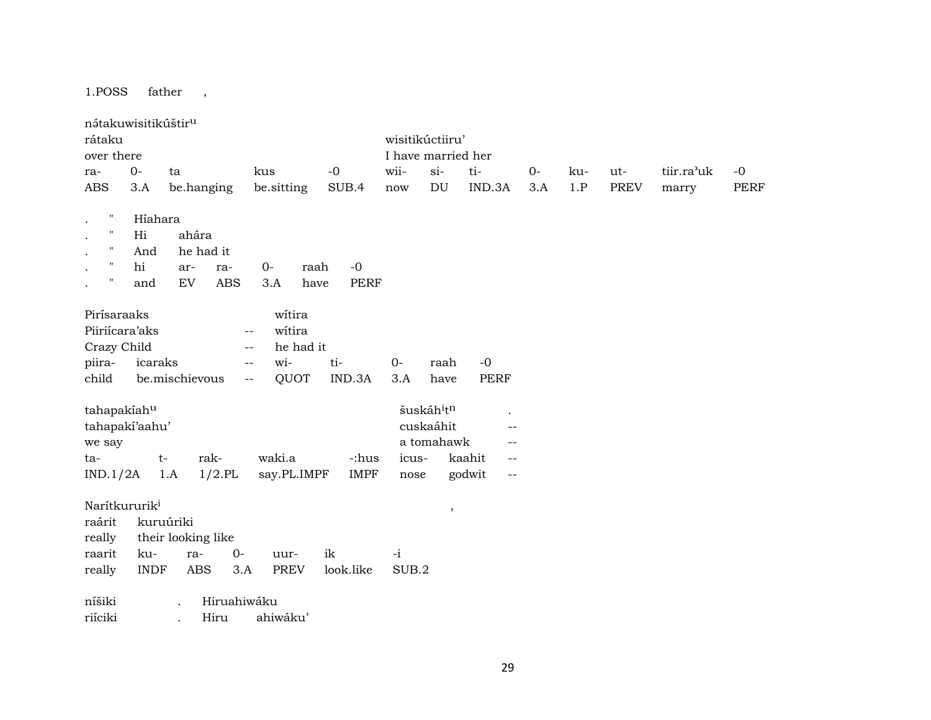1.POSS father ,

| nátakuwisitikúštir <sup>u</sup> |             |                          |                                   |             |       |                    |                                    |      |     |             |            |      |
|---------------------------------|-------------|--------------------------|-----------------------------------|-------------|-------|--------------------|------------------------------------|------|-----|-------------|------------|------|
| rátaku                          |             |                          |                                   |             |       | wisitikúctiiru'    |                                    |      |     |             |            |      |
| over there                      |             |                          |                                   |             |       | I have married her |                                    |      |     |             |            |      |
| ra-                             | $0-$        | ta                       | kus                               | $-0$        | wii-  | $si-$              | ti-                                | $0-$ | ku- | ut-         | tiir.ra'uk | $-0$ |
| ABS                             | 3.A         | be.hanging               | be.sitting                        | SUB.4       | now   | DU                 | IND.3A                             | 3.A  | 1.P | <b>PREV</b> | marry      | PERF |
|                                 |             |                          |                                   |             |       |                    |                                    |      |     |             |            |      |
| $\pmb{\mathsf{H}}$              | Híahara     |                          |                                   |             |       |                    |                                    |      |     |             |            |      |
| $\pmb{\mathsf{H}}$              | Hi          | ahára                    |                                   |             |       |                    |                                    |      |     |             |            |      |
| $\mathbf{H}$                    | And         | he had it                |                                   |             |       |                    |                                    |      |     |             |            |      |
| $\pmb{\mathsf{H}}$              | hi          | ar-<br>ra-               | $0-$<br>raah                      | $-0$        |       |                    |                                    |      |     |             |            |      |
| $\pmb{\mathsf{H}}$              | and         | <b>ABS</b><br>${\rm EV}$ | 3.A<br>have                       | <b>PERF</b> |       |                    |                                    |      |     |             |            |      |
|                                 |             |                          |                                   |             |       |                    |                                    |      |     |             |            |      |
| Pirísaraaks                     |             |                          | witira                            |             |       |                    |                                    |      |     |             |            |      |
| Piiriícara'aks                  |             |                          | witira<br>$-\,-$                  |             |       |                    |                                    |      |     |             |            |      |
| Crazy Child                     |             |                          | he had it<br>$-$                  |             |       |                    |                                    |      |     |             |            |      |
| piira-                          | icaraks     |                          | wi-<br>$\overline{\phantom{a}}$ . | ti-         | $0 -$ | raah               | $-0$                               |      |     |             |            |      |
| child                           |             | be.mischievous           | QUOT<br>$-\,-$                    | IND.3A      | 3.A   | have               | <b>PERF</b>                        |      |     |             |            |      |
|                                 |             |                          |                                   |             |       |                    |                                    |      |     |             |            |      |
| tahapakiahu                     |             |                          |                                   |             |       | šuskáhitn          |                                    |      |     |             |            |      |
| tahapakí'aahu'                  |             |                          |                                   |             |       | cuskaáhit          | $-$                                |      |     |             |            |      |
| we say                          |             |                          |                                   |             |       | a tomahawk         |                                    |      |     |             |            |      |
| ta-                             |             | rak-<br>$t-$             | waki.a                            | -:hus       | icus- |                    | kaahit<br>$\qquad \qquad -$        |      |     |             |            |      |
| IND.1/2A                        |             | $1/2$ .PL<br>1.A         | say.PL.IMPF                       | <b>IMPF</b> | nose  |                    | godwit<br>$\overline{\phantom{a}}$ |      |     |             |            |      |
|                                 |             |                          |                                   |             |       |                    |                                    |      |     |             |            |      |
| Narítkururik <sup>i</sup>       |             |                          |                                   |             |       |                    |                                    |      |     |             |            |      |
| raárit                          |             | kuruúriki                |                                   |             |       | $^\mathrm{,}$      |                                    |      |     |             |            |      |
| really                          |             | their looking like       |                                   |             |       |                    |                                    |      |     |             |            |      |
| raarit                          | ku-         | $O -$<br>ra-             | uur-                              | ik          | $-i$  |                    |                                    |      |     |             |            |      |
| really                          | <b>INDF</b> | ABS<br>3.A               | <b>PREV</b>                       | look.like   | SUB.2 |                    |                                    |      |     |             |            |      |
|                                 |             |                          |                                   |             |       |                    |                                    |      |     |             |            |      |
| níšiki                          |             | Hiruahiwáku              |                                   |             |       |                    |                                    |      |     |             |            |      |
|                                 |             |                          | ahiwáku'                          |             |       |                    |                                    |      |     |             |            |      |
| riíciki                         |             | Hiru                     |                                   |             |       |                    |                                    |      |     |             |            |      |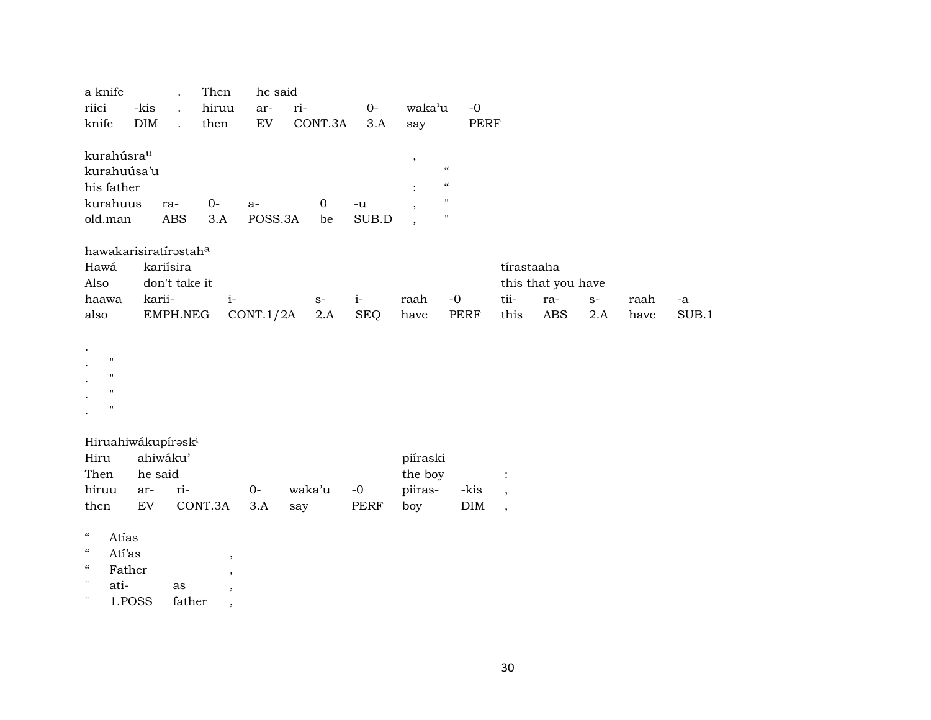| a knife                                                |            |                      | Then  | he said   |              |       |                          |                          |            |                    |      |      |       |
|--------------------------------------------------------|------------|----------------------|-------|-----------|--------------|-------|--------------------------|--------------------------|------------|--------------------|------|------|-------|
| riici                                                  | -kis       | $\ddot{\phantom{a}}$ | hiruu | ar-       | ri-          | $0-$  | waka'u                   | $-0$                     |            |                    |      |      |       |
| knife                                                  | <b>DIM</b> | $\ddot{\phantom{0}}$ | then  | EV        | CONT.3A      | 3.A   | say                      | PERF                     |            |                    |      |      |       |
|                                                        |            |                      |       |           |              |       |                          |                          |            |                    |      |      |       |
| kurahúsra <sup>u</sup>                                 |            |                      |       |           |              |       | $^\mathrm{,}$            |                          |            |                    |      |      |       |
| kurahuúsa'u                                            |            |                      |       |           |              |       |                          | $\mathcal{C}\mathcal{C}$ |            |                    |      |      |       |
| his father                                             |            |                      |       |           |              |       | $\bullet$                | $\mathcal{C}\mathcal{C}$ |            |                    |      |      |       |
| kurahuus                                               |            | ra-                  | $0-$  | a-        | $\mathbf{0}$ | $-u$  | $\cdot$                  | $\mathbf H$              |            |                    |      |      |       |
| old.man                                                |            | ABS                  | 3.A   | POSS.3A   | be           | SUB.D | $\overline{\phantom{a}}$ | $\pmb{\mathsf{H}}$       |            |                    |      |      |       |
|                                                        |            |                      |       |           |              |       |                          |                          |            |                    |      |      |       |
| hawakarisiratírastaha                                  |            |                      |       |           |              |       |                          |                          |            |                    |      |      |       |
| Hawá                                                   | kariísira  |                      |       |           |              |       |                          |                          | tírastaaha |                    |      |      |       |
| Also                                                   |            | don't take it        |       |           |              |       |                          |                          |            | this that you have |      |      |       |
| haawa                                                  | karii-     |                      | $i-$  |           | $S-$         | $i-$  | raah                     | $-0$                     | tii-       | ra-                | $S-$ | raah | -a    |
| also                                                   |            | EMPH.NEG             |       | CONT.1/2A | 2.A          | SEQ   | have                     | PERF                     | this       | ABS                | 2.A  | have | SUB.1 |
|                                                        |            |                      |       |           |              |       |                          |                          |            |                    |      |      |       |
|                                                        |            |                      |       |           |              |       |                          |                          |            |                    |      |      |       |
| 11                                                     |            |                      |       |           |              |       |                          |                          |            |                    |      |      |       |
| $\pmb{\mathsf{H}}$                                     |            |                      |       |           |              |       |                          |                          |            |                    |      |      |       |
| 11                                                     |            |                      |       |           |              |       |                          |                          |            |                    |      |      |       |
| $\pmb{\mathsf{H}}$                                     |            |                      |       |           |              |       |                          |                          |            |                    |      |      |       |
|                                                        |            |                      |       |           |              |       |                          |                          |            |                    |      |      |       |
| وأجالهم والمتكمين والموالي فالمتابع والمستلقة فالمستنب |            |                      |       |           |              |       |                          |                          |            |                    |      |      |       |

|  |  |  | Hiruahiwakupirəsk |  |
|--|--|--|-------------------|--|
|--|--|--|-------------------|--|

| Hiru          | ahiwáku' |                         | piíraski |           |  |                |     |  |
|---------------|----------|-------------------------|----------|-----------|--|----------------|-----|--|
| Then          | he said  |                         | the boy  |           |  |                |     |  |
| hiruu ar- ri- |          |                         | $O-$     | waka'u -0 |  | piiras- -kis , |     |  |
| then          |          | EV CONT.3A 3.A say PERF |          |           |  | boy            | DIM |  |

| $\epsilon$ | Atías  |  |
|------------|--------|--|
| $\epsilon$ | Atí'as |  |

| $\epsilon$ | Father |  |
|------------|--------|--|
| .,         |        |  |

" ati- as ,

" 1.POSS father ,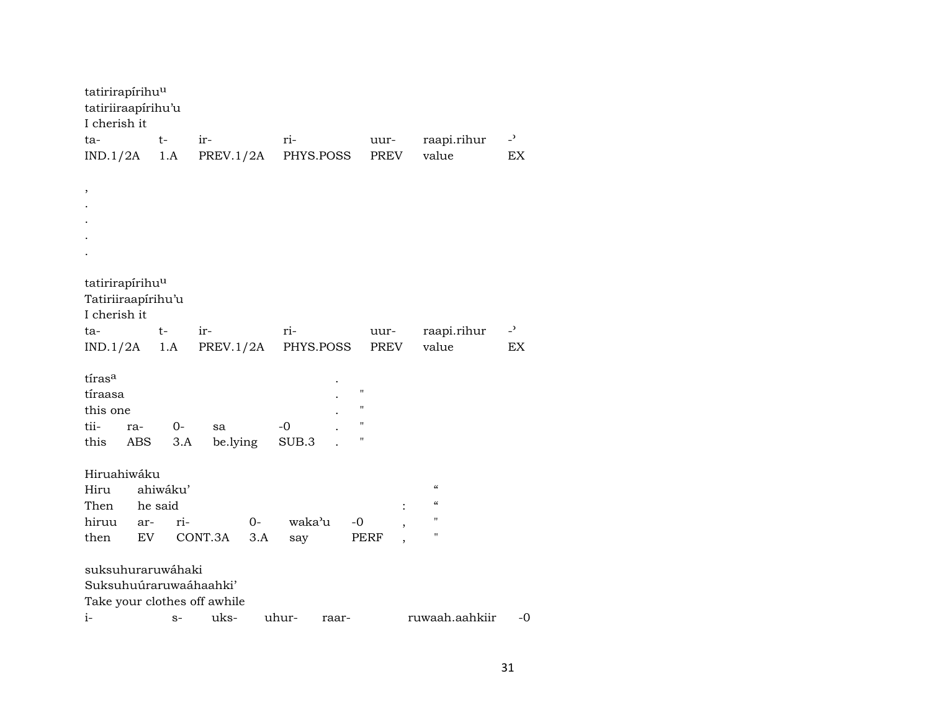| tatirirapírihu <sup>u</sup><br>tatiriiraapírihu'u |                            |          |           |       |        |           |                    |                          |                |
|---------------------------------------------------|----------------------------|----------|-----------|-------|--------|-----------|--------------------|--------------------------|----------------|
| I cherish it                                      |                            |          |           |       |        |           |                    |                          |                |
| ta-                                               |                            | $t-$     | ir-       |       | ri-    |           | uur-               | raapi.rihur              | $\overline{a}$ |
| IND.1/2A                                          |                            | 1.A      | PREV.1/2A |       |        | PHYS.POSS | PREV               | value                    | EX             |
|                                                   |                            |          |           |       |        |           |                    |                          |                |
| $\, ,$                                            |                            |          |           |       |        |           |                    |                          |                |
|                                                   |                            |          |           |       |        |           |                    |                          |                |
|                                                   |                            |          |           |       |        |           |                    |                          |                |
|                                                   |                            |          |           |       |        |           |                    |                          |                |
|                                                   |                            |          |           |       |        |           |                    |                          |                |
|                                                   |                            |          |           |       |        |           |                    |                          |                |
| tatirirapírihu <sup>u</sup>                       |                            |          |           |       |        |           |                    |                          |                |
| Tatiriiraapírihu'u                                |                            |          |           |       |        |           |                    |                          |                |
| I cherish it                                      |                            |          |           |       |        |           |                    |                          |                |
| ta-                                               |                            | t-       | ir-       |       | ri-    |           | uur-               | raapi.rihur              | $\overline{a}$ |
| IND.1/2A                                          |                            | 1.A      | PREV.1/2A |       |        | PHYS.POSS | PREV               | value                    | EX             |
|                                                   |                            |          |           |       |        |           |                    |                          |                |
| tiras <sup>a</sup>                                |                            |          |           |       |        |           | $\pmb{\mathsf{H}}$ |                          |                |
| tíraasa                                           |                            |          |           |       |        |           | н                  |                          |                |
| this one                                          |                            |          |           |       |        |           | $\mathbf{H}$       |                          |                |
| tii-                                              | ra-                        | $0-$     | sa        |       | $-0$   |           | Ħ                  |                          |                |
| this                                              | ABS                        | 3.A      | be.lying  |       | SUB.3  |           |                    |                          |                |
|                                                   |                            |          |           |       |        |           |                    |                          |                |
| Hiruahiwáku                                       |                            |          |           |       |        |           |                    | $\mathcal{C}\mathcal{C}$ |                |
| Hiru                                              |                            | ahiwáku' |           |       |        |           |                    | $\mathcal{C}$            |                |
| Then                                              | he said                    |          |           |       |        |           |                    | $\mathbf{H}$             |                |
| hiruu                                             | ar-                        | ri-      |           | $O -$ | waka'u |           | $-0$               | $\pmb{\mathsf{H}}$       |                |
| then                                              | $\mathop{\rm EV}\nolimits$ |          | CONT.3A   | 3.A   | say    |           | PERF               |                          |                |
| suksuhuraruwáhaki                                 |                            |          |           |       |        |           |                    |                          |                |
| Suksuhuúraruwaáhaahki'                            |                            |          |           |       |        |           |                    |                          |                |
| Take your clothes off awhile                      |                            |          |           |       |        |           |                    |                          |                |
| $i-$                                              |                            |          | uks-      |       | uhur-  |           |                    | ruwaah.aahkiir           | -0             |
|                                                   |                            | $S-$     |           |       |        | raar-     |                    |                          |                |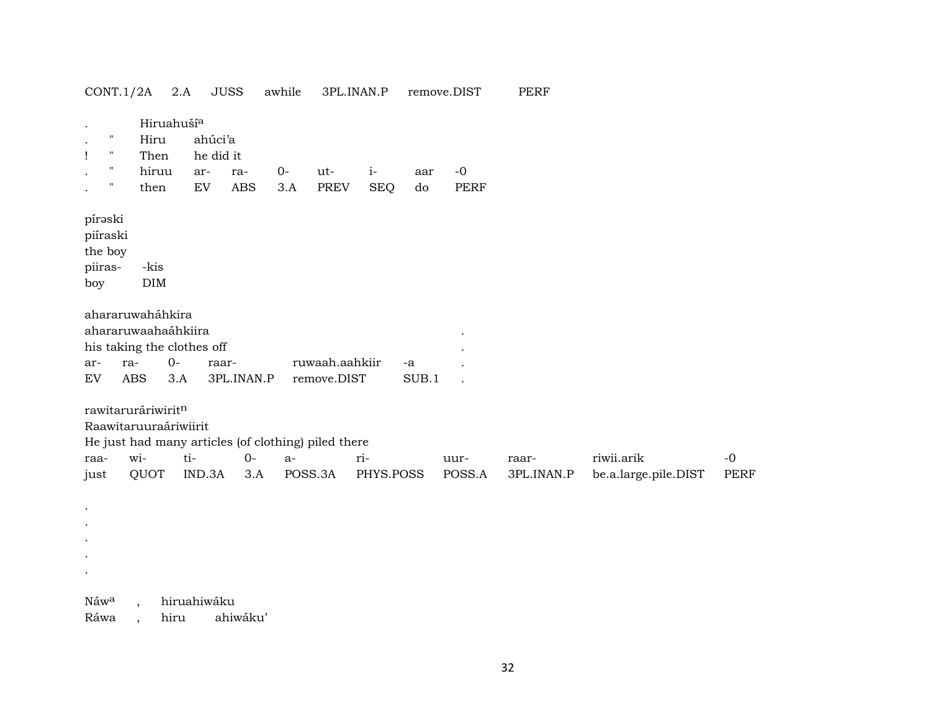| CONT.1/2A                                                                    | $2.A$                                                                                                     | <b>JUSS</b>                                               |            | awhile      | 3PL.INAN.P                    |                    |               | remove.DIST         | <b>PERF</b> |                      |             |
|------------------------------------------------------------------------------|-----------------------------------------------------------------------------------------------------------|-----------------------------------------------------------|------------|-------------|-------------------------------|--------------------|---------------|---------------------|-------------|----------------------|-------------|
| $\pmb{\mathsf{H}}$<br>$\mathbf{H}$<br>Ţ<br>$\mathbf H$<br>$\pmb{\mathsf{H}}$ | Hiruahuší <sup>a</sup><br>Hiru<br>Then<br>hiruu<br>then                                                   | ahúci'a<br>he did it<br>ar-<br>$\mathop{\rm EV}\nolimits$ | ra-<br>ABS | $0-$<br>3.A | ut-<br>PREV                   | $i-$<br><b>SEQ</b> | aar<br>do     | $-0$<br><b>PERF</b> |             |                      |             |
| pírəski<br>piíraski<br>the boy<br>piiras-<br>boy                             | -kis<br>$\rm{DIM}$                                                                                        |                                                           |            |             |                               |                    |               |                     |             |                      |             |
| ar-<br>EV                                                                    | ahararuwaháhkira<br>ahararuwaahaáhkiira<br>his taking the clothes off<br>$O -$<br>ra-<br>ABS<br>3.A       | raar-                                                     | 3PL.INAN.P |             | ruwaah.aahkiir<br>remove.DIST |                    | $-a$<br>SUB.1 |                     |             |                      |             |
| raa-                                                                         | rawitaruráriwiritn<br>Raawitaruuraáriwiirit<br>He just had many articles (of clothing) piled there<br>wi- | ti-                                                       | $O -$      | $a-$        |                               | ri-                |               | uur-                | raar-       | riwii.arik           | $-0$        |
| just                                                                         | QUOT                                                                                                      | IND.3A                                                    | 3.A        | POSS.3A     |                               | PHYS.POSS          |               | POSS.A              | 3PL.INAN.P  | be.a.large.pile.DIST | <b>PERF</b> |
|                                                                              |                                                                                                           |                                                           |            |             |                               |                    |               |                     |             |                      |             |
| Náw <sup>a</sup>                                                             |                                                                                                           | hiruahiwáku                                               |            |             |                               |                    |               |                     |             |                      |             |

Ráwa , hiru ahiwáku'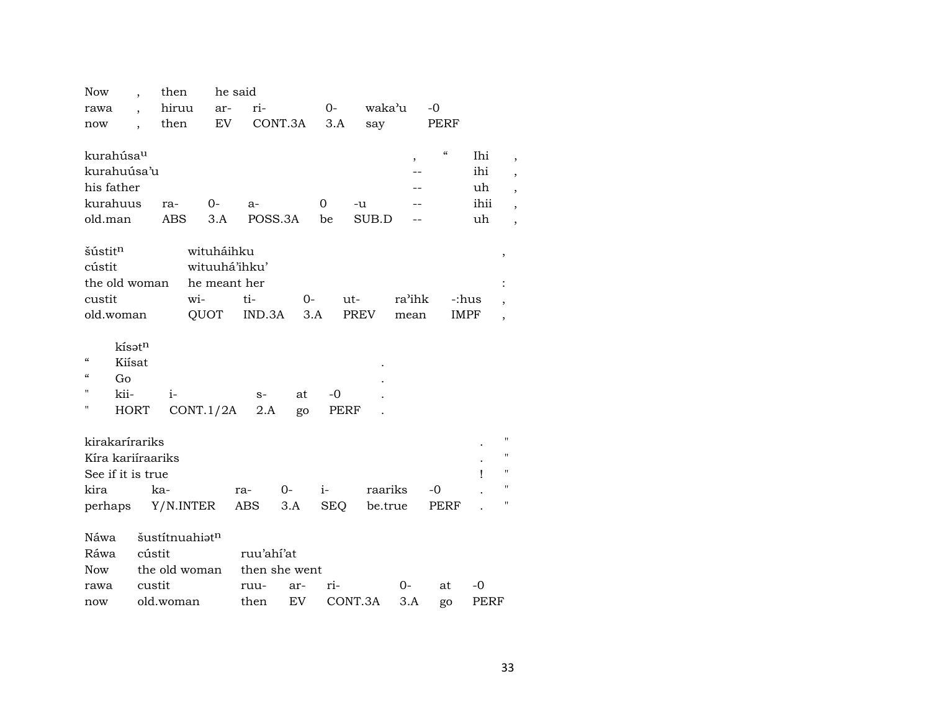| Now                          |        | then       |                | he said    |               |          |             |                          |                                        |             |   |
|------------------------------|--------|------------|----------------|------------|---------------|----------|-------------|--------------------------|----------------------------------------|-------------|---|
| rawa                         |        | hiruu      | ar-            | ri-        |               | $0-$     | waka'u      |                          | $-0$                                   |             |   |
| now                          |        | then       | EV             |            | CONT.3A       | 3.A      | say         |                          | PERF                                   |             |   |
|                              |        |            |                |            |               |          |             |                          |                                        |             |   |
| kurahúsau                    |        |            |                |            |               |          |             | $\overline{\phantom{a}}$ | $\boldsymbol{\zeta}\boldsymbol{\zeta}$ | Ihi         |   |
| kurahuúsa'u                  |        |            |                |            |               |          |             |                          |                                        | ihi         |   |
| his father                   |        |            |                |            |               |          |             |                          |                                        | uh          |   |
| kurahuus                     |        | ra-        | 0-             | $a-$       |               | $\Omega$ | -u          |                          |                                        | ihii        |   |
| old.man                      |        | <b>ABS</b> | 3.A            |            | POSS.3A       | be       | SUB.D       |                          |                                        | uh          |   |
|                              |        |            |                |            |               |          |             |                          |                                        |             |   |
| šústit <sup>n</sup>          |        |            | wituháihku     |            |               |          |             |                          |                                        |             | , |
| cústit                       |        |            | wituuhá'ihku'  |            |               |          |             |                          |                                        |             |   |
| the old woman                |        |            | he meant her   |            |               |          |             |                          |                                        |             |   |
| custit                       |        |            | wi-            | ti-        | 0-            |          | ut-         | ra'ihk                   | -:hus                                  |             |   |
| old.woman                    |        |            | QUOT           | IND.3A     | 3.A           |          | <b>PREV</b> | mean                     | <b>IMPF</b>                            |             |   |
|                              |        |            |                |            |               |          |             |                          |                                        |             |   |
| kísatn                       |        |            |                |            |               |          |             |                          |                                        |             |   |
| $\epsilon\epsilon$<br>Kiísat |        |            |                |            |               |          |             |                          |                                        |             |   |
| $\epsilon$<br>Go             |        |            |                |            |               |          |             |                          |                                        |             |   |
| 11<br>kii-                   |        | $i-$       |                | $S-$       | at            | -0       |             |                          |                                        |             |   |
| п<br><b>HORT</b>             |        |            | CONT.1/2A      | 2.A        | go            | PERF     |             |                          |                                        |             |   |
|                              |        |            |                |            |               |          |             |                          |                                        |             |   |
| kirakarírariks               |        |            |                |            |               |          |             |                          |                                        |             |   |
| Kíra kariíraariks            |        |            |                |            |               |          |             |                          |                                        |             |   |
| See if it is true            |        |            |                |            |               |          |             |                          |                                        | ı           |   |
| kira                         |        | ka-        |                | ra-        | $0-$          | $i-$     | raariks     |                          | -0                                     |             |   |
| perhaps                      |        |            | Y/N.INTER      | ABS        | 3.A           | SEQ      | be.true     |                          | PERF                                   |             |   |
|                              |        |            |                |            |               |          |             |                          |                                        |             |   |
| Náwa                         |        |            | šustítnuahiatn |            |               |          |             |                          |                                        |             |   |
| Ráwa                         | cústit |            |                | ruu'ahí'at |               |          |             |                          |                                        |             |   |
| Now                          |        |            | the old woman  |            | then she went |          |             |                          |                                        |             |   |
| rawa                         | custit |            |                | ruu-       | ar-           | ri-      |             | 0-                       | at                                     | -0          |   |
| now                          |        | old.woman  |                | then       | EV            |          | CONT.3A     | 3.A                      | go                                     | <b>PERF</b> |   |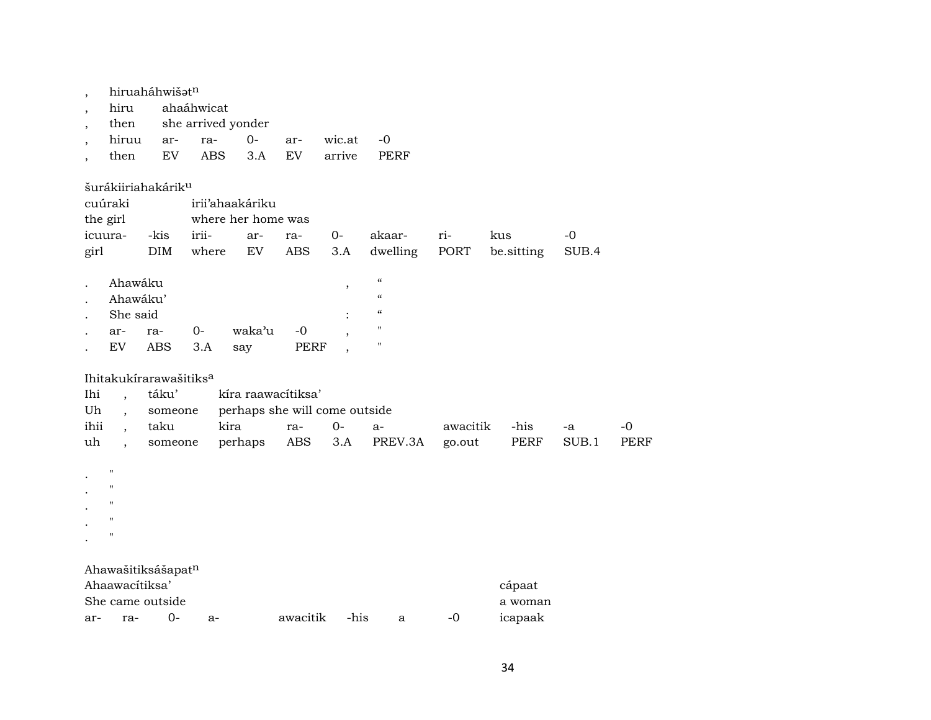| $\overline{\phantom{a}}$ |                      | hiruaháhwišatn                     |            |                               |            |        |                          |          |            |       |      |
|--------------------------|----------------------|------------------------------------|------------|-------------------------------|------------|--------|--------------------------|----------|------------|-------|------|
| $\overline{\phantom{a}}$ | hiru                 |                                    | ahaáhwicat |                               |            |        |                          |          |            |       |      |
| $\overline{\phantom{a}}$ | then                 |                                    |            | she arrived yonder            |            |        |                          |          |            |       |      |
| $\overline{\phantom{a}}$ | hiruu                | ar-                                | ra-        | $0-$                          | ar-        | wic.at | $-0$                     |          |            |       |      |
| $\overline{\phantom{a}}$ | then                 | EV                                 | <b>ABS</b> | 3.A                           | EV         | arrive | <b>PERF</b>              |          |            |       |      |
|                          |                      | šurákiiriahakárik <sup>u</sup>     |            |                               |            |        |                          |          |            |       |      |
|                          | cuúraki              |                                    |            | irii'ahaakáriku               |            |        |                          |          |            |       |      |
|                          | the girl             |                                    |            | where her home was            |            |        |                          |          |            |       |      |
|                          | icuura-              | -kis                               | irii-      | ar-                           | ra-        | $0-$   | akaar-                   | ri-      | kus        | $-0$  |      |
| girl                     |                      | DIM                                | where      | EV                            | <b>ABS</b> | 3.A    | dwelling                 | PORT     | be.sitting | SUB.4 |      |
|                          | Ahawáku              |                                    |            |                               |            | ,      | $\mathcal{C}\mathcal{C}$ |          |            |       |      |
|                          | Ahawáku'             |                                    |            |                               |            |        | $\mathcal{C}\mathcal{C}$ |          |            |       |      |
|                          | She said             |                                    |            |                               |            |        | "                        |          |            |       |      |
|                          | ar-                  | ra-                                | $0-$       | waka'u                        | $-0$       |        | $\pmb{\mathsf{H}}$       |          |            |       |      |
|                          | EV                   | <b>ABS</b>                         | 3.A        | say                           | PERF       |        | $\pmb{\mathsf{H}}$       |          |            |       |      |
|                          |                      | Ihitakukírarawašitiks <sup>a</sup> |            |                               |            |        |                          |          |            |       |      |
| Ihi                      |                      | táku'                              |            | kíra raawacítiksa'            |            |        |                          |          |            |       |      |
| Uh                       |                      | someone                            |            | perhaps she will come outside |            |        |                          |          |            |       |      |
| ihii                     |                      | taku                               |            | kira                          | ra-        | $0-$   | $a-$                     | awacitik | -his       | -a    | $-0$ |
| uh                       | $\ddot{\phantom{0}}$ | someone                            |            | perhaps                       | ABS        | 3.A    | PREV.3A                  | go.out   | PERF       | SUB.1 | PERF |
|                          | $\pmb{\mathsf{H}}$   |                                    |            |                               |            |        |                          |          |            |       |      |
|                          | $\pmb{\mathsf{H}}$   |                                    |            |                               |            |        |                          |          |            |       |      |
|                          | п                    |                                    |            |                               |            |        |                          |          |            |       |      |
|                          | $\pmb{\mathsf{H}}$   |                                    |            |                               |            |        |                          |          |            |       |      |
|                          | $\pmb{\mathsf{H}}$   |                                    |            |                               |            |        |                          |          |            |       |      |
|                          |                      | Ahawašitiksášapatn                 |            |                               |            |        |                          |          |            |       |      |
|                          | Ahaawacítiksa'       |                                    |            |                               |            |        |                          |          | cápaat     |       |      |
|                          |                      | She came outside                   |            |                               |            |        |                          |          | a woman    |       |      |
| ar-                      | ra-                  | $O -$                              | a-         |                               | awacitik   | -his   | a                        | $-0$     | icapaak    |       |      |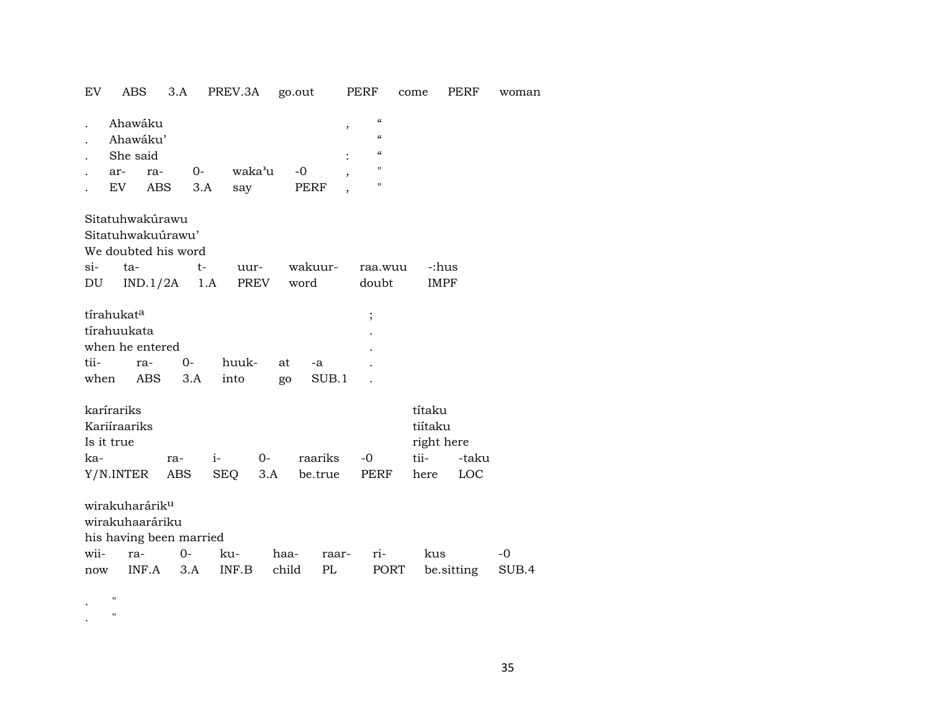| EV           | ABS                                                   |                   | 3.A                     | PREV.3A       |               | go.out          |                               | PERF                                             | come |                                         | PERF                | woman         |
|--------------|-------------------------------------------------------|-------------------|-------------------------|---------------|---------------|-----------------|-------------------------------|--------------------------------------------------|------|-----------------------------------------|---------------------|---------------|
|              | Ahawáku<br>Ahawáku'<br>She said<br>ar-<br>EV          | ra-<br><b>ABS</b> | $0-$<br>3.A             | waka'u<br>say |               | $-0$<br>PERF    | $\, ,$<br>,<br>$\overline{ }$ | $\epsilon$<br>$\epsilon$<br>$\epsilon$<br>п<br>п |      |                                         |                     |               |
|              | Sitatuhwakúrawu<br>Sitatuhwakuúrawu'                  |                   | We doubted his word     |               |               |                 |                               |                                                  |      |                                         |                     |               |
| $\sin$<br>DU | ta-                                                   |                   | $t-$<br>$IND.1/2A$ 1.A  |               | uur-<br>PREV  | wakuur-<br>word |                               | raa.wuu<br>doubt                                 |      | -:hus<br><b>IMPF</b>                    |                     |               |
| tii-         | tírahukata<br>tírahuukata<br>when he entered<br>when  | ra-<br>ABS        | $0-$<br>3.A             | huuk-<br>into | at<br>go      |                 | -a<br>SUB.1                   | $\vdots$                                         |      |                                         |                     |               |
| ka-          | karírariks<br>Kariíraariks<br>Is it true<br>Y/N.INTER |                   | ra-<br>ABS              | $i-$<br>SEQ   | 0-<br>3.A     |                 | raariks<br>be.true            | $-0$<br>PERF                                     | tii- | títaku<br>tiítaku<br>right here<br>here | -taku<br><b>LOC</b> |               |
|              | wirakuharárik <sup>u</sup><br>wirakuhaaráriku         |                   | his having been married |               |               |                 |                               |                                                  |      |                                         |                     |               |
| wii-<br>now  | ra-                                                   | INF.A             | $0-$<br>3.A             | ku-<br>INF.B  | haa-<br>child |                 | raar-<br>PL                   | ri-<br>PORT                                      |      | kus<br>be sitting                       |                     | $-0$<br>SUB.4 |

. "

. "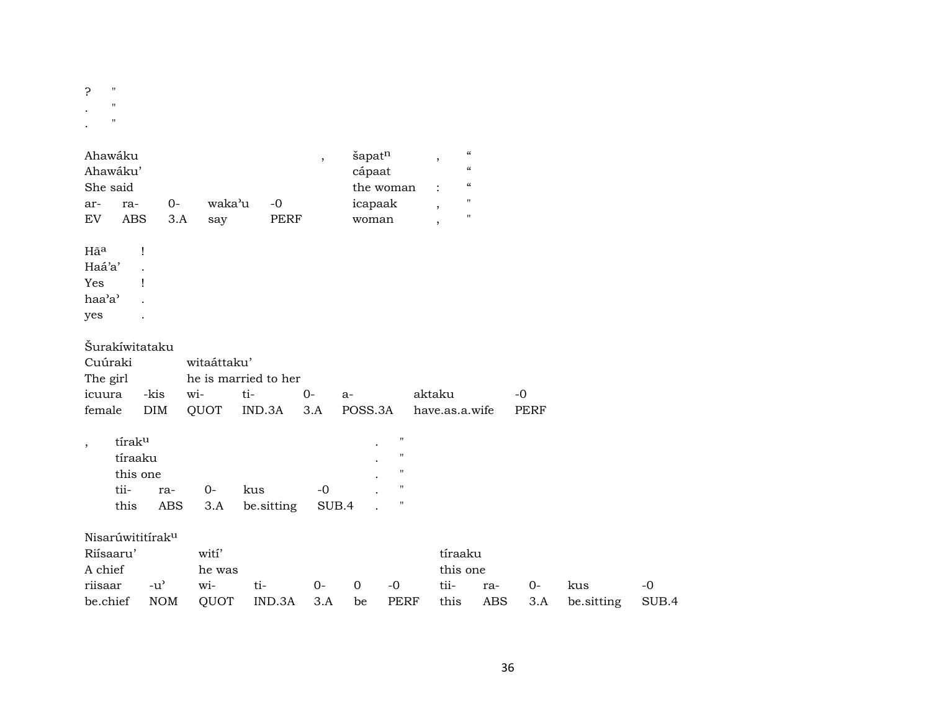? "  $\cdot$  " .  $\qquad$  "

| Ahawáku<br>Ahawáku'<br>She said<br>ra-<br>ar-<br><b>ABS</b><br>EV           | $O -$<br>3.A                | waka'u<br>say                  | $-0$<br>PERF                          | $\overline{\phantom{a}}$ | šapatn<br>cápaat<br>icapaak<br>woman | the woman                                                                                                  | $\boldsymbol{\mathcal{C}}$<br>$\, ,$<br>$\boldsymbol{\mathcal{C}}$<br>$\boldsymbol{\zeta}\boldsymbol{\zeta}$<br>$\pmb{\mathsf{H}}$<br>$\cdot$<br>$\pmb{\mathsf{H}}$<br>$\overline{\phantom{a}}$ |                   |                     |                   |               |
|-----------------------------------------------------------------------------|-----------------------------|--------------------------------|---------------------------------------|--------------------------|--------------------------------------|------------------------------------------------------------------------------------------------------------|-------------------------------------------------------------------------------------------------------------------------------------------------------------------------------------------------|-------------------|---------------------|-------------------|---------------|
| Hãa<br>Haá'a'<br>Yes<br>haa'a'<br>yes                                       | $\mathbf{I}$<br>1           |                                |                                       |                          |                                      |                                                                                                            |                                                                                                                                                                                                 |                   |                     |                   |               |
| Šurakíwitataku<br>Cuúraki<br>The girl<br>icuura<br>female                   | -kis<br>DIM                 | witaáttaku'<br>wi-<br>QUOT     | he is married to her<br>ti-<br>IND.3A | $0-$<br>3.A              | $a-$<br>POSS.3A                      |                                                                                                            | aktaku<br>have.as.a.wife                                                                                                                                                                        |                   | $-0$<br><b>PERF</b> |                   |               |
| tíraku<br>$\overline{\phantom{a}}$<br>tíraaku<br>this one<br>tii-<br>this   | ra-<br><b>ABS</b>           | $0-$<br>3.A                    | kus<br>be.sitting                     | $-0$<br>SUB.4            |                                      | $\pmb{\mathsf{H}}$<br>$\pmb{\mathsf{H}}$<br>$\pmb{\mathsf{H}}$<br>$\pmb{\mathsf{H}}$<br>$\pmb{\mathsf{H}}$ |                                                                                                                                                                                                 |                   |                     |                   |               |
| Nisarúwititírak <sup>u</sup><br>Riísaaru'<br>A chief<br>riisaar<br>be.chief | $-u^{\prime}$<br><b>NOM</b> | wití'<br>he was<br>wi-<br>QUOT | ti-<br>IND.3A                         | $0-$<br>3.A              | $\Omega$<br>be                       | $-0$<br><b>PERF</b>                                                                                        | tíraaku<br>this one<br>tii-<br>this                                                                                                                                                             | ra-<br><b>ABS</b> | $0-$<br>3.A         | kus<br>be.sitting | $-0$<br>SUB.4 |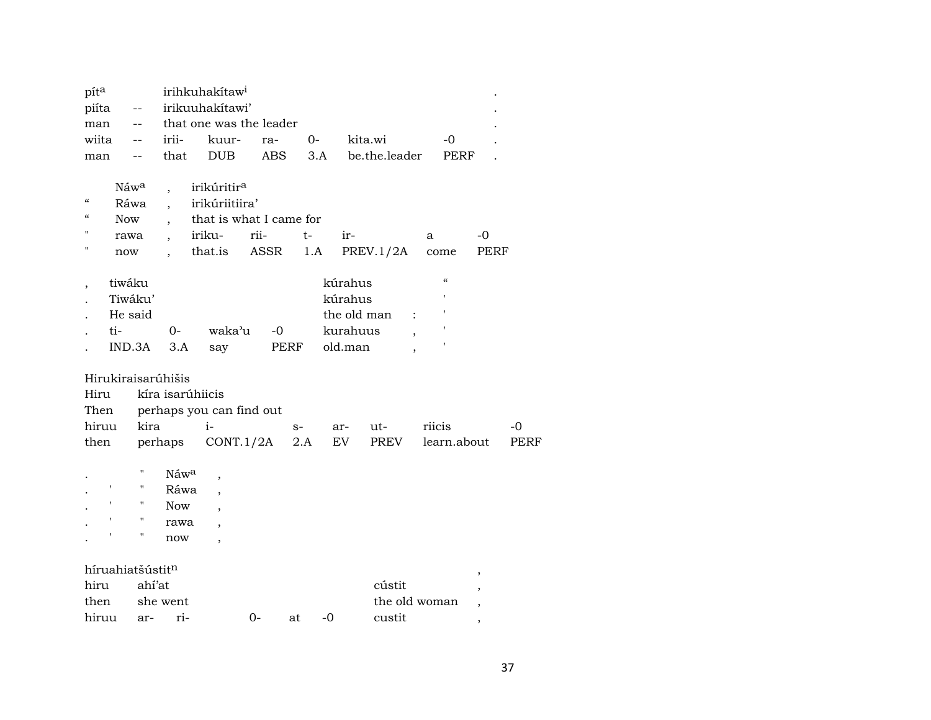| píta                                                                              |                              |                                                                              | irihkuhakítaw <sup>i</sup>                                                                |              |             |                                           |               |                                                 |                                    |      |
|-----------------------------------------------------------------------------------|------------------------------|------------------------------------------------------------------------------|-------------------------------------------------------------------------------------------|--------------|-------------|-------------------------------------------|---------------|-------------------------------------------------|------------------------------------|------|
| piíta                                                                             | $-\, -$                      |                                                                              | irikuuhakitawi'                                                                           |              |             |                                           |               |                                                 |                                    |      |
| man                                                                               | $\overline{\phantom{m}}$     |                                                                              | that one was the leader                                                                   |              |             |                                           |               |                                                 |                                    |      |
| wiita                                                                             | $-\, -$                      | irii-                                                                        | kuur-                                                                                     | ra-          | 0-          |                                           | kita.wi       | $-0$                                            |                                    |      |
| man                                                                               | --                           | that                                                                         | <b>DUB</b>                                                                                | <b>ABS</b>   |             | 3.A                                       | be.the.leader | PERF                                            |                                    |      |
| $\pmb{\zeta}\pmb{\zeta}$<br>$\mathcal{C}$<br><b>Now</b><br>п<br>rawa<br>11<br>now | Náwa<br>Ráwa                 | $\overline{\phantom{a}}$<br>$\overline{\phantom{a}}$<br>$\ddot{\phantom{0}}$ | irikúritir <sup>a</sup><br>irikúriitiira'<br>that is what I came for<br>iriku-<br>that.is | rii-<br>ASSR | $t-$<br>1.A | ir-                                       | PREV.1/2A     | a<br>come                                       | -0<br><b>PERF</b>                  |      |
| tiwáku<br>$\overline{\phantom{a}}$<br>ti-                                         | Tiwáku'<br>He said<br>IND.3A | 0-<br>3.A                                                                    | waka'u<br>say                                                                             | $-0$         | PERF        | kúrahus<br>kúrahus<br>kurahuus<br>old.man | the old man   | $\mathcal{C}$<br>$\mathbf{r}$<br>$\ddot{\cdot}$ |                                    |      |
| Hirukiraisarúhišis<br>Hiru<br>Then                                                |                              | kíra isarúhiicis                                                             | perhaps you can find out                                                                  |              |             |                                           |               |                                                 |                                    |      |
| hiruu                                                                             | kira                         |                                                                              | $i-$                                                                                      |              | $S-$        | ar-                                       | ut-           | riicis                                          |                                    | $-0$ |
| then                                                                              |                              | perhaps                                                                      | CONT.1/2A                                                                                 |              | 2.A         | EV                                        | PREV          | learn.about                                     |                                    | PERF |
| $\pmb{\mathsf{I}}$<br>$\pmb{\mathsf{I}}$                                          | н<br>"<br>$\pmb{\mathsf{H}}$ | Náwa<br>Ráwa<br><b>Now</b>                                                   | ,                                                                                         |              |             |                                           |               |                                                 |                                    |      |
| ,                                                                                 | $\pmb{\mathsf{H}}$<br>11     | rawa<br>now                                                                  |                                                                                           |              |             |                                           |               |                                                 |                                    |      |
| híruahiatšústitn<br>hiru<br>then                                                  | ahí'at                       | she went                                                                     |                                                                                           |              |             |                                           | cústit        | the old woman                                   | $\, ,$<br>$\overline{\phantom{a}}$ |      |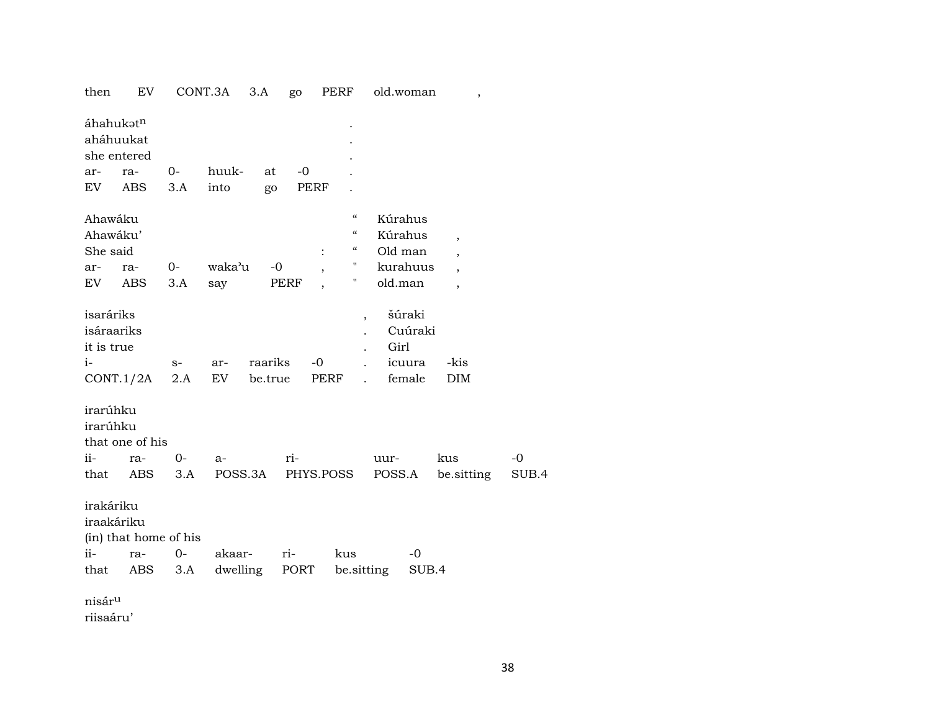| then                                  | EV                    |      | CONT.3A  | 3.A     | go   |                | PERF                     | old.woman      |         | $\overline{\phantom{a}}$ |       |
|---------------------------------------|-----------------------|------|----------|---------|------|----------------|--------------------------|----------------|---------|--------------------------|-------|
| áhahukətn<br>aháhuukat                | she entered           |      |          |         |      |                |                          |                |         |                          |       |
| ar-                                   | ra-                   | 0-   | huuk-    | at      | $-0$ |                |                          |                |         |                          |       |
| EV                                    | ABS                   | 3.A  | into     | go      |      | PERF           |                          |                |         |                          |       |
| Ahawáku                               |                       |      |          |         |      |                | $\epsilon\epsilon$       | Kúrahus        |         |                          |       |
| Ahawáku'                              |                       |      |          |         |      |                | $\mathcal{C}\mathcal{C}$ | Kúrahus        |         | $\overline{ }$           |       |
| She said                              |                       |      |          |         |      | $\ddot{\cdot}$ | $\epsilon\epsilon$       | Old man        |         |                          |       |
| ar-                                   | ra-                   | 0-   | waka'u   | $-0$    |      |                | н.                       | kurahuus       |         |                          |       |
| EV                                    | ABS                   | 3.A  | say      |         | PERF |                | μ                        | old.man        |         | $\overline{\phantom{a}}$ |       |
| isaráriks<br>isáraariks<br>it is true |                       |      |          |         |      |                | ,                        | šúraki<br>Girl | Cuúraki |                          |       |
| i-                                    |                       | $S-$ | ar-      | raariks |      | $-0$           |                          | icuura         |         | -kis                     |       |
|                                       |                       |      | EV       | be.true |      | PERF           |                          | female         |         | <b>DIM</b>               |       |
|                                       | CONT.1/2A             | 2.A  |          |         |      |                |                          |                |         |                          |       |
| irarúhku<br>irarúhku                  | that one of his       |      |          |         |      |                |                          |                |         |                          |       |
| ii-                                   | ra-                   | $0-$ | $a-$     |         | ri-  |                |                          | uur-           |         | kus                      | $-0$  |
| that                                  | ABS                   | 3.A  | POSS.3A  |         |      |                | PHYS.POSS                | POSS.A         |         | be sitting               | SUB.4 |
| irakáriku<br>iraakáriku               | (in) that home of his |      |          |         |      |                |                          |                |         |                          |       |
| ii-                                   | ra-                   | $0-$ | akaar-   |         | ri-  |                | kus                      |                | -0      |                          |       |
| that                                  | ABS                   | 3.A  | dwelling |         | PORT |                | be.sitting               |                | SUB.4   |                          |       |
| nisár <sup>u</sup>                    |                       |      |          |         |      |                |                          |                |         |                          |       |
| riisaáru'                             |                       |      |          |         |      |                |                          |                |         |                          |       |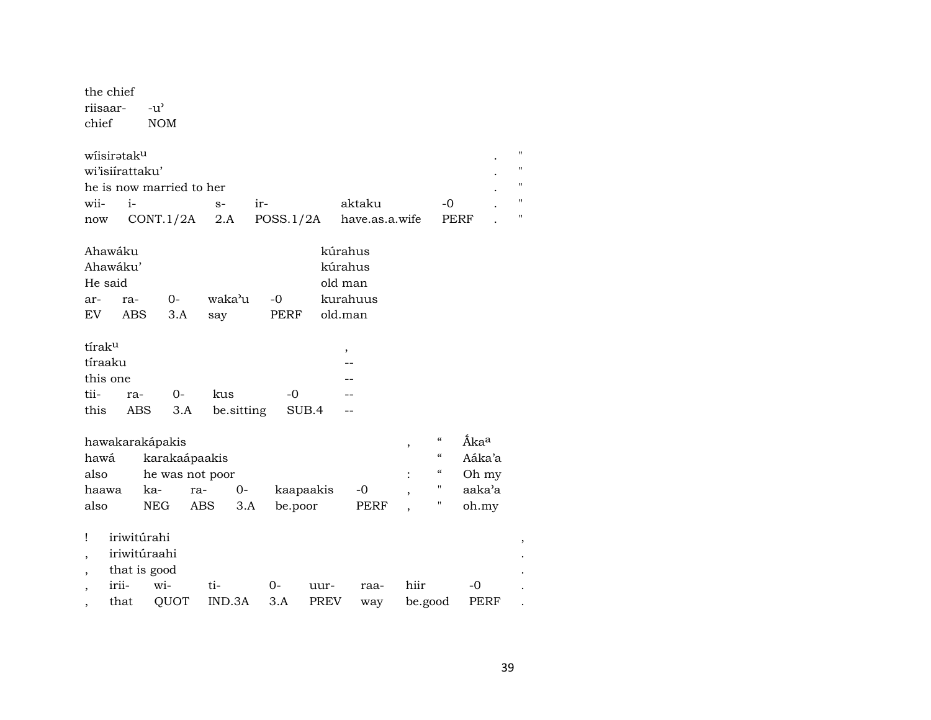the chief riisaar- $-u^{\prime}$ chief **NOM** 

| wiisirətak <sup>u</sup> |                          |      |        |                                            |       |  |
|-------------------------|--------------------------|------|--------|--------------------------------------------|-------|--|
|                         | wi'isiirattaku'          |      |        |                                            |       |  |
|                         | he is now married to her |      |        |                                            |       |  |
| wii-                    |                          | $S-$ | $ir -$ | aktaku                                     | $-()$ |  |
| now                     |                          |      |        | $CONT.1/2A$ 2.A $POSS.1/2A$ have.as.a.wife | PERF  |  |

| Ahawáku |          |       |        |             | kúrahus  |
|---------|----------|-------|--------|-------------|----------|
|         | Ahawáku' |       |        |             | kúrahus  |
| He said |          |       |        |             | old man  |
| $ar-$   | $ra-$    | $O -$ | waka'u | -0          | kurahuus |
| EV      | ABS      | 3.A   | sav    | <b>PERF</b> | old.man  |
|         |          |       |        |             |          |

| tírak <sup>u</sup> |     |      |                          |           |    |
|--------------------|-----|------|--------------------------|-----------|----|
| tíraaku            |     |      |                          |           |    |
| this one           |     |      |                          |           |    |
| tii-               | ra- | $O-$ | kus                      | $-\Omega$ | -- |
| this               |     |      | ABS 3.A be sitting SUB.4 |           |    |

| hawakarakápakis |                 | $\mathcal{C}\mathcal{C}$ | Åka <sup>a</sup> |           |      |                    |        |
|-----------------|-----------------|--------------------------|------------------|-----------|------|--------------------|--------|
| hawá            | karakaápaakis   |                          |                  |           |      | $\epsilon\epsilon$ | Aáka'a |
| also            | he was not poor |                          | "                | Oh my     |      |                    |        |
| haawa           | ka-             | ra-                      | $()$ -           | kaapaakis | $-0$ |                    | aaka'a |
| also            | <b>NEG</b>      | ABS                      | 3.A              | be.poor   | PERF |                    | oh.my  |

|         | ! iriwitúrahi |                          |      |           |              |       |  |
|---------|---------------|--------------------------|------|-----------|--------------|-------|--|
|         | iriwitúraahi  |                          |      |           |              |       |  |
| $\cdot$ | that is good  |                          |      |           |              |       |  |
|         | irii- wi-     | $O-$<br>$t$ i-           | uur- | raa- hiir |              | $-()$ |  |
|         | that          | QUOT IND.3A 3.A PREV way |      |           | be.good PERF |       |  |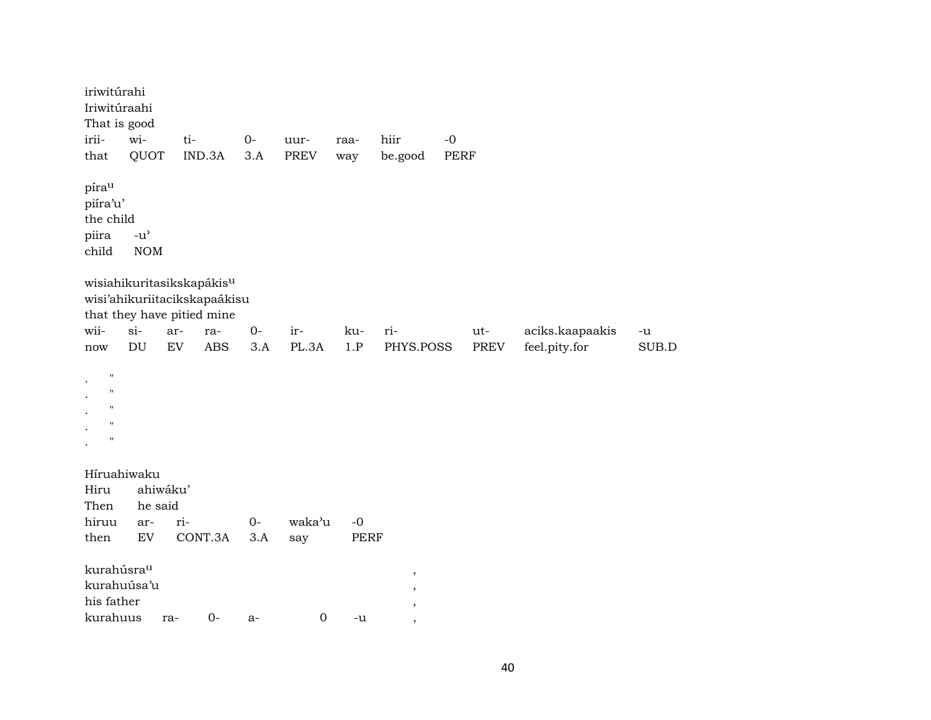iriwitúrahi Iriwitúraahi That is good irii- wi- ti- 0- uur- raa- hiir -0 that QUOT IND.3A 3.A PREV way be.good PERF píra<sup>u</sup> piíra'u' the child piira -u'<br>child NO NOM wisiahikuritasikskapákis<sup>u</sup> wisi'ahikuriitacikskapaákisu that they have pitied mine wii- si- ar- ra- 0- ir- ku- ri- ut- aciks.kaapaakis -u now DU EV ABS 3.A PL.3A 1.P PHYS.POSS PREV feel.pity.for SUB.D . " . " . " . " . " Híruahiwaku Hiru ahiwáku' he said hiruu ar- ri- 0- waka'u -0 then EV CONT.3A 3.A say PERF kurahúsraµ , kurahuúsa'u , his father , kurahuus ra- 0- a- 0 -u ,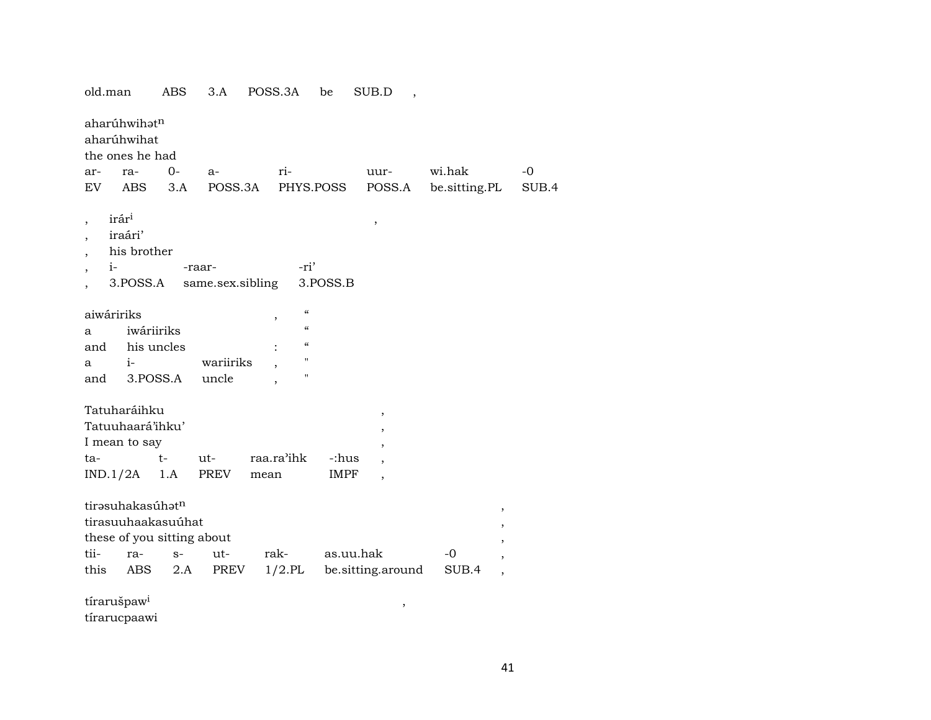| old.man                            |                                                | ABS                                                      | 3.A                |      | POSS.3A                                                                                  | be                | SUB.D                    |               |                |       |
|------------------------------------|------------------------------------------------|----------------------------------------------------------|--------------------|------|------------------------------------------------------------------------------------------|-------------------|--------------------------|---------------|----------------|-------|
|                                    | aharúhwihatn<br>aharúhwihat<br>the ones he had |                                                          |                    |      |                                                                                          |                   |                          |               |                |       |
| ar-                                | ra-                                            | $0 -$                                                    | $a-$               |      | ri-                                                                                      |                   | uur-                     | wi.hak        |                | -0    |
| EV                                 | ABS                                            | 3.A                                                      |                    |      |                                                                                          | POSS.3A PHYS.POSS | POSS.A                   | be.sitting.PL |                | SUB.4 |
| irár <sup>i</sup>                  | iraári'<br>his brother                         |                                                          |                    |      |                                                                                          |                   | ,                        |               |                |       |
| $i-$                               |                                                | -raar-                                                   |                    |      | -ri'                                                                                     |                   |                          |               |                |       |
|                                    | 3.POSS.A                                       |                                                          | same.sex.sibling   |      |                                                                                          | 3.POSS.B          |                          |               |                |       |
| aiwáririks<br>a<br>and<br>a<br>and | iwáriiriks<br>his uncles<br>$i-$<br>3.POSS.A   |                                                          | wariiriks<br>uncle |      | $\pmb{\zeta}\pmb{\zeta}$<br>,<br>$\epsilon\epsilon$<br>$\epsilon$<br>$\blacksquare$<br>Ħ |                   |                          |               |                |       |
|                                    | Tatuharáihku                                   |                                                          |                    |      |                                                                                          |                   |                          |               |                |       |
|                                    | Tatuuhaará'ihku'                               |                                                          |                    |      |                                                                                          |                   | $\, ,$                   |               |                |       |
|                                    | I mean to say                                  |                                                          |                    |      |                                                                                          |                   | $\, ,$                   |               |                |       |
| ta-                                |                                                | $t-$                                                     | $ut-$              |      | raa.ra'ihk                                                                               | -:hus             | ,                        |               |                |       |
|                                    | $IND.1/2A$ 1.A                                 |                                                          | PREV               | mean |                                                                                          | IMPF              |                          |               |                |       |
|                                    |                                                |                                                          |                    |      |                                                                                          |                   | $\overline{\phantom{a}}$ |               |                |       |
| tii-                               | tirəsuhakasúhət <sup>n</sup><br>ra-            | tirasuuhaakasuúhat<br>these of you sitting about<br>$S-$ | ut-                |      | rak-                                                                                     |                   | as.uu.hak                | -0            | ,<br>,<br>,    |       |
| this                               | ABS                                            | 2.A                                                      | PREV               |      | $1/2$ .PL                                                                                |                   | be.sitting.around        | SUB.4         | $\overline{ }$ |       |
|                                    |                                                |                                                          |                    |      |                                                                                          |                   |                          |               | ,              |       |

tírarušpaw<sup>i</sup>

tírarucpaawi

 $\overline{\phantom{a}}$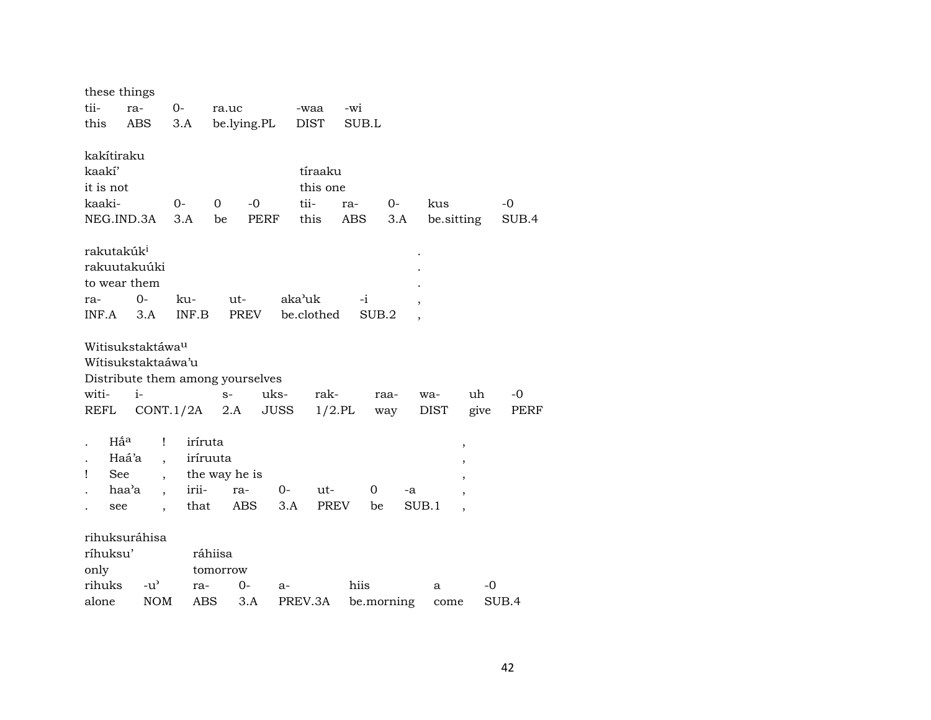| these things           |                                  |         |               |             |             |            |      |            |                          |             |
|------------------------|----------------------------------|---------|---------------|-------------|-------------|------------|------|------------|--------------------------|-------------|
| tii-                   | ra-                              | $O-$    | ra.uc         |             | -waa        | -wi        |      |            |                          |             |
| this                   | <b>ABS</b>                       | 3.A     |               | be.lying.PL | <b>DIST</b> | SUB.L      |      |            |                          |             |
|                        |                                  |         |               |             |             |            |      |            |                          |             |
| kakítiraku             |                                  |         |               |             |             |            |      |            |                          |             |
| kaakí'                 |                                  |         |               |             | tíraaku     |            |      |            |                          |             |
| it is not              |                                  |         |               |             | this one    |            |      |            |                          |             |
| kaaki-                 |                                  | 0-      | $\mathbf 0$   | $-0$        | tii-        | ra-        | 0-   | kus        |                          | $-0$        |
|                        | NEG.IND.3A 3.A                   |         | be            | PERF        | this        | ABS        | 3.A  | be sitting |                          | SUB.4       |
| rakutakúk <sup>i</sup> |                                  |         |               |             |             |            |      |            |                          |             |
|                        | rakuutakuúki                     |         |               |             |             |            |      |            |                          |             |
|                        |                                  |         |               |             |             |            |      |            |                          |             |
| to wear them           |                                  |         |               |             |             |            |      |            |                          |             |
| ra-                    | $0-$                             | ku-     | $ut-$         |             | aka'uk      | -i         |      |            |                          |             |
| INF.A                  | 3.A                              | INF.B   |               | PREV        | be.clothed  | SUB.2      |      |            |                          |             |
|                        | Witisukstaktáwa <sup>u</sup>     |         |               |             |             |            |      |            |                          |             |
|                        | Wítisukstaktaáwa'u               |         |               |             |             |            |      |            |                          |             |
|                        | Distribute them among yourselves |         |               |             |             |            |      |            |                          |             |
| witi-                  | $i-$                             |         | $S-$          | uks-        | rak-        |            | raa- | wa-        | uh                       | $-0$        |
| REFL                   | $CONT.1/2A$ 2.A                  |         |               | <b>JUSS</b> | $1/2.$ PL   |            | way  | DIST       | give                     | <b>PERF</b> |
|                        |                                  |         |               |             |             |            |      |            |                          |             |
| Hấ <sup>a</sup>        | Ţ                                | iríruta |               |             |             |            |      |            | $\, ,$                   |             |
|                        | Haá'a<br>$\ddot{\phantom{a}}$    |         | iríruuta      |             |             |            |      |            | ,                        |             |
| 1<br>See               |                                  |         | the way he is |             |             |            |      |            | $\overline{\phantom{a}}$ |             |
|                        | haa'a<br>$\ddot{\phantom{0}}$    | irii-   | ra-           | $0-$        | ut-         | 0          |      | -a         |                          |             |
| see                    | $\ddot{\phantom{0}}$             | that    |               | ABS<br>3.A  | PREV        | be         |      | SUB.1      | $\cdot$                  |             |
|                        |                                  |         |               |             |             |            |      |            |                          |             |
|                        | rihuksuráhisa                    |         |               |             |             |            |      |            |                          |             |
| ríhuksu'               |                                  |         | ráhiisa       |             |             |            |      |            |                          |             |
| only                   |                                  |         | tomorrow      |             |             |            |      |            |                          |             |
| rihuks                 | $-u^{\prime}$                    | ra-     | $0-$          | a-          |             | hiis       |      | a          | -0                       |             |
| alone                  | <b>NOM</b>                       | ABS     |               | 3.A         | PREV.3A     | be.morning |      | come       |                          | SUB.4       |
|                        |                                  |         |               |             |             |            |      |            |                          |             |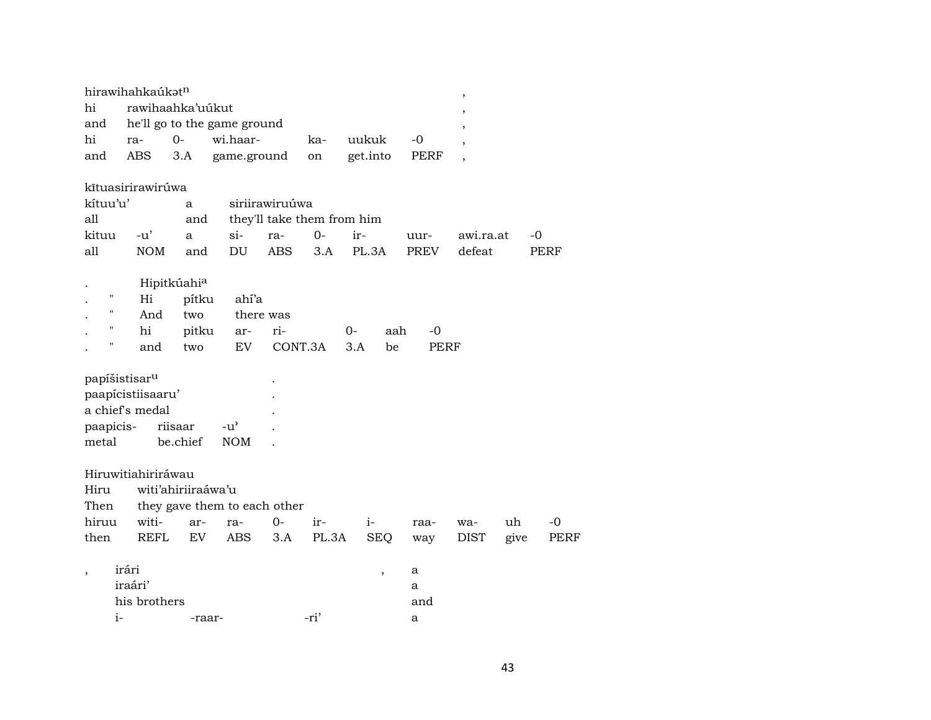|                    | hirawihahkaúkət <sup>n</sup> |                         |                              |                |                            |                          |      | ,                        |      |             |
|--------------------|------------------------------|-------------------------|------------------------------|----------------|----------------------------|--------------------------|------|--------------------------|------|-------------|
| hi                 | rawihaahka'uúkut             |                         |                              |                |                            |                          |      | $\overline{\phantom{a}}$ |      |             |
| and                |                              |                         | he'll go to the game ground  |                |                            |                          |      | ,                        |      |             |
| hi                 | ra-                          | $0-$                    | wi.haar-                     |                | ka-                        | uukuk                    | $-0$ | $\overline{\phantom{a}}$ |      |             |
| and                | ABS                          | 3.A                     | game.ground                  |                | on                         | get.into                 | PERF | $\overline{\phantom{a}}$ |      |             |
|                    |                              |                         |                              |                |                            |                          |      |                          |      |             |
|                    | kītuasirirawirúwa            |                         |                              |                |                            |                          |      |                          |      |             |
| kítuu'u'           |                              | a                       |                              | siriirawiruúwa |                            |                          |      |                          |      |             |
| all                |                              | and                     |                              |                | they'll take them from him |                          |      |                          |      |             |
| kituu              | $-u'$                        | a                       | $\sin$                       | ra-            | $0-$                       | ir-                      | uur- | awi.ra.at                |      | -0          |
| all                | <b>NOM</b>                   | and                     | DU                           | <b>ABS</b>     | 3.A                        | PL.3A                    | PREV | defeat                   |      | PERF        |
|                    |                              |                         |                              |                |                            |                          |      |                          |      |             |
|                    |                              | Hipitkúahi <sup>a</sup> |                              |                |                            |                          |      |                          |      |             |
| 11                 | Hi                           | pítku                   | ahí'a                        |                |                            |                          |      |                          |      |             |
| $\pmb{\mathsf{H}}$ | And                          | two                     |                              | there was      |                            |                          |      |                          |      |             |
|                    | hi                           | pitku                   | ar-                          | ri-            |                            | $0-$<br>aah              | -0   |                          |      |             |
| п                  | and                          | two                     | EV                           |                | CONT.3A                    | 3.A<br>be                | PERF |                          |      |             |
|                    |                              |                         |                              |                |                            |                          |      |                          |      |             |
|                    | papíšistisar <sup>u</sup>    |                         |                              |                |                            |                          |      |                          |      |             |
|                    | paapícistiisaaru'            |                         |                              |                |                            |                          |      |                          |      |             |
|                    | a chief's medal              |                         |                              |                |                            |                          |      |                          |      |             |
|                    |                              |                         |                              |                |                            |                          |      |                          |      |             |
| paapicis-          |                              | riisaar                 | $-u^{\prime}$                |                |                            |                          |      |                          |      |             |
| metal              |                              | be.chief                | <b>NOM</b>                   |                |                            |                          |      |                          |      |             |
|                    |                              |                         |                              |                |                            |                          |      |                          |      |             |
|                    | Hiruwitiahiriráwau           |                         |                              |                |                            |                          |      |                          |      |             |
| Hiru               |                              | witi'ahiriiraáwa'u      |                              |                |                            |                          |      |                          |      |             |
| Then               |                              |                         | they gave them to each other |                |                            |                          |      |                          |      |             |
| hiruu              | witi-                        | ar-                     | ra-                          | 0-             | ir-                        | $i-$                     | raa- | wa-                      | uh   | -0          |
| then               | <b>REFL</b>                  | EV                      | <b>ABS</b>                   | 3.A            | PL.3A                      | <b>SEQ</b>               | way  | <b>DIST</b>              | give | <b>PERF</b> |
|                    |                              |                         |                              |                |                            |                          |      |                          |      |             |
|                    | irári                        |                         |                              |                |                            | $\overline{\phantom{a}}$ | a    |                          |      |             |
|                    | iraári'                      |                         |                              |                |                            |                          | a    |                          |      |             |
|                    | his brothers                 |                         |                              |                |                            |                          | and  |                          |      |             |
| $i-$               |                              |                         | -raar-                       |                | -ri'                       |                          | a    |                          |      |             |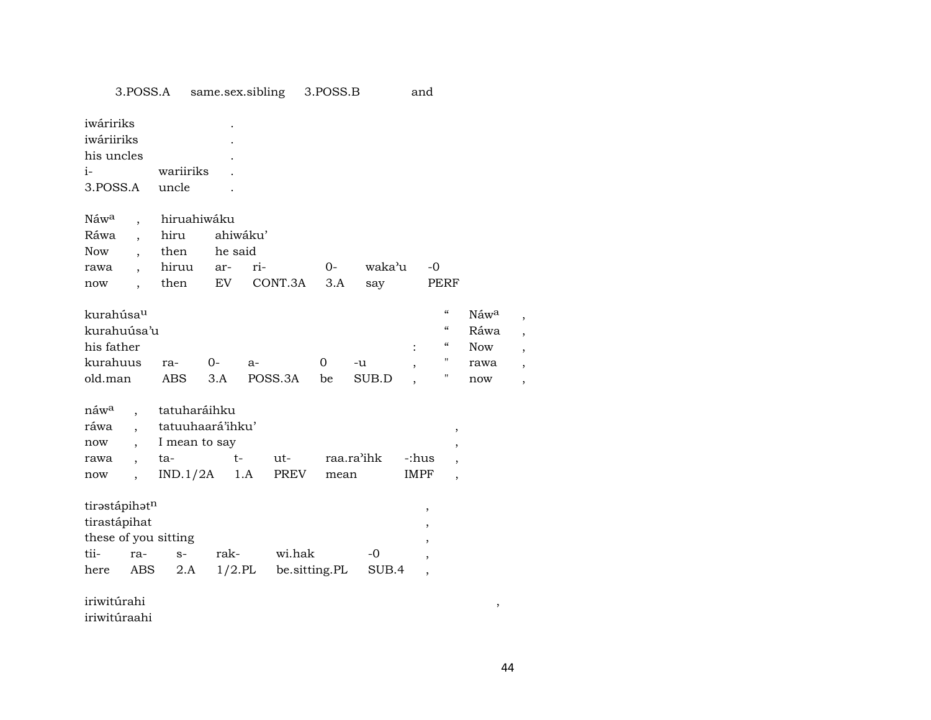|                                                                       | 3.POSS.A                                                                     |                                                                      | same.sex.sibling                 |               |                                | 3.POSS.B       |               | and                           |                                                                                                                                        |                                                       |             |
|-----------------------------------------------------------------------|------------------------------------------------------------------------------|----------------------------------------------------------------------|----------------------------------|---------------|--------------------------------|----------------|---------------|-------------------------------|----------------------------------------------------------------------------------------------------------------------------------------|-------------------------------------------------------|-------------|
| iwáririks<br>iwáriiriks<br>his uncles<br>$i-$<br>3.POSS.A             |                                                                              | wariiriks<br>uncle                                                   |                                  |               |                                |                |               |                               |                                                                                                                                        |                                                       |             |
| Náw <sup>a</sup><br>Ráwa<br>Now<br>rawa<br>now                        | $\ddot{\phantom{0}}$<br>$\overline{\phantom{a}}$<br>$\overline{\phantom{a}}$ | hiruahiwáku<br>hiru<br>then<br>hiruu<br>then                         | ahiwáku'<br>he said<br>ar-<br>EV | ri-           | CONT.3A                        | $0-$<br>3.A    | waka'u<br>say |                               | -0<br>PERF                                                                                                                             |                                                       |             |
| kurahúsau<br>kurahuúsa'u<br>his father<br>kurahuus<br>old.man         |                                                                              | ra-<br><b>ABS</b>                                                    | $0-$<br>3.A                      | a-<br>POSS.3A |                                | $\Omega$<br>be | -u<br>SUB.D   |                               | $\boldsymbol{\zeta}\boldsymbol{\zeta}$<br>$\boldsymbol{\zeta}\boldsymbol{\zeta}$<br>$\boldsymbol{\zeta}\boldsymbol{\zeta}$<br>н.<br>11 | Náw <sup>a</sup><br>Ráwa<br><b>Now</b><br>rawa<br>now | ,<br>,<br>, |
| náw <sup>a</sup><br>ráwa<br>now<br>rawa<br>now                        | $\overline{a}$<br>$\overline{\phantom{a}}$<br>$\overline{\phantom{a}}$       | tatuharáihku<br>tatuuhaará'ihku'<br>I mean to say<br>ta-<br>IND.1/2A | $t-$                             | 1.A           | ut-<br>PREV                    | mean           | raa.ra'ihk    | -:hus<br>IMPF                 | $\, ,$<br>,<br>$\overline{\phantom{a}}$<br>$\overline{\phantom{a}}$                                                                    |                                                       |             |
| tirastápihatn<br>tirastápihat<br>these of you sitting<br>tii-<br>here | ra-<br>ABS                                                                   | $S-$<br>2.A                                                          | rak-                             |               | wi.hak<br>1/2.PL be.sitting.PL |                | $-0$<br>SUB.4 | ,<br>$\overline{\phantom{a}}$ |                                                                                                                                        |                                                       |             |
| iriwitúrahi                                                           |                                                                              |                                                                      |                                  |               |                                |                |               |                               |                                                                                                                                        | ,                                                     |             |

iriwitúraahi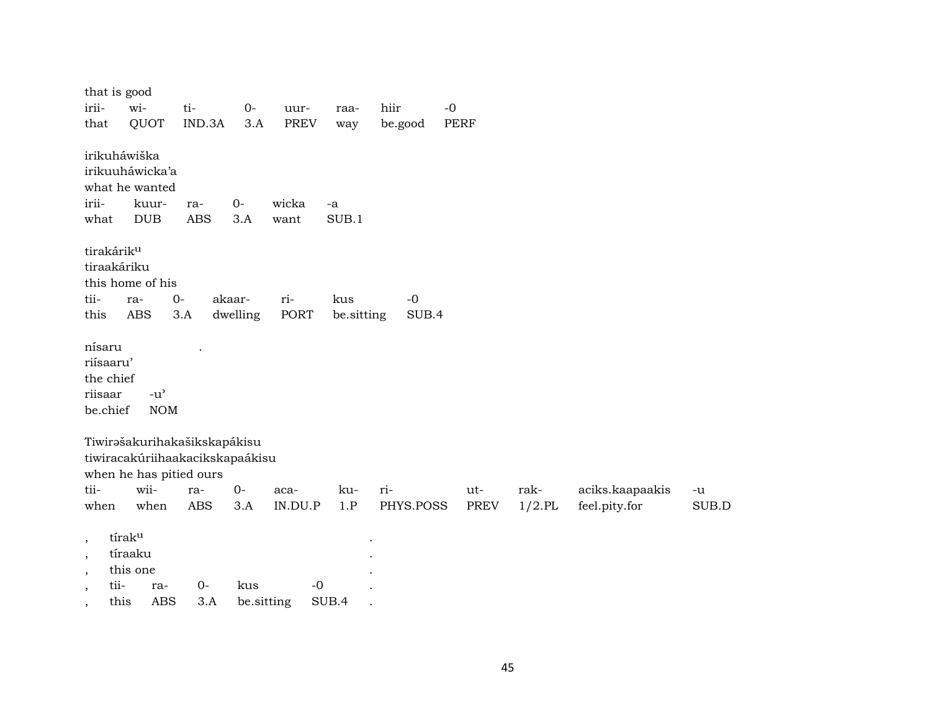| irii-<br>that                                           | that is good<br>wi-                                                            | QUOT                                              | ti-<br>IND.3A                                                                                                   | $O -$<br>3.A       | uur-<br><b>PREV</b> | raa-<br>way       | hiir<br>be.good  | $-0$<br>PERF |                   |                                  |               |
|---------------------------------------------------------|--------------------------------------------------------------------------------|---------------------------------------------------|-----------------------------------------------------------------------------------------------------------------|--------------------|---------------------|-------------------|------------------|--------------|-------------------|----------------------------------|---------------|
| irii-<br>what                                           | irikuháwiška<br>irikuuháwicka'a<br>what he wanted                              | kuur-<br><b>DUB</b>                               | ra-<br><b>ABS</b>                                                                                               | $0-$<br>3.A        | wicka<br>want       | -a<br>SUB.1       |                  |              |                   |                                  |               |
| tii-<br>this                                            | tirakárik <sup>u</sup><br>tiraakáriku<br>this home of his<br>ra-<br><b>ABS</b> |                                                   | $0-$<br>3.A                                                                                                     | akaar-<br>dwelling | ri-<br>PORT         | kus<br>be.sitting | $-0$<br>SUB.4    |              |                   |                                  |               |
| nísaru<br>riísaaru'<br>the chief<br>riisaar<br>be.chief |                                                                                | $-u$ <sup><math>\prime</math></sup><br><b>NOM</b> |                                                                                                                 |                    |                     |                   |                  |              |                   |                                  |               |
| tii-<br>when                                            |                                                                                | wii-<br>when                                      | Tiwirašakurihakašikskapákisu<br>tiwiracakúriihaakacikskapaákisu<br>when he has pitied ours<br>ra-<br><b>ABS</b> | $0-$<br>3.A        | aca-<br>IN.DU.P     | ku-<br>1.P        | ri-<br>PHYS.POSS | ut-<br>PREV  | rak-<br>$1/2$ .PL | aciks.kaapaakis<br>feel.pity.for | $-u$<br>SUB.D |
| $\,$<br>$\,$<br>$\, ,$<br>$\cdot$                       | tíraku<br>tíraaku<br>this one<br>tii-<br>this                                  | ra-<br><b>ABS</b>                                 | $0-$<br>3.A                                                                                                     | kus<br>be.sitting  | $-0$                | SUB.4             |                  |              |                   |                                  |               |

45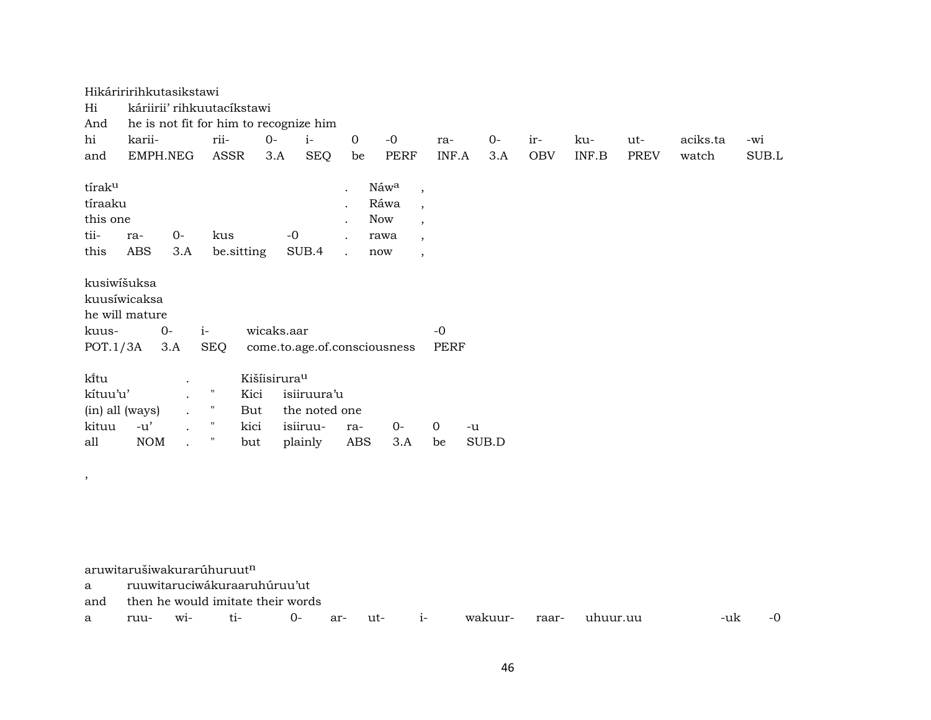|                                                           | Hikáriririhkutasikstawi        |                      |            |                                  |                                        |                      |                                                                                                                                                                 |             |       |     |       |             |          |       |
|-----------------------------------------------------------|--------------------------------|----------------------|------------|----------------------------------|----------------------------------------|----------------------|-----------------------------------------------------------------------------------------------------------------------------------------------------------------|-------------|-------|-----|-------|-------------|----------|-------|
| Hi                                                        | káriirii' rihkuutacíkstawi     |                      |            |                                  |                                        |                      |                                                                                                                                                                 |             |       |     |       |             |          |       |
| And                                                       |                                |                      |            |                                  | he is not fit for him to recognize him |                      |                                                                                                                                                                 |             |       |     |       |             |          |       |
| hi                                                        | karii-                         |                      | rii-       | $O -$                            | $i-$                                   | $\overline{0}$       | $-0$                                                                                                                                                            | ra-         | $0-$  | ir- | ku-   | ut-         | aciks.ta | -wi   |
| and                                                       | EMPH.NEG                       |                      | ASSR       | 3.A                              | <b>SEQ</b>                             | be                   | <b>PERF</b>                                                                                                                                                     | INF.A       | 3.A   | OBV | INF.B | <b>PREV</b> | watch    | SUB.L |
| tírak <sup>u</sup><br>tíraaku<br>this one<br>tii-<br>this | ra-<br>ABS                     | $0-$<br>3.A          | kus        | be sitting                       | $-0$<br>SUB.4                          | $\ddot{\phantom{a}}$ | Náw <sup>a</sup><br>$\cdot$<br>Ráwa<br>$\overline{\phantom{a}}$<br>Now<br>$\overline{\phantom{a}}$<br>rawa<br>$\overline{\phantom{a}}$<br>now<br>$\overline{ }$ |             |       |     |       |             |          |       |
| kusiwišuksa                                               | kuusíwicaksa<br>he will mature |                      |            |                                  |                                        |                      |                                                                                                                                                                 |             |       |     |       |             |          |       |
| kuus-                                                     | $0-$                           |                      | $i-$       | wicaks.aar                       |                                        |                      |                                                                                                                                                                 | $-0$        |       |     |       |             |          |       |
| POT.1/3A                                                  |                                | 3.A                  | <b>SEQ</b> |                                  | come.to.age.of.consciousness           |                      |                                                                                                                                                                 | PERF        |       |     |       |             |          |       |
| ki̇̃tu<br>kítuu'u'                                        |                                | $\blacksquare$       | Π          | Kišíisirura <sup>u</sup><br>Kici | isiiruura'u                            |                      |                                                                                                                                                                 |             |       |     |       |             |          |       |
| (in) all (ways)                                           |                                |                      | Ħ          | But                              | the noted one                          |                      |                                                                                                                                                                 |             |       |     |       |             |          |       |
| kituu                                                     | $-u'$                          | $\ddot{\phantom{a}}$ | Ħ          | kici                             | isiiruu-                               | ra-                  | $0-$                                                                                                                                                            | $\mathbf 0$ | -u    |     |       |             |          |       |
|                                                           |                                |                      | Π          |                                  |                                        |                      |                                                                                                                                                                 |             |       |     |       |             |          |       |
| all                                                       | <b>NOM</b>                     |                      |            | but                              | plainly                                | ABS                  | 3.A                                                                                                                                                             | be          | SUB.D |     |       |             |          |       |

aruwitarušiwakurarúhuruut $^{\rm n}$ 

,

a ruuwitaruciwákuraaruhúruu'ut

and then he would imitate their words

a ruu- wi- ti- 0- ar- ut- i- wakuur- raar- uhuur.uu -uk -0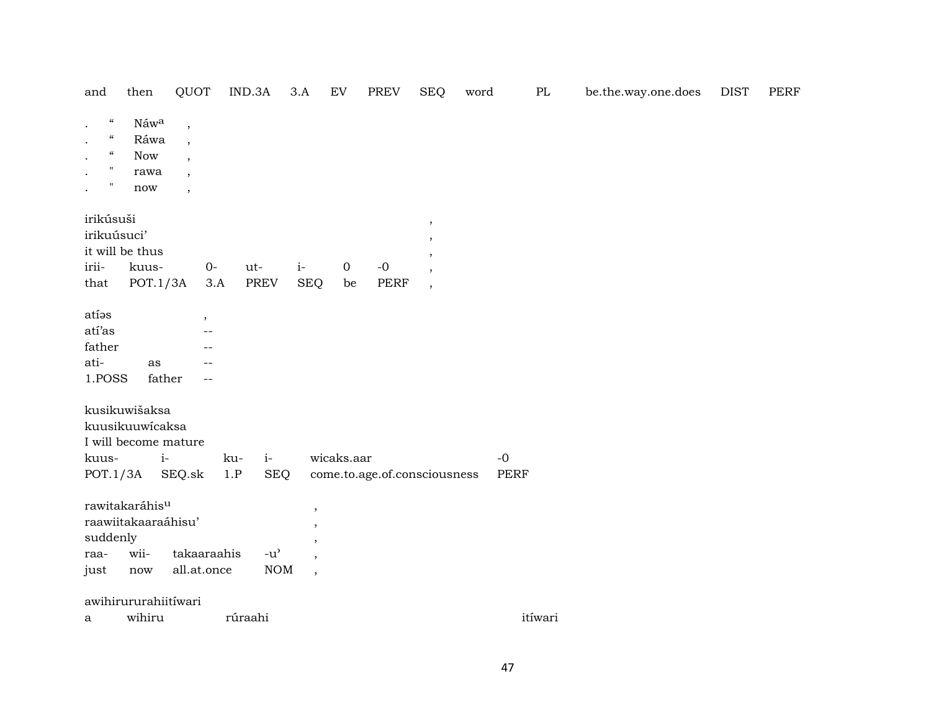| and                                                                                                                                                                                            | then                                                  | QUOT                     |             | IND.3A                              | 3.A                      | EV          | PREV                         | <b>SEQ</b>               | word | PL          | be.the.way.one.does | <b>DIST</b> | PERF |
|------------------------------------------------------------------------------------------------------------------------------------------------------------------------------------------------|-------------------------------------------------------|--------------------------|-------------|-------------------------------------|--------------------------|-------------|------------------------------|--------------------------|------|-------------|---------------------|-------------|------|
| $\boldsymbol{\mathcal{C}}$<br>$\bullet$<br>$\mathcal{C}\mathcal{C}$<br>$\bullet$<br>$\mathcal{C}\mathcal{C}$<br>$\bullet$<br>$\mathbf{H}$<br>$\bullet$<br>$\mathbf{H}$<br>$\ddot{\phantom{a}}$ | Náw <sup>a</sup><br>Ráwa<br><b>Now</b><br>rawa<br>now | $\overline{\phantom{a}}$ |             |                                     |                          |             |                              |                          |      |             |                     |             |      |
| irikúsuši                                                                                                                                                                                      |                                                       |                          |             |                                     |                          |             |                              | $\cdot$                  |      |             |                     |             |      |
| irikuúsuci'                                                                                                                                                                                    |                                                       |                          |             |                                     |                          |             |                              |                          |      |             |                     |             |      |
|                                                                                                                                                                                                | it will be thus                                       |                          |             |                                     |                          |             |                              |                          |      |             |                     |             |      |
| irii-                                                                                                                                                                                          | kuus-                                                 |                          | $0-$        | ut-                                 | $\it i$ -                | $\mathbf 0$ | $\mbox{-}0$                  | $\overline{\phantom{a}}$ |      |             |                     |             |      |
| that                                                                                                                                                                                           | POT.1/3A                                              |                          | 3.A         | PREV                                | <b>SEQ</b>               | be          | PERF                         | $\overline{\phantom{a}}$ |      |             |                     |             |      |
| atíos                                                                                                                                                                                          |                                                       |                          | $\,$        |                                     |                          |             |                              |                          |      |             |                     |             |      |
| atí'as                                                                                                                                                                                         |                                                       |                          |             |                                     |                          |             |                              |                          |      |             |                     |             |      |
| father                                                                                                                                                                                         |                                                       |                          |             |                                     |                          |             |                              |                          |      |             |                     |             |      |
| ati-                                                                                                                                                                                           | as                                                    |                          |             |                                     |                          |             |                              |                          |      |             |                     |             |      |
| 1.POSS                                                                                                                                                                                         | father                                                |                          |             |                                     |                          |             |                              |                          |      |             |                     |             |      |
|                                                                                                                                                                                                | kusikuwišaksa                                         |                          |             |                                     |                          |             |                              |                          |      |             |                     |             |      |
|                                                                                                                                                                                                | kuusikuuwicaksa                                       |                          |             |                                     |                          |             |                              |                          |      |             |                     |             |      |
|                                                                                                                                                                                                | I will become mature                                  |                          |             |                                     |                          |             |                              |                          |      |             |                     |             |      |
| kuus-                                                                                                                                                                                          | $i-$                                                  |                          | ku-         | $i-$                                |                          | wicaks.aar  |                              |                          | $-0$ |             |                     |             |      |
| POT.1/3A                                                                                                                                                                                       |                                                       | SEQ.sk                   | 1.P         | <b>SEQ</b>                          |                          |             | come.to.age.of.consciousness |                          |      | <b>PERF</b> |                     |             |      |
|                                                                                                                                                                                                | rawitakaráhis <sup>u</sup>                            |                          |             |                                     | $\overline{\phantom{a}}$ |             |                              |                          |      |             |                     |             |      |
|                                                                                                                                                                                                | raawiitakaaraáhisu'                                   |                          |             |                                     |                          |             |                              |                          |      |             |                     |             |      |
| suddenly                                                                                                                                                                                       |                                                       |                          |             |                                     |                          |             |                              |                          |      |             |                     |             |      |
| raa-                                                                                                                                                                                           | wii-                                                  |                          | takaaraahis | $-u$ <sup><math>\prime</math></sup> | $\overline{\phantom{a}}$ |             |                              |                          |      |             |                     |             |      |
| just                                                                                                                                                                                           | now                                                   |                          | all.at.once | $\rm{NOM}$                          | $\overline{\phantom{a}}$ |             |                              |                          |      |             |                     |             |      |
|                                                                                                                                                                                                | awihirururahiitíwari                                  |                          |             |                                     |                          |             |                              |                          |      |             |                     |             |      |
| a                                                                                                                                                                                              | wihiru                                                |                          |             | rúraahi                             |                          |             |                              |                          |      | itíwari     |                     |             |      |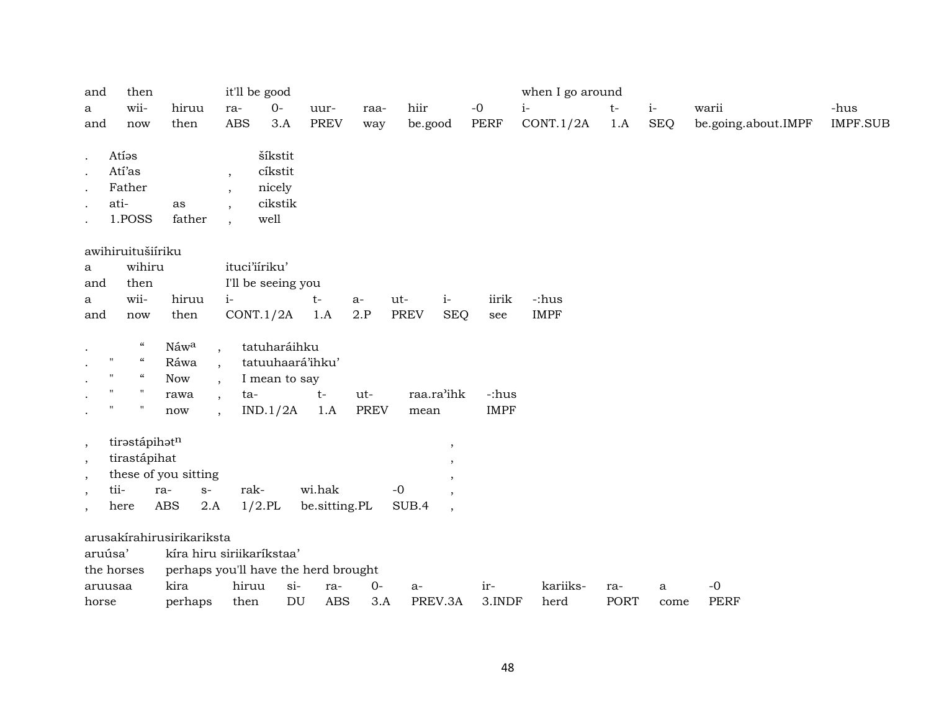| and<br>a<br>and                                | then<br>wii-<br>now                              | hiruu<br>then             | ra-                                                  | it'll be good<br>$O -$<br><b>ABS</b><br>3.A     |       | uur-<br><b>PREV</b> | raa-<br>way | hiir<br>be.good |                          | $-0$<br>PERF | when I go around<br>$i-$<br>CONT.1/2A | $t-$<br>1.A | $i-$ | <b>SEQ</b> | warii<br>be.going.about.IMPF | -hus<br><b>IMPF.SUB</b> |
|------------------------------------------------|--------------------------------------------------|---------------------------|------------------------------------------------------|-------------------------------------------------|-------|---------------------|-------------|-----------------|--------------------------|--------------|---------------------------------------|-------------|------|------------|------------------------------|-------------------------|
| $\bullet$<br>$\ddot{\phantom{a}}$<br>$\bullet$ | Atias<br>Atí'as<br>Father<br>ati-<br>1.POSS      | as<br>father              | $\overline{\phantom{a}}$<br>$\overline{\phantom{a}}$ | šíkstit<br>cíkstit<br>nicely<br>cikstik<br>well |       |                     |             |                 |                          |              |                                       |             |      |            |                              |                         |
|                                                | awihiruitušiíriku                                |                           |                                                      |                                                 |       |                     |             |                 |                          |              |                                       |             |      |            |                              |                         |
| a                                              | wihiru                                           |                           |                                                      | ituci'iiriku'                                   |       |                     |             |                 |                          |              |                                       |             |      |            |                              |                         |
| and                                            | then                                             |                           |                                                      | I'll be seeing you                              |       |                     |             |                 |                          |              |                                       |             |      |            |                              |                         |
| a                                              | wii-                                             | hiruu                     | $i-$                                                 |                                                 |       | $t-$                | a-          | ut-             | $i-$                     | iirik        | -:hus                                 |             |      |            |                              |                         |
| and                                            | now                                              | then                      |                                                      | CONT.1/2A                                       |       | 1.A                 | 2.P         | <b>PREV</b>     | <b>SEQ</b>               | see          | <b>IMPF</b>                           |             |      |            |                              |                         |
| $\bullet$                                      | $\boldsymbol{\mathcal{C}}$                       | Náwa                      | $\overline{\phantom{a}}$                             | tatuharáihku                                    |       |                     |             |                 |                          |              |                                       |             |      |            |                              |                         |
|                                                | $\boldsymbol{\mathcal{C}}$<br>$\pmb{\mathsf{H}}$ | Ráwa                      | $\overline{\phantom{a}}$                             | tatuuhaará'ihku'                                |       |                     |             |                 |                          |              |                                       |             |      |            |                              |                         |
|                                                | $\mathcal{C}\mathcal{C}$<br>$^{\prime\prime}$    | Now                       |                                                      | I mean to say                                   |       |                     |             |                 |                          |              |                                       |             |      |            |                              |                         |
|                                                | $^{\prime\prime}$<br>$\pmb{\mathsf{H}}$          | rawa                      | $\overline{\phantom{a}}$                             | ta-                                             |       | $t-$                | ut-         |                 | raa.ra'ihk               | -:hus        |                                       |             |      |            |                              |                         |
|                                                | $^{\prime\prime}$<br>$^{\prime\prime}$           | now                       | $\cdot$                                              | IND.1/2A                                        |       | 1.A                 | <b>PREV</b> | mean            |                          | <b>IMPF</b>  |                                       |             |      |            |                              |                         |
|                                                | tirastápihatn                                    |                           |                                                      |                                                 |       |                     |             |                 |                          |              |                                       |             |      |            |                              |                         |
| $^\circ$<br>$\,$                               | tirastápihat                                     |                           |                                                      |                                                 |       |                     |             |                 | ,                        |              |                                       |             |      |            |                              |                         |
| $\overline{\phantom{a}}$                       |                                                  | these of you sitting      |                                                      |                                                 |       |                     |             |                 |                          |              |                                       |             |      |            |                              |                         |
| $\overline{\phantom{a}}$                       | tii-                                             | ra-<br>$S-$               |                                                      | rak-                                            |       | wi.hak              |             | $-0$            |                          |              |                                       |             |      |            |                              |                         |
| $\overline{\phantom{a}}$                       | here                                             | <b>ABS</b>                | 2.A                                                  | $1/2$ .PL                                       |       | be.sitting.PL       |             | SUB.4           | $\overline{\phantom{a}}$ |              |                                       |             |      |            |                              |                         |
|                                                |                                                  | arusakírahirusirikariksta |                                                      |                                                 |       |                     |             |                 |                          |              |                                       |             |      |            |                              |                         |
|                                                | aruúsa'                                          |                           |                                                      | kíra hiru siriikaríkstaa'                       |       |                     |             |                 |                          |              |                                       |             |      |            |                              |                         |
|                                                | the horses                                       |                           |                                                      | perhaps you'll have the herd brought            |       |                     |             |                 |                          |              |                                       |             |      |            |                              |                         |
|                                                | aruusaa                                          | kira                      |                                                      | hiruu                                           | $si-$ | ra-                 | $O -$       | $a-$            |                          | ir-          | kariiks-                              | ra-         |      | a          | $-0$                         |                         |
| horse                                          |                                                  | perhaps                   |                                                      | then                                            | DU    | <b>ABS</b>          | 3.A         |                 | PREV.3A                  | 3.INDF       | herd                                  | <b>PORT</b> |      | come       | <b>PERF</b>                  |                         |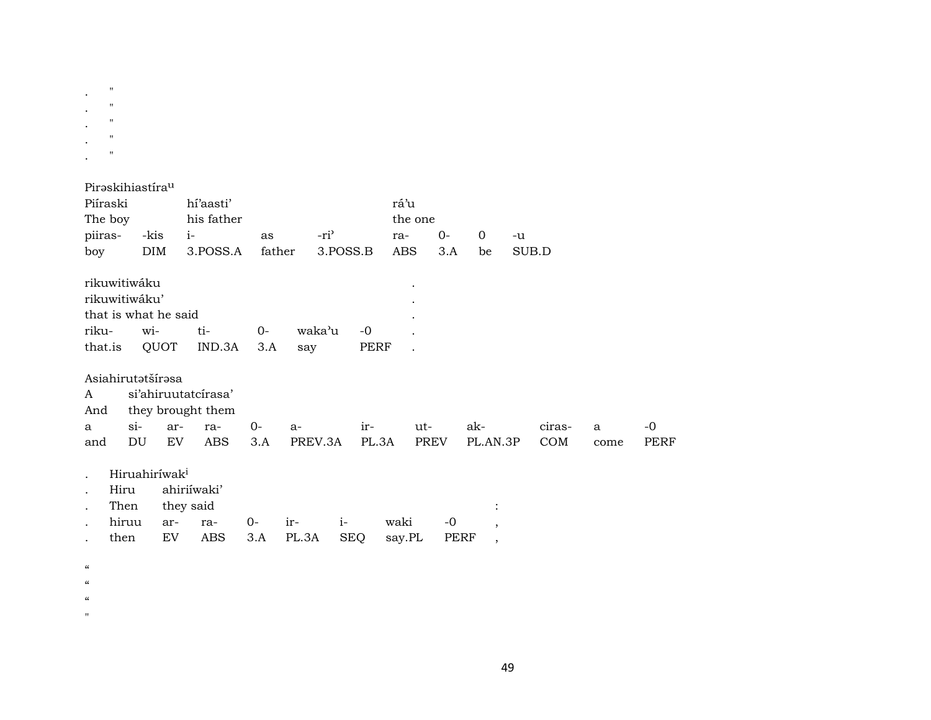|                  | $\pmb{\mathsf{H}}$<br>$\mathbf{H}$<br>11<br>$\mathbf{H}$<br>$\mathbf{H}$ |             |                                 |              |                  |                     |            |             |          |        |              |             |
|------------------|--------------------------------------------------------------------------|-------------|---------------------------------|--------------|------------------|---------------------|------------|-------------|----------|--------|--------------|-------------|
|                  | Piraskihiastíra <sup>u</sup>                                             |             |                                 |              |                  |                     |            |             |          |        |              |             |
| Piíraski         |                                                                          |             | hí'aasti'                       |              |                  |                     | rá'u       |             |          |        |              |             |
| The boy          |                                                                          |             | his father                      |              |                  |                     | the one    |             |          |        |              |             |
| piiras-          |                                                                          | -kis        | $i-$                            | as           | -ri <sup>3</sup> |                     | ra-        | $0-$        | $\Omega$ | -u     |              |             |
| boy              |                                                                          | <b>DIM</b>  | 3.POSS.A                        | father       | 3.POSS.B         |                     | <b>ABS</b> | 3.A         | be       | SUB.D  |              |             |
| riku-<br>that.is | rikuwitiwáku<br>rikuwitiwáku'<br>that is what he said                    | wi-<br>QUOT | ti-<br>IND.3A                   | $O -$<br>3.A | waka'u<br>say    | $-0$<br><b>PERF</b> |            |             |          |        |              |             |
|                  | Asiahirutatšírasa                                                        |             |                                 |              |                  |                     |            |             |          |        |              |             |
| A                |                                                                          |             | si'ahiruutatcírasa'             |              |                  |                     |            |             |          |        |              |             |
| And              |                                                                          |             | they brought them               |              |                  |                     |            |             |          |        |              |             |
| a                | $si-$                                                                    | ar-         | ra-                             | $0-$         | a-               | ir-                 | ut-        |             | ak-      | ciras- | $\mathbf{a}$ | $-0$        |
| and              | DU                                                                       | EV          | <b>ABS</b>                      | 3.A          | PREV.3A          | PL.3A               |            | <b>PREV</b> | PL.AN.3P | COM    | come         | <b>PERF</b> |
|                  | Hiruahiríwak <sup>i</sup><br>Hiru<br>Then<br>hiruu                       | ar-         | ahiriíwaki'<br>they said<br>ra- | $0-$         | $i-$<br>ir-      |                     | waki       | $-0$        |          |        |              |             |
|                  |                                                                          |             |                                 |              |                  |                     |            |             | ,        |        |              |             |

3.A PL.3A SEQ say.PL PERF,

 $\alpha$ 

 $\ddot{\phantom{a}}$ 

- $\boldsymbol{\mathfrak{c}}$
- $\alpha$

then

 $\mathbf{u}^{\pm}$ 

 $\mathop{\rm EV}\nolimits$ 

ABS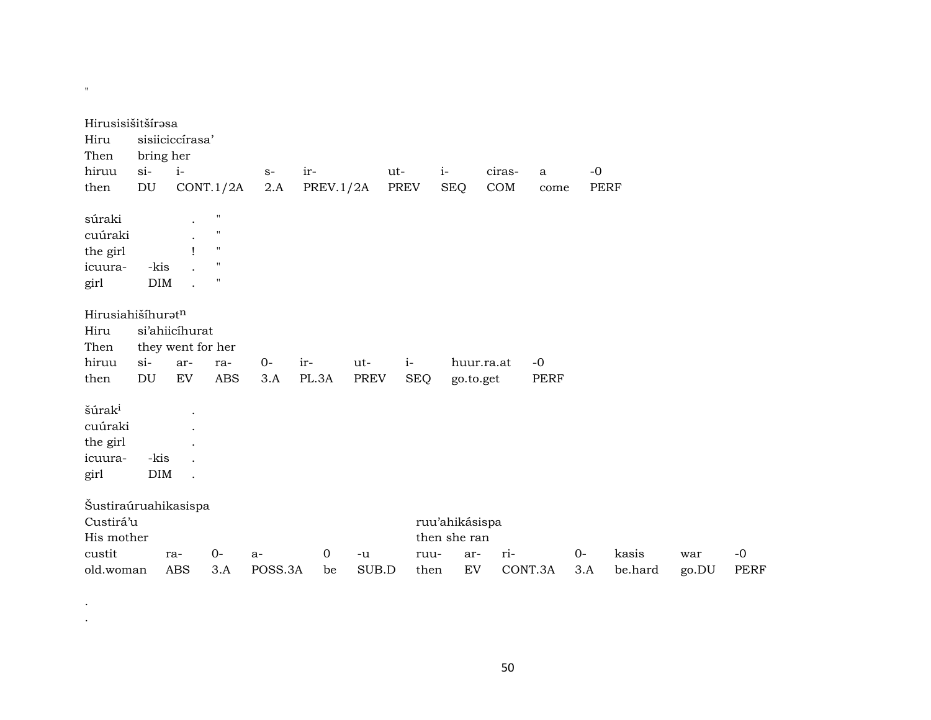| Hirusisišitšírasa<br>Hiru<br>Then |            | sisiiciccírasa'<br>bring her |                    |         |           |             |             |                |            |         |      |             |       |             |
|-----------------------------------|------------|------------------------------|--------------------|---------|-----------|-------------|-------------|----------------|------------|---------|------|-------------|-------|-------------|
| hiruu                             | $si-$      | $i-$                         |                    | $S-$    | ir-       |             | ut-         | $i-$           | ciras-     | a       | $-0$ |             |       |             |
| then                              | DU         |                              | CONT.1/2A          | 2.A     | PREV.1/2A |             | <b>PREV</b> | <b>SEQ</b>     | COM        | come    |      | <b>PERF</b> |       |             |
| súraki                            |            | $\ddot{\phantom{0}}$         | $\pmb{\mathsf{H}}$ |         |           |             |             |                |            |         |      |             |       |             |
| cuúraki                           |            |                              | $\mathbf{H}$       |         |           |             |             |                |            |         |      |             |       |             |
| the girl                          |            |                              | $\mathbf{H}$       |         |           |             |             |                |            |         |      |             |       |             |
| icuura-                           | -kis       |                              | $\pmb{\mathsf{H}}$ |         |           |             |             |                |            |         |      |             |       |             |
| girl                              | <b>DIM</b> |                              | $\pmb{\mathsf{H}}$ |         |           |             |             |                |            |         |      |             |       |             |
| Hirusiahišíhuratn                 |            |                              |                    |         |           |             |             |                |            |         |      |             |       |             |
| Hiru                              |            | si'ahiicíhurat               |                    |         |           |             |             |                |            |         |      |             |       |             |
| Then                              |            | they went for her            |                    |         |           |             |             |                |            |         |      |             |       |             |
| hiruu                             | $si$ -     | ar-                          | ra-                | $0-$    | ir-       | ut-         | $i-$        |                | huur.ra.at | $-0$    |      |             |       |             |
| then                              | <b>DU</b>  | EV                           | <b>ABS</b>         | 3.A     | PL.3A     | <b>PREV</b> | <b>SEQ</b>  | go.to.get      |            | PERF    |      |             |       |             |
| šúrak <sup>i</sup>                |            |                              |                    |         |           |             |             |                |            |         |      |             |       |             |
| cuúraki                           |            |                              |                    |         |           |             |             |                |            |         |      |             |       |             |
| the girl                          |            |                              |                    |         |           |             |             |                |            |         |      |             |       |             |
| icuura-                           | -kis       |                              |                    |         |           |             |             |                |            |         |      |             |       |             |
| girl                              | <b>DIM</b> |                              |                    |         |           |             |             |                |            |         |      |             |       |             |
| Šustiraúruahikasispa              |            |                              |                    |         |           |             |             |                |            |         |      |             |       |             |
| Custirá'u                         |            |                              |                    |         |           |             |             | ruu'ahikásispa |            |         |      |             |       |             |
| His mother                        |            |                              |                    |         |           |             |             | then she ran   |            |         |      |             |       |             |
| custit                            |            | ra-                          | $0-$               | $a-$    | 0         | $-u$        | ruu-        | ar-            | ri-        |         | $0-$ | kasis       | war   | $-0$        |
| old.woman                         |            | <b>ABS</b>                   | 3.A                | POSS.3A | be        | SUB.D       | then        | EV             |            | CONT.3A | 3.A  | be.hard     | go.DU | <b>PERF</b> |

 $\mathcal{F}^{\text{max}}_{\text{max}}$  $\mathcal{L}^{\mathcal{L}}$ 

 $\theta$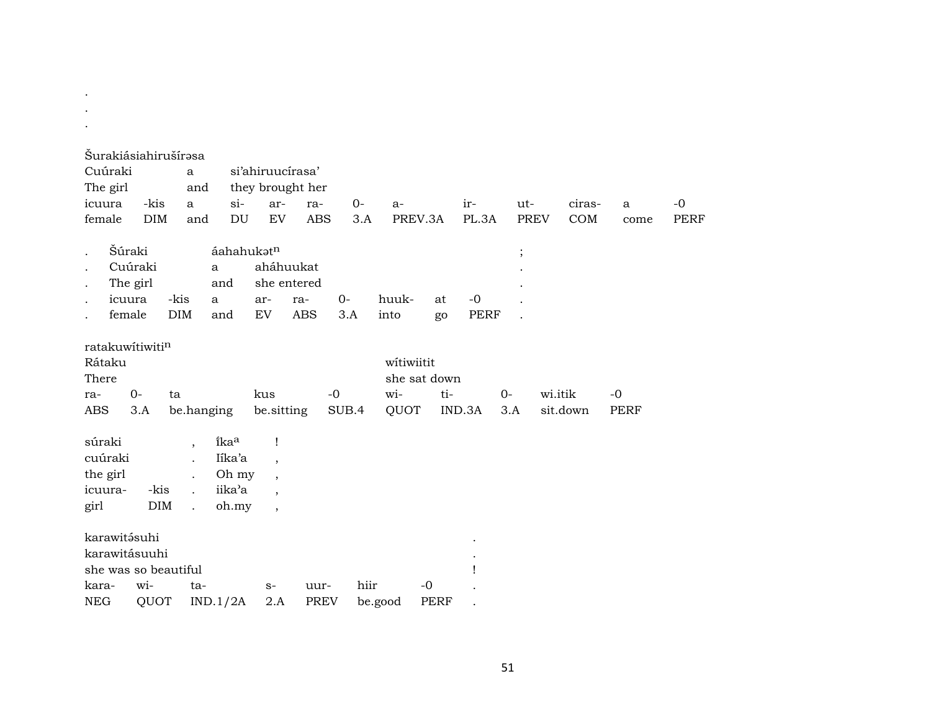|                      |                 | Šurakiásiahirušírəsa               |                            |                          |             |       |              |             |             |             |          |             |             |
|----------------------|-----------------|------------------------------------|----------------------------|--------------------------|-------------|-------|--------------|-------------|-------------|-------------|----------|-------------|-------------|
| Cuúraki              |                 | a                                  |                            | si'ahiruucírasa'         |             |       |              |             |             |             |          |             |             |
| The girl             |                 | and                                |                            | they brought her         |             |       |              |             |             |             |          |             |             |
| icuura               | -kis            | a                                  | $si$ -                     | ar-                      | ra-         | $0-$  | $a-$         |             | ir-         | ut-         | ciras-   | a           | $-0$        |
| female               | <b>DIM</b>      | and                                | $\mathop{\rm DU}\nolimits$ | EV                       | <b>ABS</b>  | 3.A   | PREV.3A      |             | PL.3A       | <b>PREV</b> | COM      | come        | <b>PERF</b> |
|                      |                 |                                    |                            |                          |             |       |              |             |             |             |          |             |             |
| $\cdot$              | Šúraki          |                                    | áahahukatn                 |                          |             |       |              |             |             | $\vdots$    |          |             |             |
| $\bullet$            | Cuúraki         |                                    | a                          | aháhuukat                |             |       |              |             |             |             |          |             |             |
| $\ddot{\phantom{0}}$ | The girl        |                                    | and                        | she entered              |             |       |              |             |             |             |          |             |             |
| $\cdot$              | icuura          | -kis                               | a                          | ar-                      | ra-         | $0-$  | huuk-        | at          | $-0$        |             |          |             |             |
|                      | female          | DIM                                | and                        | EV                       | <b>ABS</b>  | 3.A   | into         | go          | <b>PERF</b> |             |          |             |             |
|                      | ratakuwitiwitin |                                    |                            |                          |             |       |              |             |             |             |          |             |             |
| Rátaku               |                 |                                    |                            |                          |             |       | witiwiitit   |             |             |             |          |             |             |
| There                |                 |                                    |                            |                          |             |       | she sat down |             |             |             |          |             |             |
| ra-                  | $O -$           | ta                                 |                            | kus                      |             | $-0$  | wi-          | ti-         |             | $0-$        | wi.itik  | $-0$        |             |
| <b>ABS</b>           | 3.A             | be.hanging                         |                            | be.sitting               |             | SUB.4 | QUOT         |             | IND.3A      | 3.A         | sit.down | <b>PERF</b> |             |
|                      |                 |                                    |                            |                          |             |       |              |             |             |             |          |             |             |
| súraki               |                 | $\overline{\phantom{a}}$           | îkaa                       | 1                        |             |       |              |             |             |             |          |             |             |
| cuúraki              |                 | $\overline{a}$                     | Iíka'a                     | $\overline{\phantom{a}}$ |             |       |              |             |             |             |          |             |             |
| the girl             |                 | $\ddot{\phantom{a}}$               | Oh my                      | $\overline{\phantom{a}}$ |             |       |              |             |             |             |          |             |             |
| icuura-              |                 | -kis                               | iika'a                     | $\cdot$                  |             |       |              |             |             |             |          |             |             |
| girl                 |                 | <b>DIM</b><br>$\ddot{\phantom{a}}$ | oh.my                      | $\overline{\phantom{a}}$ |             |       |              |             |             |             |          |             |             |
|                      |                 |                                    |                            |                          |             |       |              |             |             |             |          |             |             |
|                      | karawitásuhi    |                                    |                            |                          |             |       |              |             |             |             |          |             |             |
|                      | karawitásuuhi   |                                    |                            |                          |             |       |              |             |             |             |          |             |             |
| kara-                | wi-             | she was so beautiful<br>ta-        |                            |                          | uur-        | hiir  |              | $-0$        |             |             |          |             |             |
| <b>NEG</b>           | QUOT            |                                    | IND.1/2A                   | $S-$<br>2.A              | <b>PREV</b> |       | be.good      | <b>PERF</b> |             |             |          |             |             |
|                      |                 |                                    |                            |                          |             |       |              |             |             |             |          |             |             |

. .

51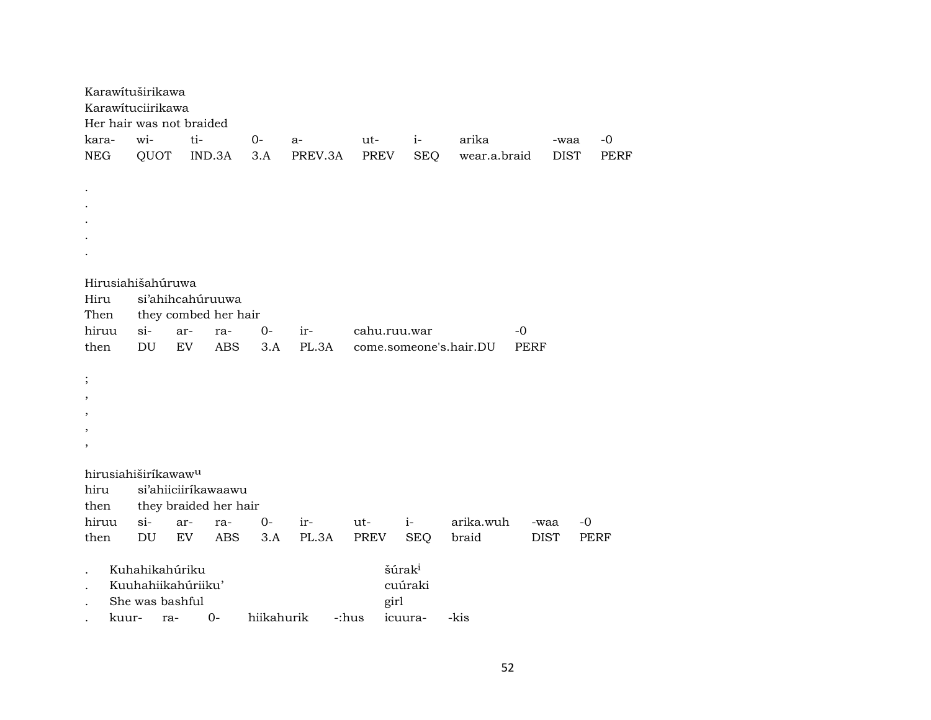|            |       | Karawituširikawa<br>Karawituciirikawa<br>Her hair was not braided |           |                       |            |         |              |                    |                        |             |             |
|------------|-------|-------------------------------------------------------------------|-----------|-----------------------|------------|---------|--------------|--------------------|------------------------|-------------|-------------|
| kara-      |       | wi-                                                               | ti-       |                       | $O-$       | a-      | ut-          | $i-$               | arika                  | -waa        | $-0$        |
| <b>NEG</b> |       | QUOT                                                              |           | IND.3A                | 3.A        | PREV.3A | PREV         | <b>SEQ</b>         | wear.a.braid           | <b>DIST</b> | <b>PERF</b> |
|            |       |                                                                   |           |                       |            |         |              |                    |                        |             |             |
|            |       |                                                                   |           |                       |            |         |              |                    |                        |             |             |
|            |       |                                                                   |           |                       |            |         |              |                    |                        |             |             |
|            |       |                                                                   |           |                       |            |         |              |                    |                        |             |             |
|            |       |                                                                   |           |                       |            |         |              |                    |                        |             |             |
|            |       |                                                                   |           |                       |            |         |              |                    |                        |             |             |
|            |       |                                                                   |           |                       |            |         |              |                    |                        |             |             |
|            |       | Hirusiahišahúruwa                                                 |           |                       |            |         |              |                    |                        |             |             |
| Hiru       |       | si'ahihcahúruuwa                                                  |           |                       |            |         |              |                    |                        |             |             |
| Then       |       |                                                                   |           | they combed her hair  |            |         |              |                    |                        |             |             |
| hiruu      |       | $si-$                                                             | ar-       | ra-                   | $0-$       | ir-     | cahu.ruu.war |                    | $-0$                   |             |             |
| then       |       | DU                                                                | <b>EV</b> | <b>ABS</b>            | 3.A        | PL.3A   |              |                    | come.someone's.hair.DU | <b>PERF</b> |             |
|            |       |                                                                   |           |                       |            |         |              |                    |                        |             |             |
| $\vdots$   |       |                                                                   |           |                       |            |         |              |                    |                        |             |             |
| ,          |       |                                                                   |           |                       |            |         |              |                    |                        |             |             |
| ,          |       |                                                                   |           |                       |            |         |              |                    |                        |             |             |
| ,          |       |                                                                   |           |                       |            |         |              |                    |                        |             |             |
| $\, ,$     |       |                                                                   |           |                       |            |         |              |                    |                        |             |             |
|            |       | hirusiahiširíkawaw <sup>u</sup>                                   |           |                       |            |         |              |                    |                        |             |             |
| hiru       |       |                                                                   |           | si'ahiiciiríkawaawu   |            |         |              |                    |                        |             |             |
| then       |       |                                                                   |           | they braided her hair |            |         |              |                    |                        |             |             |
| hiruu      |       | $si-$                                                             | ar-       | ra-                   | $O -$      | ir-     | ut-          | $i-$               | arika.wuh              | -waa        | $-0$        |
| then       |       | $\mathop{\rm DU}\nolimits$                                        | EV        | <b>ABS</b>            | 3.A        | PL.3A   | <b>PREV</b>  | <b>SEQ</b>         | braid                  | <b>DIST</b> | <b>PERF</b> |
|            |       |                                                                   |           |                       |            |         |              |                    |                        |             |             |
|            |       | Kuhahikahúriku                                                    |           |                       |            |         |              | šúrak <sup>i</sup> |                        |             |             |
|            |       | Kuuhahiikahúriiku'                                                |           |                       |            |         |              | cuúraki            |                        |             |             |
|            |       | She was bashful                                                   |           |                       |            |         | girl         |                    |                        |             |             |
|            | kuur- | ra-                                                               |           | $O -$                 | hiikahurik |         | -:hus        | icuura-            | -kis                   |             |             |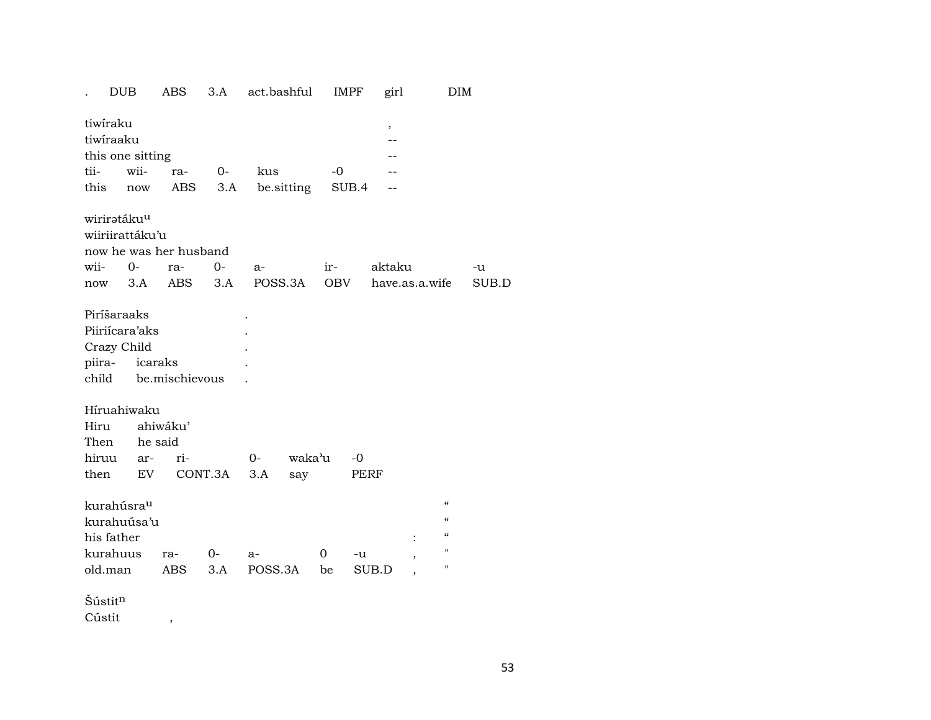|        | <b>DUB</b>              |     | ABS                    | 3.A     | act.bashful |            | <b>IMPF</b> |       | girl   |                          | DIM                        |       |
|--------|-------------------------|-----|------------------------|---------|-------------|------------|-------------|-------|--------|--------------------------|----------------------------|-------|
|        | tiwiraku                |     |                        |         |             |            |             |       | ,      |                          |                            |       |
|        | tiwiraaku               |     |                        |         |             |            |             |       |        |                          |                            |       |
|        | this one sitting        |     |                        |         |             |            |             |       |        |                          |                            |       |
| tii-   | wii-                    |     | ra-                    | $O-$    | kus         |            | $-0$        |       |        |                          |                            |       |
| this   |                         | now | ABS                    | 3.A     |             | be sitting |             | SUB.4 |        |                          |                            |       |
|        | wiriratáku <sup>u</sup> |     |                        |         |             |            |             |       |        |                          |                            |       |
|        | wiiriirattáku'u         |     |                        |         |             |            |             |       |        |                          |                            |       |
|        |                         |     | now he was her husband |         |             |            |             |       |        |                          |                            |       |
| wii-   | $O -$                   |     | ra-                    | $0 -$   | a-          |            | ir-         |       | aktaku |                          |                            | -u    |
|        | now                     | 3.A | ABS                    | 3.A     |             | POSS.3A    | OBV         |       |        | have.as.a.wife           |                            | SUB.D |
|        | Piríšaraaks             |     |                        |         |             |            |             |       |        |                          |                            |       |
|        | Piiriícara'aks          |     |                        |         |             |            |             |       |        |                          |                            |       |
|        | Crazy Child             |     |                        |         |             |            |             |       |        |                          |                            |       |
|        | piira-                  |     | icaraks                |         |             |            |             |       |        |                          |                            |       |
|        |                         |     | child be.mischievous   |         |             |            |             |       |        |                          |                            |       |
|        | Híruahiwaku             |     |                        |         |             |            |             |       |        |                          |                            |       |
| Hiru   |                         |     | ahiwáku'               |         |             |            |             |       |        |                          |                            |       |
|        | Then                    |     | he said                |         |             |            |             |       |        |                          |                            |       |
| hiruu  |                         | ar- | ri-                    |         | $O -$       | waka'u     |             | $-0$  |        |                          |                            |       |
| then   |                         | EV  |                        | CONT.3A | $3.A$       | say        |             | PERF  |        |                          |                            |       |
|        | kurahúsra <sup>u</sup>  |     |                        |         |             |            |             |       |        |                          | $\boldsymbol{\mathcal{C}}$ |       |
|        | kurahuúsa'u             |     |                        |         |             |            |             |       |        |                          | $\epsilon\epsilon$         |       |
|        | his father              |     |                        |         |             |            |             |       |        |                          | $\mathcal{C}$              |       |
|        | kurahuus                |     | ra-                    | $O-$    | a-          |            | 0           | -u    |        | ,                        | $\pmb{\mathsf{H}}$         |       |
|        | old.man                 |     | ABS                    | 3.A     | POSS.3A     |            | be          | SUB.D |        | $\overline{\phantom{a}}$ | п                          |       |
|        | Šústitn                 |     |                        |         |             |            |             |       |        |                          |                            |       |
| Cústit |                         |     |                        |         |             |            |             |       |        |                          |                            |       |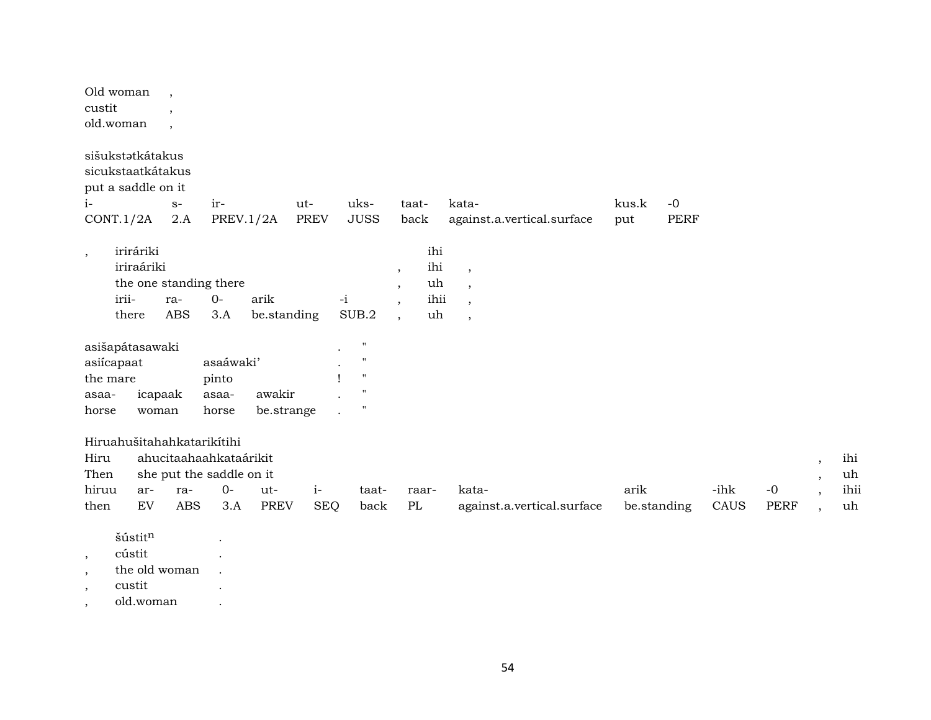| custit                              | Old woman<br>old.woman                                                   | $\cdot$<br>$\cdot$<br>$\overline{\phantom{a}}$ |                                                                                           |                      |                    |                                                   |                                                                            |                                |                                                                                   |              |                     |      |             |                               |                   |
|-------------------------------------|--------------------------------------------------------------------------|------------------------------------------------|-------------------------------------------------------------------------------------------|----------------------|--------------------|---------------------------------------------------|----------------------------------------------------------------------------|--------------------------------|-----------------------------------------------------------------------------------|--------------|---------------------|------|-------------|-------------------------------|-------------------|
| $i-$                                | sišukstatkátakus<br>sicukstaatkátakus<br>put a saddle on it<br>CONT.1/2A | $S-$<br>2.A                                    | ir-<br><b>PREV.1/2A</b>                                                                   |                      | ut-<br><b>PREV</b> | uks-<br><b>JUSS</b>                               | taat-<br>back                                                              |                                | kata-<br>against.a.vertical.surface                                               | kus.k<br>put | $-0$<br><b>PERF</b> |      |             |                               |                   |
| $^\mathrm{^{^\circ}}$               | iriráriki<br>iriraáriki<br>irii-<br>there                                | ra-<br><b>ABS</b>                              | the one standing there<br>$0-$<br>3.A                                                     | arik<br>be.standing  |                    | $-i$<br>$\rm SUB.2$                               | $\overline{\phantom{a}}$<br>$\cdot$<br>$\cdot$<br>$\overline{\phantom{a}}$ | ihi<br>ihi<br>uh<br>ihii<br>uh | $\overline{\phantom{a}}$<br>$\overline{ }$<br>$\overline{\phantom{a}}$<br>$\cdot$ |              |                     |      |             |                               |                   |
|                                     | asišapátasawaki<br>asiícapaat                                            |                                                | asaáwaki'                                                                                 |                      |                    | $\mathbf{H}$<br>$^{\prime}$<br>$\pmb{\mathsf{H}}$ |                                                                            |                                |                                                                                   |              |                     |      |             |                               |                   |
| the mare<br>asaa-<br>horse          |                                                                          | icapaak<br>woman                               | pinto<br>asaa-<br>horse                                                                   | awakir<br>be.strange |                    | $^{\prime}$<br>$\mathbf{H}$                       |                                                                            |                                |                                                                                   |              |                     |      |             |                               |                   |
| Hiru<br>Then<br>hiruu               | ar-                                                                      | ra-                                            | Hiruahušitahahkatarikítihi<br>ahucitaahaahkataárikit<br>she put the saddle on it<br>$O -$ | ut-                  | $i-$               | taat-                                             | raar-                                                                      |                                | kata-                                                                             | arik         |                     | -ihk | $-0$        | $\cdot$<br>$\cdot$<br>$\cdot$ | ihi<br>uh<br>ihii |
| then                                | ${\rm EV}$                                                               | <b>ABS</b>                                     | 3.A                                                                                       | <b>PREV</b>          | <b>SEQ</b>         | back                                              | $\rm PL$                                                                   |                                | against.a.vertical.surface                                                        | be.standing  |                     | CAUS | <b>PERF</b> | $\cdot$                       | uh                |
| $\overline{\phantom{a}}$<br>$\cdot$ | šústitn<br>cústit<br>the old woman                                       |                                                |                                                                                           |                      |                    |                                                   |                                                                            |                                |                                                                                   |              |                     |      |             |                               |                   |

- , custit .
- , old.woman .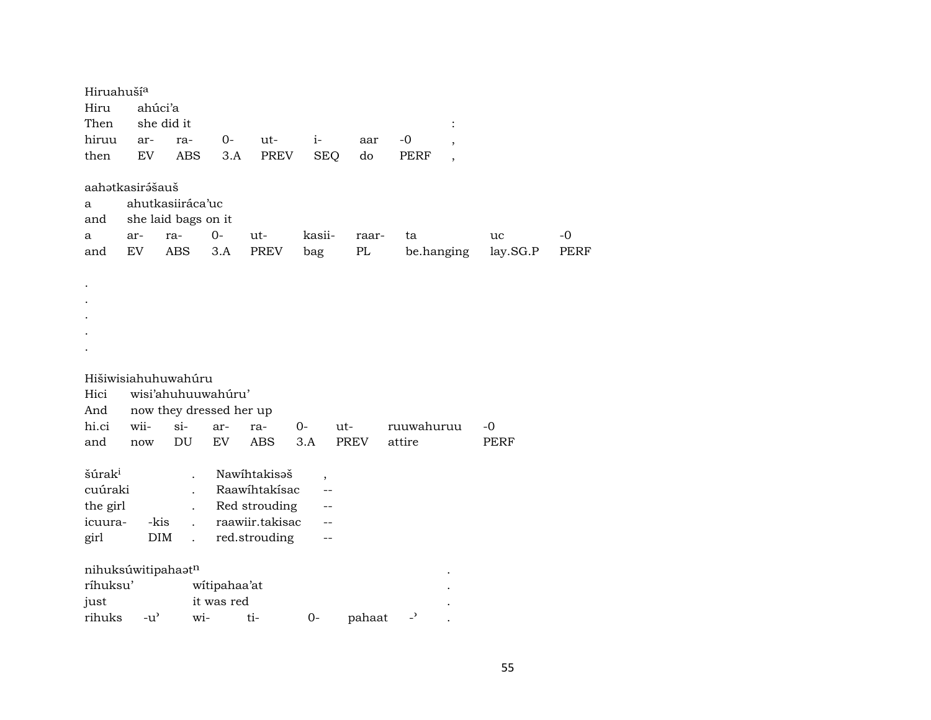| Hiruahuší <sup>a</sup><br>Hiru<br>Then                       | ahúci'a                             | she did it                                                               |                            |                                                                                    |                          |                    |                          | :                        |                |              |
|--------------------------------------------------------------|-------------------------------------|--------------------------------------------------------------------------|----------------------------|------------------------------------------------------------------------------------|--------------------------|--------------------|--------------------------|--------------------------|----------------|--------------|
| hiruu                                                        | ar-                                 | ra-                                                                      | 0-                         | ut-                                                                                | $i-$                     | aar                | $-0$                     | $^\mathrm{,}$            |                |              |
| then                                                         | <b>EV</b>                           | <b>ABS</b>                                                               | 3.A                        | PREV                                                                               | <b>SEQ</b>               | do                 | PERF                     | $\overline{\phantom{a}}$ |                |              |
| a<br>and<br>a<br>and                                         | aahətkasirəsaus<br>ar-<br>EV        | ahutkasiiráca'uc<br>she laid bags on it<br>ra-<br>ABS                    | $0-$<br>3.A                | ut-<br>PREV                                                                        | kasii-<br>bag            | raar-<br>$\rm PL$  | ta                       | be.hanging               | uc<br>lay.SG.P | $-0$<br>PERF |
|                                                              |                                     |                                                                          |                            |                                                                                    |                          |                    |                          |                          |                |              |
| Hici                                                         |                                     | Hišiwisiahuhuwahúru<br>wisi'ahuhuuwahuru'                                |                            |                                                                                    |                          |                    |                          |                          |                |              |
| And<br>hi.ci                                                 | wii-                                | now they dressed her up<br>$\sin$                                        |                            |                                                                                    | $0-$                     |                    | ruuwahuruu               |                          | -0             |              |
| and                                                          | now                                 | DU                                                                       | ar-<br>EV                  | ra-<br><b>ABS</b>                                                                  | 3.A                      | ut-<br><b>PREV</b> | attire                   |                          | PERF           |              |
| šúrak <sup>i</sup><br>cuúraki<br>the girl<br>icuura-<br>girl | -kis<br><b>DIM</b>                  | $\overline{a}$<br>$\overline{a}$<br>$\mathbf{r}$<br>$\ddot{\phantom{a}}$ |                            | Nawihtakisaš<br>Raawihtakisac<br>Red strouding<br>raawiir.takisac<br>red.strouding | $\overline{\phantom{a}}$ |                    |                          |                          |                |              |
|                                                              | nihuksúwitipahaatn                  |                                                                          |                            |                                                                                    |                          |                    |                          |                          |                |              |
| ríhuksu'                                                     |                                     |                                                                          | witipahaa'at<br>it was red |                                                                                    |                          |                    |                          |                          |                |              |
| just<br>rihuks                                               | $-u$ <sup><math>\prime</math></sup> | wi-                                                                      |                            | ti-                                                                                | $0-$                     | pahaat             | $\overline{\phantom{0}}$ |                          |                |              |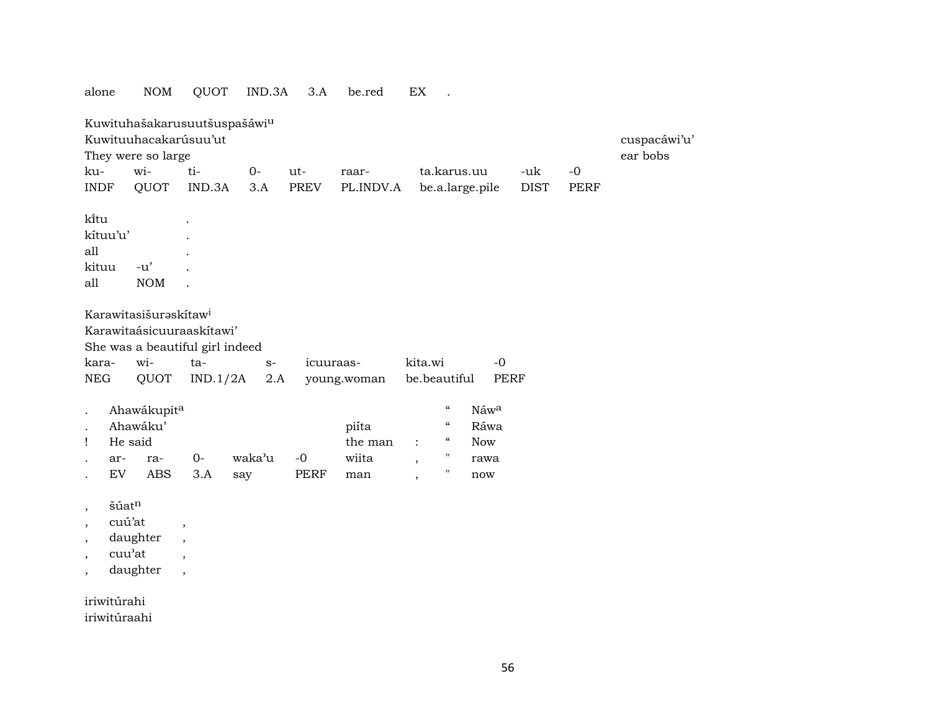| alone                    |           | <b>NOM</b>                        | QUOT                     | IND.3A                       | 3.A  | be.red      | EX                       | $\ddot{\phantom{a}}$       |                 |             |      |              |
|--------------------------|-----------|-----------------------------------|--------------------------|------------------------------|------|-------------|--------------------------|----------------------------|-----------------|-------------|------|--------------|
|                          |           |                                   |                          | Kuwituhašakarusuutšuspašáwiu |      |             |                          |                            |                 |             |      |              |
|                          |           | Kuwituuhacakarúsuu'ut             |                          |                              |      |             |                          |                            |                 |             |      | cuspacáwi'u' |
|                          |           | They were so large                |                          |                              |      |             |                          |                            |                 |             |      | ear bobs     |
| ku-                      |           | wi-                               | ti-                      | $O -$                        | ut-  | raar-       |                          |                            | ta.karus.uu     | -uk         | $-0$ |              |
| <b>INDF</b>              |           | QUOT                              | IND.3A                   | 3.A                          | PREV | PL.INDV.A   |                          |                            | be.a.large.pile | <b>DIST</b> | PERF |              |
| kītu                     |           |                                   |                          |                              |      |             |                          |                            |                 |             |      |              |
| kítuu'u'                 |           |                                   |                          |                              |      |             |                          |                            |                 |             |      |              |
| all                      |           |                                   |                          |                              |      |             |                          |                            |                 |             |      |              |
| kituu                    |           | $-u'$                             |                          |                              |      |             |                          |                            |                 |             |      |              |
| all                      |           | <b>NOM</b>                        |                          |                              |      |             |                          |                            |                 |             |      |              |
|                          |           |                                   |                          |                              |      |             |                          |                            |                 |             |      |              |
|                          |           | Karawitasišuraskítaw <sup>i</sup> |                          |                              |      |             |                          |                            |                 |             |      |              |
|                          |           | Karawitaásicuuraaskítawi'         |                          |                              |      |             |                          |                            |                 |             |      |              |
|                          |           | She was a beautiful girl indeed   |                          |                              |      |             |                          |                            |                 |             |      |              |
| kara-                    |           | wi-                               | ta-                      | $\mathbf{S}^-$               |      | icuuraas-   | kita.wi                  |                            | $-0$            |             |      |              |
| ${\rm NEG}$              |           | QUOT                              | IND.1/2A                 | 2.A                          |      | young.woman | be.beautiful             |                            | <b>PERF</b>     |             |      |              |
|                          |           | Ahawákupita                       |                          |                              |      |             |                          | $\mathcal{C}\mathcal{C}$   | Náwa            |             |      |              |
|                          |           | Ahawáku'                          |                          |                              |      | piíta       |                          | $\epsilon\epsilon$         | Ráwa            |             |      |              |
| Ţ                        | He said   |                                   |                          |                              |      | the man     | $\ddot{\cdot}$           | $\boldsymbol{\mathcal{C}}$ | <b>Now</b>      |             |      |              |
|                          | ar-       | ra-                               | $O -$                    | waka'u                       | $-0$ | wiita       | $\overline{\phantom{a}}$ | $\pmb{\mathsf{H}}$         | rawa            |             |      |              |
|                          | <b>EV</b> | <b>ABS</b>                        | 3.A                      | say                          | PERF | man         | $\overline{\phantom{a}}$ | 11                         | now             |             |      |              |
| $\overline{\phantom{a}}$ | šúatn     |                                   |                          |                              |      |             |                          |                            |                 |             |      |              |
| ,                        | cuú'at    |                                   | $\overline{\phantom{a}}$ |                              |      |             |                          |                            |                 |             |      |              |
| $\overline{\phantom{a}}$ |           | daughter                          | $\overline{\phantom{a}}$ |                              |      |             |                          |                            |                 |             |      |              |
|                          | cuu'at    |                                   | $\cdot$                  |                              |      |             |                          |                            |                 |             |      |              |
| $\overline{\phantom{a}}$ |           | daughter                          | $\overline{\phantom{a}}$ |                              |      |             |                          |                            |                 |             |      |              |
| iriwitúrahi              |           |                                   |                          |                              |      |             |                          |                            |                 |             |      |              |

iriwitúraahi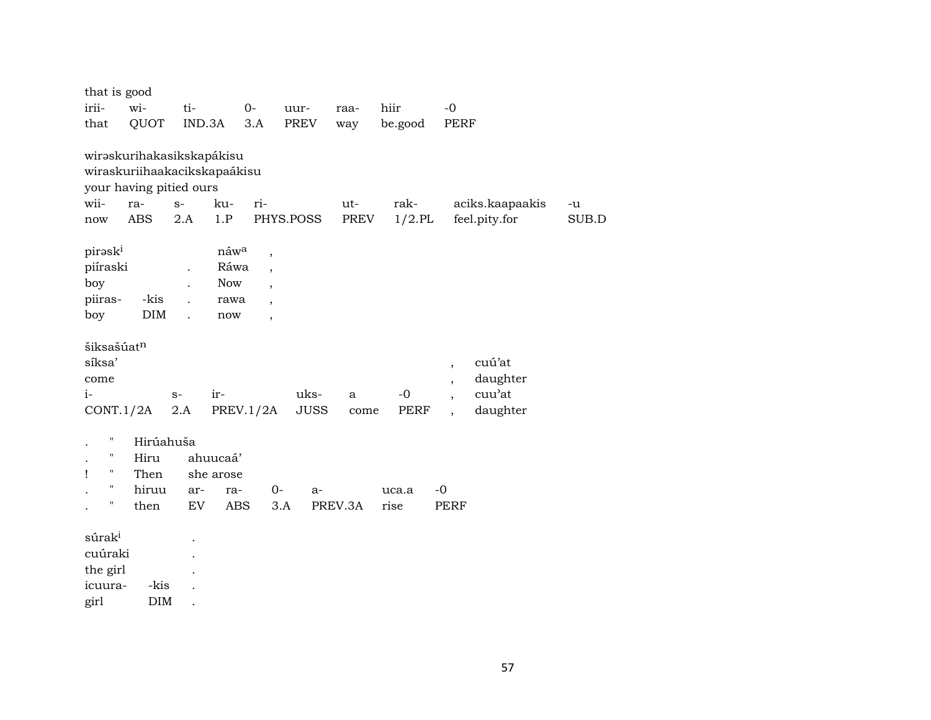| that is good           |                              |      |            |                          |             |         |           |                                      |       |
|------------------------|------------------------------|------|------------|--------------------------|-------------|---------|-----------|--------------------------------------|-------|
| irii-                  | wi-                          | ti-  |            | $O -$                    | uur-        | raa-    | hiir      | $-0$                                 |       |
| that                   | QUOT                         |      | IND.3A     | 3.A                      | PREV        | way     | be.good   | <b>PERF</b>                          |       |
|                        |                              |      |            |                          |             |         |           |                                      |       |
|                        | wirəskurihakasikskapákisu    |      |            |                          |             |         |           |                                      |       |
|                        | wiraskuriihaakacikskapaákisu |      |            |                          |             |         |           |                                      |       |
|                        | your having pitied ours      |      |            |                          |             |         |           |                                      |       |
| wii-                   | ra-                          | $S-$ | ku-        | ri-                      |             | ut-     | rak-      | aciks.kaapaakis                      | -u    |
| now                    | <b>ABS</b>                   | 2.A  | 1.P        |                          | PHYS.POSS   | PREV    | $1/2$ .PL | feel.pity.for                        | SUB.D |
|                        |                              |      |            |                          |             |         |           |                                      |       |
| piraski                |                              |      | náwa       | $\overline{\phantom{a}}$ |             |         |           |                                      |       |
| piíraski               |                              |      | Ráwa       | $\overline{\phantom{a}}$ |             |         |           |                                      |       |
| boy                    |                              |      | <b>Now</b> |                          |             |         |           |                                      |       |
| piiras-                | -kis                         |      | rawa       | $\overline{\phantom{a}}$ |             |         |           |                                      |       |
| boy                    | $\rm{DIM}$                   |      | now        | $\overline{\phantom{a}}$ |             |         |           |                                      |       |
|                        |                              |      |            |                          |             |         |           |                                      |       |
| šiksašúat <sup>n</sup> |                              |      |            |                          |             |         |           |                                      |       |
| síksa'                 |                              |      |            |                          |             |         |           | cuú'at<br>$\overline{\phantom{a}}$   |       |
| come                   |                              |      |            |                          |             |         |           | daughter<br>$\overline{\phantom{a}}$ |       |
| $i-$                   |                              | $S-$ | ir-        |                          | uks-        | a       | $-0$      | cuu'at<br>$\overline{ }$             |       |
| CONT.1/2A              |                              | 2.A  |            | PREV.1/2A                | <b>JUSS</b> | come    | PERF      | daughter<br>$\overline{\phantom{a}}$ |       |
|                        |                              |      |            |                          |             |         |           |                                      |       |
| п                      | Hirúahuša                    |      |            |                          |             |         |           |                                      |       |
| н                      | Hiru                         |      | ahuucaá'   |                          |             |         |           |                                      |       |
| п<br>Ţ                 | Then                         |      | she arose  |                          |             |         |           |                                      |       |
| п                      | hiruu                        | ar-  | ra-        | $0-$                     | $a-$        |         | uca.a     | $-0$                                 |       |
| Н                      | then                         | EV   | <b>ABS</b> | 3.A                      |             | PREV.3A | rise      | <b>PERF</b>                          |       |
|                        |                              |      |            |                          |             |         |           |                                      |       |
| súrak <sup>i</sup>     |                              |      |            |                          |             |         |           |                                      |       |
| cuúraki                |                              |      |            |                          |             |         |           |                                      |       |
| the girl               |                              |      |            |                          |             |         |           |                                      |       |
| icuura-                | -kis                         |      |            |                          |             |         |           |                                      |       |
| girl                   | <b>DIM</b>                   |      |            |                          |             |         |           |                                      |       |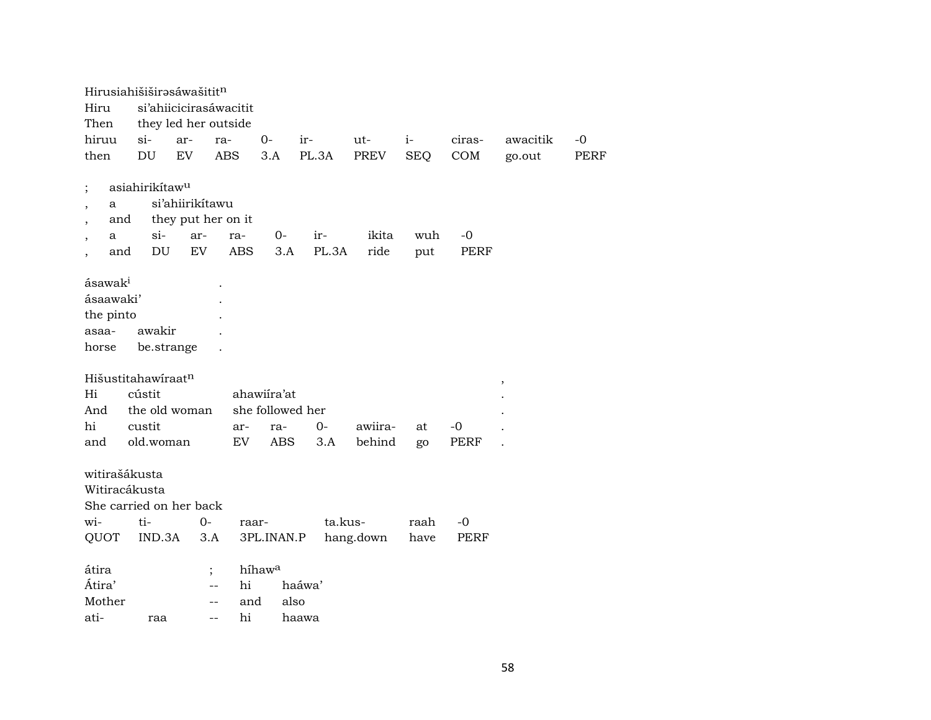|                               | Hirusiahišiširəsáwašitit <sup>n</sup> |                 |                                            |                    |         |           |            |        |          |             |
|-------------------------------|---------------------------------------|-----------------|--------------------------------------------|--------------------|---------|-----------|------------|--------|----------|-------------|
| Hiru                          |                                       |                 | si'ahiicicirasáwacitit                     |                    |         |           |            |        |          |             |
| Then                          |                                       |                 | they led her outside                       |                    |         |           |            |        |          |             |
| hiruu                         | $\sin$                                | ar-             | ra-                                        | $0-$               | $ir-$   | ut-       | $i-$       | ciras- | awacitik | -0          |
| then                          | DU                                    | EV              | <b>ABS</b>                                 | 3.A                | PL.3A   | PREV      | <b>SEQ</b> | COM    | go.out   | <b>PERF</b> |
|                               |                                       |                 |                                            |                    |         |           |            |        |          |             |
| $\vdots$                      | asiahirikítaw <sup>u</sup>            |                 |                                            |                    |         |           |            |        |          |             |
| a<br>$\overline{\phantom{a}}$ |                                       | si'ahiirikitawu |                                            |                    |         |           |            |        |          |             |
|                               | and                                   |                 | they put her on it                         |                    |         |           |            |        |          |             |
| a                             | $\sin$                                | ar-             | ra-                                        | 0-                 | ir-     | ikita     | wuh        | $-0$   |          |             |
|                               | and<br>DU                             | EV              | <b>ABS</b>                                 | 3.A                | PL.3A   | ride      | put        | PERF   |          |             |
|                               |                                       |                 |                                            |                    |         |           |            |        |          |             |
| ásawak <sup>i</sup>           |                                       |                 |                                            |                    |         |           |            |        |          |             |
| ásaawaki'                     |                                       |                 |                                            |                    |         |           |            |        |          |             |
| the pinto                     |                                       |                 |                                            |                    |         |           |            |        |          |             |
| asaa-                         | awakir                                |                 |                                            |                    |         |           |            |        |          |             |
| horse                         |                                       | be.strange      |                                            |                    |         |           |            |        |          |             |
|                               | Hišustitahawiraatn                    |                 |                                            |                    |         |           |            |        |          |             |
| Hi                            | cústit                                |                 |                                            | ahawiira'at        |         |           |            |        | $\,$     |             |
| And                           |                                       | the old woman   |                                            | she followed her   |         |           |            |        |          |             |
| hi                            | custit                                |                 |                                            |                    | $O -$   | awiira-   | at         | -0     |          |             |
|                               | old.woman                             |                 | ar-<br>EV                                  | ra-<br><b>ABS</b>  |         |           |            |        |          |             |
| and                           |                                       |                 |                                            |                    | 3.A     | behind    | go         | PERF   |          |             |
|                               | witirašákusta                         |                 |                                            |                    |         |           |            |        |          |             |
|                               | Witiracákusta                         |                 |                                            |                    |         |           |            |        |          |             |
|                               | She carried on her back               |                 |                                            |                    |         |           |            |        |          |             |
|                               |                                       |                 |                                            |                    |         |           |            |        |          |             |
| wi-                           | ti-                                   |                 | $0-$<br>raar-                              |                    | ta.kus- |           | raah       | $-0$   |          |             |
| QUOT                          | IND.3A                                |                 | 3.A                                        | 3PL.INAN.P         |         | hang.down | have       | PERF   |          |             |
| átira                         |                                       |                 |                                            | híhaw <sup>a</sup> |         |           |            |        |          |             |
| Átira'                        |                                       |                 | $\vdots$<br>hi<br>$\overline{\phantom{m}}$ |                    | haáwa'  |           |            |        |          |             |
| Mother                        |                                       |                 | and<br>$--$                                | also               |         |           |            |        |          |             |
|                               |                                       |                 |                                            |                    |         |           |            |        |          |             |
| ati-                          | raa                                   |                 | hi<br>$-$                                  |                    | haawa   |           |            |        |          |             |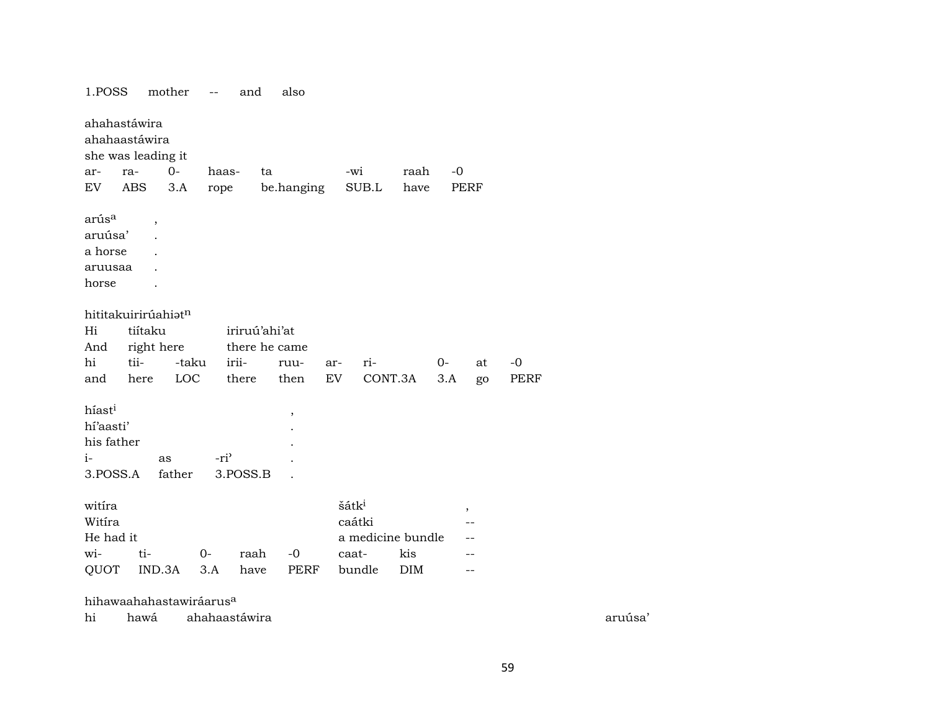| 1.POSS                                                            |                                                     | mother       | $-\,-$           | and           | also         |     |                                                                     |            |      |         |      |
|-------------------------------------------------------------------|-----------------------------------------------------|--------------|------------------|---------------|--------------|-----|---------------------------------------------------------------------|------------|------|---------|------|
|                                                                   | ahahastáwira<br>ahahaastáwira<br>she was leading it |              |                  |               |              |     |                                                                     |            |      |         |      |
| ar-                                                               | ra-                                                 | $0-$         | haas-            | ta            |              |     | -wi                                                                 | raah       | $-0$ |         |      |
| EV                                                                | ABS                                                 | 3.A          | rope             |               | be.hanging   |     | SUB.L                                                               | have       | PERF |         |      |
| arús <sup>a</sup><br>aruúsa'<br>a horse<br>aruusaa<br>horse       | $\overline{\phantom{a}}$                            |              |                  |               |              |     |                                                                     |            |      |         |      |
|                                                                   | hititakuirirúahiatn                                 |              |                  |               |              |     |                                                                     |            |      |         |      |
| Hi                                                                | tiítaku                                             |              |                  | iriruú'ahi'at |              |     |                                                                     |            |      |         |      |
| And                                                               | right here                                          |              |                  | there he came |              |     |                                                                     |            |      |         |      |
| hi                                                                | tii-                                                | -taku        |                  | irii-         | ruu-         | ar- | ri-                                                                 |            | $0-$ | at      | -0   |
| and                                                               | here                                                | LOC          |                  | there         | then         | EV  |                                                                     | CONT.3A    | 3.A  | go      | PERF |
| híast <sup>i</sup><br>hí'aasti'<br>his father<br>$i-$<br>3.POSS.A |                                                     | as<br>father | -ri <sup>3</sup> | 3.POSS.B      | $\,$         |     |                                                                     |            |      |         |      |
| witira<br>Witíra<br>He had it<br>wi-<br>QUOT                      | ti-<br>IND.3A                                       |              | $O-$<br>3.A      | raah<br>have  | $-0$<br>PERF |     | šátk <sup>i</sup><br>caátki<br>a medicine bundle<br>caat-<br>bundle | kis<br>DIM |      | $\cdot$ |      |
|                                                                   |                                                     |              |                  |               |              |     |                                                                     |            |      |         |      |

hihawaahahastawiráarus°

hi hawá ahahaastáwira aruúsa'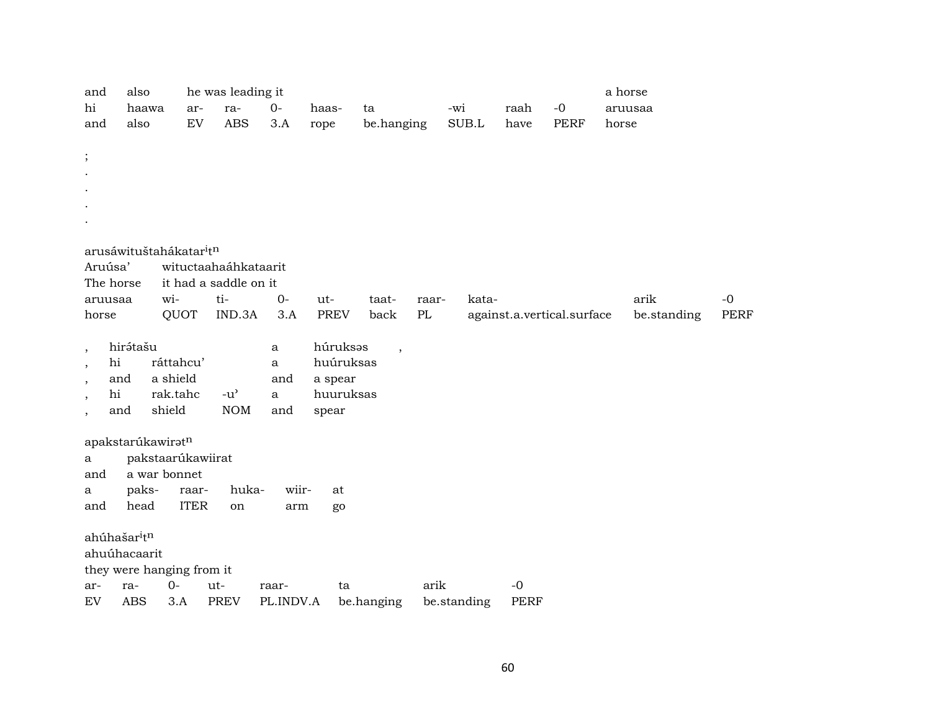| and                      | also                                                 |                      |             | he was leading it     |                     |                      |            |       |             |             |                            | a horse |             |             |
|--------------------------|------------------------------------------------------|----------------------|-------------|-----------------------|---------------------|----------------------|------------|-------|-------------|-------------|----------------------------|---------|-------------|-------------|
| hi                       |                                                      | haawa                | ar-         | ra-                   | $0-$                | haas-                | ta         |       | -wi         | raah        | $-{\bf 0}$                 |         | aruusaa     |             |
| and                      | also                                                 |                      | EV          | <b>ABS</b>            | 3.A                 | rope                 | be.hanging |       | SUB.L       | have        | <b>PERF</b>                | horse   |             |             |
|                          |                                                      |                      |             |                       |                     |                      |            |       |             |             |                            |         |             |             |
| $\vdots$                 |                                                      |                      |             |                       |                     |                      |            |       |             |             |                            |         |             |             |
|                          |                                                      |                      |             |                       |                     |                      |            |       |             |             |                            |         |             |             |
|                          |                                                      |                      |             |                       |                     |                      |            |       |             |             |                            |         |             |             |
|                          |                                                      |                      |             |                       |                     |                      |            |       |             |             |                            |         |             |             |
|                          |                                                      |                      |             |                       |                     |                      |            |       |             |             |                            |         |             |             |
|                          | arusáwituštahákatar <sup>i</sup> t <sup>n</sup>      |                      |             |                       |                     |                      |            |       |             |             |                            |         |             |             |
|                          | Aruúsa'                                              |                      |             | wituctaahaáhkataarit  |                     |                      |            |       |             |             |                            |         |             |             |
|                          | The horse                                            |                      |             | it had a saddle on it |                     |                      |            |       |             |             |                            |         |             |             |
|                          | aruusaa                                              | wi-                  |             | ti-                   | $0-$                | ut-                  | taat-      | raar- | kata-       |             |                            |         | arik        | $-0$        |
| horse                    |                                                      |                      | QUOT        | IND.3A                | 3.A                 | <b>PREV</b>          | back       | PL    |             |             | against.a.vertical.surface |         | be.standing | <b>PERF</b> |
|                          |                                                      |                      |             |                       |                     |                      |            |       |             |             |                            |         |             |             |
| $\cdot$                  | hirátašu                                             |                      |             |                       | a                   | húruksas             | $\cdot$    |       |             |             |                            |         |             |             |
| $\cdot$                  | hi                                                   |                      | ráttahcu'   |                       | $\mathbf{a}$        | huúruksas            |            |       |             |             |                            |         |             |             |
| $\overline{\phantom{a}}$ | and<br>hi                                            | a shield<br>rak.tahc |             | $-u^{\prime}$         | and<br>$\mathbf{a}$ | a spear<br>huuruksas |            |       |             |             |                            |         |             |             |
| $\cdot$                  | and                                                  | shield               |             | <b>NOM</b>            | and                 | spear                |            |       |             |             |                            |         |             |             |
| $\overline{\phantom{a}}$ |                                                      |                      |             |                       |                     |                      |            |       |             |             |                            |         |             |             |
|                          | apakstarúkawiratn                                    |                      |             |                       |                     |                      |            |       |             |             |                            |         |             |             |
| a                        |                                                      | pakstaarúkawiirat    |             |                       |                     |                      |            |       |             |             |                            |         |             |             |
| and                      |                                                      | a war bonnet         |             |                       |                     |                      |            |       |             |             |                            |         |             |             |
| a                        | paks-                                                |                      | raar-       | huka-                 | wiir-               | at                   |            |       |             |             |                            |         |             |             |
| and                      | head                                                 |                      | <b>ITER</b> | on                    | arm                 | go                   |            |       |             |             |                            |         |             |             |
|                          |                                                      |                      |             |                       |                     |                      |            |       |             |             |                            |         |             |             |
|                          | ahúhašar <sup>i</sup> t <sup>n</sup><br>ahuúhacaarit |                      |             |                       |                     |                      |            |       |             |             |                            |         |             |             |
|                          | they were hanging from it                            |                      |             |                       |                     |                      |            |       |             |             |                            |         |             |             |
| ar-                      | ra-                                                  | $O -$                |             | ut-                   | raar-               | ta                   |            | arik  |             | $-0$        |                            |         |             |             |
| ${\rm EV}$               | <b>ABS</b>                                           |                      | 3.A         | <b>PREV</b>           | PL.INDV.A           |                      | be.hanging |       | be.standing | <b>PERF</b> |                            |         |             |             |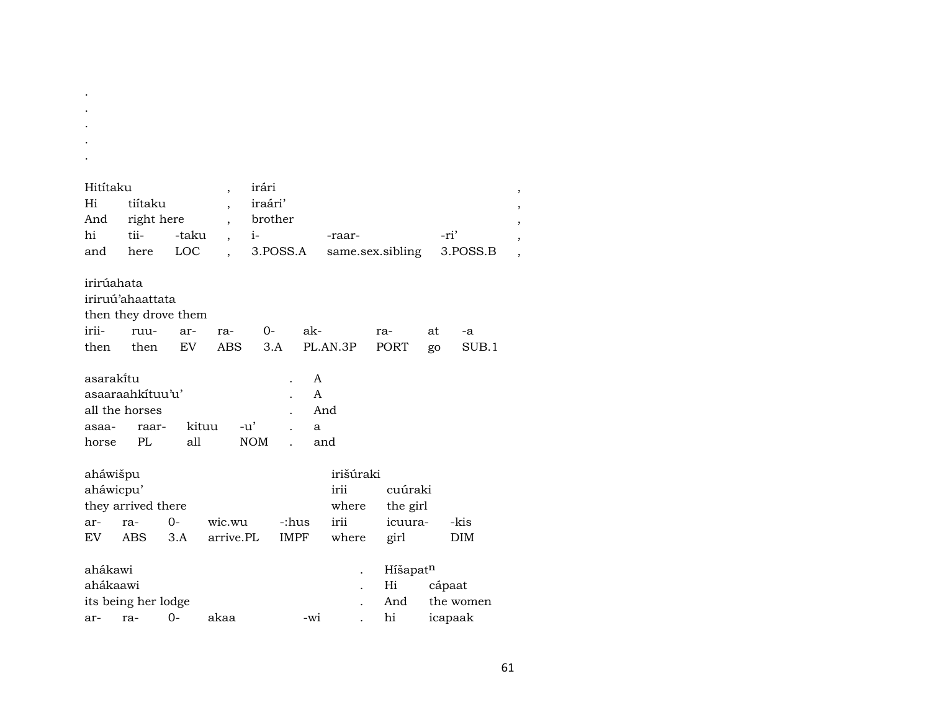| Hitítaku    |                      |       | $\overline{\phantom{a}}$ | irári       |       |           |                  |        |           |  |
|-------------|----------------------|-------|--------------------------|-------------|-------|-----------|------------------|--------|-----------|--|
| Hi          | tiítaku              |       |                          | iraári'     |       |           |                  |        |           |  |
| And         | right here           |       |                          | brother     |       |           |                  |        |           |  |
| hi          | tii-                 | -taku |                          | $i-$        |       | -raar-    |                  | -ri'   |           |  |
| and         | here                 | LOC   |                          | 3.POSS.A    |       |           | same.sex.sibling |        | 3.POSS.B  |  |
|             |                      |       |                          |             |       |           |                  |        |           |  |
| irirúahata  |                      |       |                          |             |       |           |                  |        |           |  |
|             | iriruú'ahaattata     |       |                          |             |       |           |                  |        |           |  |
|             | then they drove them |       |                          |             |       |           |                  |        |           |  |
| irii-       | ruu-                 | ar-   | ra-                      | 0-          | ak-   |           | ra-              | at     | -a        |  |
| then        | then                 | EV    | <b>ABS</b>               | 3.A         |       | PL.AN.3P  | <b>PORT</b>      | go     | SUB.1     |  |
|             |                      |       |                          |             |       |           |                  |        |           |  |
| asaraki̇̃tu |                      |       |                          |             | A     |           |                  |        |           |  |
|             | asaaraahkituu'u'     |       |                          |             | A     |           |                  |        |           |  |
|             | all the horses       |       |                          |             | And   |           |                  |        |           |  |
| asaa-       | raar-                | kituu | $-u'$                    |             | a     |           |                  |        |           |  |
| horse       | PL                   | all   | <b>NOM</b>               |             | and   |           |                  |        |           |  |
|             |                      |       |                          |             |       |           |                  |        |           |  |
| aháwišpu    |                      |       |                          |             |       | irišúraki |                  |        |           |  |
| aháwicpu'   |                      |       |                          |             |       | irii      | cuúraki          |        |           |  |
|             | they arrived there   |       |                          |             |       | where     | the girl         |        |           |  |
| ar-         | ra-                  | $0-$  | wic.wu                   | -:hus       |       | irii      | icuura-          |        | -kis      |  |
| EV.         | <b>ABS</b>           | 3.A   | arrive.PL                | <b>IMPF</b> |       | where     | girl             |        | DIM       |  |
|             |                      |       |                          |             |       |           |                  |        |           |  |
| ahákawi     |                      |       |                          |             |       |           | Híšapatn         |        |           |  |
| ahákaawi    |                      |       |                          |             |       |           | Hi               | cápaat |           |  |
|             | its being her lodge  |       |                          |             |       |           | And              |        | the women |  |
| ar-         | ra-                  | $0-$  | akaa                     |             | $-W1$ |           | hi               |        | icapaak   |  |

.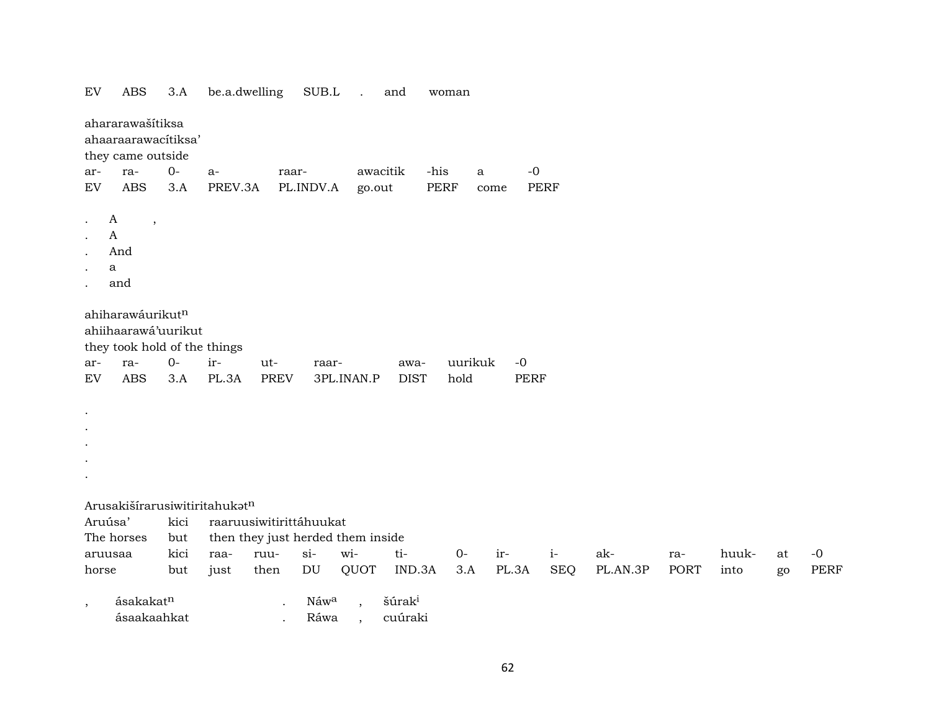| ${\rm EV}$        | <b>ABS</b>                                                              | 3.A          | be.a.dwelling                     |                    | SUB.L                    | $\ddot{\phantom{a}}$ | and                           | woman       |         |                     |             |          |      |       |    |             |
|-------------------|-------------------------------------------------------------------------|--------------|-----------------------------------|--------------------|--------------------------|----------------------|-------------------------------|-------------|---------|---------------------|-------------|----------|------|-------|----|-------------|
|                   | ahararawašítiksa<br>ahaaraarawacítiksa'<br>they came outside            |              |                                   |                    |                          |                      |                               |             |         |                     |             |          |      |       |    |             |
| ar-               | ra-                                                                     | $O -$        | a-                                | raar-              |                          |                      | awacitik                      | -his        | a       | $-0$                |             |          |      |       |    |             |
| ${\rm EV}$        | <b>ABS</b>                                                              | 3.A          | PREV.3A                           |                    | PL.INDV.A                | go.out               |                               | <b>PERF</b> | come    |                     | <b>PERF</b> |          |      |       |    |             |
|                   | A<br>$\cdot$<br>$\mathbf{A}$<br>And<br>a<br>and                         |              |                                   |                    |                          |                      |                               |             |         |                     |             |          |      |       |    |             |
|                   | ahiharawáurikutn<br>ahiihaarawá'uurikut<br>they took hold of the things |              |                                   |                    |                          |                      |                               |             |         |                     |             |          |      |       |    |             |
| ar-<br>${\rm EV}$ | ra-<br><b>ABS</b>                                                       | $O -$<br>3.A | ir-<br>PL.3A                      | ut-<br><b>PREV</b> | raar-                    | 3PL.INAN.P           | awa-<br><b>DIST</b>           | hold        | uurikuk | $-0$<br><b>PERF</b> |             |          |      |       |    |             |
| $\bullet$         |                                                                         |              |                                   |                    |                          |                      |                               |             |         |                     |             |          |      |       |    |             |
|                   |                                                                         |              |                                   |                    |                          |                      |                               |             |         |                     |             |          |      |       |    |             |
|                   |                                                                         |              | Arusakišírarusiwitiritahukatn     |                    |                          |                      |                               |             |         |                     |             |          |      |       |    |             |
| Aruúsa'           |                                                                         | kici         | raaruusiwitirittáhuukat           |                    |                          |                      |                               |             |         |                     |             |          |      |       |    |             |
|                   | The horses                                                              | but          | then they just herded them inside |                    |                          |                      |                               |             |         |                     |             |          |      |       |    |             |
|                   | aruusaa                                                                 | kici         | raa-                              | ruu-               | $si-$                    | wi-                  | ti-                           | $0-$        |         | ir-                 | $i-$        | ak-      | ra-  | huuk- | at | $-0$        |
| horse             |                                                                         | but          | just                              | then               | DU                       | QUOT                 | IND.3A                        | 3.A         |         | PL.3A               | <b>SEQ</b>  | PL.AN.3P | PORT | into  | go | <b>PERF</b> |
|                   | ásakakatn<br>ásaakaahkat                                                |              |                                   |                    | Náw <sup>a</sup><br>Ráwa | $\ddot{\phantom{0}}$ | šúrak <sup>i</sup><br>cuúraki |             |         |                     |             |          |      |       |    |             |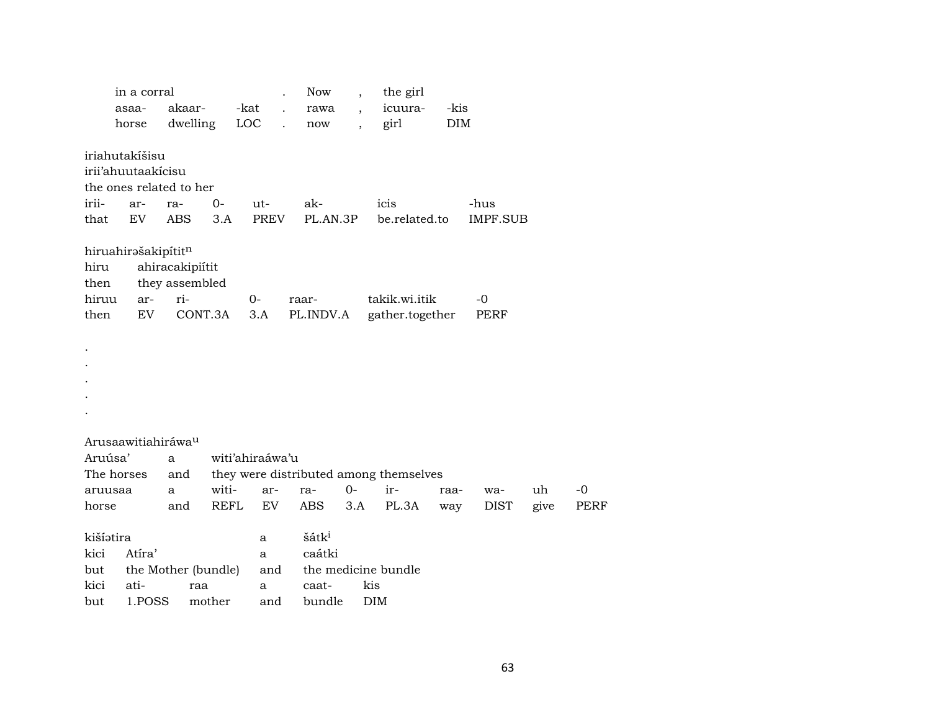|               | in a corral         |                                   |             |                 | <b>Now</b>         |       | the girl                               |            |                 |      |             |
|---------------|---------------------|-----------------------------------|-------------|-----------------|--------------------|-------|----------------------------------------|------------|-----------------|------|-------------|
|               | asaa-               | akaar-                            |             | -kat            | rawa               |       | icuura-                                | -kis       |                 |      |             |
|               | horse               | dwelling                          |             | LOC             | now                |       | girl                                   | <b>DIM</b> |                 |      |             |
|               | iriahutakíšisu      |                                   |             |                 |                    |       |                                        |            |                 |      |             |
|               | irii'ahuutaakicisu  |                                   |             |                 |                    |       |                                        |            |                 |      |             |
|               |                     | the ones related to her           |             |                 |                    |       |                                        |            |                 |      |             |
| irii-         | ar-                 | ra-                               | $O -$       | ut-             | ak-                |       | icis                                   |            | -hus            |      |             |
| that          | EV                  | <b>ABS</b>                        | 3.A         | <b>PREV</b>     | PL.AN.3P           |       | be.related.to                          |            | <b>IMPF.SUB</b> |      |             |
| hiru<br>then  | hiruahirašakipítitn | ahiracakipiítit<br>they assembled |             |                 |                    |       |                                        |            |                 |      |             |
| hiruu<br>then | ar-<br>EV           | ri-                               | CONT.3A     | 0-<br>3.A       | raar-<br>PL.INDV.A |       | takik.wi.itik                          |            | $-0$<br>PERF    |      |             |
|               |                     |                                   |             |                 |                    |       | gather.together                        |            |                 |      |             |
|               |                     |                                   |             |                 |                    |       |                                        |            |                 |      |             |
|               |                     |                                   |             |                 |                    |       |                                        |            |                 |      |             |
|               |                     |                                   |             |                 |                    |       |                                        |            |                 |      |             |
|               |                     |                                   |             |                 |                    |       |                                        |            |                 |      |             |
|               |                     |                                   |             |                 |                    |       |                                        |            |                 |      |             |
|               | Arusaawitiahiráwau  |                                   |             |                 |                    |       |                                        |            |                 |      |             |
| Aruúsa'       |                     | a                                 |             | witi'ahiraáwa'u |                    |       |                                        |            |                 |      |             |
| The horses    |                     | and                               |             |                 |                    |       | they were distributed among themselves |            |                 |      |             |
| aruusaa       |                     | a                                 | witi-       | ar-             | ra-                | $0 -$ | ir-                                    | raa-       | wa-             | uh   | $-0$        |
| horse         |                     | and                               | <b>REFL</b> | EV              | ABS                | 3.A   | PL.3A                                  | way        | <b>DIST</b>     | give | <b>PERF</b> |
|               |                     |                                   |             |                 |                    |       |                                        |            |                 |      |             |
| kišíatira     |                     |                                   |             | a               | šátk <sup>i</sup>  |       |                                        |            |                 |      |             |
| kici          | Atíra'              |                                   |             | a               | caátki             |       |                                        |            |                 |      |             |
| but           |                     | the Mother (bundle)               |             | and             |                    |       | the medicine bundle                    |            |                 |      |             |
| kici          | ati-                | raa                               |             | a               | caat-              |       | kis                                    |            |                 |      |             |
| but           | 1.POSS              |                                   | mother      | and             | bundle             |       | <b>DIM</b>                             |            |                 |      |             |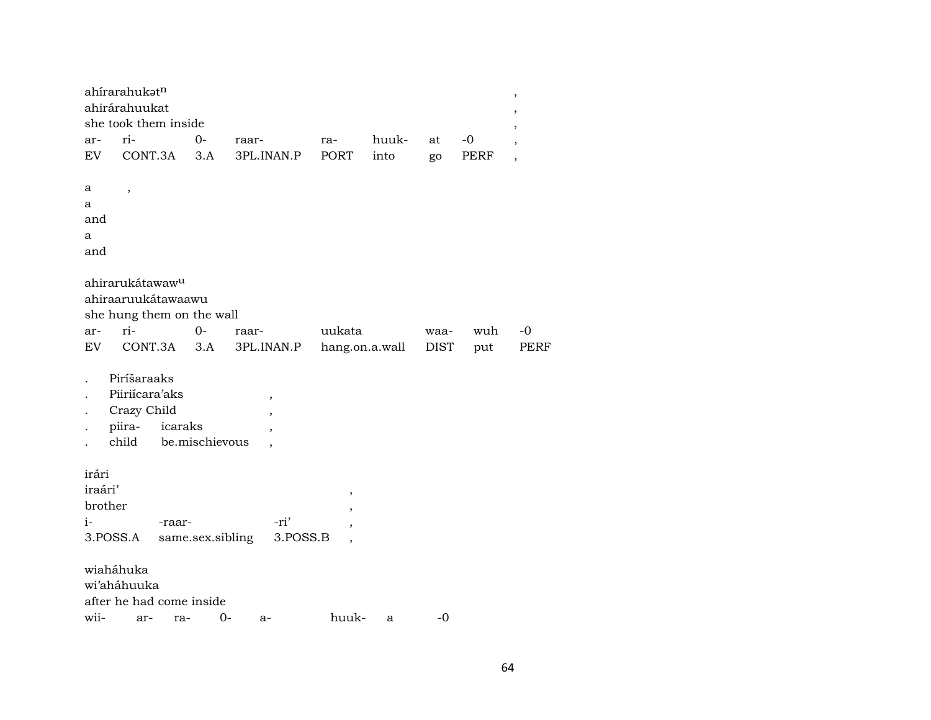| ahírarahukatn<br>ahirárahuukat<br>she took them inside          |                                 |                        |                                                                             |               |                     |                   | $\, ,$<br>,<br>,         |
|-----------------------------------------------------------------|---------------------------------|------------------------|-----------------------------------------------------------------------------|---------------|---------------------|-------------------|--------------------------|
| ri-<br>ar-<br>EV                                                | $0-$<br>CONT.3A<br>3.A          | raar-<br>3PL.INAN.P    | ra-<br>PORT                                                                 | huuk-<br>into | at                  | -0<br><b>PERF</b> | $\overline{\phantom{a}}$ |
| а<br>$\overline{\phantom{a}}$<br>a<br>and<br>a<br>and           |                                 |                        |                                                                             |               | go                  |                   | $\overline{\phantom{a}}$ |
| ahirarukátawaw <sup>u</sup><br>ahiraaruukátawaawu               | she hung them on the wall       |                        |                                                                             |               |                     |                   |                          |
| ri-<br>ar-<br>EV                                                | $0-$<br>CONT.3A<br>3.A          | raar-<br>3PL.INAN.P    | uukata<br>hang.on.a.wall                                                    |               | waa-<br><b>DIST</b> | wuh<br>put        | $-0$<br><b>PERF</b>      |
| Piríšaraaks<br>Piiriícara'aks<br>Crazy Child<br>piira-<br>child | icaraks<br>be.mischievous       | $\,$<br>$\overline{ }$ |                                                                             |               |                     |                   |                          |
| irári<br>iraári'<br>brother<br>$i-$<br>3.POSS.A                 | -raar-<br>same.sex.sibling      | -ri'<br>3.POSS.B       | $\pmb{\mathcal{I}}$<br>$\overline{\phantom{a}}$<br>$\overline{\phantom{a}}$ |               |                     |                   |                          |
| wiaháhuka<br>wi'aháhuuka<br>wii-<br>ar-                         | after he had come inside<br>ra- | 0-<br>$a-$             | huuk-                                                                       | a             | $-0$                |                   |                          |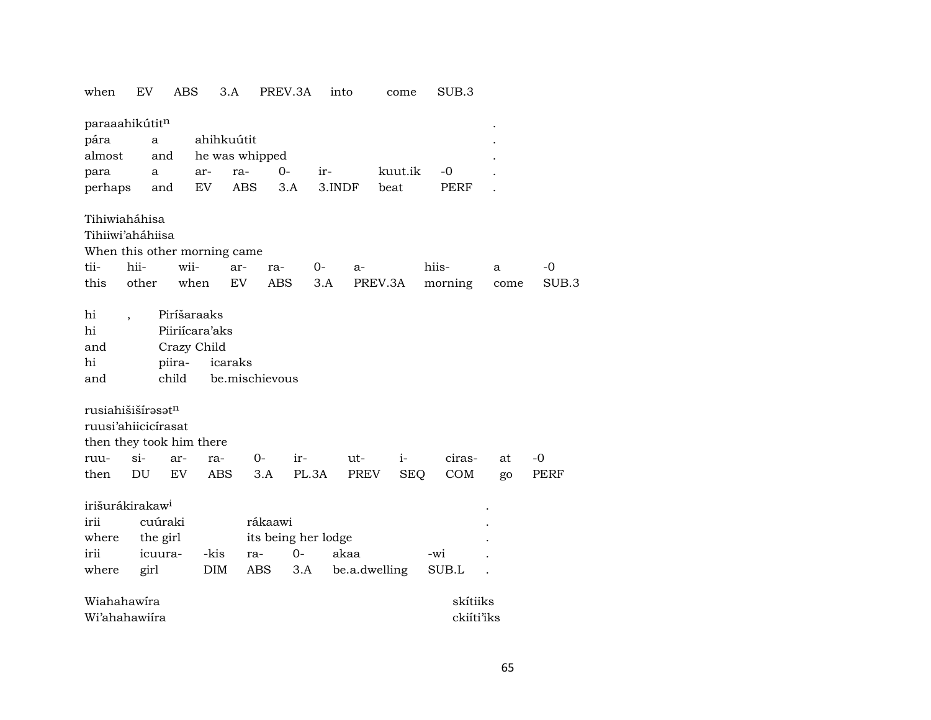| when                          | EV     |          | ABS    |                | 3.A        | PREV.3A             |       | into   | come          |            | SUB.3       |      |       |
|-------------------------------|--------|----------|--------|----------------|------------|---------------------|-------|--------|---------------|------------|-------------|------|-------|
| paraaahikútitn                |        |          |        |                |            |                     |       |        |               |            |             |      |       |
| pára                          |        | a        |        |                | ahihkuútit |                     |       |        |               |            |             |      |       |
| almost                        |        | and      |        |                |            | he was whipped      |       |        |               |            |             |      |       |
| para                          |        | a        |        | ar-            | ra-        | $0-$                | ir-   |        | kuut.ik       |            | -0          |      |       |
| perhaps                       |        | and      |        | EV             | <b>ABS</b> | 3.A                 |       | 3.INDF | beat          |            | <b>PERF</b> |      |       |
|                               |        |          |        |                |            |                     |       |        |               |            |             |      |       |
| Tihiwiaháhisa                 |        |          |        |                |            |                     |       |        |               |            |             |      |       |
| Tihiiwi'aháhiisa              |        |          |        |                |            |                     |       |        |               |            |             |      |       |
| When this other morning came  |        |          |        |                |            |                     |       |        |               |            |             |      |       |
| tii-                          | hii-   |          | wii-   |                | ar-        | ra-                 | 0-    | a-     |               |            | hiis-       | a    | -0    |
| this                          | other  |          | when   |                | <b>EV</b>  | <b>ABS</b>          | 3.A   |        | PREV.3A       |            | morning     | come | SUB.3 |
|                               |        |          |        |                |            |                     |       |        |               |            |             |      |       |
| hi                            |        |          |        | Piríšaraaks    |            |                     |       |        |               |            |             |      |       |
| hi                            |        |          |        | Piiriícara'aks |            |                     |       |        |               |            |             |      |       |
| and                           |        |          |        | Crazy Child    |            |                     |       |        |               |            |             |      |       |
| hi                            |        |          | piira- |                | icaraks    |                     |       |        |               |            |             |      |       |
| and                           |        |          | child  |                |            | be.mischievous      |       |        |               |            |             |      |       |
|                               |        |          |        |                |            |                     |       |        |               |            |             |      |       |
| rusiahišišírasat <sup>n</sup> |        |          |        |                |            |                     |       |        |               |            |             |      |       |
| ruusi'ahiicicírasat           |        |          |        |                |            |                     |       |        |               |            |             |      |       |
| then they took him there      |        |          |        |                |            |                     |       |        |               |            |             |      |       |
| ruu-                          | $\sin$ |          | ar-    | ra-            |            | 0-<br>ir-           |       | $ut-$  |               | $i-$       | ciras-      | at   | -0    |
| then                          | DU     |          | EV     | <b>ABS</b>     |            | 3.A                 | PL.3A | PREV   |               | <b>SEQ</b> | COM         |      | PERF  |
|                               |        |          |        |                |            |                     |       |        |               |            |             | go   |       |
| irišurákirakaw <sup>i</sup>   |        |          |        |                |            |                     |       |        |               |            |             |      |       |
| irii                          |        | cuúraki  |        |                |            | rákaawi             |       |        |               |            |             |      |       |
| where                         |        | the girl |        |                |            | its being her lodge |       |        |               |            |             |      |       |
| irii                          |        | icuura-  |        | -kis           | ra-        | $0-$                |       | akaa   |               |            | -wi         |      |       |
| where                         |        | girl     |        | <b>DIM</b>     |            | ABS                 | 3.A   |        | be.a.dwelling |            | SUB.L       |      |       |
|                               |        |          |        |                |            |                     |       |        |               |            |             |      |       |
| Wiahahawira                   |        |          |        |                |            |                     |       |        |               |            | skítiiks    |      |       |
| Wi'ahahawiira                 |        |          |        |                |            |                     |       |        |               |            | ckiíti'iks  |      |       |
|                               |        |          |        |                |            |                     |       |        |               |            |             |      |       |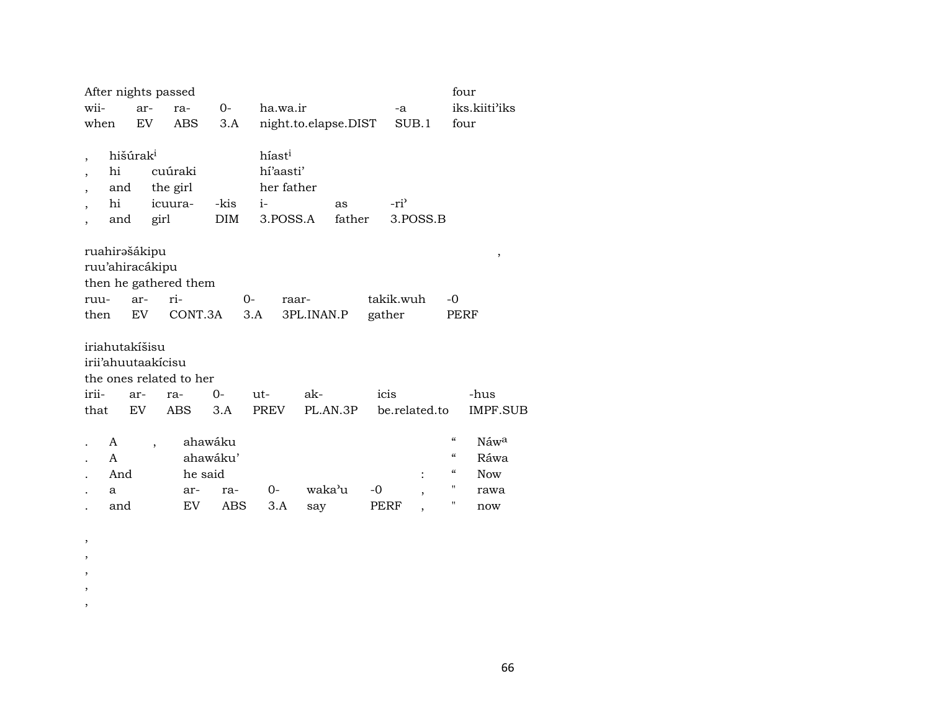| wii-<br>iks.kiiti'iks<br>ha.wa.ir<br>$0-$<br>ar-<br>ra-<br>-a<br>EV<br><b>ABS</b><br>night.to.elapse.DIST<br>SUB.1<br>when<br>3.A<br>four<br>hišúrak <sup>i</sup><br>híast <sup>i</sup><br>$\cdot$<br>hí'aasti'<br>hi<br>cuúraki<br>her father<br>the girl<br>and<br>$\overline{\phantom{a}}$<br>hi<br>-ri <sup>3</sup><br>icuura-<br>-kis<br>$i-$<br>as<br><b>DIM</b><br>father<br>3.POSS.A<br>3.POSS.B<br>girl<br>and<br>$\overline{\phantom{a}}$<br>ruahirəšákipu<br>,<br>ruu'ahiracákipu<br>then he gathered them<br>ri-<br>takik.wuh<br>$-0$<br>$0-$<br>ar-<br>ruu-<br>raar-<br>CONT.3A<br>EV<br>3.A<br>gather<br>then<br>3PL.INAN.P<br>PERF<br>iriahutakíšisu |
|---------------------------------------------------------------------------------------------------------------------------------------------------------------------------------------------------------------------------------------------------------------------------------------------------------------------------------------------------------------------------------------------------------------------------------------------------------------------------------------------------------------------------------------------------------------------------------------------------------------------------------------------------------------------|
|                                                                                                                                                                                                                                                                                                                                                                                                                                                                                                                                                                                                                                                                     |
|                                                                                                                                                                                                                                                                                                                                                                                                                                                                                                                                                                                                                                                                     |
|                                                                                                                                                                                                                                                                                                                                                                                                                                                                                                                                                                                                                                                                     |
|                                                                                                                                                                                                                                                                                                                                                                                                                                                                                                                                                                                                                                                                     |
| irii'ahuutaakícisu<br>the ones related to her                                                                                                                                                                                                                                                                                                                                                                                                                                                                                                                                                                                                                       |
| $0-$<br>ak-<br>icis<br>irii-<br>ut-<br>-hus<br>ar-<br>ra-                                                                                                                                                                                                                                                                                                                                                                                                                                                                                                                                                                                                           |
| <b>ABS</b><br><b>PREV</b><br>PL.AN.3P<br>be.related.to<br><b>IMPF.SUB</b><br>that<br>EV<br>3.A                                                                                                                                                                                                                                                                                                                                                                                                                                                                                                                                                                      |
| $\mathcal{C}\mathcal{C}$<br>ahawáku<br>Náwa<br>A<br>$\overline{\phantom{a}}$<br>$\mathcal{C}\mathcal{C}$<br>ahawáku'<br>Ráwa<br>A<br>$\mathcal{C}$<br>he said<br><b>Now</b><br>And<br>$\ddot{\cdot}$<br>п<br>waka'u<br>0-<br>-0<br>ar-<br>ra-<br>rawa<br>a                                                                                                                                                                                                                                                                                                                                                                                                          |
| ,                                                                                                                                                                                                                                                                                                                                                                                                                                                                                                                                                                                                                                                                   |

 $\, ,$  $\, ,$  $\,$  $\,$  ,  $\, ,$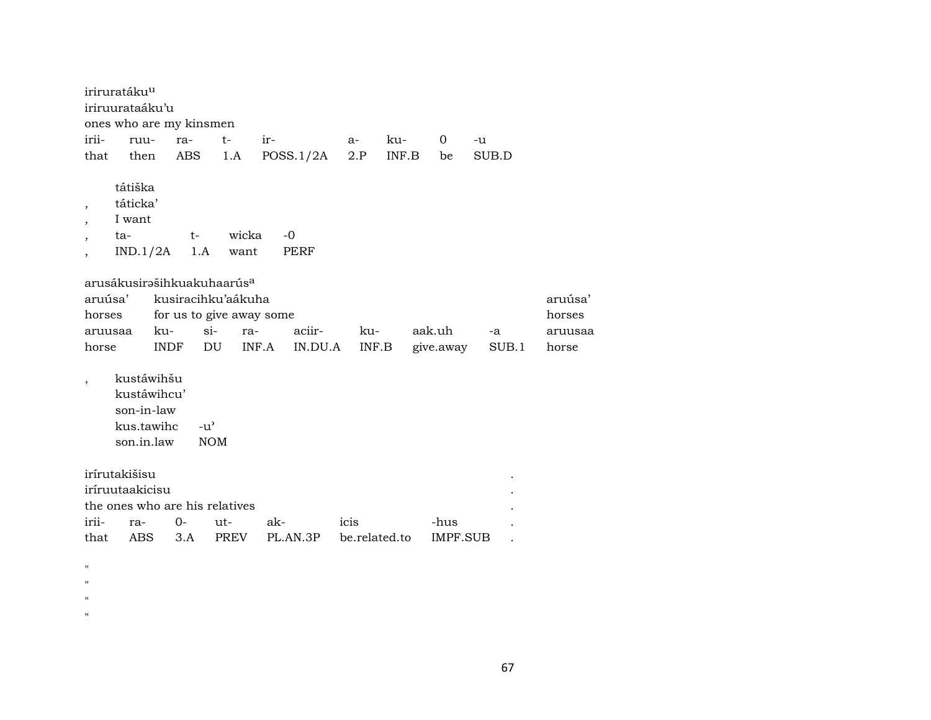|                                            | iriruratáku <sup>u</sup><br>iriruurataáku'u                         |             | ones who are my kinsmen |                                        |       |              |               |       |        |           |       |         |
|--------------------------------------------|---------------------------------------------------------------------|-------------|-------------------------|----------------------------------------|-------|--------------|---------------|-------|--------|-----------|-------|---------|
| irii-                                      | ruu-                                                                |             | ra-                     | $t-$                                   | $ir-$ |              | $a-$          | ku-   |        | 0         | -u    |         |
| that                                       | then                                                                |             | <b>ABS</b>              | 1.A                                    |       | POSS.1/2A    | 2.P           | INF.B |        | be        | SUB.D |         |
| $\overline{\phantom{a}}$<br>$\overline{ }$ | tátiška<br>táticka'<br>I want<br>ta-<br>IND.1/2A                    |             | t-<br>1.A               | wicka<br>want                          |       | $-0$<br>PERF |               |       |        |           |       |         |
|                                            |                                                                     |             |                         | arusákusirašihkuakuhaarús <sup>a</sup> |       |              |               |       |        |           |       |         |
| aruúsa'                                    |                                                                     |             |                         | kusiracihku'aákuha                     |       |              |               |       |        |           |       | aruúsa' |
| horses                                     |                                                                     |             |                         | for us to give away some               |       |              |               |       |        |           |       | horses  |
| aruusaa                                    |                                                                     | ku-         | $si-$                   | ra-                                    |       | aciir-       | ku-           |       | aak.uh |           | -a    | aruusaa |
| horse                                      |                                                                     | <b>INDF</b> | DU                      |                                        | INF.A | IN.DU.A      | INF.B         |       |        | give.away | SUB.1 | horse   |
| $\overline{\phantom{a}}$                   | kustáwihšu<br>kustáwihcu'<br>son-in-law<br>kus.tawihc<br>son.in.law |             | $-u^{\prime}$           | <b>NOM</b>                             |       |              |               |       |        |           |       |         |
|                                            | irírutakišisu                                                       |             |                         |                                        |       |              |               |       |        |           |       |         |
|                                            | iríruutaakicisu                                                     |             |                         |                                        |       |              |               |       |        |           |       |         |
|                                            |                                                                     |             |                         | the ones who are his relatives         |       |              |               |       |        |           |       |         |
| irii-                                      | ra-                                                                 |             | $0-$                    | ut-                                    | ak-   |              | icis          |       |        | -hus      |       |         |
| that                                       | <b>ABS</b>                                                          |             | 3.A                     | PREV                                   |       | PL.AN.3P     | be.related.to |       |        | IMPF.SUB  |       |         |
|                                            |                                                                     |             |                         |                                        |       |              |               |       |        |           |       |         |
| п<br>$\blacksquare$                        |                                                                     |             |                         |                                        |       |              |               |       |        |           |       |         |
| $\blacksquare$                             |                                                                     |             |                         |                                        |       |              |               |       |        |           |       |         |
|                                            |                                                                     |             |                         |                                        |       |              |               |       |        |           |       |         |

 $\mathbf{u}$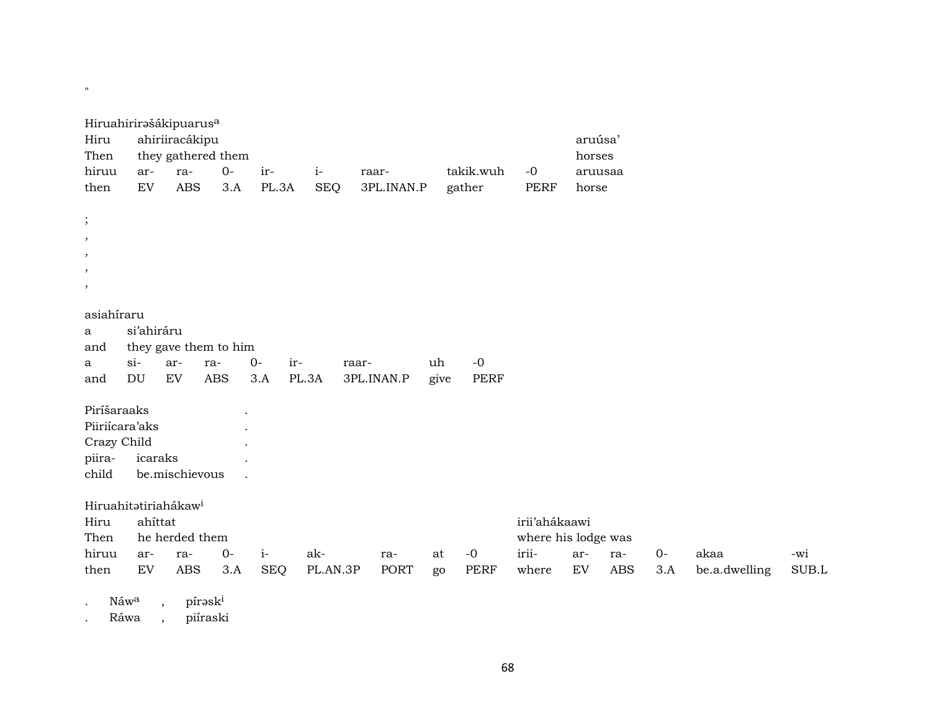| Hiruahirirašákipuarus <sup>a</sup> |                  |                |                       |       |              |            |      |             |                     |         |         |       |               |             |
|------------------------------------|------------------|----------------|-----------------------|-------|--------------|------------|------|-------------|---------------------|---------|---------|-------|---------------|-------------|
| Hiru                               |                  | ahiriiracákipu |                       |       |              |            |      |             |                     | aruúsa' |         |       |               |             |
| Then                               |                  |                | they gathered them    |       |              |            |      |             |                     | horses  |         |       |               |             |
| hiruu                              | ar-              | ra-            | $0-$                  | ir-   | $i-$         | raar-      |      | takik.wuh   | $-0$                |         | aruusaa |       |               |             |
| then                               | EV               | <b>ABS</b>     | 3.A                   | PL.3A | <b>SEQ</b>   | 3PL.INAN.P |      | gather      | <b>PERF</b>         | horse   |         |       |               |             |
|                                    |                  |                |                       |       |              |            |      |             |                     |         |         |       |               |             |
| $\vdots$                           |                  |                |                       |       |              |            |      |             |                     |         |         |       |               |             |
| $\,$                               |                  |                |                       |       |              |            |      |             |                     |         |         |       |               |             |
| $\,$                               |                  |                |                       |       |              |            |      |             |                     |         |         |       |               |             |
| $\,$                               |                  |                |                       |       |              |            |      |             |                     |         |         |       |               |             |
| $\,$                               |                  |                |                       |       |              |            |      |             |                     |         |         |       |               |             |
| asiahíraru                         |                  |                |                       |       |              |            |      |             |                     |         |         |       |               |             |
| a                                  | si'ahiráru       |                |                       |       |              |            |      |             |                     |         |         |       |               |             |
| and                                |                  |                | they gave them to him |       |              |            |      |             |                     |         |         |       |               |             |
| a                                  | $\sin$           | ar-            | ra-                   | $0 -$ | ir-<br>raar- |            | uh   | $-0$        |                     |         |         |       |               |             |
| and                                | <b>DU</b>        | EV             | <b>ABS</b>            | 3.A   | PL.3A        | 3PL.INAN.P | give | <b>PERF</b> |                     |         |         |       |               |             |
|                                    |                  |                |                       |       |              |            |      |             |                     |         |         |       |               |             |
| Piríšaraaks                        |                  |                |                       |       |              |            |      |             |                     |         |         |       |               |             |
| Piiriícara'aks                     |                  |                |                       |       |              |            |      |             |                     |         |         |       |               |             |
| Crazy Child                        |                  |                |                       |       |              |            |      |             |                     |         |         |       |               |             |
| piira-                             | icaraks          |                |                       |       |              |            |      |             |                     |         |         |       |               |             |
| child                              |                  | be.mischievous |                       |       |              |            |      |             |                     |         |         |       |               |             |
| Hiruahitatiriahákaw <sup>i</sup>   |                  |                |                       |       |              |            |      |             |                     |         |         |       |               |             |
| Hiru                               | ahíttat          |                |                       |       |              |            |      |             | irii'ahákaawi       |         |         |       |               |             |
| Then                               |                  | he herded them |                       |       |              |            |      |             | where his lodge was |         |         |       |               |             |
| hiruu                              | ar-              | ra-            | $0-$                  | $i-$  | ak-          | ra-        | at   | $-0$        | irii-               | ar-     | ra-     | $O -$ | akaa          | -wi         |
| then                               | EV               | ABS            | 3.A                   | SEQ   | PL.AN.3P     | PORT       | go   | PERF        | where               | EV      | ABS     | 3.A   | be.a.dwelling | $\rm SUB.L$ |
|                                    |                  |                |                       |       |              |            |      |             |                     |         |         |       |               |             |
|                                    | Náw <sup>a</sup> | $\,$           | pírəski               |       |              |            |      |             |                     |         |         |       |               |             |

. Ráwa , piíraski

**"** "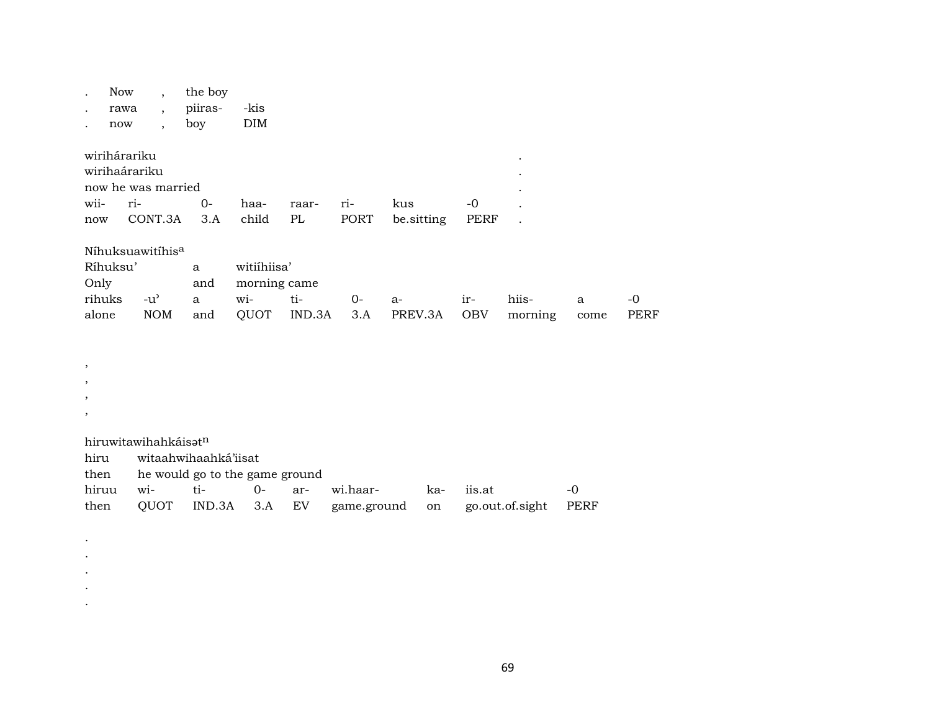| $\cdot$<br>now                                 | Now<br>$\overline{ }$ ,<br>rawa<br>$\overline{\phantom{a}}$<br>$\overline{\phantom{a}}$ | the boy<br>piiras-<br>boy                  | -kis<br>DIM                                |               |             |               |            |                                     |           |                   |
|------------------------------------------------|-----------------------------------------------------------------------------------------|--------------------------------------------|--------------------------------------------|---------------|-------------|---------------|------------|-------------------------------------|-----------|-------------------|
| wirihárariku<br>wii-                           | wirihaárariku<br>now he was married<br>ri-                                              | $0-$                                       | haa-                                       | raar-         | ri-         | kus           | -0         | $\bullet$<br>$\bullet$<br>$\bullet$ |           |                   |
| now                                            | CONT.3A                                                                                 | 3.A                                        | child                                      | PL            | PORT        | be.sitting    | PERF       |                                     |           |                   |
| Ríhuksu'<br>Only<br>rihuks<br>alone<br>$\cdot$ | Níhuksuawitíhis <sup>a</sup><br>$-u^{\prime}$<br><b>NOM</b>                             | $\mathbf{a}$<br>and<br>$\mathbf{a}$<br>and | witiihiisa'<br>morning came<br>wi-<br>QUOT | ti-<br>IND.3A | $0-$<br>3.A | a-<br>PREV.3A | ir-<br>OBV | hiis-<br>morning                    | a<br>come | -0<br><b>PERF</b> |
| $\cdot$                                        |                                                                                         |                                            |                                            |               |             |               |            |                                     |           |                   |
| $\cdot$                                        |                                                                                         |                                            |                                            |               |             |               |            |                                     |           |                   |
| $\,$                                           |                                                                                         |                                            |                                            |               |             |               |            |                                     |           |                   |
|                                                |                                                                                         |                                            |                                            |               |             |               |            |                                     |           |                   |

hiruwitawihahkáisət<sup>n</sup>

 $\bullet$  $\sim$  $\sim$  $\sim$  $\langle \cdot \rangle$ 

| <u>mi uwitawilialikaiset</u> |                                     |  |        |  |          |     |                                                        |           |  |  |  |  |
|------------------------------|-------------------------------------|--|--------|--|----------|-----|--------------------------------------------------------|-----------|--|--|--|--|
| hiru                         | witaahwihaahká'iisat                |  |        |  |          |     |                                                        |           |  |  |  |  |
|                              | then he would go to the game ground |  |        |  |          |     |                                                        |           |  |  |  |  |
| hiruu                        | wi- ti-                             |  | 0- ar- |  | wi.haar- | ka- | iis at                                                 | $-\Omega$ |  |  |  |  |
| then                         |                                     |  |        |  |          |     | QUOT IND.3A 3.A EV game.ground on go.out.of.sight PERF |           |  |  |  |  |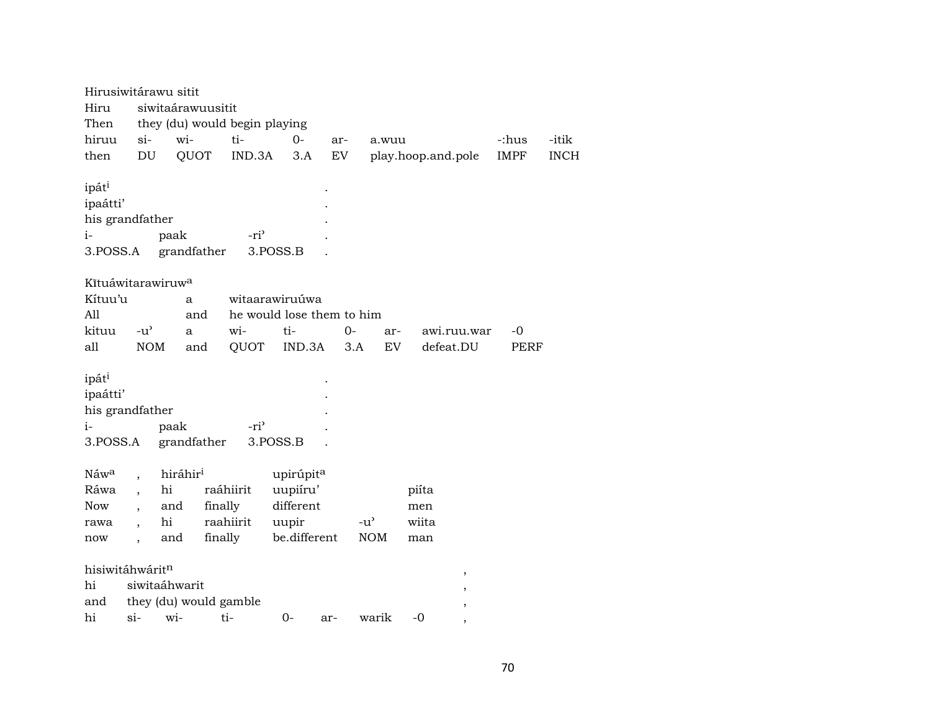|                               | Hirusiwitárawu sitit                |                      |                               |                           |                            |                                     |                          |             |             |  |
|-------------------------------|-------------------------------------|----------------------|-------------------------------|---------------------------|----------------------------|-------------------------------------|--------------------------|-------------|-------------|--|
| Hiru                          |                                     |                      | siwitaárawuusitit             |                           |                            |                                     |                          |             |             |  |
| Then                          |                                     |                      | they (du) would begin playing |                           |                            |                                     |                          |             |             |  |
| hiruu                         | $si$ -                              | wi-                  | ti-                           | $O-$                      | ar-                        | a.wuu                               |                          | -:hus       | -itik       |  |
| then                          | DU                                  | QUOT                 | IND.3A                        | 3.A                       | $\mathop{\rm EV}\nolimits$ |                                     | play.hoop.and.pole       | <b>IMPF</b> | <b>INCH</b> |  |
| ipáti<br>ipaátti'             |                                     |                      |                               |                           |                            |                                     |                          |             |             |  |
|                               | his grandfather                     |                      |                               |                           |                            |                                     |                          |             |             |  |
| $i-$                          |                                     | paak                 | -ri <sup>3</sup>              |                           |                            |                                     |                          |             |             |  |
| 3.POSS.A                      |                                     | grandfather          |                               | 3.POSS.B                  |                            |                                     |                          |             |             |  |
|                               |                                     |                      |                               |                           |                            |                                     |                          |             |             |  |
|                               | Kītuáwitarawiruw <sup>a</sup>       |                      |                               |                           |                            |                                     |                          |             |             |  |
| Kítuu'u                       |                                     | a                    |                               | witaarawiruúwa            |                            |                                     |                          |             |             |  |
| All                           |                                     |                      | and                           | he would lose them to him |                            |                                     |                          |             |             |  |
| kituu                         | $-u$ <sup><math>\prime</math></sup> | $\mathbf{a}$         | wi-                           | ti-                       | $0-$                       | ar-                                 | awi.ruu.war              | $-0$        |             |  |
| all                           | $\rm{NOM}$                          |                      | QUOT<br>and                   | IND.3A                    |                            | ${\rm EV}$<br>3.A                   | defeat.DU                | <b>PERF</b> |             |  |
| ipát <sup>i</sup><br>ipaátti' |                                     |                      |                               |                           |                            |                                     |                          |             |             |  |
|                               | his grandfather                     |                      |                               |                           |                            |                                     |                          |             |             |  |
| i-                            |                                     | paak                 | -ri <sup>3</sup>              |                           |                            |                                     |                          |             |             |  |
| 3.POSS.A                      |                                     | grandfather          |                               | 3.POSS.B                  |                            |                                     |                          |             |             |  |
|                               |                                     |                      |                               |                           |                            |                                     |                          |             |             |  |
| Náwa                          |                                     | hiráhir <sup>i</sup> |                               | upirúpit <sup>a</sup>     |                            |                                     |                          |             |             |  |
| Ráwa                          |                                     | hi                   | raáhiirit                     | uupiíru'                  |                            |                                     | piíta                    |             |             |  |
| Now                           |                                     | and                  | finally                       | different                 |                            |                                     | men                      |             |             |  |
| rawa                          |                                     | hi                   | raahiirit                     | uupir                     |                            | $-u$ <sup><math>\prime</math></sup> | wiita                    |             |             |  |
| now                           | $\ddot{\phantom{0}}$                | and                  | finally                       | be.different              |                            | <b>NOM</b>                          | man                      |             |             |  |
|                               | hisiwitáhwáritn                     |                      |                               |                           |                            |                                     |                          |             |             |  |
| hi                            |                                     | siwitaáhwarit        |                               |                           |                            |                                     | $\, ,$                   |             |             |  |
| and                           |                                     |                      | they (du) would gamble        |                           |                            |                                     |                          |             |             |  |
| hi                            | $\sin$                              | wi-                  | ti-                           | $0-$                      |                            | warik                               | ,<br>$-0$                |             |             |  |
|                               |                                     |                      |                               |                           | ar-                        |                                     | $\overline{\phantom{a}}$ |             |             |  |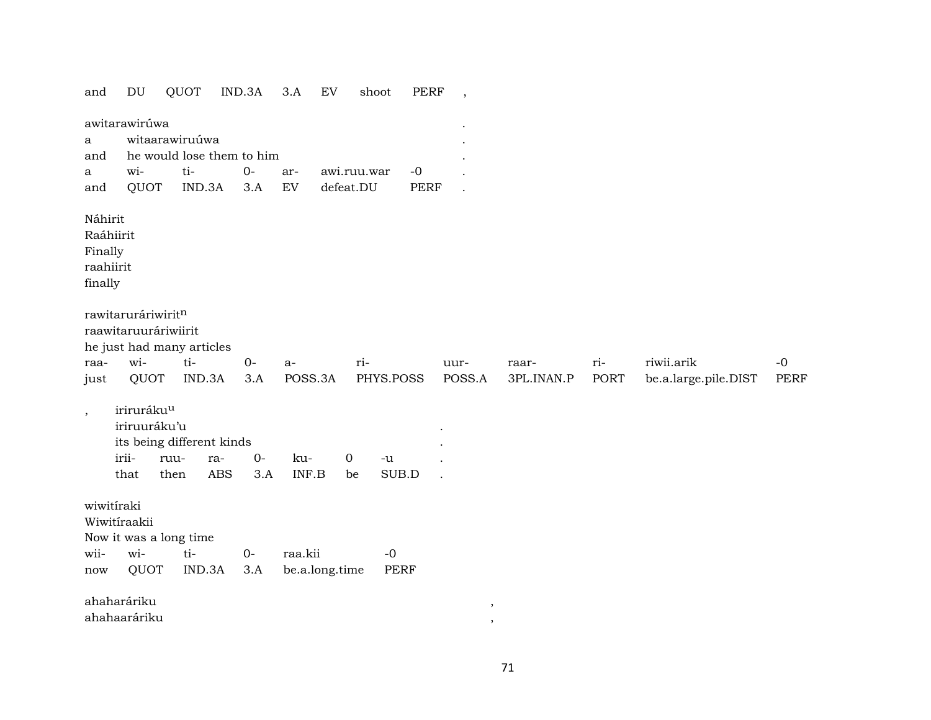| and                                                     | DU                                                      | QUOT                                             | IND.3A                    | 3.A<br>EV      |                   | <b>PERF</b><br>shoot | $\,$                 |            |             |                      |             |
|---------------------------------------------------------|---------------------------------------------------------|--------------------------------------------------|---------------------------|----------------|-------------------|----------------------|----------------------|------------|-------------|----------------------|-------------|
|                                                         | awitarawirúwa                                           |                                                  |                           |                |                   |                      |                      |            |             |                      |             |
| a                                                       |                                                         | witaarawiruúwa                                   |                           |                |                   |                      |                      |            |             |                      |             |
| and                                                     |                                                         |                                                  | he would lose them to him |                |                   |                      |                      |            |             |                      |             |
| a                                                       | wi-                                                     | ti-                                              | $O -$                     | ar-            | awi.ruu.war       | $-0$                 |                      |            |             |                      |             |
| and                                                     | QUOT                                                    | IND.3A                                           | 3.A                       | EV             | defeat.DU         | <b>PERF</b>          | $\ddot{\phantom{0}}$ |            |             |                      |             |
| Náhirit<br>Raáhiirit<br>Finally<br>raahiirit<br>finally |                                                         |                                                  |                           |                |                   |                      |                      |            |             |                      |             |
| raa-                                                    | rawitaruráriwiritn<br>raawitaruuráriwiirit<br>wi-       | he just had many articles<br>ti-                 | $O -$                     | $a-$           | ri-               |                      | uur-                 | raar-      | ri-         | riwii.arik           | $-0$        |
| just                                                    | QUOT                                                    | IND.3A                                           | 3.A                       | POSS.3A        |                   | PHYS.POSS            | POSS.A               | 3PL.INAN.P | <b>PORT</b> | be.a.large.pile.DIST | <b>PERF</b> |
| $\, ,$                                                  | iriruráku <sup>u</sup><br>iriruuráku'u<br>irii-<br>that | its being different kinds<br>ruu-<br>ra-<br>then | $0-$<br><b>ABS</b><br>3.A | ku-<br>INF.B   | $\mathbf 0$<br>be | $-u$<br>SUB.D        |                      |            |             |                      |             |
| wiwitiraki                                              | Wiwitíraakii                                            | Now it was a long time                           |                           |                |                   |                      |                      |            |             |                      |             |
| wii-                                                    | wi-                                                     | ti-                                              | $0-$                      | raa.kii        |                   | $-0$                 |                      |            |             |                      |             |
| now                                                     | QUOT                                                    | IND.3A                                           | 3.A                       | be.a.long.time |                   | PERF                 |                      |            |             |                      |             |
|                                                         | ahaharáriku                                             |                                                  |                           |                |                   |                      | ,                    |            |             |                      |             |
|                                                         | ahahaaráriku                                            |                                                  |                           |                |                   |                      | $\cdot$              |            |             |                      |             |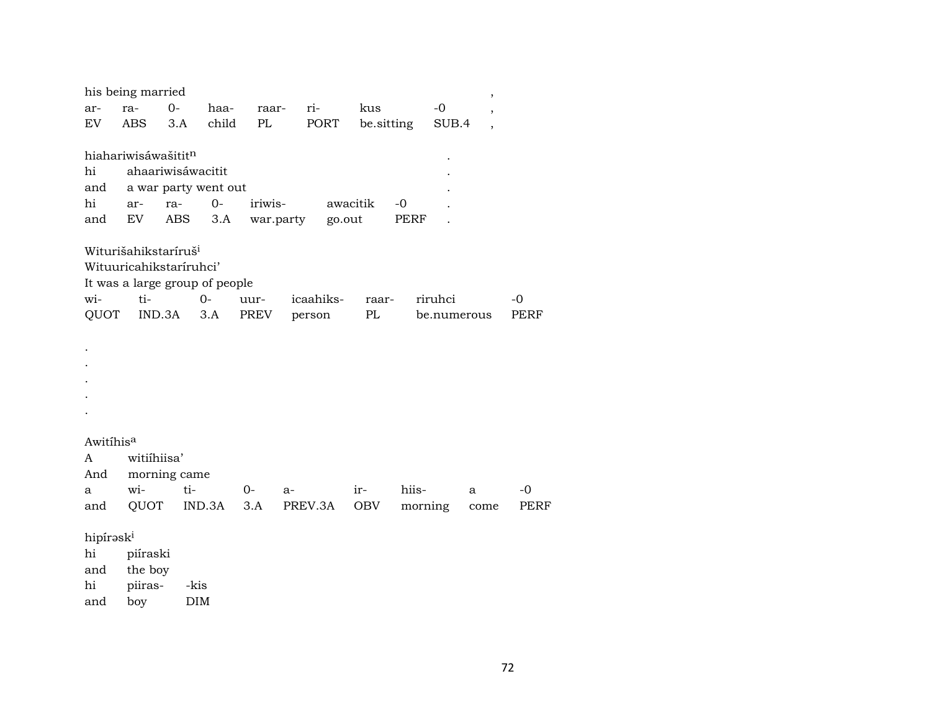| his being married<br>, |                                  |              |                                |               |           |          |            |         |             |                          |      |  |  |  |
|------------------------|----------------------------------|--------------|--------------------------------|---------------|-----------|----------|------------|---------|-------------|--------------------------|------|--|--|--|
| ar-                    | ra-                              | $0-$         | haa-                           | raar-         | ri-       |          | kus        |         | $-0$        | ,                        |      |  |  |  |
| EV                     | ABS                              | 3.A          | child                          | PL            | PORT      |          | be sitting |         | SUB.4       | $\overline{\phantom{a}}$ |      |  |  |  |
|                        |                                  |              |                                |               |           |          |            |         |             |                          |      |  |  |  |
|                        | hiahariwisáwašitit <sup>n</sup>  |              |                                |               |           |          |            |         |             |                          |      |  |  |  |
| hi                     | ahaariwisáwacitit                |              |                                |               |           |          |            |         |             |                          |      |  |  |  |
| and                    | a war party went out             |              |                                |               |           |          |            |         |             |                          |      |  |  |  |
| hi                     | ar-                              | ra-          | $0 -$                          | iriwis-       |           | awacitik |            | $-0$    |             |                          |      |  |  |  |
| and                    | EV                               | ABS          |                                | 3.A war.party |           | go.out   |            | PERF    |             |                          |      |  |  |  |
|                        |                                  |              |                                |               |           |          |            |         |             |                          |      |  |  |  |
|                        | Witurišahikstaríruš <sup>i</sup> |              |                                |               |           |          |            |         |             |                          |      |  |  |  |
|                        | Wituuricahikstaríruhci'          |              |                                |               |           |          |            |         |             |                          |      |  |  |  |
|                        |                                  |              | It was a large group of people |               |           |          |            |         |             |                          |      |  |  |  |
| wi-                    | ti-                              |              | $0-$                           | uur-          | icaahiks- |          | raar-      |         | riruhci     |                          | $-0$ |  |  |  |
| QUOT                   |                                  | IND.3A       | 3.A                            | PREV          | person    |          | PL         |         | be.numerous |                          | PERF |  |  |  |
|                        |                                  |              |                                |               |           |          |            |         |             |                          |      |  |  |  |
|                        |                                  |              |                                |               |           |          |            |         |             |                          |      |  |  |  |
|                        |                                  |              |                                |               |           |          |            |         |             |                          |      |  |  |  |
|                        |                                  |              |                                |               |           |          |            |         |             |                          |      |  |  |  |
|                        |                                  |              |                                |               |           |          |            |         |             |                          |      |  |  |  |
|                        |                                  |              |                                |               |           |          |            |         |             |                          |      |  |  |  |
|                        |                                  |              |                                |               |           |          |            |         |             |                          |      |  |  |  |
| Awitihisa              |                                  |              |                                |               |           |          |            |         |             |                          |      |  |  |  |
| A                      | witiihiisa'                      |              |                                |               |           |          |            |         |             |                          |      |  |  |  |
| And                    |                                  | morning came |                                |               |           |          |            |         |             |                          |      |  |  |  |
| a                      | wi-                              | ti-          |                                | $0-$          | a-        |          | ir-        | hiis-   |             | a                        | $-0$ |  |  |  |
| and                    | QUOT                             |              | IND.3A                         | 3.A           | PREV.3A   |          | OBV        | morning |             | come                     | PERF |  |  |  |
|                        |                                  |              |                                |               |           |          |            |         |             |                          |      |  |  |  |
| hipírəski              |                                  |              |                                |               |           |          |            |         |             |                          |      |  |  |  |
| hi                     | piíraski                         |              |                                |               |           |          |            |         |             |                          |      |  |  |  |
|                        | and the hov                      |              |                                |               |           |          |            |         |             |                          |      |  |  |  |

and the boy -kis hi piirasboy  $\rm{DIM}$ and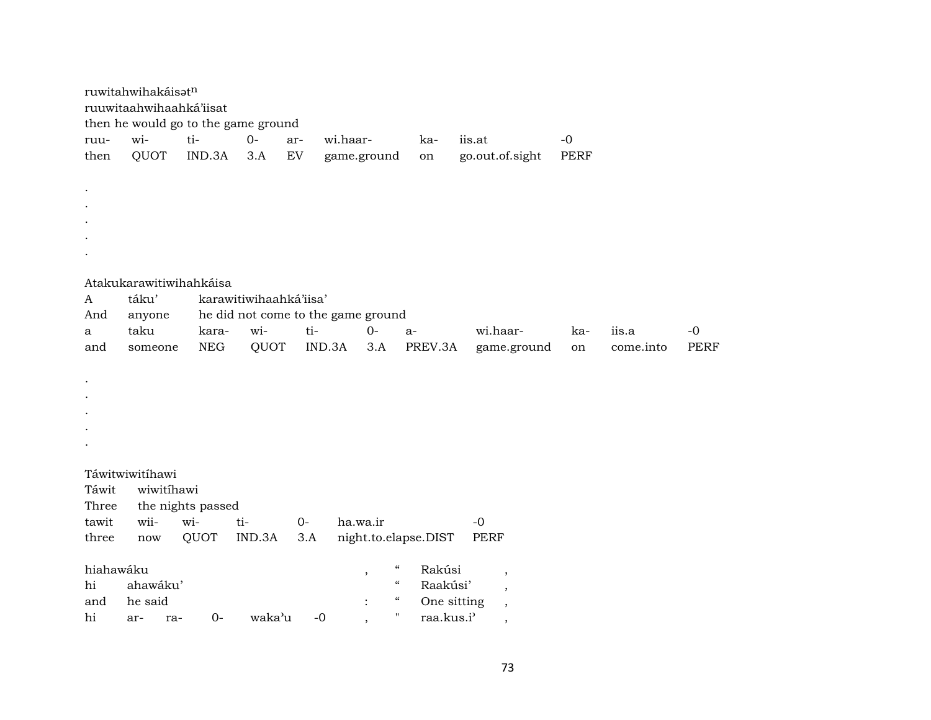|           | ruwitahwihakáisatn<br>ruuwitaahwihaahká'iisat<br>then he would go to the game ground |                   |                                    |            |                          |                          |                      |                          |             |           |             |
|-----------|--------------------------------------------------------------------------------------|-------------------|------------------------------------|------------|--------------------------|--------------------------|----------------------|--------------------------|-------------|-----------|-------------|
| ruu-      | wi-                                                                                  | ti-               | $0-$                               | ar-        | wi.haar-                 |                          | ka-                  | iis.at                   | $-0$        |           |             |
| then      | QUOT                                                                                 | IND.3A            | 3.A                                | ${\rm EV}$ | game.ground              |                          | on                   | go.out.of.sight          | <b>PERF</b> |           |             |
|           |                                                                                      |                   |                                    |            |                          |                          |                      |                          |             |           |             |
|           |                                                                                      |                   |                                    |            |                          |                          |                      |                          |             |           |             |
|           |                                                                                      |                   |                                    |            |                          |                          |                      |                          |             |           |             |
|           |                                                                                      |                   |                                    |            |                          |                          |                      |                          |             |           |             |
|           |                                                                                      |                   |                                    |            |                          |                          |                      |                          |             |           |             |
|           |                                                                                      |                   |                                    |            |                          |                          |                      |                          |             |           |             |
|           |                                                                                      |                   |                                    |            |                          |                          |                      |                          |             |           |             |
|           | Atakukarawitiwihahkáisa                                                              |                   |                                    |            |                          |                          |                      |                          |             |           |             |
| A         | táku'                                                                                |                   | karawitiwihaahká'iisa'             |            |                          |                          |                      |                          |             |           |             |
| And       | anyone                                                                               |                   | he did not come to the game ground |            |                          |                          |                      |                          |             |           |             |
| a         | taku                                                                                 | kara-             | wi-                                | ti-        | $0 -$                    |                          | $a-$                 | wi.haar-                 | ka-         | iis.a     | $-0$        |
| and       | someone                                                                              | <b>NEG</b>        | QUOT                               |            | IND.3A                   | 3.A                      | PREV.3A              | game.ground              | on          | come.into | <b>PERF</b> |
|           |                                                                                      |                   |                                    |            |                          |                          |                      |                          |             |           |             |
|           |                                                                                      |                   |                                    |            |                          |                          |                      |                          |             |           |             |
|           |                                                                                      |                   |                                    |            |                          |                          |                      |                          |             |           |             |
|           |                                                                                      |                   |                                    |            |                          |                          |                      |                          |             |           |             |
|           |                                                                                      |                   |                                    |            |                          |                          |                      |                          |             |           |             |
|           |                                                                                      |                   |                                    |            |                          |                          |                      |                          |             |           |             |
|           | Táwitwiwitíhawi                                                                      |                   |                                    |            |                          |                          |                      |                          |             |           |             |
| Táwit     | wiwitihawi                                                                           |                   |                                    |            |                          |                          |                      |                          |             |           |             |
| Three     |                                                                                      | the nights passed |                                    |            |                          |                          |                      |                          |             |           |             |
| tawit     | wii-                                                                                 | wi-               | ti-                                | $O -$      | ha.wa.ir                 |                          |                      | $-0$                     |             |           |             |
| three     | now                                                                                  | QUOT              | IND.3A                             | 3.A        |                          |                          | night.to.elapse.DIST | <b>PERF</b>              |             |           |             |
|           |                                                                                      |                   |                                    |            |                          |                          |                      |                          |             |           |             |
| hiahawáku |                                                                                      |                   |                                    |            | $\overline{\phantom{a}}$ | $\epsilon\epsilon$       | Rakúsi               | $\overline{\phantom{a}}$ |             |           |             |
| hi        | ahawáku'                                                                             |                   |                                    |            |                          | $\mathcal{C}\mathcal{C}$ | Raakúsi'             | $\overline{\phantom{a}}$ |             |           |             |
| and       | he said                                                                              |                   |                                    |            |                          | $\epsilon\epsilon$       | One sitting          |                          |             |           |             |
| hi        | ar-<br>ra-                                                                           | $0-$              | waka'u                             | $-0$       | $\cdot$                  | П                        | raa.kus.i'           | $\cdot$                  |             |           |             |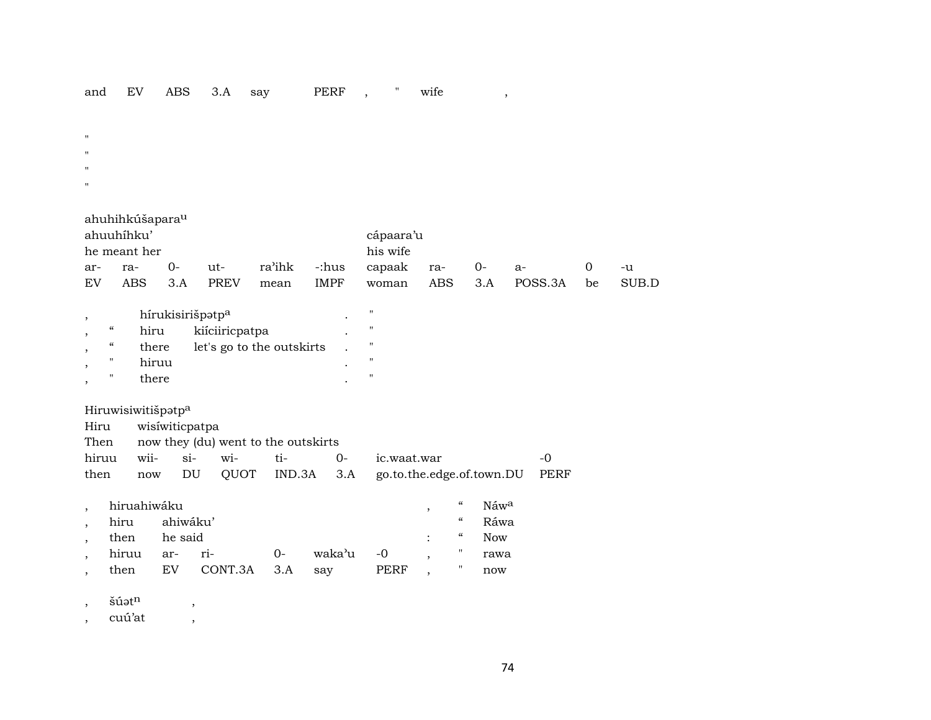### PERF, "wife and EV ABS 3.A say

 $\bar{\mathbf{u}}$ 

- $\mathbf{u}$
- $\mathbf{u}$
- $\mathbf{u}$

# ahuhihkúšapara<sup>u</sup>

| ahuuhihku'   |             |  |      |      |             | cápaara'u               |  |       |  |    |       |  |
|--------------|-------------|--|------|------|-------------|-------------------------|--|-------|--|----|-------|--|
| he meant her |             |  |      |      |             | his wife                |  |       |  |    |       |  |
| ar-          | $O-$<br>ra- |  | ut-  |      |             | ra'ihk -:hus capaak ra- |  | 0- a- |  |    | -u    |  |
| EV           | ABS 3.A     |  | PREV | mean | <b>IMPF</b> | woman ABS 3.A POSS.3A   |  |       |  | be | SUB D |  |

|                   | hírukisirišpatp <sup>a</sup> |                           | " |
|-------------------|------------------------------|---------------------------|---|
| $\epsilon$        | hiru                         | kiíciiricpatpa            | " |
| $\epsilon$        | there                        | let's go to the outskirts | " |
| $^{\prime\prime}$ | hiruu                        |                           | " |
| "                 | there                        |                           | " |

# Hiruwisiwitišpatp<sup>a</sup>

|  | Hiru wisiwiticpatpa                      |  |  |  |                                                            |           |  |  |  |  |
|--|------------------------------------------|--|--|--|------------------------------------------------------------|-----------|--|--|--|--|
|  | Then now they (du) went to the outskirts |  |  |  |                                                            |           |  |  |  |  |
|  |                                          |  |  |  | hiruu wii- si- wi- ti- 0- ic.waat.war                      | $-\Omega$ |  |  |  |  |
|  |                                          |  |  |  | then now DU QUOT IND.3A 3.A go.to.the.edge.of.town.DU PERF |           |  |  |  |  |

| hiruahiwáku   |     |                 | "           | Náw <sup>a</sup> |                   |            |            |
|---------------|-----|-----------------|-------------|------------------|-------------------|------------|------------|
| hiru ahiwáku' |     |                 |             |                  |                   | $\epsilon$ | Ráwa       |
| then he said  |     |                 |             |                  | <b>Contractor</b> | $\epsilon$ | <b>Now</b> |
| hiruu ar- ri- |     | $0-$            | waka'u -0 . |                  |                   |            | rawa       |
| then          | EV. | CONT.3A 3.A say |             | PERF             |                   |            | now        |

 $\check{\mathrm{s}}\acute{\mathrm{u}}$ ət $^{\mathrm{n}}$  $\cdot$ 

 $c$ uú'at  $\overline{\phantom{a}}$ 

 $\,$  ,

 $\overline{\phantom{a}}$ 

 $\overline{\phantom{a}}$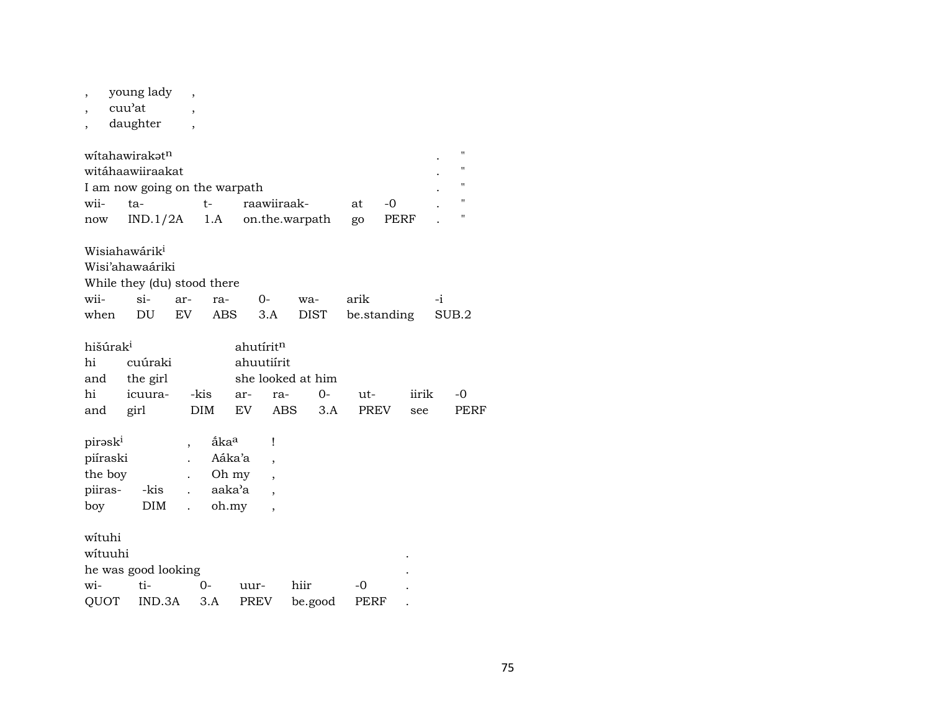, young lady ,

, cuu'at ,

, daughter ,

|      | witahawirakət <sup>n</sup>    |       |                               |    |           |  |
|------|-------------------------------|-------|-------------------------------|----|-----------|--|
|      | witáhaawiiraakat              |       |                               |    |           |  |
|      | I am now going on the warpath |       |                               |    |           |  |
| wii- | ta-                           | $+ -$ | raawiiraak-                   | at | $-\Omega$ |  |
| now  |                               |       | $IND.1/2A$ 1.A on.the.warpath | go | PERF      |  |

Wisiahawárik<sup>i</sup>

Wisi'ahawaáriki

| While they (du) stood there |  |  |  |  |                                           |  |  |  |  |  |  |
|-----------------------------|--|--|--|--|-------------------------------------------|--|--|--|--|--|--|
|                             |  |  |  |  | wii- si- ar- ra- 0- wa- arik -i           |  |  |  |  |  |  |
|                             |  |  |  |  | when DU EV ABS 3.A DIST be standing SUB.2 |  |  |  |  |  |  |

| hišúrak <sup>i</sup> |                                | ahutírit <sup>n</sup> |  |  |  |          |      |  |  |
|----------------------|--------------------------------|-----------------------|--|--|--|----------|------|--|--|
|                      | hi cuúraki                     | ahuutiirit            |  |  |  |          |      |  |  |
|                      | and the girl                   | she looked at him     |  |  |  |          |      |  |  |
|                      | hi icuura- -kis ar- ra- 0- ut- |                       |  |  |  | iirik -0 |      |  |  |
|                      | and girl DIM EV ABS 3.A PREV   |                       |  |  |  | see      | PERF |  |  |

| pirask <sup>i</sup> |            | åka <sup>a</sup> |  |
|---------------------|------------|------------------|--|
| piíraski            |            | Aáka'a           |  |
| the boy             |            | Oh my            |  |
| piiras-             | -kis       | aaka'a           |  |
| boy                 | <b>DIM</b> | oh.my            |  |

wítuhi

| wituuhi             |         |      |      |                                   |                |  |  |  |  |  |
|---------------------|---------|------|------|-----------------------------------|----------------|--|--|--|--|--|
| he was good looking |         |      |      |                                   |                |  |  |  |  |  |
| $w$ i-              | $t_i$ - | $O-$ | uur- | hiir                              | $\overline{a}$ |  |  |  |  |  |
|                     |         |      |      | QUOT IND.3A 3.A PREV be.good PERF |                |  |  |  |  |  |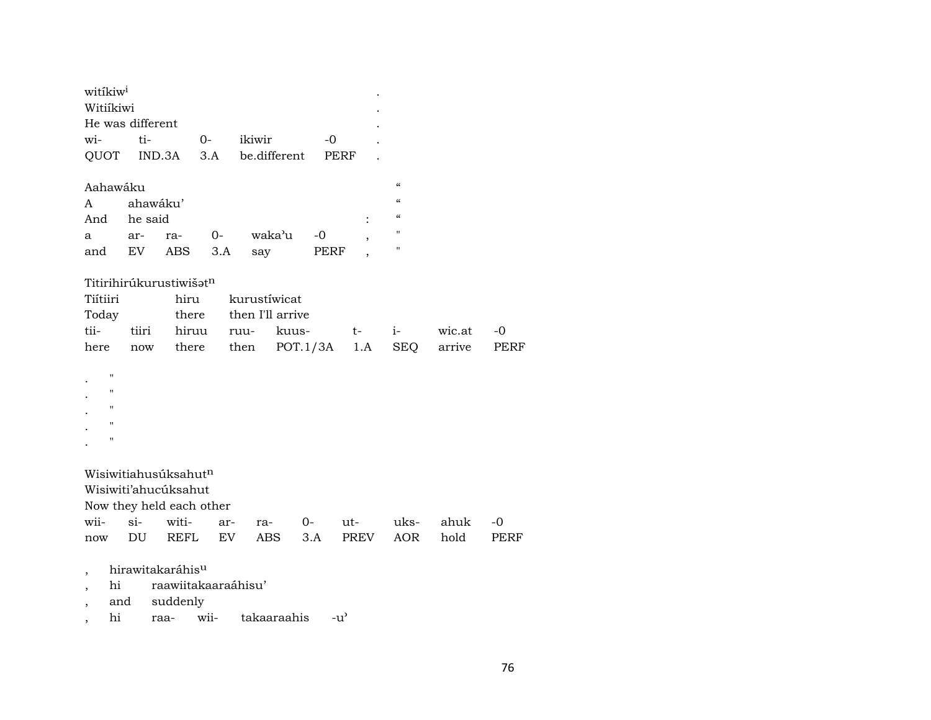| witikiw <sup>i</sup><br>Witiíkiwi |                    |                                  |             |                          |                  |          |      |      |                                        |        |      |
|-----------------------------------|--------------------|----------------------------------|-------------|--------------------------|------------------|----------|------|------|----------------------------------------|--------|------|
|                                   |                    | He was different                 |             |                          |                  |          |      |      |                                        |        |      |
| wi-                               |                    | ti-                              |             | $0-$                     | ikiwir           |          | -0   |      |                                        |        |      |
| QUOT                              |                    | IND.3A                           |             | 3.A                      | be.different     |          | PERF |      |                                        |        |      |
| Aahawáku                          |                    |                                  |             |                          |                  |          |      |      | $\boldsymbol{\zeta}\boldsymbol{\zeta}$ |        |      |
| A                                 |                    | ahawáku'                         |             |                          |                  |          |      |      | $\pmb{\zeta}\pmb{\zeta}$               |        |      |
| And                               |                    | he said                          |             |                          |                  |          |      |      | $\epsilon$                             |        |      |
| a                                 |                    | ar-                              | ra-         | $0-$                     | waka'u           |          | $-0$ |      | $\pmb{\mathsf{H}}$                     |        |      |
| and                               |                    | EV                               | ABS         | 3.A                      | say              |          | PERF |      | $\pmb{\mathsf{H}}$                     |        |      |
|                                   |                    | Titirihirúkurustiwišatn          |             |                          |                  |          |      |      |                                        |        |      |
| Tiítiiri                          |                    |                                  | hiru        |                          | kurustíwicat     |          |      |      |                                        |        |      |
| Today                             |                    |                                  | there       |                          | then I'll arrive |          |      |      |                                        |        |      |
| tii-                              |                    | tiiri                            | hiruu       |                          | ruu-             | kuus-    |      | t-   | $i-$                                   | wic.at | -0   |
| here                              |                    | now                              | there       |                          | then             | POT.1/3A |      | 1.A  | SEQ                                    | arrive | PERF |
|                                   | $\bar{\mathbf{H}}$ |                                  |             |                          |                  |          |      |      |                                        |        |      |
|                                   | $\pmb{\mathsf{H}}$ |                                  |             |                          |                  |          |      |      |                                        |        |      |
|                                   | п                  |                                  |             |                          |                  |          |      |      |                                        |        |      |
|                                   | п                  |                                  |             |                          |                  |          |      |      |                                        |        |      |
|                                   | $\pmb{\mathsf{H}}$ |                                  |             |                          |                  |          |      |      |                                        |        |      |
|                                   |                    |                                  |             |                          |                  |          |      |      |                                        |        |      |
|                                   |                    | Wisiwitiahusuksahut <sup>n</sup> |             |                          |                  |          |      |      |                                        |        |      |
|                                   |                    | Wisiwiti'ahucúksahut             |             |                          |                  |          |      |      |                                        |        |      |
|                                   |                    |                                  |             | Now they held each other |                  |          |      |      |                                        |        |      |
| wii-                              |                    | $si-$                            | witi-       | ar-                      | ra-              |          | $O-$ | ut-  | uks-                                   | ahuk   | $-0$ |
| now                               |                    | DU                               | <b>REFL</b> | EV.                      | <b>ABS</b>       | 3.A      |      | PREV | <b>AOR</b>                             | hold   | PERF |
| $\overline{\phantom{a}}$          |                    | hirawitakaráhis <sup>u</sup>     |             |                          |                  |          |      |      |                                        |        |      |
| $\overline{ }$                    | hi                 |                                  |             | raawiitakaaraáhisu'      |                  |          |      |      |                                        |        |      |
| $\overline{\phantom{a}}$          | and                |                                  | suddenly    |                          |                  |          |      |      |                                        |        |      |

, hi raa- wii- takaaraahis -u"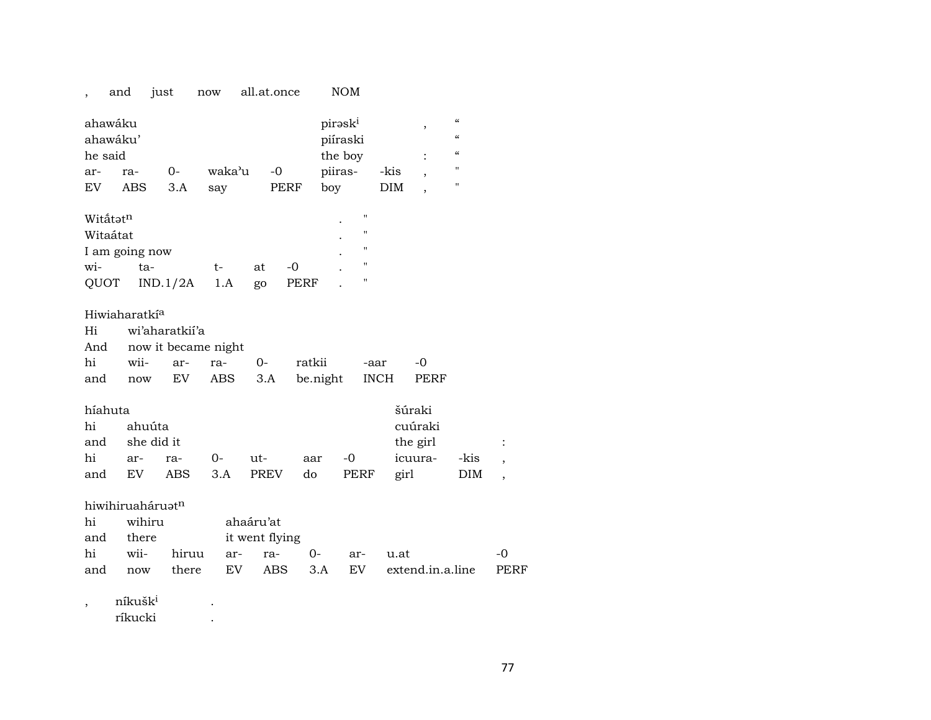|                                | and                            | just                | now        | all.at.once    |          | <b>NOM</b>                                 |             |                          |                                                                                                                            |             |
|--------------------------------|--------------------------------|---------------------|------------|----------------|----------|--------------------------------------------|-------------|--------------------------|----------------------------------------------------------------------------------------------------------------------------|-------------|
| ahawáku<br>ahawáku'<br>he said |                                |                     |            |                |          | pirask <sup>i</sup><br>piíraski<br>the boy |             | ,<br>$\ddot{\cdot}$      | $\boldsymbol{\zeta}\boldsymbol{\zeta}$<br>$\boldsymbol{\zeta}\boldsymbol{\zeta}$<br>$\boldsymbol{\zeta}\boldsymbol{\zeta}$ |             |
| ar-                            | ra-                            | $0-$                | waka'u     | $-0$           |          | piiras-                                    | -kis        |                          | $\mathbf{H}$                                                                                                               |             |
| EV                             | ABS                            | 3.A                 | say        | PERF           |          | boy                                        | DIM         | $\overline{\phantom{a}}$ | $\mathbf H$                                                                                                                |             |
| Witatatn                       |                                |                     |            |                |          | $\pmb{\mathsf{H}}$                         |             |                          |                                                                                                                            |             |
| Witaátat                       |                                |                     |            |                |          | $\pmb{\mathsf{H}}$                         |             |                          |                                                                                                                            |             |
|                                | I am going now                 |                     |            |                |          | $\mathbf{H}$                               |             |                          |                                                                                                                            |             |
| wi-                            | ta-                            |                     | t-         | at             | $-0$     | $\pmb{\mathsf{H}}$                         |             |                          |                                                                                                                            |             |
| QUOT                           |                                | IND.1/2A            | 1.A        | go             | PERF     | $\pmb{\mathsf{H}}$                         |             |                          |                                                                                                                            |             |
|                                | Hiwiaharatkí <sup>a</sup>      |                     |            |                |          |                                            |             |                          |                                                                                                                            |             |
| Hi                             |                                | wi'aharatkii'a      |            |                |          |                                            |             |                          |                                                                                                                            |             |
| And                            |                                | now it became night |            |                |          |                                            |             |                          |                                                                                                                            |             |
| hi                             | wii-                           | ar-                 | ra-        | $0-$           | ratkii   |                                            | -aar        | -0                       |                                                                                                                            |             |
| and                            | now                            | EV                  | <b>ABS</b> | 3.A            | be.night |                                            | <b>INCH</b> | PERF                     |                                                                                                                            |             |
| híahuta                        |                                |                     |            |                |          |                                            |             | šúraki                   |                                                                                                                            |             |
| hi                             | ahuúta                         |                     |            |                |          |                                            |             | cuúraki                  |                                                                                                                            |             |
| and                            | she did it                     |                     |            |                |          |                                            |             | the girl                 |                                                                                                                            |             |
| hi                             | ar-                            | ra-                 | $0-$       | ut-            | aar      | -0                                         |             | icuura-                  | -kis                                                                                                                       |             |
| and                            | EV                             | ABS                 | 3.A        | <b>PREV</b>    | do       | PERF                                       | girl        |                          | DIM                                                                                                                        |             |
|                                |                                |                     |            |                |          |                                            |             |                          |                                                                                                                            |             |
|                                | hiwihiruaháruatn               |                     |            |                |          |                                            |             |                          |                                                                                                                            |             |
| hi                             | wihiru                         |                     |            | ahaáru'at      |          |                                            |             |                          |                                                                                                                            |             |
| and                            | there                          |                     |            | it went flying |          |                                            |             |                          |                                                                                                                            |             |
| hi                             | wii-                           | hiruu               | ar-        | ra-            | $0-$     | ar-                                        | u.at        |                          |                                                                                                                            | $-0$        |
| and                            | now                            | there               | EV         | <b>ABS</b>     | 3.A      | EV                                         |             | extend.in.a.line         |                                                                                                                            | <b>PERF</b> |
|                                | níkušk <sup>i</sup><br>ríkucki |                     |            |                |          |                                            |             |                          |                                                                                                                            |             |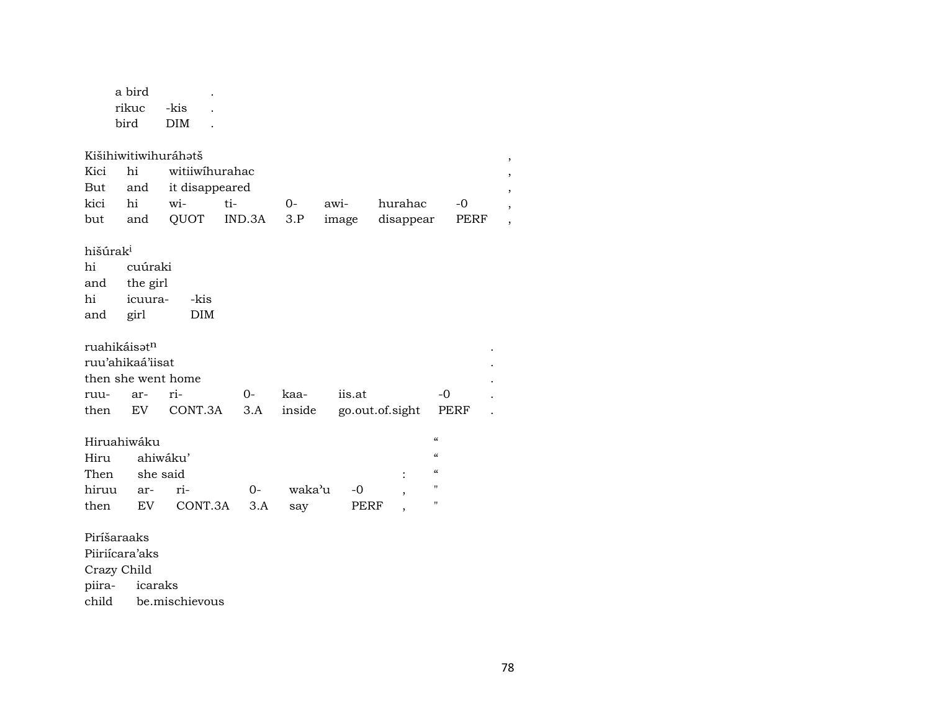Crazy Child

piira- icaraks<br>child be.miscl be.mischievous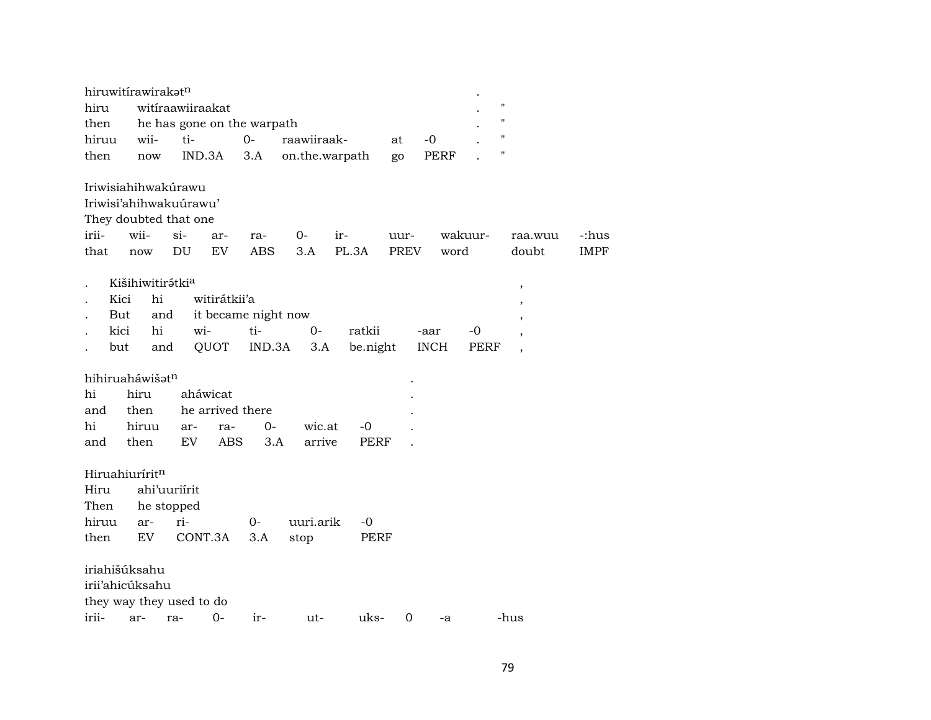| hiruwitirawirakatn         |                              |                  |                  |                            |                |          |      |             |                    |                |             |
|----------------------------|------------------------------|------------------|------------------|----------------------------|----------------|----------|------|-------------|--------------------|----------------|-------------|
| hiru                       |                              | witiraawiiraakat |                  |                            |                |          |      |             | $\pmb{\mathsf{H}}$ |                |             |
| then                       |                              |                  |                  | he has gone on the warpath |                |          |      |             | $\pmb{\mathsf{H}}$ |                |             |
| hiruu                      | wii-                         | ti-              |                  | $0-$                       | raawiiraak-    |          | at   | $-0$        | $\pmb{\mathsf{H}}$ |                |             |
| then                       | now                          |                  | IND.3A           | 3.A                        | on.the.warpath |          | go   | <b>PERF</b> | $\pmb{\mathsf{H}}$ |                |             |
| Iriwisiahihwakúrawu        |                              |                  |                  |                            |                |          |      |             |                    |                |             |
| Iriwisi'ahihwakuurawu'     |                              |                  |                  |                            |                |          |      |             |                    |                |             |
| They doubted that one      |                              |                  |                  |                            |                |          |      |             |                    |                |             |
| irii-                      | wii-                         | $\sin$           | ar-              | ra-                        | 0-             | ir-      | uur- |             | wakuur-            | raa.wuu        | -:hus       |
| that                       | now                          | DU               | EV               | <b>ABS</b>                 | 3.A            | PL.3A    | PREV | word        |                    | doubt          | <b>IMPF</b> |
|                            | Kišihiwitirátki <sup>a</sup> |                  |                  |                            |                |          |      |             |                    | $\, ,$         |             |
| Kici                       | hi                           |                  | witirátkii'a     |                            |                |          |      |             |                    |                |             |
| But                        | and                          |                  |                  | it became night now        |                |          |      |             |                    |                |             |
| kici                       | hi                           | wi-              |                  | ti-                        | $0-$           | ratkii   |      | -aar        | -0                 |                |             |
| but                        | and                          |                  | QUOT             | IND.3A                     | 3.A            | be.night |      | <b>INCH</b> | PERF               | $\overline{ }$ |             |
| hihiruaháwišatn            |                              |                  |                  |                            |                |          |      |             |                    |                |             |
| hi                         | hiru                         |                  | aháwicat         |                            |                |          |      |             |                    |                |             |
| and                        | then                         |                  | he arrived there |                            |                |          |      |             |                    |                |             |
| hi                         | hiruu                        | ar-              | ra-              | $0-$                       | wic.at         | -0       |      |             |                    |                |             |
| and                        | then                         | EV.              | ABS              | 3.A                        | arrive         | PERF     |      |             |                    |                |             |
|                            |                              |                  |                  |                            |                |          |      |             |                    |                |             |
| Hiruahiurírit <sup>n</sup> |                              |                  |                  |                            |                |          |      |             |                    |                |             |
| Hiru                       |                              | ahi'uuriírit     |                  |                            |                |          |      |             |                    |                |             |
| Then                       |                              | he stopped       |                  |                            |                |          |      |             |                    |                |             |
| hiruu                      | ar-                          | ri-              |                  | 0-                         | uuri.arik      | $-0$     |      |             |                    |                |             |
| then                       | EV                           |                  | CONT.3A          | 3.A                        | stop           | PERF     |      |             |                    |                |             |
| iriahišúksahu              |                              |                  |                  |                            |                |          |      |             |                    |                |             |
| irii'ahicúksahu            |                              |                  |                  |                            |                |          |      |             |                    |                |             |
| they way they used to do   |                              |                  |                  |                            |                |          |      |             |                    |                |             |
| irii-                      | ar-                          | ra-              | $O -$            | ir-                        | ut-            | uks-     | 0    | -a          |                    | -hus           |             |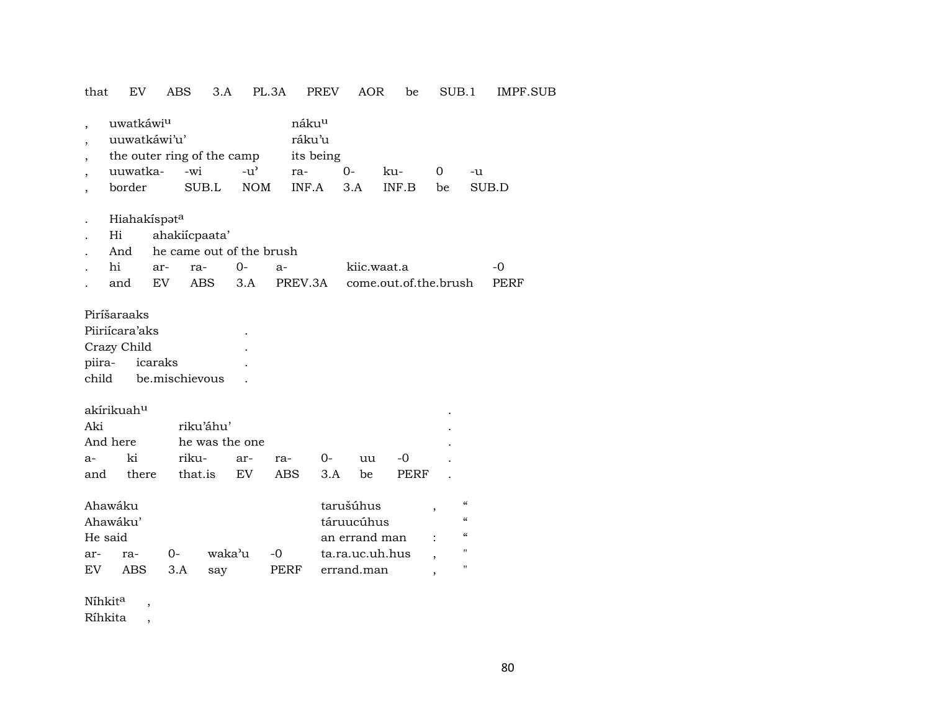## that EV ABS 3.A PL.3A PREV AOR be SUB.1 IMPF.SUB

| $\overline{\phantom{a}}$<br>$\overline{\phantom{a}}$<br>$\overline{\phantom{a}}$<br>$\overline{ }$ | uwatkáwiu<br>uuwatkáwi'u'<br>the outer ring of the camp<br>$-u^{\prime}$<br>uuwatka-<br>-wi<br>border<br>SUB.L<br><b>NOM</b> |     |                      |           |                                  |      | náku <sup>u</sup><br>ráku'u<br>its being<br>ra-<br>INF.A |                                                                           | $O -$<br>3.A | ku-<br>INF.B                          | $\overline{0}$ | be                                                                                                                                     | -u<br>SUB.D |
|----------------------------------------------------------------------------------------------------|------------------------------------------------------------------------------------------------------------------------------|-----|----------------------|-----------|----------------------------------|------|----------------------------------------------------------|---------------------------------------------------------------------------|--------------|---------------------------------------|----------------|----------------------------------------------------------------------------------------------------------------------------------------|-------------|
|                                                                                                    | Hiahakíspata<br>Hi<br>And<br>hi                                                                                              | ar- | ahakiícpaata'<br>ra- |           | he came out of the brush<br>$0-$ | $a-$ |                                                          |                                                                           | kiic.waat.a  |                                       |                |                                                                                                                                        | $-0$        |
|                                                                                                    | and                                                                                                                          | EV  | <b>ABS</b>           |           | 3.A                              |      | PREV.3A                                                  |                                                                           |              | come.out.of.the.brush                 |                |                                                                                                                                        | PERF        |
|                                                                                                    | Piríšaraaks<br>Piiriícara'aks<br>Crazy Child<br>piira-<br>icaraks<br>be.mischievous<br>child                                 |     |                      |           |                                  |      |                                                          |                                                                           |              |                                       |                |                                                                                                                                        |             |
|                                                                                                    | akírikuah <sup>u</sup>                                                                                                       |     |                      |           |                                  |      |                                                          |                                                                           |              |                                       |                |                                                                                                                                        |             |
| Aki                                                                                                |                                                                                                                              |     |                      | riku'áhu' |                                  |      |                                                          |                                                                           |              |                                       |                |                                                                                                                                        |             |
|                                                                                                    | And here                                                                                                                     |     |                      |           | he was the one                   |      |                                                          |                                                                           |              |                                       |                |                                                                                                                                        |             |
| $a-$                                                                                               | ki                                                                                                                           |     | riku-                |           | ar-                              | ra-  | $0-$                                                     |                                                                           | uu           | $-0$                                  |                |                                                                                                                                        |             |
| and                                                                                                | there                                                                                                                        |     | that.is              |           | <b>EV</b>                        |      | ABS                                                      | 3.A                                                                       | be           | PERF                                  |                |                                                                                                                                        |             |
| Ahawáku<br>Ahawáku'<br>He said<br>waka'u<br>$0-$<br>ar-<br>ra-<br>EV<br>ABS<br>3.A<br>say          |                                                                                                                              |     |                      |           | $-0$                             | PERF |                                                          | tarušúhus<br>táruucúhus<br>an errand man<br>ta.ra.uc.uh.hus<br>errand.man |              | ,<br>$\overline{ }$<br>$\overline{ }$ |                | $\boldsymbol{\zeta}\boldsymbol{\zeta}$<br>$\pmb{\zeta}\pmb{\zeta}$<br>$\boldsymbol{\mathcal{C}}$<br>$\pmb{\mathsf{H}}$<br>$\mathbf{H}$ |             |
|                                                                                                    |                                                                                                                              |     |                      |           |                                  |      |                                                          |                                                                           |              |                                       |                |                                                                                                                                        |             |

Níhkit<sup>a</sup>  $\,$ , Ríhkita,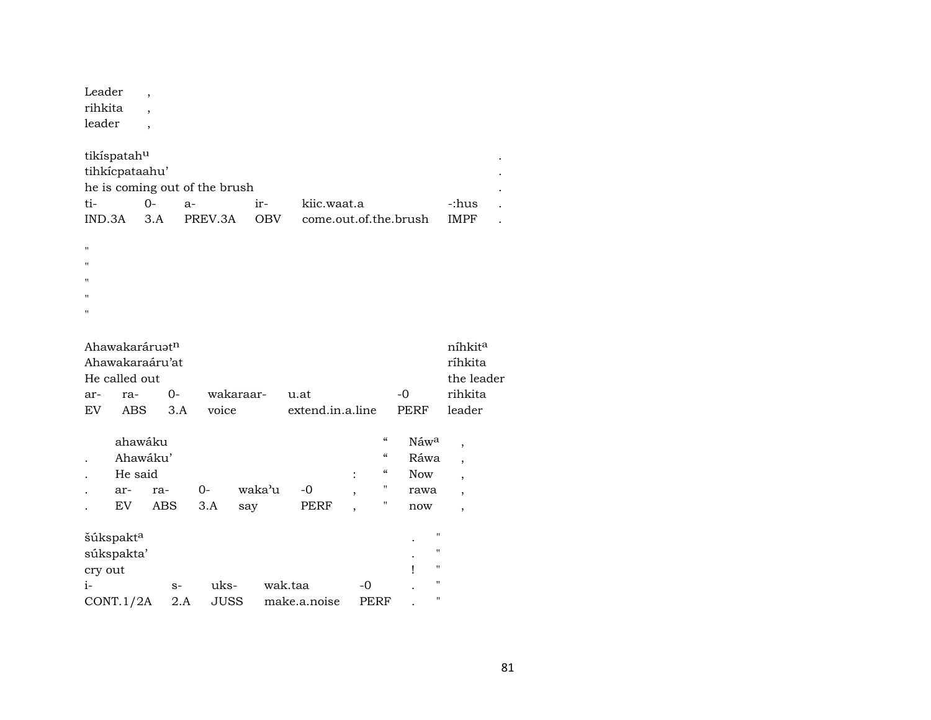| Leader  |  |  |
|---------|--|--|
| rihkita |  |  |
| leader  |  |  |
|         |  |  |

| tikíspatah <sup>u</sup>       |     |         |            |                       |             |  |  |  |  |  |  |
|-------------------------------|-----|---------|------------|-----------------------|-------------|--|--|--|--|--|--|
| tihkícpataahu'                |     |         |            |                       |             |  |  |  |  |  |  |
| he is coming out of the brush |     |         |            |                       |             |  |  |  |  |  |  |
| ti-                           | ()  | $A -$   | $ir-$      | kiic.waat.a           | -:hus       |  |  |  |  |  |  |
| IND 3A                        | 3 A | PREV 3A | <b>ORV</b> | come.out.of.the.brush | <b>IMPF</b> |  |  |  |  |  |  |
|                               |     |         |            |                       |             |  |  |  |  |  |  |

- "
- $\mathbf{u} = \mathbf{u} \times \mathbf{v}$
- 
- "
- "
- "

|     | Ahawakaráruat <sup>n</sup><br>Ahawakaraáru'at |      |           |                  |                          |                  | níhkit <sup>a</sup><br>ríhkita |
|-----|-----------------------------------------------|------|-----------|------------------|--------------------------|------------------|--------------------------------|
|     |                                               |      |           |                  |                          |                  |                                |
|     | He called out                                 |      |           |                  |                          |                  | the leader                     |
| ar- | ra-                                           | $0-$ | wakaraar- | u.at             |                          | -0               | rihkita                        |
| EV  | ABS                                           | 3.A  | voice     | extend.in.a.line |                          | <b>PERF</b>      | leader                         |
|     | ahawáku                                       |      |           |                  | $\mathcal{C}\mathcal{C}$ | Náw <sup>a</sup> | ٠                              |
|     | Ahawáku'                                      |      |           |                  | $\mathcal{C}\mathcal{C}$ | Ráwa             |                                |
|     | He said                                       |      |           |                  | $\epsilon$               | Now              |                                |

| ar-                   | ra-  |           |     |                     |        |                               |   |           |              |             |
|-----------------------|------|-----------|-----|---------------------|--------|-------------------------------|---|-----------|--------------|-------------|
| EV                    | ABS  | 3.A       | say |                     | PERF   |                               | п |           |              | ,           |
|                       |      |           |     |                     |        |                               |   |           |              |             |
| šúkspakt <sup>a</sup> |      |           |     |                     |        |                               |   | $\bullet$ | $\mathbf{H}$ |             |
| súkspakta'            |      |           |     |                     |        |                               |   | ٠         | $\mathbf{H}$ |             |
| cry out               |      |           |     |                     |        |                               |   |           | $\mathbf{H}$ |             |
|                       | $S-$ |           |     |                     |        | $-()$                         |   |           | п            |             |
|                       | 2.A  |           |     |                     |        |                               |   |           | п            |             |
|                       |      | CONT.1/2A | 0-  | uks-<br><b>JUSS</b> | waka'u | -0<br>wak.taa<br>make.a.noise |   | <br>PERF  |              | rawa<br>now |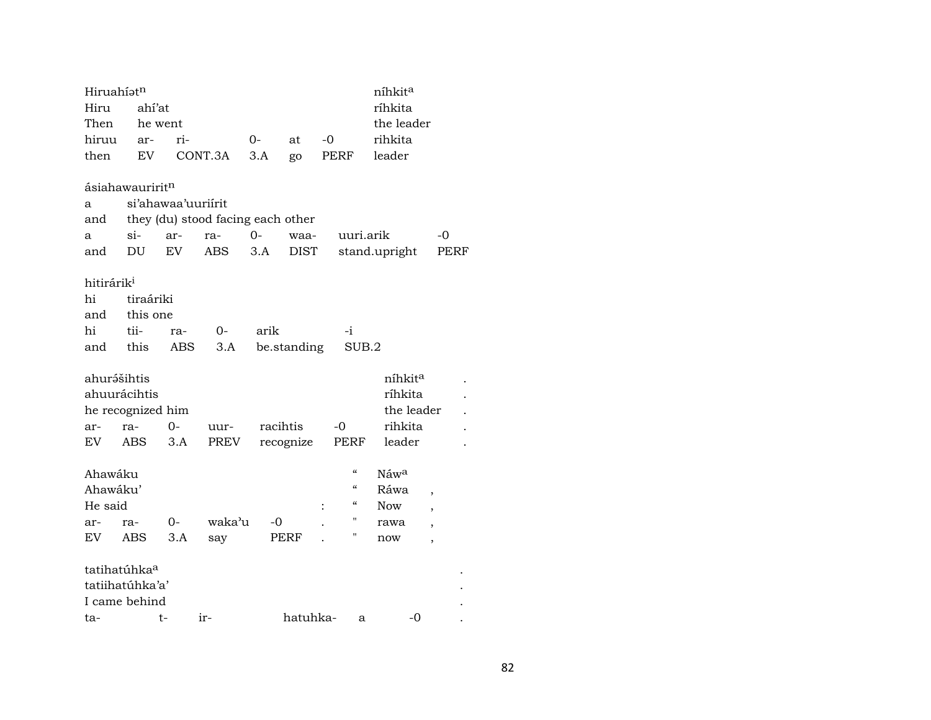| Hiruahíatn             |                             |                    |                                   |             |             |      |                          | níhkita       |                          |      |
|------------------------|-----------------------------|--------------------|-----------------------------------|-------------|-------------|------|--------------------------|---------------|--------------------------|------|
| Hiru                   | ahí'at                      |                    |                                   |             |             |      |                          | ríhkita       |                          |      |
| Then                   |                             | he went            |                                   |             |             |      |                          | the leader    |                          |      |
| hiruu                  | ar-                         | ri-                |                                   | 0-          | at          | $-0$ |                          | rihkita       |                          |      |
| then                   | EV                          |                    | CONT.3A                           | 3.A         | go          | PERF |                          | leader        |                          |      |
|                        | ásiahawauririt <sup>n</sup> |                    |                                   |             |             |      |                          |               |                          |      |
| a                      |                             | si'ahawaa'uuriirit |                                   |             |             |      |                          |               |                          |      |
| and                    |                             |                    | they (du) stood facing each other |             |             |      |                          |               |                          |      |
| a                      | $si-$                       | ar-                | ra-                               | $O -$       | waa-        |      | uuri.arik                |               | -0                       |      |
| and                    | DU                          | EV                 | ABS                               | 3.A         | <b>DIST</b> |      |                          | stand.upright |                          | PERF |
| hitirárik <sup>i</sup> |                             |                    |                                   |             |             |      |                          |               |                          |      |
| hi                     | tiraáriki                   |                    |                                   |             |             |      |                          |               |                          |      |
| and                    | this one                    |                    |                                   |             |             |      |                          |               |                          |      |
| hi                     | tii-                        | ra-                | 0-                                | arik        |             | -i   |                          |               |                          |      |
| and                    | this                        | ABS                | 3.A                               |             | be.standing |      | SUB.2                    |               |                          |      |
| ahurášihtis            |                             |                    |                                   |             |             |      |                          | níhkita       |                          |      |
|                        | ahuurácihtis                |                    |                                   |             |             |      |                          | ríhkita       |                          |      |
|                        | he recognized him           |                    |                                   |             |             |      |                          | the leader    |                          |      |
| ar-                    | ra-                         | 0-                 | uur-                              | racihtis    |             | $-0$ |                          | rihkita       |                          |      |
| EV                     | ABS                         | 3.A                | PREV                              | recognize   |             | PERF |                          | leader        |                          |      |
| Ahawáku                |                             |                    |                                   |             |             |      | "                        | Náwa          |                          |      |
| Ahawáku'               |                             |                    |                                   |             |             |      | $\mathcal{C}\mathcal{C}$ | Ráwa          | $\overline{\phantom{a}}$ |      |
| He said                |                             |                    |                                   |             |             |      | "                        | Now           | $\overline{\phantom{a}}$ |      |
| ar-                    | ra-                         | 0-                 | waka'u                            | -0          |             |      |                          | rawa          | $\overline{\phantom{a}}$ |      |
| EV                     | ABS                         | 3.A                | say                               | <b>PERF</b> |             |      | Ħ                        | now           | $\overline{\phantom{a}}$ |      |
|                        | tatihatúhka <sup>a</sup>    |                    |                                   |             |             |      |                          |               |                          |      |
|                        | tatiihatúhka'a'             |                    |                                   |             |             |      |                          |               |                          |      |
|                        | I came behind               |                    |                                   |             |             |      |                          |               |                          |      |
| ta-                    |                             | t-                 | ir-                               |             | hatuhka-    |      | a                        | -0            |                          |      |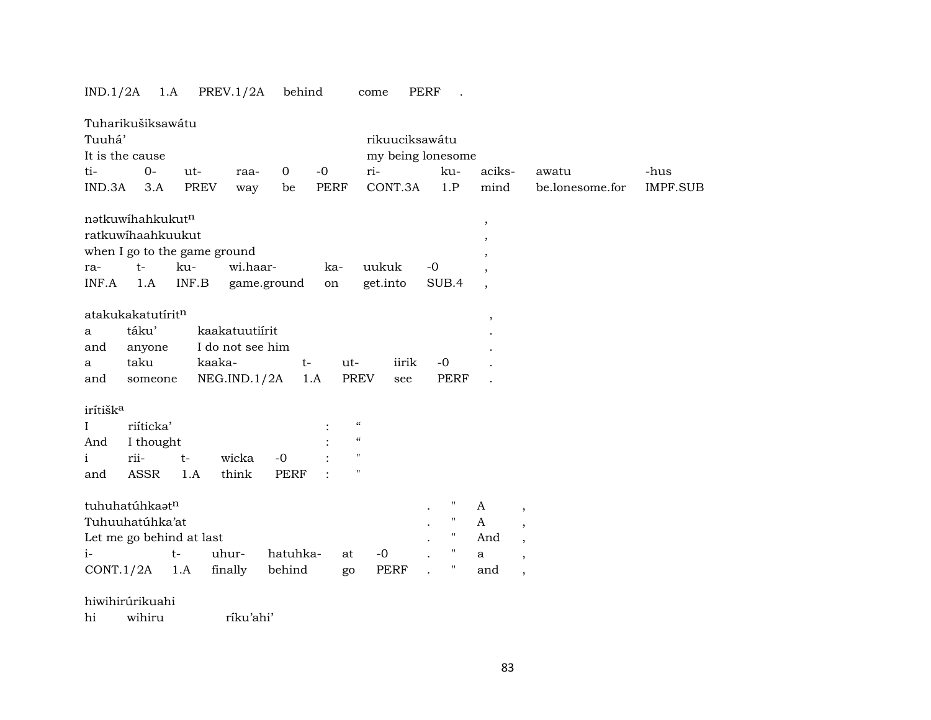# IND.1/2A 1.A PREV.1/2A behind come PERF .

| Tuuhá'               | Tuharikušiksawátu<br>It is the cause |       |                              |                |             |                          | rikuuciksawátu<br>my being lonesome |      |                    |                          |                          |                 |                 |
|----------------------|--------------------------------------|-------|------------------------------|----------------|-------------|--------------------------|-------------------------------------|------|--------------------|--------------------------|--------------------------|-----------------|-----------------|
| ti-                  | $0 -$                                | ut-   | raa-                         | $\overline{0}$ | $-0$        |                          | ri-                                 |      | ku-                | aciks-                   |                          | awatu           | -hus            |
| IND.3A               | 3.A                                  | PREV  | way                          | be             | <b>PERF</b> |                          | CONT.3A                             |      | 1.P                | mind                     |                          | be.lonesome.for | <b>IMPF.SUB</b> |
|                      | natkuwihahkukutn                     |       |                              |                |             |                          |                                     |      |                    | $\, ,$                   |                          |                 |                 |
|                      | ratkuwihaahkuukut                    |       |                              |                |             |                          |                                     |      |                    | $\overline{\phantom{a}}$ |                          |                 |                 |
|                      |                                      |       | when I go to the game ground |                |             |                          |                                     |      |                    |                          |                          |                 |                 |
| ra-                  | $t-$                                 | ku-   | wi.haar-                     |                | ka-         |                          | uukuk                               | $-0$ |                    |                          |                          |                 |                 |
| INF.A                | 1.A                                  | INF.B |                              | game.ground    | on          |                          | get.into                            |      | SUB.4              | $\overline{\phantom{a}}$ |                          |                 |                 |
|                      | atakukakatutíritn                    |       |                              |                |             |                          |                                     |      |                    |                          |                          |                 |                 |
| a                    | táku'                                |       | kaakatuutiirit               |                |             |                          |                                     |      |                    | $\,$                     |                          |                 |                 |
| and                  | anyone                               |       | I do not see him             |                |             |                          |                                     |      |                    |                          |                          |                 |                 |
| a                    | taku                                 |       | kaaka-                       | $t-$           |             | ut-                      | iirik                               |      | $-0$               |                          |                          |                 |                 |
| and                  | someone                              |       | NEG.ID.1/2A                  |                | 1.A         | <b>PREV</b>              | see                                 |      | <b>PERF</b>        |                          |                          |                 |                 |
|                      |                                      |       |                              |                |             |                          |                                     |      |                    |                          |                          |                 |                 |
| irítišk <sup>a</sup> |                                      |       |                              |                |             | $\mathcal{C}\mathcal{C}$ |                                     |      |                    |                          |                          |                 |                 |
| $\bf{I}$             | riíticka'                            |       |                              |                |             | $\mathcal{C}$            |                                     |      |                    |                          |                          |                 |                 |
| And                  | I thought<br>rii-                    |       |                              |                |             | $\pmb{\mathsf{H}}$       |                                     |      |                    |                          |                          |                 |                 |
| $\mathbf{i}$         |                                      | $t-$  | wicka                        | $-0$           |             | $\pmb{\mathsf{H}}$       |                                     |      |                    |                          |                          |                 |                 |
| and                  | ASSR                                 | 1.A   | think                        | <b>PERF</b>    |             |                          |                                     |      |                    |                          |                          |                 |                 |
|                      | tuhuhatúhkaatn                       |       |                              |                |             |                          |                                     |      | $\mathbf{H}$       | A                        | $^\mathrm{,}$            |                 |                 |
|                      | Tuhuuhatúhka'at                      |       |                              |                |             |                          |                                     |      | $\pmb{\mathsf{H}}$ | $\mathsf{A}$             | $\overline{\phantom{a}}$ |                 |                 |
|                      | Let me go behind at last             |       |                              |                |             |                          |                                     |      | $\pmb{\mathsf{H}}$ | And                      | $\overline{\phantom{a}}$ |                 |                 |
| $i-$                 |                                      | $t-$  | uhur-                        | hatuhka-       |             | at                       | $-0$                                |      | $\pmb{\mathsf{H}}$ | $\mathbf{a}$             | $\overline{\phantom{a}}$ |                 |                 |
| CONT.1/2A            |                                      | 1.A   | finally                      | behind         |             | go                       | <b>PERF</b>                         |      | $\pmb{\pi}$        | and                      | $\overline{\phantom{a}}$ |                 |                 |

hiwihirúrikuahi hi wihiru ríku'ahi'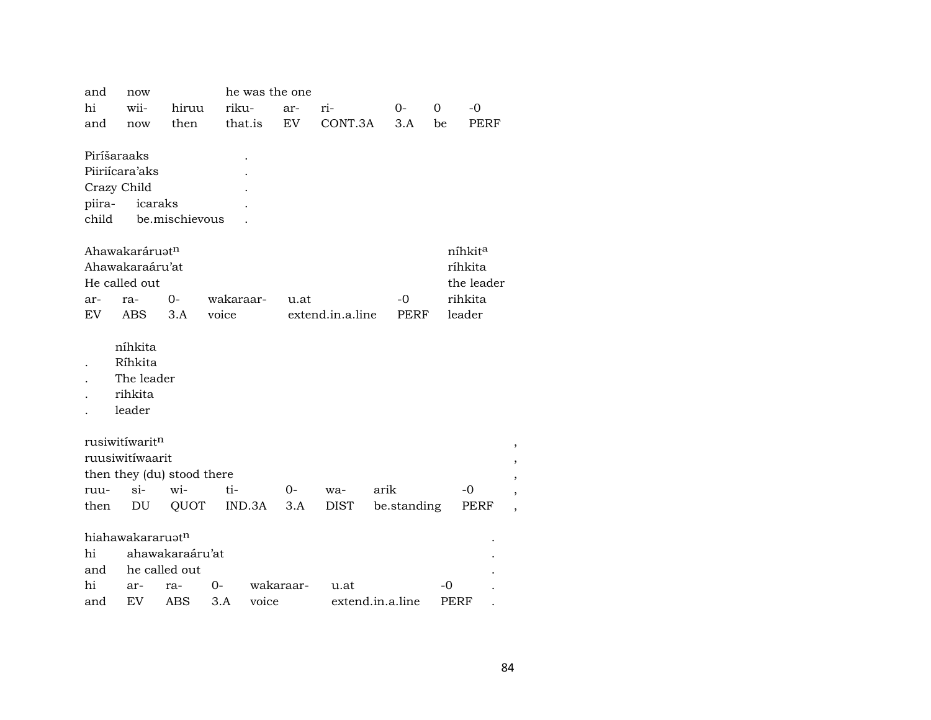| and                   | he was the one<br>now |                            |                    |        |           |                  |      |                   |    |                     |      |  |
|-----------------------|-----------------------|----------------------------|--------------------|--------|-----------|------------------|------|-------------------|----|---------------------|------|--|
| hi                    | wii-                  | hiruu                      | riku-              |        | ar-       | ri-              |      | $O-$              | 0  | $-0$                |      |  |
| and                   | now                   | then                       | that.is            |        | EV        | CONT.3A          |      | 3.A               | be |                     | PERF |  |
|                       |                       |                            |                    |        |           |                  |      |                   |    |                     |      |  |
| Piríšaraaks           |                       |                            |                    |        |           |                  |      |                   |    |                     |      |  |
|                       | Piiriícara'aks        |                            |                    |        |           |                  |      |                   |    |                     |      |  |
| Crazy Child           |                       |                            |                    |        |           |                  |      |                   |    |                     |      |  |
| piira-                | icaraks               |                            |                    |        |           |                  |      |                   |    |                     |      |  |
| child                 |                       | be.mischievous             |                    |        |           |                  |      |                   |    |                     |      |  |
|                       |                       |                            |                    |        |           |                  |      |                   |    |                     |      |  |
|                       | Ahawakaráruatn        |                            |                    |        |           |                  |      |                   |    | níhkit <sup>a</sup> |      |  |
|                       | Ahawakaraáru'at       |                            |                    |        |           |                  |      |                   |    | ríhkita             |      |  |
|                       | He called out         |                            |                    |        |           |                  |      |                   |    | the leader          |      |  |
| ar-<br>EV <sub></sub> | ra-<br><b>ABS</b>     | $0-$<br>3.A                | wakaraar-<br>voice |        | u.at      | extend.in.a.line |      | -0<br><b>PERF</b> |    | rihkita<br>leader   |      |  |
|                       |                       |                            |                    |        |           |                  |      |                   |    |                     |      |  |
|                       | níhkita               |                            |                    |        |           |                  |      |                   |    |                     |      |  |
|                       | Ríhkita               |                            |                    |        |           |                  |      |                   |    |                     |      |  |
|                       | The leader            |                            |                    |        |           |                  |      |                   |    |                     |      |  |
|                       | rihkita               |                            |                    |        |           |                  |      |                   |    |                     |      |  |
|                       | leader                |                            |                    |        |           |                  |      |                   |    |                     |      |  |
|                       |                       |                            |                    |        |           |                  |      |                   |    |                     |      |  |
|                       | rusiwitíwaritn        |                            |                    |        |           |                  |      |                   |    |                     |      |  |
|                       | ruusiwitíwaarit       |                            |                    |        |           |                  |      |                   |    |                     |      |  |
|                       |                       | then they (du) stood there |                    |        |           |                  |      |                   |    |                     |      |  |
| ruu-                  | $\sin$                | wi-                        | ti-                |        | 0-        | wa-              | arik |                   |    | -0                  |      |  |
| then                  | DU                    | QUOT                       |                    | IND.3A | 3.A       | DIST             |      | be.standing       |    |                     | PERF |  |
|                       |                       |                            |                    |        |           |                  |      |                   |    |                     |      |  |
|                       | hiahawakararuatn      |                            |                    |        |           |                  |      |                   |    |                     |      |  |
| hi                    |                       | ahawakaraáru'at            |                    |        |           |                  |      |                   |    |                     |      |  |
| and                   |                       | he called out              |                    |        |           |                  |      |                   |    |                     |      |  |
| hi                    | ar-                   | ra-                        | $0-$               |        | wakaraar- | u.at             |      |                   |    | $-0$                |      |  |
| and                   | EV                    | ABS                        | 3.A                | voice  |           | extend.in.a.line |      |                   |    | PERF                |      |  |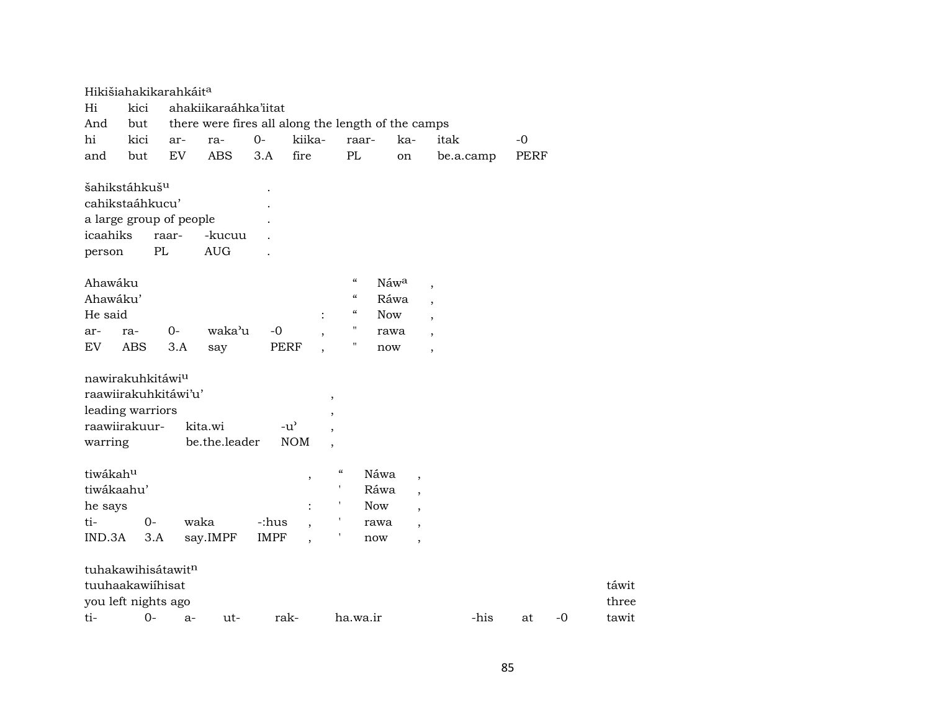|                    | Hikišiahakikarahkáit <sup>a</sup>                                             |             |                                                    |             |                                                 |                                           |            |            |                          |           |      |             |      |                |
|--------------------|-------------------------------------------------------------------------------|-------------|----------------------------------------------------|-------------|-------------------------------------------------|-------------------------------------------|------------|------------|--------------------------|-----------|------|-------------|------|----------------|
| Hi                 | kici                                                                          |             | ahakiikaraáhka'iitat                               |             |                                                 |                                           |            |            |                          |           |      |             |      |                |
| And                | but                                                                           |             | there were fires all along the length of the camps |             |                                                 |                                           |            |            |                          |           |      |             |      |                |
| hi                 | kici                                                                          | ar-         | ra-                                                | $O -$       | kiika-                                          |                                           | raar-      | ka-        |                          | itak      |      | $-0$        |      |                |
| and                | but                                                                           | EV          | <b>ABS</b>                                         | 3.A         | fire                                            | PL                                        |            | on         |                          | be.a.camp |      | <b>PERF</b> |      |                |
| icaahiks<br>person | šahikstáhkuš <sup>u</sup><br>cahikstaáhkucu'<br>a large group of people       | raar-<br>PL | -kucuu<br><b>AUG</b>                               |             |                                                 |                                           |            |            |                          |           |      |             |      |                |
| Ahawáku            |                                                                               |             |                                                    |             |                                                 | $\boldsymbol{\mathcal{C}}$                |            | Náwa       | $\overline{\phantom{a}}$ |           |      |             |      |                |
| Ahawáku'           |                                                                               |             |                                                    |             |                                                 | $\mathcal{C}\mathcal{C}$                  |            | Ráwa       | $\cdot$                  |           |      |             |      |                |
| He said            |                                                                               |             |                                                    |             |                                                 | $\epsilon\epsilon$                        |            | <b>Now</b> | $\overline{\phantom{a}}$ |           |      |             |      |                |
| ar-                | ra-                                                                           | $0-$        | waka'u                                             | $-0$        |                                                 | $\pmb{\mathsf{H}}$                        |            | rawa       | $\overline{\phantom{a}}$ |           |      |             |      |                |
| EV                 | <b>ABS</b>                                                                    | 3.A         | say                                                |             | <b>PERF</b>                                     | $\pmb{\mathsf{H}}$                        |            | now        | $\overline{\phantom{a}}$ |           |      |             |      |                |
| warring            | nawirakuhkitáwiu<br>raawiirakuhkitáwi'u'<br>leading warriors<br>raawiirakuur- |             | kita.wi<br>be.the.leader                           |             | $-u$ <sup><math>\sim</math></sup><br><b>NOM</b> | $^\mathrm{,}$<br>$\overline{\phantom{a}}$ |            |            |                          |           |      |             |      |                |
| tiwákahu           |                                                                               |             |                                                    |             | $\, ,$                                          | $\epsilon\epsilon$                        | Náwa       |            | $^\mathrm{,}$            |           |      |             |      |                |
| tiwákaahu'         |                                                                               |             |                                                    |             |                                                 | $\mathbf{r}$                              | Ráwa       |            | $\overline{\phantom{a}}$ |           |      |             |      |                |
| he says            |                                                                               |             |                                                    |             | $\ddot{\cdot}$                                  |                                           | <b>Now</b> |            | $\cdot$                  |           |      |             |      |                |
| ti-                | $O-$                                                                          |             | waka                                               | -:hus       | $\overline{\phantom{a}}$                        |                                           | rawa       |            | $\overline{\phantom{a}}$ |           |      |             |      |                |
| IND.3A             | 3.A                                                                           |             | say.IMPF                                           | <b>IMPF</b> | $\overline{\phantom{a}}$                        |                                           | now        |            | $\overline{ }$           |           |      |             |      |                |
|                    | tuhakawihisátawitn<br>tuuhaakawiíhisat<br>you left nights ago                 |             |                                                    |             |                                                 |                                           |            |            |                          |           |      |             |      | táwit<br>three |
| ti-                | $O -$                                                                         | $a-$        | ut-                                                |             | rak-                                            |                                           | ha.wa.ir   |            |                          |           | -his | at          | $-0$ | tawit          |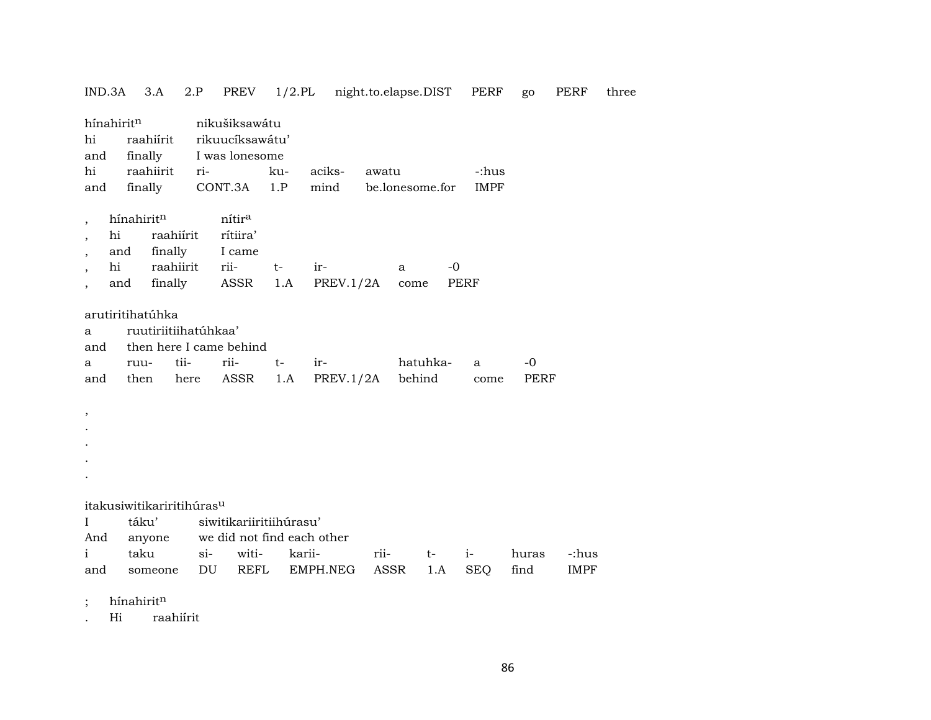| IND.3A                         | 3.A                                   | 2.P     | PREV                                               |        | 1/2.PL night.to.elapse.DIST |       |                 |      | PERF        | go    | PERF        | three |
|--------------------------------|---------------------------------------|---------|----------------------------------------------------|--------|-----------------------------|-------|-----------------|------|-------------|-------|-------------|-------|
| hínahiritn<br>hi<br>and        | raahiírit<br>finally                  |         | nikušiksawátu<br>rikuucíksawátu'<br>I was lonesome |        |                             |       |                 |      |             |       |             |       |
| hi                             | raahiirit                             | ri-     |                                                    | ku-    | aciks-                      | awatu |                 |      | -:hus       |       |             |       |
| and                            | finally                               |         | CONT.3A                                            | 1.P    | mind                        |       | be.lonesome.for |      | <b>IMPF</b> |       |             |       |
|                                |                                       |         |                                                    |        |                             |       |                 |      |             |       |             |       |
| $\overline{\phantom{a}}$       | hínahiritn                            |         | nítira                                             |        |                             |       |                 |      |             |       |             |       |
| hi<br>$\overline{\phantom{a}}$ | raahiírit                             |         | rítiira'                                           |        |                             |       |                 |      |             |       |             |       |
| $\overline{\phantom{a}}$       | finally<br>and                        |         | I came                                             |        |                             |       |                 |      |             |       |             |       |
| hi<br>$\overline{\phantom{a}}$ | raahiirit                             |         | rii-                                               | $t-$   | ir-                         |       | a               | $-0$ |             |       |             |       |
| $\overline{\phantom{a}}$       | and                                   | finally | ASSR                                               | 1.A    | PREV.1/2A                   |       | come            |      | <b>PERF</b> |       |             |       |
|                                |                                       |         |                                                    |        |                             |       |                 |      |             |       |             |       |
|                                | arutiritihatúhka                      |         |                                                    |        |                             |       |                 |      |             |       |             |       |
| a                              | ruutiriitiihatúhkaa'                  |         |                                                    |        |                             |       |                 |      |             |       |             |       |
| and                            | then here I came behind               |         |                                                    |        |                             |       |                 |      |             |       |             |       |
| а                              | ruu-                                  | tii-    | rii-                                               | $t-$   | ir-                         |       | hatuhka-        |      | a           | -0    |             |       |
| and                            | then                                  | here    | ASSR                                               | 1.A    | PREV.1/2A                   |       | behind          |      | come        | PERF  |             |       |
|                                |                                       |         |                                                    |        |                             |       |                 |      |             |       |             |       |
| $\, ,$                         |                                       |         |                                                    |        |                             |       |                 |      |             |       |             |       |
|                                |                                       |         |                                                    |        |                             |       |                 |      |             |       |             |       |
|                                |                                       |         |                                                    |        |                             |       |                 |      |             |       |             |       |
|                                |                                       |         |                                                    |        |                             |       |                 |      |             |       |             |       |
|                                |                                       |         |                                                    |        |                             |       |                 |      |             |       |             |       |
|                                |                                       |         |                                                    |        |                             |       |                 |      |             |       |             |       |
|                                | itakusiwitikariritihúras <sup>u</sup> |         |                                                    |        |                             |       |                 |      |             |       |             |       |
| $\bf{I}$                       | táku'                                 |         | siwitikariiritiihúrasu'                            |        |                             |       |                 |      |             |       |             |       |
| And                            | anyone                                |         | we did not find each other                         |        |                             |       |                 |      |             |       |             |       |
| i                              | taku                                  | $\sin$  | witi-                                              | karii- |                             | rii-  | $t-$            |      | $i-$        | huras | -:hus       |       |
| and                            | someone                               | DU      | REFL                                               |        | EMPH.NEG                    | ASSR  |                 | 1.A  | <b>SEQ</b>  | find  | <b>IMPF</b> |       |
|                                |                                       |         |                                                    |        |                             |       |                 |      |             |       |             |       |

; hínahirit $<sup>n</sup>$ </sup>

. Hi raahiírit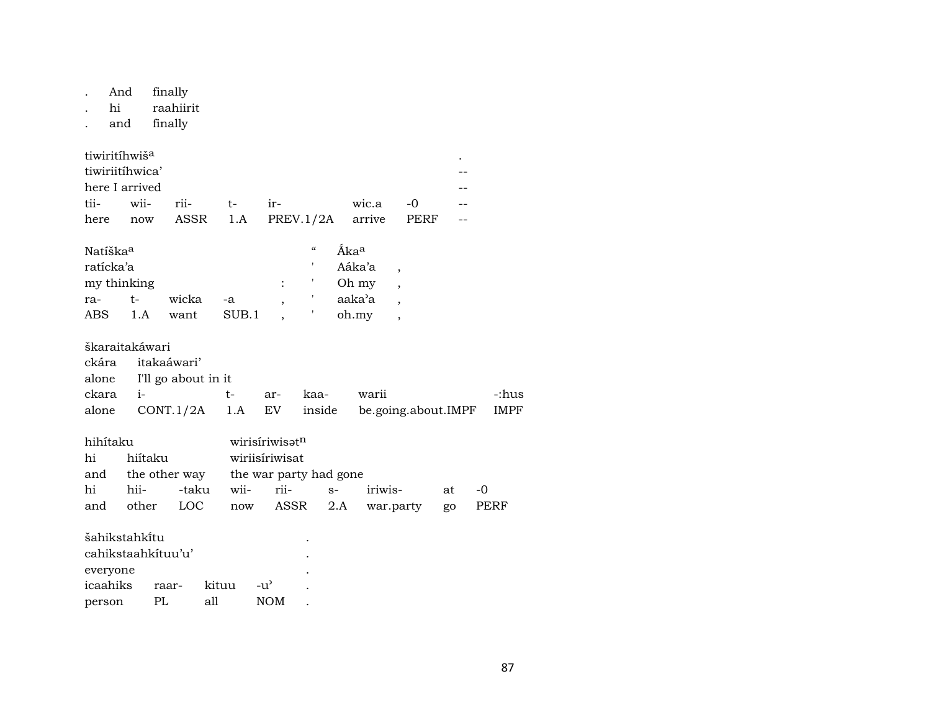finally And  $\mathcal{L}^{\pm}$ 

raahiirit  $\hbox{hi}$  $\ddot{\phantom{a}}$ 

finally and  $\ddot{\phantom{a}}$ 

| tiwiritihwiš <sup>a</sup> |                 |                   |                                         |            |  |
|---------------------------|-----------------|-------------------|-----------------------------------------|------------|--|
|                           | tiwiriitihwica' |                   |                                         |            |  |
|                           | here I arrived  |                   |                                         |            |  |
|                           |                 | tii- wii- rii- t- | $ir-$                                   | wic.a $-0$ |  |
|                           |                 |                   | here now ASSR 1.A PREV.1/2A arrive PERF |            |  |

| Natíška <sup>a</sup> |      |       |        |  | $\epsilon$ | Åka <sup>a</sup> |  |
|----------------------|------|-------|--------|--|------------|------------------|--|
| ratícka'a            |      |       | Aáka'a |  |            |                  |  |
| my thinking          |      |       |        |  |            | Oh my            |  |
| ra-                  | $^+$ | wicka | $-a$   |  |            | aaka'a           |  |
| ABS                  | 1. A | want  | SUB.1  |  |            | oh.my            |  |

| škaraitakáwari |                        |                           |  |  |                                                        |       |  |  |  |  |  |
|----------------|------------------------|---------------------------|--|--|--------------------------------------------------------|-------|--|--|--|--|--|
|                | ckára itakaáwari'      |                           |  |  |                                                        |       |  |  |  |  |  |
|                |                        | alone I'll go about in it |  |  |                                                        |       |  |  |  |  |  |
|                | ckara i-   t- ar- kaa- |                           |  |  | warii                                                  | -:hus |  |  |  |  |  |
|                |                        |                           |  |  | alone CONT.1/2A 1.A EV inside be.going.about.IMPF IMPF |       |  |  |  |  |  |

| hihítaku |         | wirisíriwisatn |                                          |  |                                  |    |       |  |  |  |  |
|----------|---------|----------------|------------------------------------------|--|----------------------------------|----|-------|--|--|--|--|
| hi       | hiítaku | wiriisíriwisat |                                          |  |                                  |    |       |  |  |  |  |
|          |         |                | and the other way the war party had gone |  |                                  |    |       |  |  |  |  |
| hi       |         |                | hii- -taku wii- rii- s- iriwis-          |  |                                  | at | $-()$ |  |  |  |  |
| and      |         |                |                                          |  | other LOC now ASSR 2.A war.party | go | PERF  |  |  |  |  |

| šahikstahki̇̃tu<br>٠ |       |       |                    |  |  |  |  |  |  |  |  |
|----------------------|-------|-------|--------------------|--|--|--|--|--|--|--|--|
| cahikstaahkituu'u'   | ٠     |       |                    |  |  |  |  |  |  |  |  |
| everyone             |       | ٠     |                    |  |  |  |  |  |  |  |  |
| icaahiks             | raar- | kituu | $-11$ <sup>2</sup> |  |  |  |  |  |  |  |  |
| person               | PL.   | all   | NOM.               |  |  |  |  |  |  |  |  |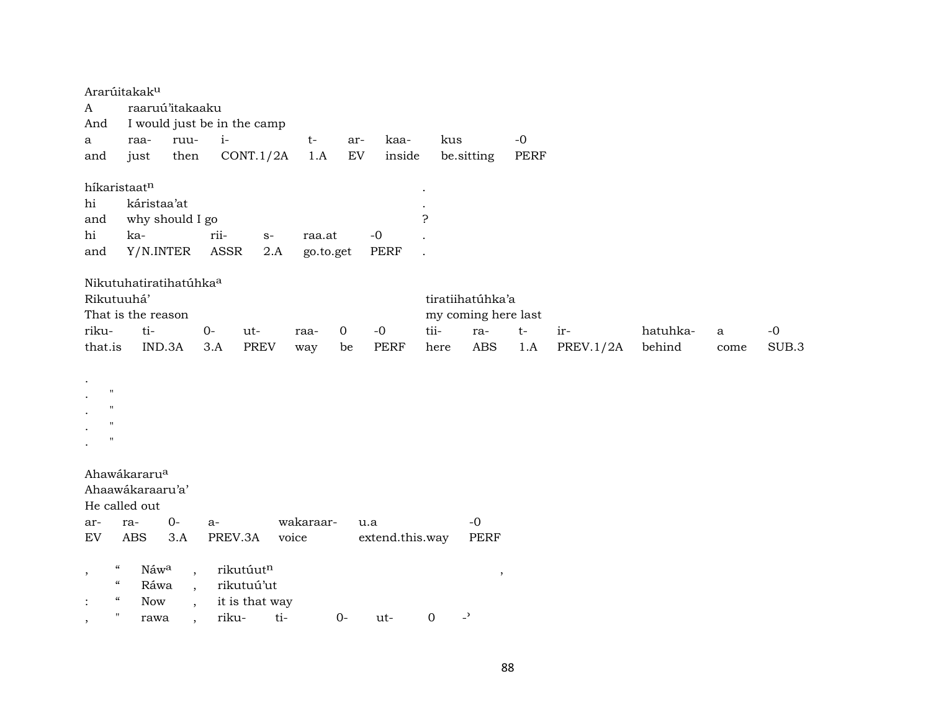|                                                | Ararúitakak <sup>u</sup>           |                          |         |                             |           |             |                 |             |                          |      |           |          |      |       |
|------------------------------------------------|------------------------------------|--------------------------|---------|-----------------------------|-----------|-------------|-----------------|-------------|--------------------------|------|-----------|----------|------|-------|
| A                                              | raaruú'itakaaku                    |                          |         |                             |           |             |                 |             |                          |      |           |          |      |       |
| And                                            |                                    |                          |         | I would just be in the camp |           |             |                 |             |                          |      |           |          |      |       |
| a                                              | raa-                               | ruu-                     | $i-$    |                             | $t-$      | ar-         | kaa-            | kus         |                          | $-0$ |           |          |      |       |
| and                                            | just                               | then                     |         | CONT.1/2A                   | 1.A       | <b>EV</b>   | inside          |             | be.sitting               | PERF |           |          |      |       |
|                                                |                                    |                          |         |                             |           |             |                 |             |                          |      |           |          |      |       |
| híkaristaatn                                   |                                    |                          |         |                             |           |             |                 |             |                          |      |           |          |      |       |
| hi                                             | káristaa'at                        |                          |         |                             |           |             |                 |             |                          |      |           |          |      |       |
| and                                            | why should I go                    |                          |         |                             |           |             |                 | 5.          |                          |      |           |          |      |       |
| hi                                             | ka-                                |                          | rii-    | $S-$                        | raa.at    |             | $-0$            |             |                          |      |           |          |      |       |
| and                                            | Y/N.INTER                          |                          | ASSR    | 2.A                         | go.to.get |             | PERF            |             |                          |      |           |          |      |       |
|                                                |                                    |                          |         |                             |           |             |                 |             |                          |      |           |          |      |       |
|                                                | Nikutuhatiratihatúhka <sup>a</sup> |                          |         |                             |           |             |                 |             |                          |      |           |          |      |       |
| Rikutuuhá'                                     |                                    |                          |         |                             |           |             |                 |             | tiratiihatúhka'a         |      |           |          |      |       |
|                                                | That is the reason                 |                          |         |                             |           |             |                 |             | my coming here last      |      |           |          |      |       |
| riku-                                          | ti-                                |                          | $O -$   | ut-                         | raa-      | $\mathbf 0$ | $-0$            | tii-        | ra-                      | $t-$ | ir-       | hatuhka- | a    | $-0$  |
| that.is                                        | IND.3A                             |                          | 3.A     | <b>PREV</b>                 | way       | be          | <b>PERF</b>     | here        | <b>ABS</b>               | 1.A  | PREV.1/2A | behind   | come | SUB.3 |
|                                                |                                    |                          |         |                             |           |             |                 |             |                          |      |           |          |      |       |
|                                                |                                    |                          |         |                             |           |             |                 |             |                          |      |           |          |      |       |
| $^{\prime}$                                    |                                    |                          |         |                             |           |             |                 |             |                          |      |           |          |      |       |
| $^{\prime}$                                    |                                    |                          |         |                             |           |             |                 |             |                          |      |           |          |      |       |
| $^{\prime}$                                    |                                    |                          |         |                             |           |             |                 |             |                          |      |           |          |      |       |
| $^{\prime}$                                    |                                    |                          |         |                             |           |             |                 |             |                          |      |           |          |      |       |
|                                                |                                    |                          |         |                             |           |             |                 |             |                          |      |           |          |      |       |
|                                                | Ahawákararu <sup>a</sup>           |                          |         |                             |           |             |                 |             |                          |      |           |          |      |       |
|                                                | Ahaawákaraaru'a'                   |                          |         |                             |           |             |                 |             |                          |      |           |          |      |       |
|                                                | He called out                      |                          |         |                             |           |             |                 |             |                          |      |           |          |      |       |
| ar-                                            | ra-                                | $0-$                     | $a-$    |                             | wakaraar- |             | u.a             |             | $-0$                     |      |           |          |      |       |
| ${\rm EV}$                                     | <b>ABS</b>                         | 3.A                      | PREV.3A |                             | voice     |             | extend.this.way |             | <b>PERF</b>              |      |           |          |      |       |
|                                                |                                    |                          |         |                             |           |             |                 |             |                          |      |           |          |      |       |
| $\boldsymbol{\mathcal{C}}$<br>$\,$             | Náwa                               | $\overline{\phantom{a}}$ |         | rikutúutn                   |           |             |                 |             | $\, ,$                   |      |           |          |      |       |
| $\pmb{\zeta}\pmb{\zeta}$                       | Ráwa                               | $\overline{\phantom{a}}$ |         | rikutuú'ut                  |           |             |                 |             |                          |      |           |          |      |       |
| $\mathcal{C}$<br>$\ddot{\cdot}$                | Now                                | $\cdot$                  |         | it is that way              |           |             |                 |             |                          |      |           |          |      |       |
| $\pmb{\mathsf{H}}$<br>$\overline{\phantom{a}}$ | rawa                               |                          | riku-   | ti-                         |           | $0-$        | ut-             | $\mathbf 0$ | $\overline{\phantom{a}}$ |      |           |          |      |       |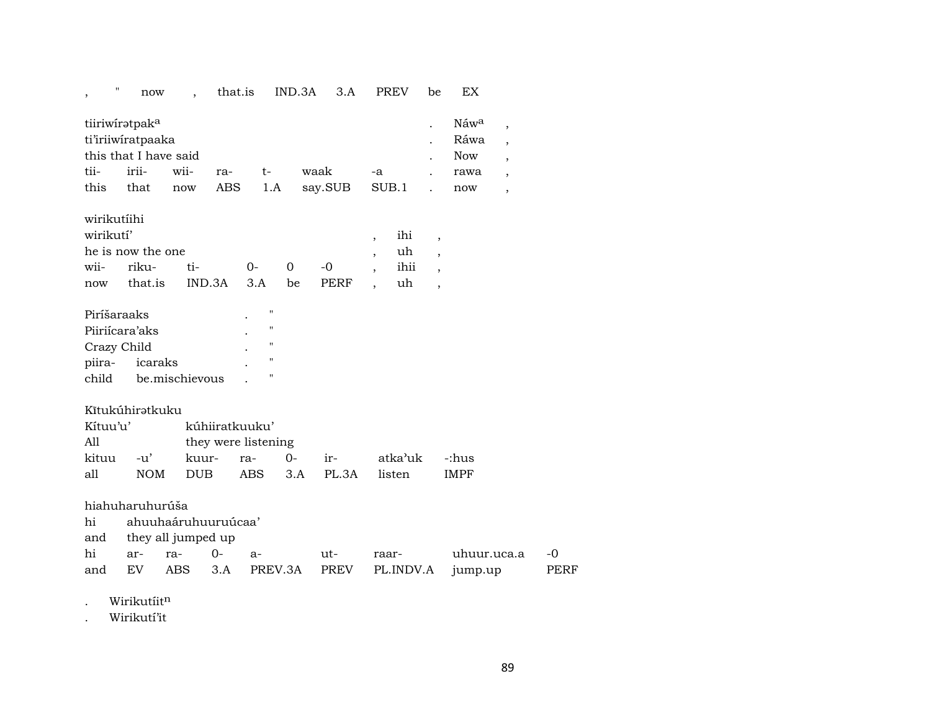| Náwa<br>tiiriwiratpak <sup>a</sup><br>$\overline{ }$<br>ti'iriiwiratpaaka<br>Ráwa<br>$\overline{\phantom{a}}$<br>this that I have said<br><b>Now</b><br>$\overline{\phantom{a}}$<br>tii-<br>irii-<br>wii-<br>waak<br>ra-<br>t-<br>-a<br>rawa<br>$\overline{\phantom{a}}$<br><b>ABS</b><br>this<br>SUB.1<br>that<br>1.A<br>say.SUB<br>now<br>now<br>$\overline{\phantom{a}}$<br>wirikutíihi<br>wirikutí'<br>ihi<br>$\overline{\phantom{a}}$<br>$\overline{ }$<br>he is now the one<br>uh<br>$\overline{ }$<br>$\overline{\phantom{a}}$<br>wii-<br>riku-<br>ti-<br>0<br>ihii<br>$0-$<br>$-0$<br>$\overline{\phantom{a}}$<br>$\cdot$<br>that.is<br>IND.3A<br><b>PERF</b><br>uh<br>3.A<br>be<br>now<br>$\overline{ }$<br>$\blacksquare$<br>Piríšaraaks<br>Piiriícara'aks<br>$\pmb{\mathsf{H}}$<br>$\pmb{\mathsf{H}}$<br>Crazy Child<br>$\pmb{\mathsf{H}}$<br>piira-<br>icaraks<br>$\pmb{\mathsf{H}}$<br>child<br>be.mischievous<br>Kītukúhiratkuku<br>Kítuu'u'<br>kúhiiratkuuku'<br>A11<br>they were listening<br>kuur-<br>atka'uk<br>kituu<br>$-u'$<br>$0-$<br>-:hus<br>ra-<br>ir-<br>all<br><b>NOM</b><br><b>DUB</b><br><b>ABS</b><br>PL.3A<br>listen<br><b>IMPF</b><br>3.A<br>hiahuharuhurúša<br>ahuuhaáruhuuruúcaa'<br>hi<br>they all jumped up<br>and<br>hi<br>$0-$<br>$-0$<br>ra-<br>ut-<br>uhuur.uca.a<br>ar-<br>a-<br>raar-<br>EV<br><b>ABS</b><br>3.A<br>PREV.3A<br><b>PREV</b><br>PL.INDV.A<br><b>PERF</b><br>and<br>jump.up | ., | now | $\ddot{\phantom{0}}$ | that.is | IND.3A | 3.A | <b>PREV</b> | be | ΕX |  |
|------------------------------------------------------------------------------------------------------------------------------------------------------------------------------------------------------------------------------------------------------------------------------------------------------------------------------------------------------------------------------------------------------------------------------------------------------------------------------------------------------------------------------------------------------------------------------------------------------------------------------------------------------------------------------------------------------------------------------------------------------------------------------------------------------------------------------------------------------------------------------------------------------------------------------------------------------------------------------------------------------------------------------------------------------------------------------------------------------------------------------------------------------------------------------------------------------------------------------------------------------------------------------------------------------------------------------------------------------------------------------------------------------------------------------------|----|-----|----------------------|---------|--------|-----|-------------|----|----|--|
|                                                                                                                                                                                                                                                                                                                                                                                                                                                                                                                                                                                                                                                                                                                                                                                                                                                                                                                                                                                                                                                                                                                                                                                                                                                                                                                                                                                                                                    |    |     |                      |         |        |     |             |    |    |  |
|                                                                                                                                                                                                                                                                                                                                                                                                                                                                                                                                                                                                                                                                                                                                                                                                                                                                                                                                                                                                                                                                                                                                                                                                                                                                                                                                                                                                                                    |    |     |                      |         |        |     |             |    |    |  |
|                                                                                                                                                                                                                                                                                                                                                                                                                                                                                                                                                                                                                                                                                                                                                                                                                                                                                                                                                                                                                                                                                                                                                                                                                                                                                                                                                                                                                                    |    |     |                      |         |        |     |             |    |    |  |
|                                                                                                                                                                                                                                                                                                                                                                                                                                                                                                                                                                                                                                                                                                                                                                                                                                                                                                                                                                                                                                                                                                                                                                                                                                                                                                                                                                                                                                    |    |     |                      |         |        |     |             |    |    |  |
|                                                                                                                                                                                                                                                                                                                                                                                                                                                                                                                                                                                                                                                                                                                                                                                                                                                                                                                                                                                                                                                                                                                                                                                                                                                                                                                                                                                                                                    |    |     |                      |         |        |     |             |    |    |  |

. Wirikutíit $<sup>n</sup>$ </sup>

. Wirikutí'it